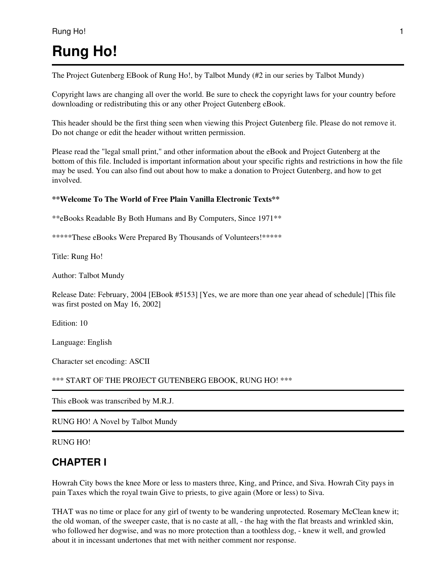# **Rung Ho!**

The Project Gutenberg EBook of Rung Ho!, by Talbot Mundy (#2 in our series by Talbot Mundy)

Copyright laws are changing all over the world. Be sure to check the copyright laws for your country before downloading or redistributing this or any other Project Gutenberg eBook.

This header should be the first thing seen when viewing this Project Gutenberg file. Please do not remove it. Do not change or edit the header without written permission.

Please read the "legal small print," and other information about the eBook and Project Gutenberg at the bottom of this file. Included is important information about your specific rights and restrictions in how the file may be used. You can also find out about how to make a donation to Project Gutenberg, and how to get involved.

#### **\*\*Welcome To The World of Free Plain Vanilla Electronic Texts\*\***

\*\*eBooks Readable By Both Humans and By Computers, Since 1971\*\*

\*\*\*\*\*These eBooks Were Prepared By Thousands of Volunteers!\*\*\*\*\*

Title: Rung Ho!

Author: Talbot Mundy

Release Date: February, 2004 [EBook #5153] [Yes, we are more than one year ahead of schedule] [This file was first posted on May 16, 2002]

Edition: 10

Language: English

Character set encoding: ASCII

```
*** START OF THE PROJECT GUTENBERG EBOOK, RUNG HO! ***
```
This eBook was transcribed by M.R.J.

RUNG HO! A Novel by Talbot Mundy

RUNG HO!

### **CHAPTER I**

Howrah City bows the knee More or less to masters three, King, and Prince, and Siva. Howrah City pays in pain Taxes which the royal twain Give to priests, to give again (More or less) to Siva.

THAT was no time or place for any girl of twenty to be wandering unprotected. Rosemary McClean knew it; the old woman, of the sweeper caste, that is no caste at all, - the hag with the flat breasts and wrinkled skin, who followed her dogwise, and was no more protection than a toothless dog, - knew it well, and growled about it in incessant undertones that met with neither comment nor response.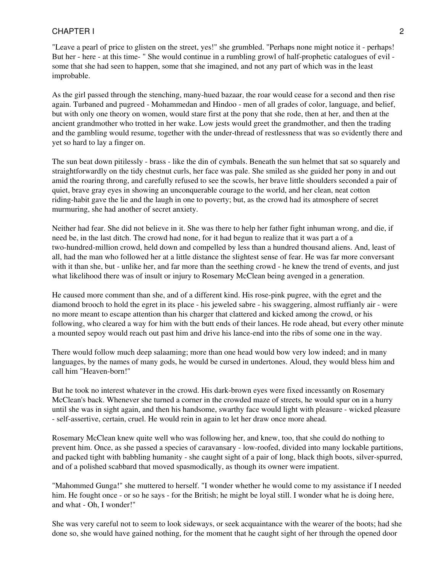"Leave a pearl of price to glisten on the street, yes!" she grumbled. "Perhaps none might notice it - perhaps! But her - here - at this time- " She would continue in a rumbling growl of half-prophetic catalogues of evil some that she had seen to happen, some that she imagined, and not any part of which was in the least improbable.

As the girl passed through the stenching, many-hued bazaar, the roar would cease for a second and then rise again. Turbaned and pugreed - Mohammedan and Hindoo - men of all grades of color, language, and belief, but with only one theory on women, would stare first at the pony that she rode, then at her, and then at the ancient grandmother who trotted in her wake. Low jests would greet the grandmother, and then the trading and the gambling would resume, together with the under-thread of restlessness that was so evidently there and yet so hard to lay a finger on.

The sun beat down pitilessly - brass - like the din of cymbals. Beneath the sun helmet that sat so squarely and straightforwardly on the tidy chestnut curls, her face was pale. She smiled as she guided her pony in and out amid the roaring throng, and carefully refused to see the scowls, her brave little shoulders seconded a pair of quiet, brave gray eyes in showing an unconquerable courage to the world, and her clean, neat cotton riding-habit gave the lie and the laugh in one to poverty; but, as the crowd had its atmosphere of secret murmuring, she had another of secret anxiety.

Neither had fear. She did not believe in it. She was there to help her father fight inhuman wrong, and die, if need be, in the last ditch. The crowd had none, for it had begun to realize that it was part a of a two-hundred-million crowd, held down and compelled by less than a hundred thousand aliens. And, least of all, had the man who followed her at a little distance the slightest sense of fear. He was far more conversant with it than she, but - unlike her, and far more than the seething crowd - he knew the trend of events, and just what likelihood there was of insult or injury to Rosemary McClean being avenged in a generation.

He caused more comment than she, and of a different kind. His rose-pink pugree, with the egret and the diamond brooch to hold the egret in its place - his jeweled sabre - his swaggering, almost ruffianly air - were no more meant to escape attention than his charger that clattered and kicked among the crowd, or his following, who cleared a way for him with the butt ends of their lances. He rode ahead, but every other minute a mounted sepoy would reach out past him and drive his lance-end into the ribs of some one in the way.

There would follow much deep salaaming; more than one head would bow very low indeed; and in many languages, by the names of many gods, he would be cursed in undertones. Aloud, they would bless him and call him "Heaven-born!"

But he took no interest whatever in the crowd. His dark-brown eyes were fixed incessantly on Rosemary McClean's back. Whenever she turned a corner in the crowded maze of streets, he would spur on in a hurry until she was in sight again, and then his handsome, swarthy face would light with pleasure - wicked pleasure - self-assertive, certain, cruel. He would rein in again to let her draw once more ahead.

Rosemary McClean knew quite well who was following her, and knew, too, that she could do nothing to prevent him. Once, as she passed a species of caravansary - low-roofed, divided into many lockable partitions, and packed tight with babbling humanity - she caught sight of a pair of long, black thigh boots, silver-spurred, and of a polished scabbard that moved spasmodically, as though its owner were impatient.

"Mahommed Gunga!" she muttered to herself. "I wonder whether he would come to my assistance if I needed him. He fought once - or so he says - for the British; he might be loyal still. I wonder what he is doing here, and what - Oh, I wonder!"

She was very careful not to seem to look sideways, or seek acquaintance with the wearer of the boots; had she done so, she would have gained nothing, for the moment that he caught sight of her through the opened door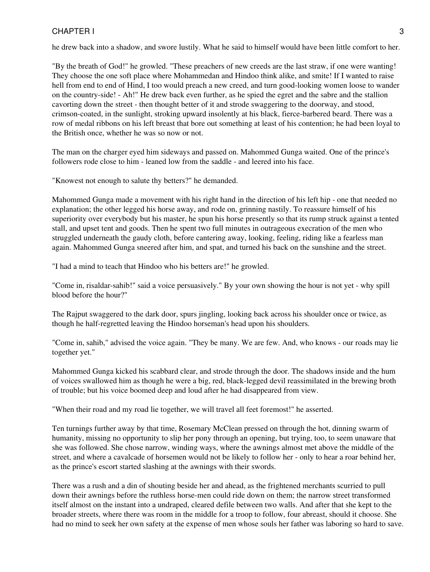he drew back into a shadow, and swore lustily. What he said to himself would have been little comfort to her.

"By the breath of God!" he growled. "These preachers of new creeds are the last straw, if one were wanting! They choose the one soft place where Mohammedan and Hindoo think alike, and smite! If I wanted to raise hell from end to end of Hind, I too would preach a new creed, and turn good-looking women loose to wander on the country-side! - Ah!" He drew back even further, as he spied the egret and the sabre and the stallion cavorting down the street - then thought better of it and strode swaggering to the doorway, and stood, crimson-coated, in the sunlight, stroking upward insolently at his black, fierce-barbered beard. There was a row of medal ribbons on his left breast that bore out something at least of his contention; he had been loyal to the British once, whether he was so now or not.

The man on the charger eyed him sideways and passed on. Mahommed Gunga waited. One of the prince's followers rode close to him - leaned low from the saddle - and leered into his face.

"Knowest not enough to salute thy betters?" he demanded.

Mahommed Gunga made a movement with his right hand in the direction of his left hip - one that needed no explanation; the other legged his horse away, and rode on, grinning nastily. To reassure himself of his superiority over everybody but his master, he spun his horse presently so that its rump struck against a tented stall, and upset tent and goods. Then he spent two full minutes in outrageous execration of the men who struggled underneath the gaudy cloth, before cantering away, looking, feeling, riding like a fearless man again. Mahommed Gunga sneered after him, and spat, and turned his back on the sunshine and the street.

"I had a mind to teach that Hindoo who his betters are!" he growled.

"Come in, risaldar-sahib!" said a voice persuasively." By your own showing the hour is not yet - why spill blood before the hour?"

The Rajput swaggered to the dark door, spurs jingling, looking back across his shoulder once or twice, as though he half-regretted leaving the Hindoo horseman's head upon his shoulders.

"Come in, sahib," advised the voice again. "They be many. We are few. And, who knows - our roads may lie together yet."

Mahommed Gunga kicked his scabbard clear, and strode through the door. The shadows inside and the hum of voices swallowed him as though he were a big, red, black-legged devil reassimilated in the brewing broth of trouble; but his voice boomed deep and loud after he had disappeared from view.

"When their road and my road lie together, we will travel all feet foremost!" he asserted.

Ten turnings further away by that time, Rosemary McClean pressed on through the hot, dinning swarm of humanity, missing no opportunity to slip her pony through an opening, but trying, too, to seem unaware that she was followed. She chose narrow, winding ways, where the awnings almost met above the middle of the street, and where a cavalcade of horsemen would not be likely to follow her - only to hear a roar behind her, as the prince's escort started slashing at the awnings with their swords.

There was a rush and a din of shouting beside her and ahead, as the frightened merchants scurried to pull down their awnings before the ruthless horse-men could ride down on them; the narrow street transformed itself almost on the instant into a undraped, cleared defile between two walls. And after that she kept to the broader streets, where there was room in the middle for a troop to follow, four abreast, should it choose. She had no mind to seek her own safety at the expense of men whose souls her father was laboring so hard to save.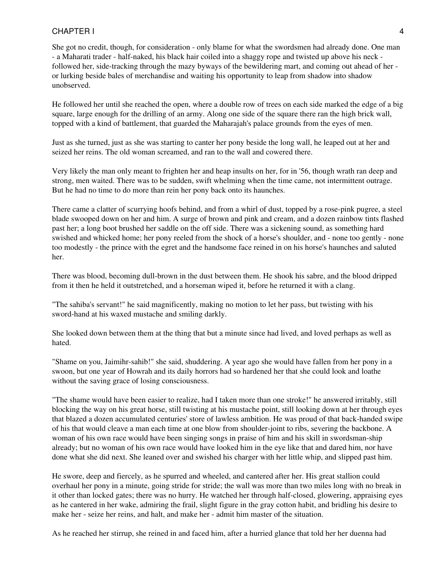She got no credit, though, for consideration - only blame for what the swordsmen had already done. One man - a Maharati trader - half-naked, his black hair coiled into a shaggy rope and twisted up above his neck followed her, side-tracking through the mazy byways of the bewildering mart, and coming out ahead of her or lurking beside bales of merchandise and waiting his opportunity to leap from shadow into shadow unobserved.

He followed her until she reached the open, where a double row of trees on each side marked the edge of a big square, large enough for the drilling of an army. Along one side of the square there ran the high brick wall, topped with a kind of battlement, that guarded the Maharajah's palace grounds from the eyes of men.

Just as she turned, just as she was starting to canter her pony beside the long wall, he leaped out at her and seized her reins. The old woman screamed, and ran to the wall and cowered there.

Very likely the man only meant to frighten her and heap insults on her, for in '56, though wrath ran deep and strong, men waited. There was to be sudden, swift whelming when the time came, not intermittent outrage. But he had no time to do more than rein her pony back onto its haunches.

There came a clatter of scurrying hoofs behind, and from a whirl of dust, topped by a rose-pink pugree, a steel blade swooped down on her and him. A surge of brown and pink and cream, and a dozen rainbow tints flashed past her; a long boot brushed her saddle on the off side. There was a sickening sound, as something hard swished and whicked home; her pony reeled from the shock of a horse's shoulder, and - none too gently - none too modestly - the prince with the egret and the handsome face reined in on his horse's haunches and saluted her.

There was blood, becoming dull-brown in the dust between them. He shook his sabre, and the blood dripped from it then he held it outstretched, and a horseman wiped it, before he returned it with a clang.

"The sahiba's servant!" he said magnificently, making no motion to let her pass, but twisting with his sword-hand at his waxed mustache and smiling darkly.

She looked down between them at the thing that but a minute since had lived, and loved perhaps as well as hated.

"Shame on you, Jaimihr-sahib!" she said, shuddering. A year ago she would have fallen from her pony in a swoon, but one year of Howrah and its daily horrors had so hardened her that she could look and loathe without the saving grace of losing consciousness.

"The shame would have been easier to realize, had I taken more than one stroke!" he answered irritably, still blocking the way on his great horse, still twisting at his mustache point, still looking down at her through eyes that blazed a dozen accumulated centuries' store of lawless ambition. He was proud of that back-handed swipe of his that would cleave a man each time at one blow from shoulder-joint to ribs, severing the backbone. A woman of his own race would have been singing songs in praise of him and his skill in swordsman-ship already; but no woman of his own race would have looked him in the eye like that and dared him, nor have done what she did next. She leaned over and swished his charger with her little whip, and slipped past him.

He swore, deep and fiercely, as he spurred and wheeled, and cantered after her. His great stallion could overhaul her pony in a minute, going stride for stride; the wall was more than two miles long with no break in it other than locked gates; there was no hurry. He watched her through half-closed, glowering, appraising eyes as he cantered in her wake, admiring the frail, slight figure in the gray cotton habit, and bridling his desire to make her - seize her reins, and halt, and make her - admit him master of the situation.

As he reached her stirrup, she reined in and faced him, after a hurried glance that told her her duenna had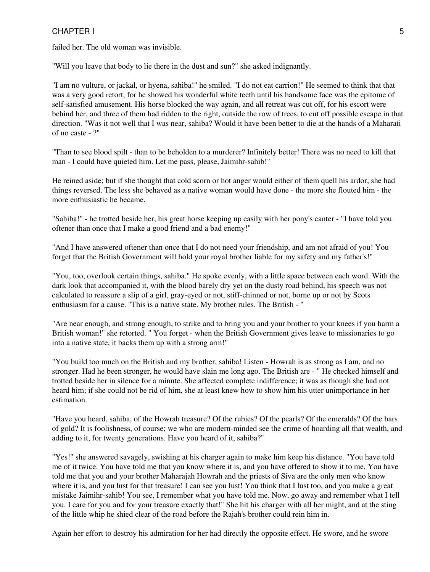failed her. The old woman was invisible.

"Will you leave that body to lie there in the dust and sun?" she asked indignantly.

"I am no vulture, or jackal, or hyena, sahiba!" he smiled. "I do not eat carrion!" He seemed to think that that was a very good retort, for he showed his wonderful white teeth until his handsome face was the epitome of self-satisfied amusement. His horse blocked the way again, and all retreat was cut off, for his escort were behind her, and three of them had ridden to the right, outside the row of trees, to cut off possible escape in that direction. "Was it not well that I was near, sahiba? Would it have been better to die at the hands of a Maharati of no caste - ?"

"Than to see blood spilt - than to be beholden to a murderer? Infinitely better! There was no need to kill that man - I could have quieted him. Let me pass, please, Jaimihr-sahib!"

He reined aside; but if she thought that cold scorn or hot anger would either of them quell his ardor, she had things reversed. The less she behaved as a native woman would have done - the more she flouted him - the more enthusiastic he became.

"Sahiba!" - he trotted beside her, his great horse keeping up easily with her pony's canter - "I have told you oftener than once that I make a good friend and a bad enemy!"

"And I have answered oftener than once that I do not need your friendship, and am not afraid of you! You forget that the British Government will hold your royal brother liable for my safety and my father's!"

"You, too, overlook certain things, sahiba." He spoke evenly, with a little space between each word. With the dark look that accompanied it, with the blood barely dry yet on the dusty road behind, his speech was not calculated to reassure a slip of a girl, gray-eyed or not, stiff-chinned or not, borne up or not by Scots enthusiasm for a cause. "This is a native state. My brother rules. The British - "

"Are near enough, and strong enough, to strike and to bring you and your brother to your knees if you harm a British woman!" she retorted. " You forget - when the British Government gives leave to missionaries to go into a native state, it backs them up with a strong arm!"

"You build too much on the British and my brother, sahiba! Listen - Howrah is as strong as I am, and no stronger. Had he been stronger, he would have slain me long ago. The British are - " He checked himself and trotted beside her in silence for a minute. She affected complete indifference; it was as though she had not heard him; if she could not be rid of him, she at least knew how to show him his utter unimportance in her estimation.

"Have you heard, sahiba, of the Howrah treasure? Of the rubies? Of the pearls? Of the emeralds? Of the bars of gold? It is foolishness, of course; we who are modern-minded see the crime of hoarding all that wealth, and adding to it, for twenty generations. Have you heard of it, sahiba?"

"Yes!" she answered savagely, swishing at his charger again to make him keep his distance. "You have told me of it twice. You have told me that you know where it is, and you have offered to show it to me. You have told me that you and your brother Maharajah Howrah and the priests of Siva are the only men who know where it is, and you lust for that treasure! I can see you lust! You think that I lust too, and you make a great mistake Jaimihr-sahib! You see, I remember what you have told me. Now, go away and remember what I tell you. I care for you and for your treasure exactly that!" She hit his charger with all her might, and at the sting of the little whip he shied clear of the road before the Rajah's brother could rein him in.

Again her effort to destroy his admiration for her had directly the opposite effect. He swore, and he swore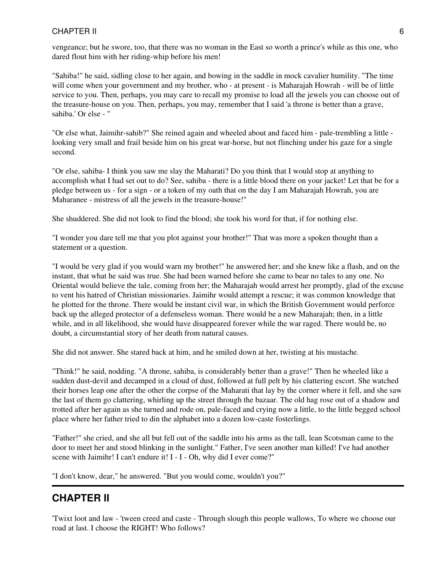vengeance; but he swore, too, that there was no woman in the East so worth a prince's while as this one, who dared flout him with her riding-whip before his men!

"Sahiba!" he said, sidling close to her again, and bowing in the saddle in mock cavalier humility. "The time will come when your government and my brother, who - at present - is Maharajah Howrah - will be of little service to you. Then, perhaps, you may care to recall my promise to load all the jewels you can choose out of the treasure-house on you. Then, perhaps, you may, remember that I said 'a throne is better than a grave, sahiba.' Or else - "

"Or else what, Jaimihr-sahib?" She reined again and wheeled about and faced him - pale-trembling a little looking very small and frail beside him on his great war-horse, but not flinching under his gaze for a single second.

"Or else, sahiba- I think you saw me slay the Maharati? Do you think that I would stop at anything to accomplish what I had set out to do? See, sahiba - there is a little blood there on your jacket! Let that be for a pledge between us - for a sign - or a token of my oath that on the day I am Maharajah Howrah, you are Maharanee - mistress of all the jewels in the treasure-house!"

She shuddered. She did not look to find the blood; she took his word for that, if for nothing else.

"I wonder you dare tell me that you plot against your brother!" That was more a spoken thought than a statement or a question.

"I would be very glad if you would warn my brother!" he answered her; and she knew like a flash, and on the instant, that what he said was true. She had been warned before she came to bear no tales to any one. No Oriental would believe the tale, coming from her; the Maharajah would arrest her promptly, glad of the excuse to vent his hatred of Christian missionaries. Jaimihr would attempt a rescue; it was common knowledge that he plotted for the throne. There would be instant civil war, in which the British Government would perforce back up the alleged protector of a defenseless woman. There would be a new Maharajah; then, in a little while, and in all likelihood, she would have disappeared forever while the war raged. There would be, no doubt, a circumstantial story of her death from natural causes.

She did not answer. She stared back at him, and he smiled down at her, twisting at his mustache.

"Think!" he said, nodding. "A throne, sahiba, is considerably better than a grave!" Then he wheeled like a sudden dust-devil and decamped in a cloud of dust, followed at full pelt by his clattering escort. She watched their horses leap one after the other the corpse of the Maharati that lay by the corner where it fell, and she saw the last of them go clattering, whirling up the street through the bazaar. The old hag rose out of a shadow and trotted after her again as she turned and rode on, pale-faced and crying now a little, to the little begged school place where her father tried to din the alphabet into a dozen low-caste fosterlings.

"Father!" she cried, and she all but fell out of the saddle into his arms as the tall, lean Scotsman came to the door to meet her and stood blinking in the sunlight." Father, I've seen another man killed! I've had another scene with Jaimihr! I can't endure it! I - I - Oh, why did I ever come?"

"I don't know, dear," he answered. "But you would come, wouldn't you?"

# **CHAPTER II**

'Twixt loot and law - 'tween creed and caste - Through slough this people wallows, To where we choose our road at last. I choose the RIGHT! Who follows?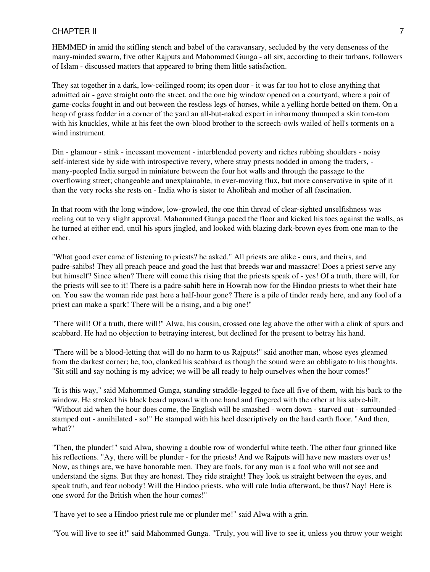HEMMED in amid the stifling stench and babel of the caravansary, secluded by the very denseness of the many-minded swarm, five other Rajputs and Mahommed Gunga - all six, according to their turbans, followers of Islam - discussed matters that appeared to bring them little satisfaction.

They sat together in a dark, low-ceilinged room; its open door - it was far too hot to close anything that admitted air - gave straight onto the street, and the one big window opened on a courtyard, where a pair of game-cocks fought in and out between the restless legs of horses, while a yelling horde betted on them. On a heap of grass fodder in a corner of the yard an all-but-naked expert in inharmony thumped a skin tom-tom with his knuckles, while at his feet the own-blood brother to the screech-owls wailed of hell's torments on a wind instrument.

Din - glamour - stink - incessant movement - interblended poverty and riches rubbing shoulders - noisy self-interest side by side with introspective revery, where stray priests nodded in among the traders, many-peopled India surged in miniature between the four hot walls and through the passage to the overflowing street; changeable and unexplainable, in ever-moving flux, but more conservative in spite of it than the very rocks she rests on - India who is sister to Aholibah and mother of all fascination.

In that room with the long window, low-growled, the one thin thread of clear-sighted unselfishness was reeling out to very slight approval. Mahommed Gunga paced the floor and kicked his toes against the walls, as he turned at either end, until his spurs jingled, and looked with blazing dark-brown eyes from one man to the other.

"What good ever came of listening to priests? he asked." All priests are alike - ours, and theirs, and padre-sahibs! They all preach peace and goad the lust that breeds war and massacre! Does a priest serve any but himself? Since when? There will come this rising that the priests speak of - yes! Of a truth, there will, for the priests will see to it! There is a padre-sahib here in Howrah now for the Hindoo priests to whet their hate on. You saw the woman ride past here a half-hour gone? There is a pile of tinder ready here, and any fool of a priest can make a spark! There will be a rising, and a big one!"

"There will! Of a truth, there will!" Alwa, his cousin, crossed one leg above the other with a clink of spurs and scabbard. He had no objection to betraying interest, but declined for the present to betray his hand.

"There will be a blood-letting that will do no harm to us Rajputs!" said another man, whose eyes gleamed from the darkest corner; he, too, clanked his scabbard as though the sound were an obbligato to his thoughts. "Sit still and say nothing is my advice; we will be all ready to help ourselves when the hour comes!"

"It is this way," said Mahommed Gunga, standing straddle-legged to face all five of them, with his back to the window. He stroked his black beard upward with one hand and fingered with the other at his sabre-hilt. "Without aid when the hour does come, the English will be smashed - worn down - starved out - surrounded stamped out - annihilated - so!" He stamped with his heel descriptively on the hard earth floor. "And then, what?"

"Then, the plunder!" said Alwa, showing a double row of wonderful white teeth. The other four grinned like his reflections. "Ay, there will be plunder - for the priests! And we Rajputs will have new masters over us! Now, as things are, we have honorable men. They are fools, for any man is a fool who will not see and understand the signs. But they are honest. They ride straight! They look us straight between the eyes, and speak truth, and fear nobody! Will the Hindoo priests, who will rule India afterward, be thus? Nay! Here is one sword for the British when the hour comes!"

"I have yet to see a Hindoo priest rule me or plunder me!" said Alwa with a grin.

"You will live to see it!" said Mahommed Gunga. "Truly, you will live to see it, unless you throw your weight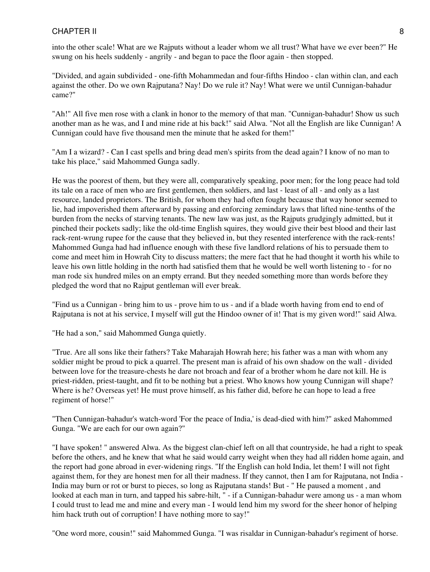into the other scale! What are we Rajputs without a leader whom we all trust? What have we ever been?" He swung on his heels suddenly - angrily - and began to pace the floor again - then stopped.

"Divided, and again subdivided - one-fifth Mohammedan and four-fifths Hindoo - clan within clan, and each against the other. Do we own Rajputana? Nay! Do we rule it? Nay! What were we until Cunnigan-bahadur came?"

"Ah!" All five men rose with a clank in honor to the memory of that man. "Cunnigan-bahadur! Show us such another man as he was, and I and mine ride at his back!" said Alwa. "Not all the English are like Cunnigan! A Cunnigan could have five thousand men the minute that he asked for them!"

"Am I a wizard? - Can I cast spells and bring dead men's spirits from the dead again? I know of no man to take his place," said Mahommed Gunga sadly.

He was the poorest of them, but they were all, comparatively speaking, poor men; for the long peace had told its tale on a race of men who are first gentlemen, then soldiers, and last - least of all - and only as a last resource, landed proprietors. The British, for whom they had often fought because that way honor seemed to lie, had impoverished them afterward by passing and enforcing zemindary laws that lifted nine-tenths of the burden from the necks of starving tenants. The new law was just, as the Rajputs grudgingly admitted, but it pinched their pockets sadly; like the old-time English squires, they would give their best blood and their last rack-rent-wrung rupee for the cause that they believed in, but they resented interference with the rack-rents! Mahommed Gunga had had influence enough with these five landlord relations of his to persuade them to come and meet him in Howrah City to discuss matters; the mere fact that he had thought it worth his while to leave his own little holding in the north had satisfied them that he would be well worth listening to - for no man rode six hundred miles on an empty errand. But they needed something more than words before they pledged the word that no Rajput gentleman will ever break.

"Find us a Cunnigan - bring him to us - prove him to us - and if a blade worth having from end to end of Rajputana is not at his service, I myself will gut the Hindoo owner of it! That is my given word!" said Alwa.

"He had a son," said Mahommed Gunga quietly.

"True. Are all sons like their fathers? Take Maharajah Howrah here; his father was a man with whom any soldier might be proud to pick a quarrel. The present man is afraid of his own shadow on the wall - divided between love for the treasure-chests he dare not broach and fear of a brother whom he dare not kill. He is priest-ridden, priest-taught, and fit to be nothing but a priest. Who knows how young Cunnigan will shape? Where is he? Overseas yet! He must prove himself, as his father did, before he can hope to lead a free regiment of horse!"

"Then Cunnigan-bahadur's watch-word 'For the peace of India,' is dead-died with him?" asked Mahommed Gunga. "We are each for our own again?"

"I have spoken! " answered Alwa. As the biggest clan-chief left on all that countryside, he had a right to speak before the others, and he knew that what he said would carry weight when they had all ridden home again, and the report had gone abroad in ever-widening rings. "If the English can hold India, let them! I will not fight against them, for they are honest men for all their madness. If they cannot, then I am for Rajputana, not India - India may burn or rot or burst to pieces, so long as Rajputana stands! But - " He paused a moment , and looked at each man in turn, and tapped his sabre-hilt, " - if a Cunnigan-bahadur were among us - a man whom I could trust to lead me and mine and every man - I would lend him my sword for the sheer honor of helping him hack truth out of corruption! I have nothing more to say!"

"One word more, cousin!" said Mahommed Gunga. "I was risaldar in Cunnigan-bahadur's regiment of horse.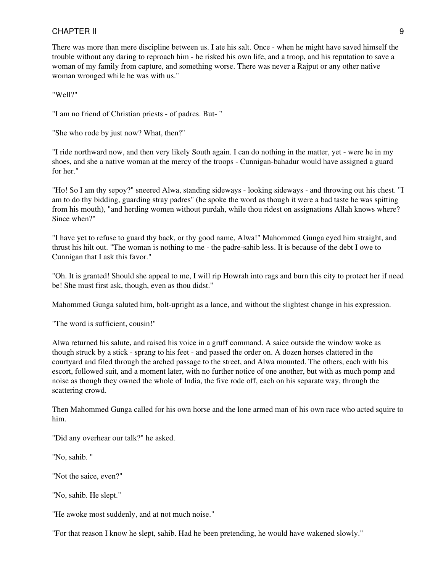There was more than mere discipline between us. I ate his salt. Once - when he might have saved himself the trouble without any daring to reproach him - he risked his own life, and a troop, and his reputation to save a woman of my family from capture, and something worse. There was never a Rajput or any other native woman wronged while he was with us."

"Well?"

"I am no friend of Christian priests - of padres. But- "

"She who rode by just now? What, then?"

"I ride northward now, and then very likely South again. I can do nothing in the matter, yet - were he in my shoes, and she a native woman at the mercy of the troops - Cunnigan-bahadur would have assigned a guard for her."

"Ho! So I am thy sepoy?" sneered Alwa, standing sideways - looking sideways - and throwing out his chest. "I am to do thy bidding, guarding stray padres" (he spoke the word as though it were a bad taste he was spitting from his mouth), "and herding women without purdah, while thou ridest on assignations Allah knows where? Since when?"

"I have yet to refuse to guard thy back, or thy good name, Alwa!" Mahommed Gunga eyed him straight, and thrust his hilt out. "The woman is nothing to me - the padre-sahib less. It is because of the debt I owe to Cunnigan that I ask this favor."

"Oh. It is granted! Should she appeal to me, I will rip Howrah into rags and burn this city to protect her if need be! She must first ask, though, even as thou didst."

Mahommed Gunga saluted him, bolt-upright as a lance, and without the slightest change in his expression.

"The word is sufficient, cousin!"

Alwa returned his salute, and raised his voice in a gruff command. A saice outside the window woke as though struck by a stick - sprang to his feet - and passed the order on. A dozen horses clattered in the courtyard and filed through the arched passage to the street, and Alwa mounted. The others, each with his escort, followed suit, and a moment later, with no further notice of one another, but with as much pomp and noise as though they owned the whole of India, the five rode off, each on his separate way, through the scattering crowd.

Then Mahommed Gunga called for his own horse and the lone armed man of his own race who acted squire to him.

"Did any overhear our talk?" he asked.

"No, sahib. "

"Not the saice, even?"

"No, sahib. He slept."

"He awoke most suddenly, and at not much noise."

"For that reason I know he slept, sahib. Had he been pretending, he would have wakened slowly."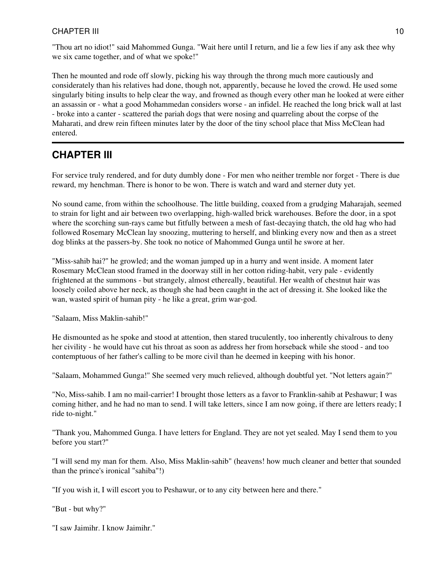"Thou art no idiot!" said Mahommed Gunga. "Wait here until I return, and lie a few lies if any ask thee why we six came together, and of what we spoke!"

Then he mounted and rode off slowly, picking his way through the throng much more cautiously and considerately than his relatives had done, though not, apparently, because he loved the crowd. He used some singularly biting insults to help clear the way, and frowned as though every other man he looked at were either an assassin or - what a good Mohammedan considers worse - an infidel. He reached the long brick wall at last - broke into a canter - scattered the pariah dogs that were nosing and quarreling about the corpse of the Maharati, and drew rein fifteen minutes later by the door of the tiny school place that Miss McClean had entered.

# **CHAPTER III**

For service truly rendered, and for duty dumbly done - For men who neither tremble nor forget - There is due reward, my henchman. There is honor to be won. There is watch and ward and sterner duty yet.

No sound came, from within the schoolhouse. The little building, coaxed from a grudging Maharajah, seemed to strain for light and air between two overlapping, high-walled brick warehouses. Before the door, in a spot where the scorching sun-rays came but fitfully between a mesh of fast-decaying thatch, the old hag who had followed Rosemary McClean lay snoozing, muttering to herself, and blinking every now and then as a street dog blinks at the passers-by. She took no notice of Mahommed Gunga until he swore at her.

"Miss-sahib hai?" he growled; and the woman jumped up in a hurry and went inside. A moment later Rosemary McClean stood framed in the doorway still in her cotton riding-habit, very pale - evidently frightened at the summons - but strangely, almost ethereally, beautiful. Her wealth of chestnut hair was loosely coiled above her neck, as though she had been caught in the act of dressing it. She looked like the wan, wasted spirit of human pity - he like a great, grim war-god.

"Salaam, Miss Maklin-sahib!"

He dismounted as he spoke and stood at attention, then stared truculently, too inherently chivalrous to deny her civility - he would have cut his throat as soon as address her from horseback while she stood - and too contemptuous of her father's calling to be more civil than he deemed in keeping with his honor.

"Salaam, Mohammed Gunga!" She seemed very much relieved, although doubtful yet. "Not letters again?"

"No, Miss-sahib. I am no mail-carrier! I brought those letters as a favor to Franklin-sahib at Peshawur; I was coming hither, and he had no man to send. I will take letters, since I am now going, if there are letters ready; I ride to-night."

"Thank you, Mahommed Gunga. I have letters for England. They are not yet sealed. May I send them to you before you start?"

"I will send my man for them. Also, Miss Maklin-sahib" (heavens! how much cleaner and better that sounded than the prince's ironical "sahiba"!)

"If you wish it, I will escort you to Peshawur, or to any city between here and there."

"But - but why?"

"I saw Jaimihr. I know Jaimihr."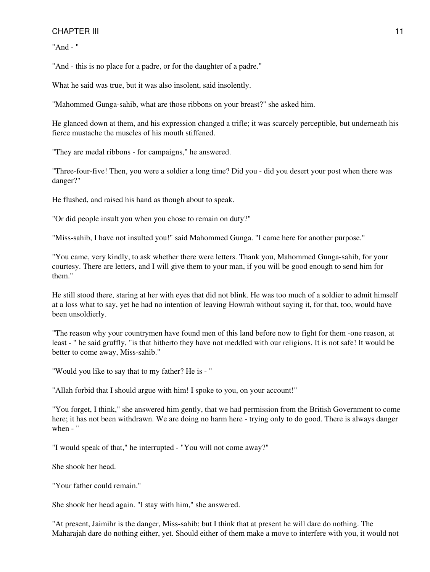"And - "

"And - this is no place for a padre, or for the daughter of a padre."

What he said was true, but it was also insolent, said insolently.

"Mahommed Gunga-sahib, what are those ribbons on your breast?" she asked him.

He glanced down at them, and his expression changed a trifle; it was scarcely perceptible, but underneath his fierce mustache the muscles of his mouth stiffened.

"They are medal ribbons - for campaigns," he answered.

"Three-four-five! Then, you were a soldier a long time? Did you - did you desert your post when there was danger?"

He flushed, and raised his hand as though about to speak.

"Or did people insult you when you chose to remain on duty?"

"Miss-sahib, I have not insulted you!" said Mahommed Gunga. "I came here for another purpose."

"You came, very kindly, to ask whether there were letters. Thank you, Mahommed Gunga-sahib, for your courtesy. There are letters, and I will give them to your man, if you will be good enough to send him for them."

He still stood there, staring at her with eyes that did not blink. He was too much of a soldier to admit himself at a loss what to say, yet he had no intention of leaving Howrah without saying it, for that, too, would have been unsoldierly.

"The reason why your countrymen have found men of this land before now to fight for them -one reason, at least - " he said gruffly, "is that hitherto they have not meddled with our religions. It is not safe! It would be better to come away, Miss-sahib."

"Would you like to say that to my father? He is - "

"Allah forbid that I should argue with him! I spoke to you, on your account!"

"You forget, I think," she answered him gently, that we had permission from the British Government to come here; it has not been withdrawn. We are doing no harm here - trying only to do good. There is always danger when - "

"I would speak of that," he interrupted - "You will not come away?"

She shook her head.

"Your father could remain."

She shook her head again. "I stay with him," she answered.

"At present, Jaimihr is the danger, Miss-sahib; but I think that at present he will dare do nothing. The Maharajah dare do nothing either, yet. Should either of them make a move to interfere with you, it would not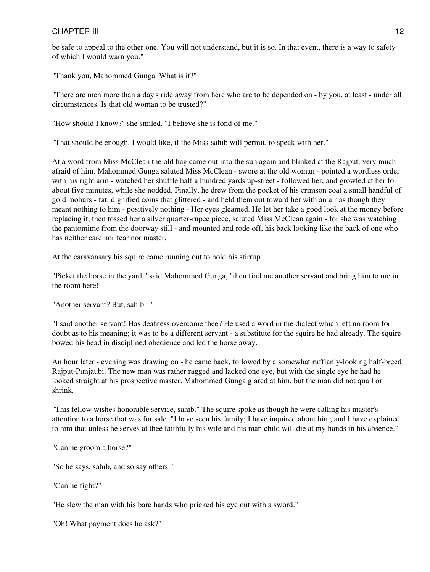be safe to appeal to the other one. You will not understand, but it is so. In that event, there is a way to safety of which I would warn you."

"Thank you, Mahommed Gunga. What is it?"

"There are men more than a day's ride away from here who are to be depended on - by you, at least - under all circumstances. Is that old woman to be trusted?"

"How should I know?" she smiled. "I believe she is fond of me."

"That should be enough. I would like, if the Miss-sahib will permit, to speak with her."

At a word from Miss McClean the old hag came out into the sun again and blinked at the Rajput, very much afraid of him. Mahommed Gunga saluted Miss McClean - swore at the old woman - pointed a wordless order with his right arm - watched her shuffle half a hundred yards up-street - followed her, and growled at her for about five minutes, while she nodded. Finally, he drew from the pocket of his crimson coat a small handful of gold mohurs - fat, dignified coins that glittered - and held them out toward her with an air as though they meant nothing to him - positively nothing - Her eyes gleamed. He let her take a good look at the money before replacing it, then tossed her a silver quarter-rupee piece, saluted Miss McClean again - for she was watching the pantomime from the doorway still - and mounted and rode off, his back looking like the back of one who has neither care nor fear nor master.

At the caravansary his squire came running out to hold his stirrup.

"Picket the horse in the yard," said Mahommed Gunga, "then find me another servant and bring him to me in the room here!"

"Another servant? But, sahib - "

"I said another servant! Has deafness overcome thee? He used a word in the dialect which left no room for doubt as to his meaning; it was to be a different servant - a substitute for the squire he had already. The squire bowed his head in disciplined obedience and led the horse away.

An hour later - evening was drawing on - he came back, followed by a somewhat ruffianly-looking half-breed Rajput-Punjaubi. The new man was rather ragged and lacked one eye, but with the single eye he had he looked straight at his prospective master. Mahommed Gunga glared at him, but the man did not quail or shrink.

"This fellow wishes honorable service, sahib." The squire spoke as though he were calling his master's attention to a horse that was for sale. "I have seen his family; I have inquired about him; and I have explained to him that unless he serves at thee faithfully his wife and his man child will die at my hands in his absence."

"Can he groom a horse?"

"So he says, sahib, and so say others."

"Can he fight?"

"He slew the man with his bare hands who pricked his eye out with a sword."

"Oh! What payment does he ask?"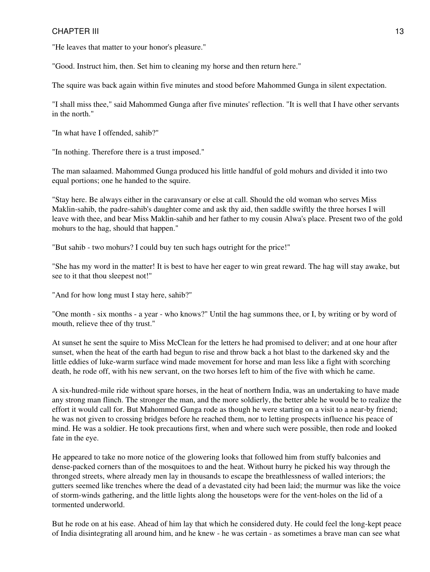"He leaves that matter to your honor's pleasure."

"Good. Instruct him, then. Set him to cleaning my horse and then return here."

The squire was back again within five minutes and stood before Mahommed Gunga in silent expectation.

"I shall miss thee," said Mahommed Gunga after five minutes' reflection. "It is well that I have other servants in the north."

"In what have I offended, sahib?"

"In nothing. Therefore there is a trust imposed."

The man salaamed. Mahommed Gunga produced his little handful of gold mohurs and divided it into two equal portions; one he handed to the squire.

"Stay here. Be always either in the caravansary or else at call. Should the old woman who serves Miss Maklin-sahib, the padre-sahib's daughter come and ask thy aid, then saddle swiftly the three horses I will leave with thee, and bear Miss Maklin-sahib and her father to my cousin Alwa's place. Present two of the gold mohurs to the hag, should that happen."

"But sahib - two mohurs? I could buy ten such hags outright for the price!"

"She has my word in the matter! It is best to have her eager to win great reward. The hag will stay awake, but see to it that thou sleepest not!"

"And for how long must I stay here, sahib?"

"One month - six months - a year - who knows?" Until the hag summons thee, or I, by writing or by word of mouth, relieve thee of thy trust."

At sunset he sent the squire to Miss McClean for the letters he had promised to deliver; and at one hour after sunset, when the heat of the earth had begun to rise and throw back a hot blast to the darkened sky and the little eddies of luke-warm surface wind made movement for horse and man less like a fight with scorching death, he rode off, with his new servant, on the two horses left to him of the five with which he came.

A six-hundred-mile ride without spare horses, in the heat of northern India, was an undertaking to have made any strong man flinch. The stronger the man, and the more soldierly, the better able he would be to realize the effort it would call for. But Mahommed Gunga rode as though he were starting on a visit to a near-by friend; he was not given to crossing bridges before he reached them, nor to letting prospects influence his peace of mind. He was a soldier. He took precautions first, when and where such were possible, then rode and looked fate in the eye.

He appeared to take no more notice of the glowering looks that followed him from stuffy balconies and dense-packed corners than of the mosquitoes to and the heat. Without hurry he picked his way through the thronged streets, where already men lay in thousands to escape the breathlessness of walled interiors; the gutters seemed like trenches where the dead of a devastated city had been laid; the murmur was like the voice of storm-winds gathering, and the little lights along the housetops were for the vent-holes on the lid of a tormented underworld.

But he rode on at his ease. Ahead of him lay that which he considered duty. He could feel the long-kept peace of India disintegrating all around him, and he knew - he was certain - as sometimes a brave man can see what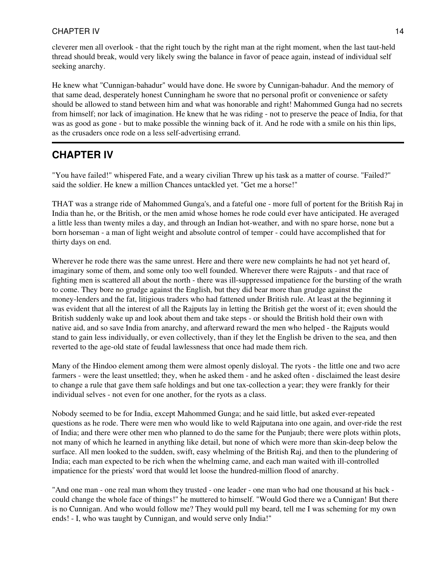cleverer men all overlook - that the right touch by the right man at the right moment, when the last taut-held thread should break, would very likely swing the balance in favor of peace again, instead of individual self seeking anarchy.

He knew what "Cunnigan-bahadur" would have done. He swore by Cunnigan-bahadur. And the memory of that same dead, desperately honest Cunningham he swore that no personal profit or convenience or safety should be allowed to stand between him and what was honorable and right! Mahommed Gunga had no secrets from himself; nor lack of imagination. He knew that he was riding - not to preserve the peace of India, for that was as good as gone - but to make possible the winning back of it. And he rode with a smile on his thin lips, as the crusaders once rode on a less self-advertising errand.

## **CHAPTER IV**

"You have failed!" whispered Fate, and a weary civilian Threw up his task as a matter of course. "Failed?" said the soldier. He knew a million Chances untackled yet. "Get me a horse!"

THAT was a strange ride of Mahommed Gunga's, and a fateful one - more full of portent for the British Raj in India than he, or the British, or the men amid whose homes he rode could ever have anticipated. He averaged a little less than twenty miles a day, and through an Indian hot-weather, and with no spare horse, none but a born horseman - a man of light weight and absolute control of temper - could have accomplished that for thirty days on end.

Wherever he rode there was the same unrest. Here and there were new complaints he had not yet heard of, imaginary some of them, and some only too well founded. Wherever there were Rajputs - and that race of fighting men is scattered all about the north - there was ill-suppressed impatience for the bursting of the wrath to come. They bore no grudge against the English, but they did bear more than grudge against the money-lenders and the fat, litigious traders who had fattened under British rule. At least at the beginning it was evident that all the interest of all the Rajputs lay in letting the British get the worst of it; even should the British suddenly wake up and look about them and take steps - or should the British hold their own with native aid, and so save India from anarchy, and afterward reward the men who helped - the Rajputs would stand to gain less individually, or even collectively, than if they let the English be driven to the sea, and then reverted to the age-old state of feudal lawlessness that once had made them rich.

Many of the Hindoo element among them were almost openly disloyal. The ryots - the little one and two acre farmers - were the least unsettled; they, when he asked them - and he asked often - disclaimed the least desire to change a rule that gave them safe holdings and but one tax-collection a year; they were frankly for their individual selves - not even for one another, for the ryots as a class.

Nobody seemed to be for India, except Mahommed Gunga; and he said little, but asked ever-repeated questions as he rode. There were men who would like to weld Rajputana into one again, and over-ride the rest of India; and there were other men who planned to do the same for the Punjaub; there were plots within plots, not many of which he learned in anything like detail, but none of which were more than skin-deep below the surface. All men looked to the sudden, swift, easy whelming of the British Raj, and then to the plundering of India; each man expected to be rich when the whelming came, and each man waited with ill-controlled impatience for the priests' word that would let loose the hundred-million flood of anarchy.

"And one man - one real man whom they trusted - one leader - one man who had one thousand at his back could change the whole face of things!" he muttered to himself. "Would God there we a Cunnigan! But there is no Cunnigan. And who would follow me? They would pull my beard, tell me I was scheming for my own ends! - I, who was taught by Cunnigan, and would serve only India!"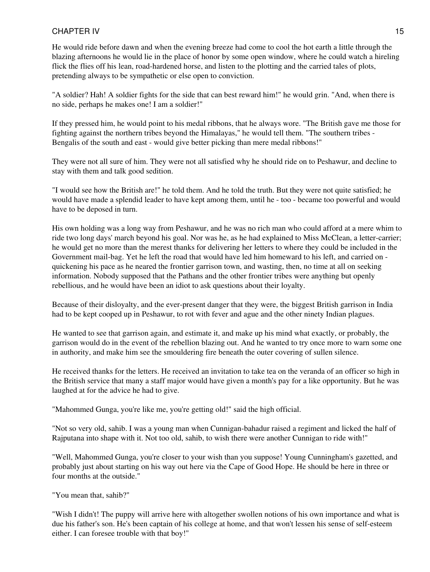He would ride before dawn and when the evening breeze had come to cool the hot earth a little through the blazing afternoons he would lie in the place of honor by some open window, where he could watch a hireling flick the flies off his lean, road-hardened horse, and listen to the plotting and the carried tales of plots, pretending always to be sympathetic or else open to conviction.

"A soldier? Hah! A soldier fights for the side that can best reward him!" he would grin. "And, when there is no side, perhaps he makes one! I am a soldier!"

If they pressed him, he would point to his medal ribbons, that he always wore. "The British gave me those for fighting against the northern tribes beyond the Himalayas," he would tell them. "The southern tribes - Bengalis of the south and east - would give better picking than mere medal ribbons!"

They were not all sure of him. They were not all satisfied why he should ride on to Peshawur, and decline to stay with them and talk good sedition.

"I would see how the British are!" he told them. And he told the truth. But they were not quite satisfied; he would have made a splendid leader to have kept among them, until he - too - became too powerful and would have to be deposed in turn.

His own holding was a long way from Peshawur, and he was no rich man who could afford at a mere whim to ride two long days' march beyond his goal. Nor was he, as he had explained to Miss McClean, a letter-carrier; he would get no more than the merest thanks for delivering her letters to where they could be included in the Government mail-bag. Yet he left the road that would have led him homeward to his left, and carried on quickening his pace as he neared the frontier garrison town, and wasting, then, no time at all on seeking information. Nobody supposed that the Pathans and the other frontier tribes were anything but openly rebellious, and he would have been an idiot to ask questions about their loyalty.

Because of their disloyalty, and the ever-present danger that they were, the biggest British garrison in India had to be kept cooped up in Peshawur, to rot with fever and ague and the other ninety Indian plagues.

He wanted to see that garrison again, and estimate it, and make up his mind what exactly, or probably, the garrison would do in the event of the rebellion blazing out. And he wanted to try once more to warn some one in authority, and make him see the smouldering fire beneath the outer covering of sullen silence.

He received thanks for the letters. He received an invitation to take tea on the veranda of an officer so high in the British service that many a staff major would have given a month's pay for a like opportunity. But he was laughed at for the advice he had to give.

"Mahommed Gunga, you're like me, you're getting old!" said the high official.

"Not so very old, sahib. I was a young man when Cunnigan-bahadur raised a regiment and licked the half of Rajputana into shape with it. Not too old, sahib, to wish there were another Cunnigan to ride with!"

"Well, Mahommed Gunga, you're closer to your wish than you suppose! Young Cunningham's gazetted, and probably just about starting on his way out here via the Cape of Good Hope. He should be here in three or four months at the outside."

"You mean that, sahib?"

"Wish I didn't! The puppy will arrive here with altogether swollen notions of his own importance and what is due his father's son. He's been captain of his college at home, and that won't lessen his sense of self-esteem either. I can foresee trouble with that boy!"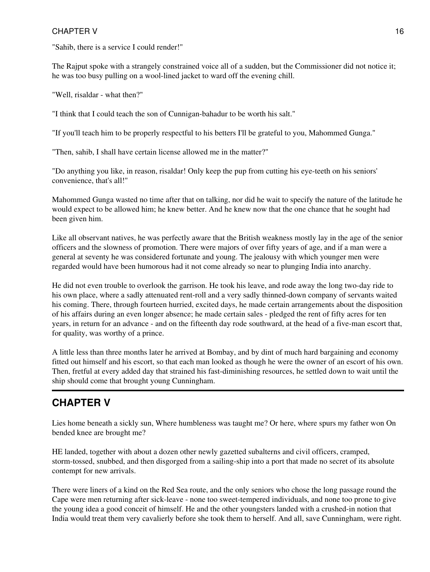"Sahib, there is a service I could render!"

The Rajput spoke with a strangely constrained voice all of a sudden, but the Commissioner did not notice it; he was too busy pulling on a wool-lined jacket to ward off the evening chill.

"Well, risaldar - what then?"

"I think that I could teach the son of Cunnigan-bahadur to be worth his salt."

"If you'll teach him to be properly respectful to his betters I'll be grateful to you, Mahommed Gunga."

"Then, sahib, I shall have certain license allowed me in the matter?"

"Do anything you like, in reason, risaldar! Only keep the pup from cutting his eye-teeth on his seniors' convenience, that's all!"

Mahommed Gunga wasted no time after that on talking, nor did he wait to specify the nature of the latitude he would expect to be allowed him; he knew better. And he knew now that the one chance that he sought had been given him.

Like all observant natives, he was perfectly aware that the British weakness mostly lay in the age of the senior officers and the slowness of promotion. There were majors of over fifty years of age, and if a man were a general at seventy he was considered fortunate and young. The jealousy with which younger men were regarded would have been humorous had it not come already so near to plunging India into anarchy.

He did not even trouble to overlook the garrison. He took his leave, and rode away the long two-day ride to his own place, where a sadly attenuated rent-roll and a very sadly thinned-down company of servants waited his coming. There, through fourteen hurried, excited days, he made certain arrangements about the disposition of his affairs during an even longer absence; he made certain sales - pledged the rent of fifty acres for ten years, in return for an advance - and on the fifteenth day rode southward, at the head of a five-man escort that, for quality, was worthy of a prince.

A little less than three months later he arrived at Bombay, and by dint of much hard bargaining and economy fitted out himself and his escort, so that each man looked as though he were the owner of an escort of his own. Then, fretful at every added day that strained his fast-diminishing resources, he settled down to wait until the ship should come that brought young Cunningham.

# **CHAPTER V**

Lies home beneath a sickly sun, Where humbleness was taught me? Or here, where spurs my father won On bended knee are brought me?

HE landed, together with about a dozen other newly gazetted subalterns and civil officers, cramped, storm-tossed, snubbed, and then disgorged from a sailing-ship into a port that made no secret of its absolute contempt for new arrivals.

There were liners of a kind on the Red Sea route, and the only seniors who chose the long passage round the Cape were men returning after sick-leave - none too sweet-tempered individuals, and none too prone to give the young idea a good conceit of himself. He and the other youngsters landed with a crushed-in notion that India would treat them very cavalierly before she took them to herself. And all, save Cunningham, were right.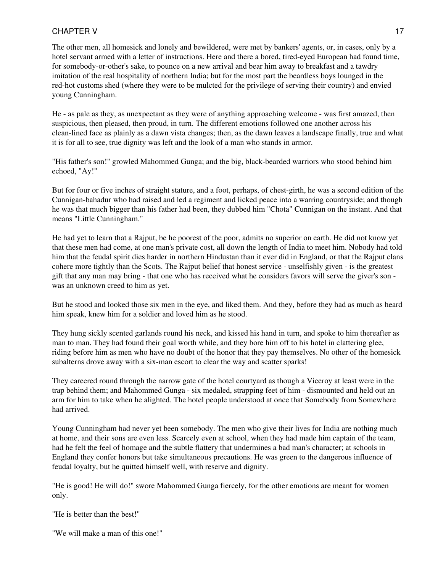The other men, all homesick and lonely and bewildered, were met by bankers' agents, or, in cases, only by a hotel servant armed with a letter of instructions. Here and there a bored, tired-eyed European had found time, for somebody-or-other's sake, to pounce on a new arrival and bear him away to breakfast and a tawdry imitation of the real hospitality of northern India; but for the most part the beardless boys lounged in the red-hot customs shed (where they were to be mulcted for the privilege of serving their country) and envied young Cunningham.

He - as pale as they, as unexpectant as they were of anything approaching welcome - was first amazed, then suspicious, then pleased, then proud, in turn. The different emotions followed one another across his clean-lined face as plainly as a dawn vista changes; then, as the dawn leaves a landscape finally, true and what it is for all to see, true dignity was left and the look of a man who stands in armor.

"His father's son!" growled Mahommed Gunga; and the big, black-bearded warriors who stood behind him echoed, "Ay!"

But for four or five inches of straight stature, and a foot, perhaps, of chest-girth, he was a second edition of the Cunnigan-bahadur who had raised and led a regiment and licked peace into a warring countryside; and though he was that much bigger than his father had been, they dubbed him "Chota" Cunnigan on the instant. And that means "Little Cunningham."

He had yet to learn that a Rajput, be he poorest of the poor, admits no superior on earth. He did not know yet that these men had come, at one man's private cost, all down the length of India to meet him. Nobody had told him that the feudal spirit dies harder in northern Hindustan than it ever did in England, or that the Rajput clans cohere more tightly than the Scots. The Rajput belief that honest service - unselfishly given - is the greatest gift that any man may bring - that one who has received what he considers favors will serve the giver's son was an unknown creed to him as yet.

But he stood and looked those six men in the eye, and liked them. And they, before they had as much as heard him speak, knew him for a soldier and loved him as he stood.

They hung sickly scented garlands round his neck, and kissed his hand in turn, and spoke to him thereafter as man to man. They had found their goal worth while, and they bore him off to his hotel in clattering glee, riding before him as men who have no doubt of the honor that they pay themselves. No other of the homesick subalterns drove away with a six-man escort to clear the way and scatter sparks!

They careered round through the narrow gate of the hotel courtyard as though a Viceroy at least were in the trap behind them; and Mahommed Gunga - six medaled, strapping feet of him - dismounted and held out an arm for him to take when he alighted. The hotel people understood at once that Somebody from Somewhere had arrived.

Young Cunningham had never yet been somebody. The men who give their lives for India are nothing much at home, and their sons are even less. Scarcely even at school, when they had made him captain of the team, had he felt the feel of homage and the subtle flattery that undermines a bad man's character; at schools in England they confer honors but take simultaneous precautions. He was green to the dangerous influence of feudal loyalty, but he quitted himself well, with reserve and dignity.

"He is good! He will do!" swore Mahommed Gunga fiercely, for the other emotions are meant for women only.

"He is better than the best!"

"We will make a man of this one!"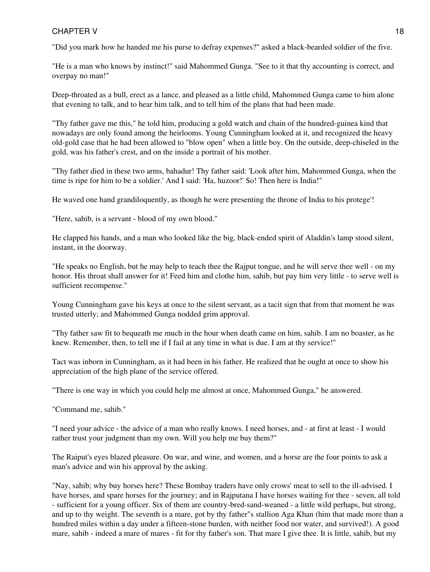"Did you mark how he handed me his purse to defray expenses?" asked a black-bearded soldier of the five.

"He is a man who knows by instinct!" said Mahommed Gunga. "See to it that thy accounting is correct, and overpay no man!"

Deep-throated as a bull, erect as a lance, and pleased as a little child, Mahommed Gunga came to him alone that evening to talk, and to hear him talk, and to tell him of the plans that had been made.

"Thy father gave me this," he told him, producing a gold watch and chain of the hundred-guinea kind that nowadays are only found among the heirlooms. Young Cunningham looked at it, and recognized the heavy old-gold case that he had been allowed to "blow open" when a little boy. On the outside, deep-chiseled in the gold, was his father's crest, and on the inside a portrait of his mother.

"Thy father died in these two arms, bahadur! Thy father said: 'Look after him, Mahommed Gunga, when the time is ripe for him to be a soldier.' And I said: 'Ha, huzoor!' So! Then here is India!"

He waved one hand grandiloquently, as though he were presenting the throne of India to his protege'!

"Here, sahib, is a servant - blood of my own blood."

He clapped his hands, and a man who looked like the big, black-ended spirit of Aladdin's lamp stood silent, instant, in the doorway.

"He speaks no English, but he may help to teach thee the Rajput tongue, and he will serve thee well - on my honor. His throat shall answer for it! Feed him and clothe him, sahib, but pay him very little - to serve well is sufficient recompense."

Young Cunningham gave his keys at once to the silent servant, as a tacit sign that from that moment he was trusted utterly; and Mahommed Gunga nodded grim approval.

"Thy father saw fit to bequeath me much in the hour when death came on him, sahib. I am no boaster, as he knew. Remember, then, to tell me if I fail at any time in what is due. I am at thy service!"

Tact was inborn in Cunningham, as it had been in his father. He realized that he ought at once to show his appreciation of the high plane of the service offered.

"There is one way in which you could help me almost at once, Mahommed Gunga," he answered.

"Command me, sahib."

"I need your advice - the advice of a man who really knows. I need horses, and - at first at least - I would rather trust your judgment than my own. Will you help me buy them?"

The Raiput's eyes blazed pleasure. On war, and wine, and women, and a horse are the four points to ask a man's advice and win his approval by the asking.

"Nay, sahib; why buy horses here? These Bombay traders have only crows' meat to sell to the ill-advised. I have horses, and spare horses for the journey; and in Rajputana I have horses waiting for thee - seven, all told - sufficient for a young officer. Six of them are country-bred-sand-weaned - a little wild perhaps, but strong, and up to thy weight. The seventh is a mare, got by thy father"s stallion Aga Khan (him that made more than a hundred miles within a day under a fifteen-stone burden, with neither food nor water, and survived!). A good mare, sahib - indeed a mare of mares - fit for thy father's son. That mare I give thee. It is little, sahib, but my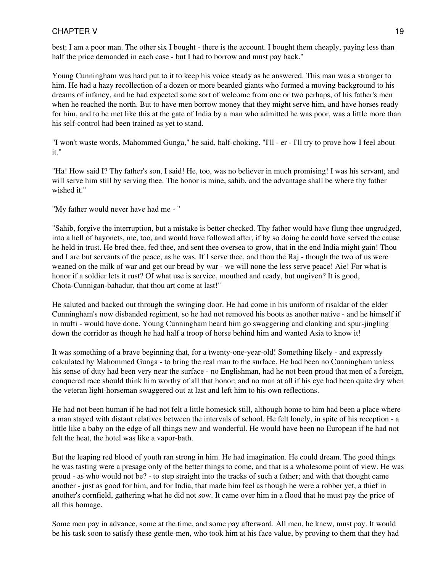best; I am a poor man. The other six I bought - there is the account. I bought them cheaply, paying less than half the price demanded in each case - but I had to borrow and must pay back."

Young Cunningham was hard put to it to keep his voice steady as he answered. This man was a stranger to him. He had a hazy recollection of a dozen or more bearded giants who formed a moving background to his dreams of infancy, and he had expected some sort of welcome from one or two perhaps, of his father's men when he reached the north. But to have men borrow money that they might serve him, and have horses ready for him, and to be met like this at the gate of India by a man who admitted he was poor, was a little more than his self-control had been trained as yet to stand.

"I won't waste words, Mahommed Gunga," he said, half-choking. "I'll - er - I'll try to prove how I feel about it."

"Ha! How said I? Thy father's son, I said! He, too, was no believer in much promising! I was his servant, and will serve him still by serving thee. The honor is mine, sahib, and the advantage shall be where thy father wished it."

"My father would never have had me - "

"Sahib, forgive the interruption, but a mistake is better checked. Thy father would have flung thee ungrudged, into a hell of bayonets, me, too, and would have followed after, if by so doing he could have served the cause he held in trust. He bred thee, fed thee, and sent thee oversea to grow, that in the end India might gain! Thou and I are but servants of the peace, as he was. If I serve thee, and thou the Raj - though the two of us were weaned on the milk of war and get our bread by war - we will none the less serve peace! Aie! For what is honor if a soldier lets it rust? Of what use is service, mouthed and ready, but ungiven? It is good, Chota-Cunnigan-bahadur, that thou art come at last!"

He saluted and backed out through the swinging door. He had come in his uniform of risaldar of the elder Cunningham's now disbanded regiment, so he had not removed his boots as another native - and he himself if in mufti - would have done. Young Cunningham heard him go swaggering and clanking and spur-jingling down the corridor as though he had half a troop of horse behind him and wanted Asia to know it!

It was something of a brave beginning that, for a twenty-one-year-old! Something likely - and expressly calculated by Mahommed Gunga - to bring the real man to the surface. He had been no Cunningham unless his sense of duty had been very near the surface - no Englishman, had he not been proud that men of a foreign, conquered race should think him worthy of all that honor; and no man at all if his eye had been quite dry when the veteran light-horseman swaggered out at last and left him to his own reflections.

He had not been human if he had not felt a little homesick still, although home to him had been a place where a man stayed with distant relatives between the intervals of school. He felt lonely, in spite of his reception - a little like a baby on the edge of all things new and wonderful. He would have been no European if he had not felt the heat, the hotel was like a vapor-bath.

But the leaping red blood of youth ran strong in him. He had imagination. He could dream. The good things he was tasting were a presage only of the better things to come, and that is a wholesome point of view. He was proud - as who would not be? - to step straight into the tracks of such a father; and with that thought came another - just as good for him, and for India, that made him feel as though he were a robber yet, a thief in another's cornfield, gathering what he did not sow. It came over him in a flood that he must pay the price of all this homage.

Some men pay in advance, some at the time, and some pay afterward. All men, he knew, must pay. It would be his task soon to satisfy these gentle-men, who took him at his face value, by proving to them that they had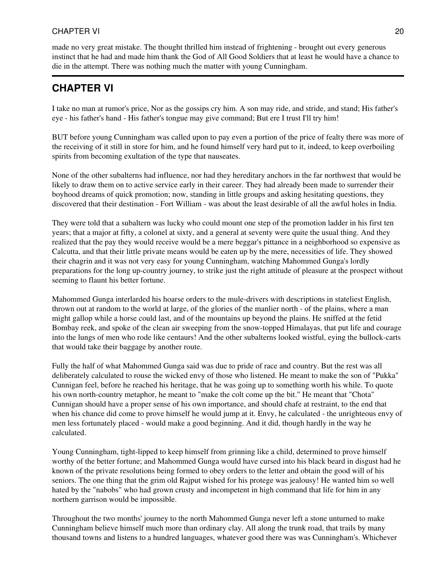made no very great mistake. The thought thrilled him instead of frightening - brought out every generous instinct that he had and made him thank the God of All Good Soldiers that at least he would have a chance to die in the attempt. There was nothing much the matter with young Cunningham.

# **CHAPTER VI**

I take no man at rumor's price, Nor as the gossips cry him. A son may ride, and stride, and stand; His father's eye - his father's hand - His father's tongue may give command; But ere I trust I'll try him!

BUT before young Cunningham was called upon to pay even a portion of the price of fealty there was more of the receiving of it still in store for him, and he found himself very hard put to it, indeed, to keep overboiling spirits from becoming exultation of the type that nauseates.

None of the other subalterns had influence, nor had they hereditary anchors in the far northwest that would be likely to draw them on to active service early in their career. They had already been made to surrender their boyhood dreams of quick promotion; now, standing in little groups and asking hesitating questions, they discovered that their destination - Fort William - was about the least desirable of all the awful holes in India.

They were told that a subaltern was lucky who could mount one step of the promotion ladder in his first ten years; that a major at fifty, a colonel at sixty, and a general at seventy were quite the usual thing. And they realized that the pay they would receive would be a mere beggar's pittance in a neighborhood so expensive as Calcutta, and that their little private means would be eaten up by the mere, necessities of life. They showed their chagrin and it was not very easy for young Cunningham, watching Mahommed Gunga's lordly preparations for the long up-country journey, to strike just the right attitude of pleasure at the prospect without seeming to flaunt his better fortune.

Mahommed Gunga interlarded his hoarse orders to the mule-drivers with descriptions in stateliest English, thrown out at random to the world at large, of the glories of the manlier north - of the plains, where a man might gallop while a horse could last, and of the mountains up beyond the plains. He sniffed at the fetid Bombay reek, and spoke of the clean air sweeping from the snow-topped Himalayas, that put life and courage into the lungs of men who rode like centaurs! And the other subalterns looked wistful, eying the bullock-carts that would take their baggage by another route.

Fully the half of what Mahommed Gunga said was due to pride of race and country. But the rest was all deliberately calculated to rouse the wicked envy of those who listened. He meant to make the son of "Pukka" Cunnigan feel, before he reached his heritage, that he was going up to something worth his while. To quote his own north-country metaphor, he meant to "make the colt come up the bit." He meant that "Chota" Cunnigan should have a proper sense of his own importance, and should chafe at restraint, to the end that when his chance did come to prove himself he would jump at it. Envy, he calculated - the unrighteous envy of men less fortunately placed - would make a good beginning. And it did, though hardly in the way he calculated.

Young Cunningham, tight-lipped to keep himself from grinning like a child, determined to prove himself worthy of the better fortune; and Mahommed Gunga would have cursed into his black beard in disgust had he known of the private resolutions being formed to obey orders to the letter and obtain the good will of his seniors. The one thing that the grim old Rajput wished for his protege was jealousy! He wanted him so well hated by the "nabobs" who had grown crusty and incompetent in high command that life for him in any northern garrison would be impossible.

Throughout the two months' journey to the north Mahommed Gunga never left a stone unturned to make Cunningham believe himself much more than ordinary clay. All along the trunk road, that trails by many thousand towns and listens to a hundred languages, whatever good there was was Cunningham's. Whichever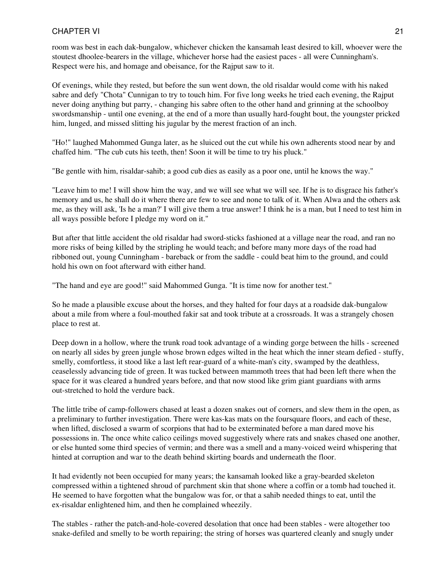room was best in each dak-bungalow, whichever chicken the kansamah least desired to kill, whoever were the stoutest dhoolee-bearers in the village, whichever horse had the easiest paces - all were Cunningham's. Respect were his, and homage and obeisance, for the Rajput saw to it.

Of evenings, while they rested, but before the sun went down, the old risaldar would come with his naked sabre and defy "Chota" Cunnigan to try to touch him. For five long weeks he tried each evening, the Rajput never doing anything but parry, - changing his sabre often to the other hand and grinning at the schoolboy swordsmanship - until one evening, at the end of a more than usually hard-fought bout, the youngster pricked him, lunged, and missed slitting his jugular by the merest fraction of an inch.

"Ho!" laughed Mahommed Gunga later, as he sluiced out the cut while his own adherents stood near by and chaffed him. "The cub cuts his teeth, then! Soon it will be time to try his pluck."

"Be gentle with him, risaldar-sahib; a good cub dies as easily as a poor one, until he knows the way."

"Leave him to me! I will show him the way, and we will see what we will see. If he is to disgrace his father's memory and us, he shall do it where there are few to see and none to talk of it. When Alwa and the others ask me, as they will ask, 'Is he a man?' I will give them a true answer! I think he is a man, but I need to test him in all ways possible before I pledge my word on it."

But after that little accident the old risaldar had sword-sticks fashioned at a village near the road, and ran no more risks of being killed by the stripling he would teach; and before many more days of the road had ribboned out, young Cunningham - bareback or from the saddle - could beat him to the ground, and could hold his own on foot afterward with either hand.

"The hand and eye are good!" said Mahommed Gunga. "It is time now for another test."

So he made a plausible excuse about the horses, and they halted for four days at a roadside dak-bungalow about a mile from where a foul-mouthed fakir sat and took tribute at a crossroads. It was a strangely chosen place to rest at.

Deep down in a hollow, where the trunk road took advantage of a winding gorge between the hills - screened on nearly all sides by green jungle whose brown edges wilted in the heat which the inner steam defied - stuffy, smelly, comfortless, it stood like a last left rear-guard of a white-man's city, swamped by the deathless, ceaselessly advancing tide of green. It was tucked between mammoth trees that had been left there when the space for it was cleared a hundred years before, and that now stood like grim giant guardians with arms out-stretched to hold the verdure back.

The little tribe of camp-followers chased at least a dozen snakes out of corners, and slew them in the open, as a preliminary to further investigation. There were kas-kas mats on the foursquare floors, and each of these, when lifted, disclosed a swarm of scorpions that had to be exterminated before a man dared move his possessions in. The once white calico ceilings moved suggestively where rats and snakes chased one another, or else hunted some third species of vermin; and there was a smell and a many-voiced weird whispering that hinted at corruption and war to the death behind skirting boards and underneath the floor.

It had evidently not been occupied for many years; the kansamah looked like a gray-bearded skeleton compressed within a tightened shroud of parchment skin that shone where a coffin or a tomb had touched it. He seemed to have forgotten what the bungalow was for, or that a sahib needed things to eat, until the ex-risaldar enlightened him, and then he complained wheezily.

The stables - rather the patch-and-hole-covered desolation that once had been stables - were altogether too snake-defiled and smelly to be worth repairing; the string of horses was quartered cleanly and snugly under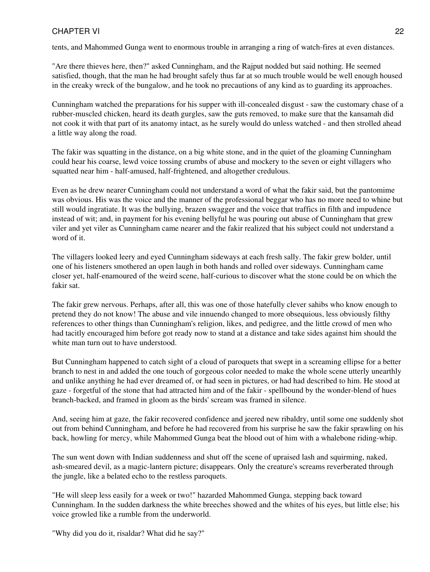tents, and Mahommed Gunga went to enormous trouble in arranging a ring of watch-fires at even distances.

"Are there thieves here, then?" asked Cunningham, and the Rajput nodded but said nothing. He seemed satisfied, though, that the man he had brought safely thus far at so much trouble would be well enough housed in the creaky wreck of the bungalow, and he took no precautions of any kind as to guarding its approaches.

Cunningham watched the preparations for his supper with ill-concealed disgust - saw the customary chase of a rubber-muscled chicken, heard its death gurgles, saw the guts removed, to make sure that the kansamah did not cook it with that part of its anatomy intact, as he surely would do unless watched - and then strolled ahead a little way along the road.

The fakir was squatting in the distance, on a big white stone, and in the quiet of the gloaming Cunningham could hear his coarse, lewd voice tossing crumbs of abuse and mockery to the seven or eight villagers who squatted near him - half-amused, half-frightened, and altogether credulous.

Even as he drew nearer Cunningham could not understand a word of what the fakir said, but the pantomime was obvious. His was the voice and the manner of the professional beggar who has no more need to whine but still would ingratiate. It was the bullying, brazen swagger and the voice that traffics in filth and impudence instead of wit; and, in payment for his evening bellyful he was pouring out abuse of Cunningham that grew viler and yet viler as Cunningham came nearer and the fakir realized that his subject could not understand a word of it.

The villagers looked leery and eyed Cunningham sideways at each fresh sally. The fakir grew bolder, until one of his listeners smothered an open laugh in both hands and rolled over sideways. Cunningham came closer yet, half-enamoured of the weird scene, half-curious to discover what the stone could be on which the fakir sat.

The fakir grew nervous. Perhaps, after all, this was one of those hatefully clever sahibs who know enough to pretend they do not know! The abuse and vile innuendo changed to more obsequious, less obviously filthy references to other things than Cunningham's religion, likes, and pedigree, and the little crowd of men who had tacitly encouraged him before got ready now to stand at a distance and take sides against him should the white man turn out to have understood.

But Cunningham happened to catch sight of a cloud of paroquets that swept in a screaming ellipse for a better branch to nest in and added the one touch of gorgeous color needed to make the whole scene utterly unearthly and unlike anything he had ever dreamed of, or had seen in pictures, or had had described to him. He stood at gaze - forgetful of the stone that had attracted him and of the fakir - spellbound by the wonder-blend of hues branch-backed, and framed in gloom as the birds' scream was framed in silence.

And, seeing him at gaze, the fakir recovered confidence and jeered new ribaldry, until some one suddenly shot out from behind Cunningham, and before he had recovered from his surprise he saw the fakir sprawling on his back, howling for mercy, while Mahommed Gunga beat the blood out of him with a whalebone riding-whip.

The sun went down with Indian suddenness and shut off the scene of upraised lash and squirming, naked, ash-smeared devil, as a magic-lantern picture; disappears. Only the creature's screams reverberated through the jungle, like a belated echo to the restless paroquets.

"He will sleep less easily for a week or two!" hazarded Mahommed Gunga, stepping back toward Cunningham. In the sudden darkness the white breeches showed and the whites of his eyes, but little else; his voice growled like a rumble from the underworld.

"Why did you do it, risaldar? What did he say?"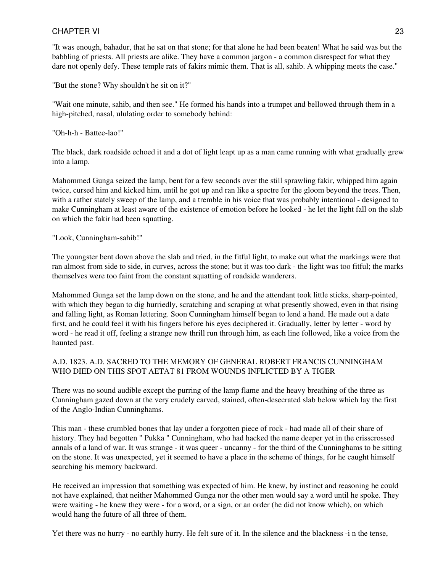"It was enough, bahadur, that he sat on that stone; for that alone he had been beaten! What he said was but the babbling of priests. All priests are alike. They have a common jargon - a common disrespect for what they dare not openly defy. These temple rats of fakirs mimic them. That is all, sahib. A whipping meets the case."

"But the stone? Why shouldn't he sit on it?"

"Wait one minute, sahib, and then see." He formed his hands into a trumpet and bellowed through them in a high-pitched, nasal, ululating order to somebody behind:

"Oh-h-h - Battee-lao!"

The black, dark roadside echoed it and a dot of light leapt up as a man came running with what gradually grew into a lamp.

Mahommed Gunga seized the lamp, bent for a few seconds over the still sprawling fakir, whipped him again twice, cursed him and kicked him, until he got up and ran like a spectre for the gloom beyond the trees. Then, with a rather stately sweep of the lamp, and a tremble in his voice that was probably intentional - designed to make Cunningham at least aware of the existence of emotion before he looked - he let the light fall on the slab on which the fakir had been squatting.

"Look, Cunningham-sahib!"

The youngster bent down above the slab and tried, in the fitful light, to make out what the markings were that ran almost from side to side, in curves, across the stone; but it was too dark - the light was too fitful; the marks themselves were too faint from the constant squatting of roadside wanderers.

Mahommed Gunga set the lamp down on the stone, and he and the attendant took little sticks, sharp-pointed, with which they began to dig hurriedly, scratching and scraping at what presently showed, even in that rising and falling light, as Roman lettering. Soon Cunningham himself began to lend a hand. He made out a date first, and he could feel it with his fingers before his eyes deciphered it. Gradually, letter by letter - word by word - he read it off, feeling a strange new thrill run through him, as each line followed, like a voice from the haunted past.

#### A.D. 1823. A.D. SACRED TO THE MEMORY OF GENERAL ROBERT FRANCIS CUNNINGHAM WHO DIED ON THIS SPOT AETAT 81 FROM WOUNDS INFLICTED BY A TIGER

There was no sound audible except the purring of the lamp flame and the heavy breathing of the three as Cunningham gazed down at the very crudely carved, stained, often-desecrated slab below which lay the first of the Anglo-Indian Cunninghams.

This man - these crumbled bones that lay under a forgotten piece of rock - had made all of their share of history. They had begotten " Pukka " Cunningham, who had hacked the name deeper yet in the crisscrossed annals of a land of war. It was strange - it was queer - uncanny - for the third of the Cunninghams to be sitting on the stone. It was unexpected, yet it seemed to have a place in the scheme of things, for he caught himself searching his memory backward.

He received an impression that something was expected of him. He knew, by instinct and reasoning he could not have explained, that neither Mahommed Gunga nor the other men would say a word until he spoke. They were waiting - he knew they were - for a word, or a sign, or an order (he did not know which), on which would hang the future of all three of them.

Yet there was no hurry - no earthly hurry. He felt sure of it. In the silence and the blackness -i n the tense,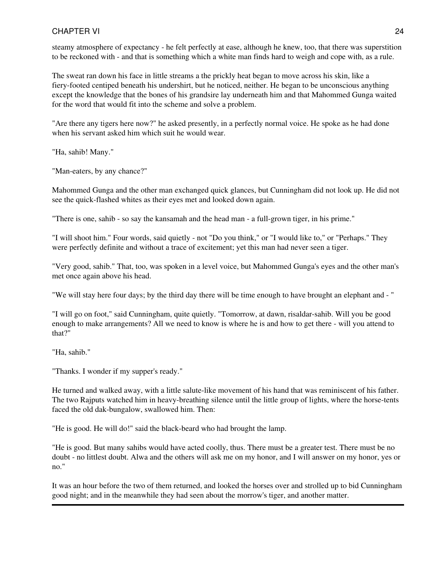steamy atmosphere of expectancy - he felt perfectly at ease, although he knew, too, that there was superstition to be reckoned with - and that is something which a white man finds hard to weigh and cope with, as a rule.

The sweat ran down his face in little streams a the prickly heat began to move across his skin, like a fiery-footed centiped beneath his undershirt, but he noticed, neither. He began to be unconscious anything except the knowledge that the bones of his grandsire lay underneath him and that Mahommed Gunga waited for the word that would fit into the scheme and solve a problem.

"Are there any tigers here now?" he asked presently, in a perfectly normal voice. He spoke as he had done when his servant asked him which suit he would wear.

"Ha, sahib! Many."

"Man-eaters, by any chance?"

Mahommed Gunga and the other man exchanged quick glances, but Cunningham did not look up. He did not see the quick-flashed whites as their eyes met and looked down again.

"There is one, sahib - so say the kansamah and the head man - a full-grown tiger, in his prime."

"I will shoot him." Four words, said quietly - not "Do you think," or "I would like to," or "Perhaps." They were perfectly definite and without a trace of excitement; yet this man had never seen a tiger.

"Very good, sahib." That, too, was spoken in a level voice, but Mahommed Gunga's eyes and the other man's met once again above his head.

"We will stay here four days; by the third day there will be time enough to have brought an elephant and - "

"I will go on foot," said Cunningham, quite quietly. "Tomorrow, at dawn, risaldar-sahib. Will you be good enough to make arrangements? All we need to know is where he is and how to get there - will you attend to that?"

"Ha, sahib."

"Thanks. I wonder if my supper's ready."

He turned and walked away, with a little salute-like movement of his hand that was reminiscent of his father. The two Rajputs watched him in heavy-breathing silence until the little group of lights, where the horse-tents faced the old dak-bungalow, swallowed him. Then:

"He is good. He will do!" said the black-beard who had brought the lamp.

"He is good. But many sahibs would have acted coolly, thus. There must be a greater test. There must be no doubt - no littlest doubt. Alwa and the others will ask me on my honor, and I will answer on my honor, yes or no."

It was an hour before the two of them returned, and looked the horses over and strolled up to bid Cunningham good night; and in the meanwhile they had seen about the morrow's tiger, and another matter.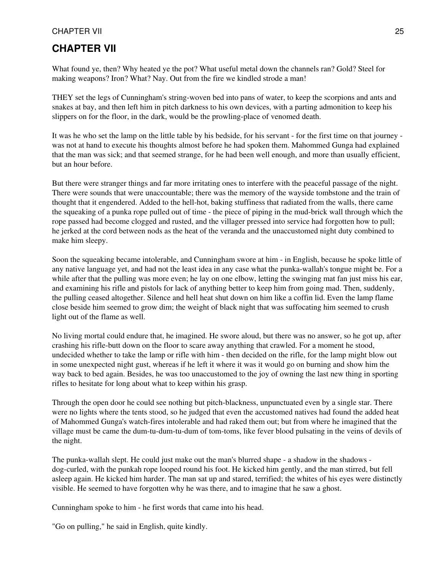### **CHAPTER VII**

What found ye, then? Why heated ye the pot? What useful metal down the channels ran? Gold? Steel for making weapons? Iron? What? Nay. Out from the fire we kindled strode a man!

THEY set the legs of Cunningham's string-woven bed into pans of water, to keep the scorpions and ants and snakes at bay, and then left him in pitch darkness to his own devices, with a parting admonition to keep his slippers on for the floor, in the dark, would be the prowling-place of venomed death.

It was he who set the lamp on the little table by his bedside, for his servant - for the first time on that journey was not at hand to execute his thoughts almost before he had spoken them. Mahommed Gunga had explained that the man was sick; and that seemed strange, for he had been well enough, and more than usually efficient, but an hour before.

But there were stranger things and far more irritating ones to interfere with the peaceful passage of the night. There were sounds that were unaccountable; there was the memory of the wayside tombstone and the train of thought that it engendered. Added to the hell-hot, baking stuffiness that radiated from the walls, there came the squeaking of a punka rope pulled out of time - the piece of piping in the mud-brick wall through which the rope passed had become clogged and rusted, and the villager pressed into service had forgotten how to pull; he jerked at the cord between nods as the heat of the veranda and the unaccustomed night duty combined to make him sleepy.

Soon the squeaking became intolerable, and Cunningham swore at him - in English, because he spoke little of any native language yet, and had not the least idea in any case what the punka-wallah's tongue might be. For a while after that the pulling was more even; he lay on one elbow, letting the swinging mat fan just miss his ear, and examining his rifle and pistols for lack of anything better to keep him from going mad. Then, suddenly, the pulling ceased altogether. Silence and hell heat shut down on him like a coffin lid. Even the lamp flame close beside him seemed to grow dim; the weight of black night that was suffocating him seemed to crush light out of the flame as well.

No living mortal could endure that, he imagined. He swore aloud, but there was no answer, so he got up, after crashing his rifle-butt down on the floor to scare away anything that crawled. For a moment he stood, undecided whether to take the lamp or rifle with him - then decided on the rifle, for the lamp might blow out in some unexpected night gust, whereas if he left it where it was it would go on burning and show him the way back to bed again. Besides, he was too unaccustomed to the joy of owning the last new thing in sporting rifles to hesitate for long about what to keep within his grasp.

Through the open door he could see nothing but pitch-blackness, unpunctuated even by a single star. There were no lights where the tents stood, so he judged that even the accustomed natives had found the added heat of Mahommed Gunga's watch-fires intolerable and had raked them out; but from where he imagined that the village must be came the dum-tu-dum-tu-dum of tom-toms, like fever blood pulsating in the veins of devils of the night.

The punka-wallah slept. He could just make out the man's blurred shape - a shadow in the shadows dog-curled, with the punkah rope looped round his foot. He kicked him gently, and the man stirred, but fell asleep again. He kicked him harder. The man sat up and stared, terrified; the whites of his eyes were distinctly visible. He seemed to have forgotten why he was there, and to imagine that he saw a ghost.

Cunningham spoke to him - he first words that came into his head.

"Go on pulling," he said in English, quite kindly.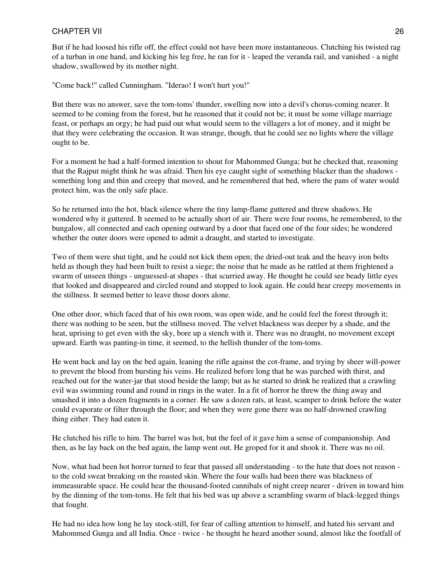But if he had loosed his rifle off, the effect could not have been more instantaneous. Clutching his twisted rag of a turban in one hand, and kicking his leg free, he ran for it - leaped the veranda rail, and vanished - a night shadow, swallowed by its mother night.

"Come back!" called Cunningham. "Iderao! I won't hurt you!"

But there was no answer, save the tom-toms' thunder, swelling now into a devil's chorus-coming nearer. It seemed to be coming from the forest, but he reasoned that it could not be; it must be some village marriage feast, or perhaps an orgy; he had paid out what would seem to the villagers a lot of money, and it might be that they were celebrating the occasion. It was strange, though, that he could see no lights where the village ought to be.

For a moment he had a half-formed intention to shout for Mahommed Gunga; but he checked that, reasoning that the Rajput might think he was afraid. Then his eye caught sight of something blacker than the shadows something long and thin and creepy that moved, and he remembered that bed, where the pans of water would protect him, was the only safe place.

So he returned into the hot, black silence where the tiny lamp-flame guttered and threw shadows. He wondered why it guttered. It seemed to be actually short of air. There were four rooms, he remembered, to the bungalow, all connected and each opening outward by a door that faced one of the four sides; he wondered whether the outer doors were opened to admit a draught, and started to investigate.

Two of them were shut tight, and he could not kick them open; the dried-out teak and the heavy iron bolts held as though they had been built to resist a siege; the noise that he made as he rattled at them frightened a swarm of unseen things - unguessed-at shapes - that scurried away. He thought he could see beady little eyes that looked and disappeared and circled round and stopped to look again. He could hear creepy movements in the stillness. It seemed better to leave those doors alone.

One other door, which faced that of his own room, was open wide, and he could feel the forest through it; there was nothing to be seen, but the stillness moved. The velvet blackness was deeper by a shade, and the heat, uprising to get even with the sky, bore up a stench with it. There was no draught, no movement except upward. Earth was panting-in time, it seemed, to the hellish thunder of the tom-toms.

He went back and lay on the bed again, leaning the rifle against the cot-frame, and trying by sheer will-power to prevent the blood from bursting his veins. He realized before long that he was parched with thirst, and reached out for the water-jar that stood beside the lamp; but as he started to drink he realized that a crawling evil was swimming round and round in rings in the water. In a fit of horror he threw the thing away and smashed it into a dozen fragments in a corner. He saw a dozen rats, at least, scamper to drink before the water could evaporate or filter through the floor; and when they were gone there was no half-drowned crawling thing either. They had eaten it.

He clutched his rifle to him. The barrel was hot, but the feel of it gave him a sense of companionship. And then, as he lay back on the bed again, the lamp went out. He groped for it and shook it. There was no oil.

Now, what had been hot horror turned to fear that passed all understanding - to the hate that does not reason to the cold sweat breaking on the roasted skin. Where the four walls had been there was blackness of immeasurable space. He could hear the thousand-footed cannibals of night creep nearer - driven in toward him by the dinning of the tom-toms. He felt that his bed was up above a scrambling swarm of black-legged things that fought.

He had no idea how long he lay stock-still, for fear of calling attention to himself, and hated his servant and Mahommed Gunga and all India. Once - twice - he thought he heard another sound, almost like the footfall of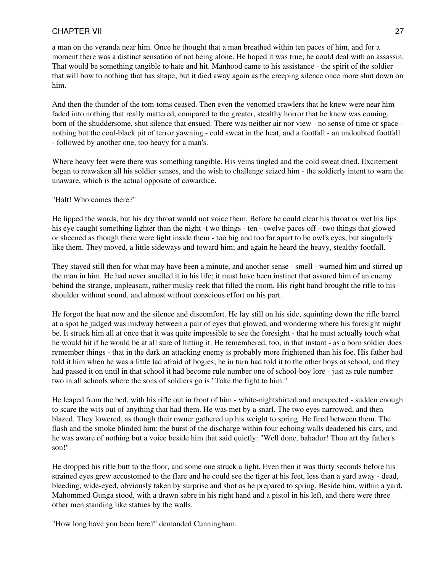a man on the veranda near him. Once he thought that a man breathed within ten paces of him, and for a moment there was a distinct sensation of not being alone. He hoped it was true; he could deal with an assassin. That would be something tangible to hate and hit. Manhood came to his assistance - the spirit of the soldier that will bow to nothing that has shape; but it died away again as the creeping silence once more shut down on him.

And then the thunder of the tom-toms ceased. Then even the venomed crawlers that he knew were near him faded into nothing that really mattered, compared to the greater, stealthy horror that he knew was coming, born of the shuddersome, shut silence that ensued. There was neither air nor view - no sense of time or space nothing but the coal-black pit of terror yawning - cold sweat in the heat, and a footfall - an undoubted footfall - followed by another one, too heavy for a man's.

Where heavy feet were there was something tangible. His veins tingled and the cold sweat dried. Excitement began to reawaken all his soldier senses, and the wish to challenge seized him - the soldierly intent to warn the unaware, which is the actual opposite of cowardice.

"Halt! Who comes there?"

He lipped the words, but his dry throat would not voice them. Before he could clear his throat or wet his lips his eye caught something lighter than the night -t wo things - ten - twelve paces off - two things that glowed or sheened as though there were light inside them - too big and too far apart to be owl's eyes, but singularly like them. They moved, a little sideways and toward him; and again he heard the heavy, stealthy footfall.

They stayed still then for what may have been a minute, and another sense - smell - warned him and stirred up the man in him. He had never smelled it in his life; it must have been instinct that assured him of an enemy behind the strange, unpleasant, rather musky reek that filled the room. His right hand brought the rifle to his shoulder without sound, and almost without conscious effort on his part.

He forgot the heat now and the silence and discomfort. He lay still on his side, squinting down the rifle barrel at a spot he judged was midway between a pair of eyes that glowed, and wondering where his foresight might be. It struck him all at once that it was quite impossible to see the foresight - that he must actually touch what he would hit if he would be at all sure of hitting it. He remembered, too, in that instant - as a born soldier does remember things - that in the dark an attacking enemy is probably more frightened than his foe. His father had told it him when he was a little lad afraid of bogies; he in turn had told it to the other boys at school, and they had passed it on until in that school it had become rule number one of school-boy lore - just as rule number two in all schools where the sons of soldiers go is "Take the fight to him."

He leaped from the bed, with his rifle out in front of him - white-nightshirted and unexpected - sudden enough to scare the wits out of anything that had them. He was met by a snarl. The two eyes narrowed, and then blazed. They lowered, as though their owner gathered up his weight to spring. He fired between them. The flash and the smoke blinded him; the burst of the discharge within four echoing walls deadened his cars, and he was aware of nothing but a voice beside him that said quietly: "Well done, bahadur! Thou art thy father's son!"

He dropped his rifle butt to the floor, and some one struck a light. Even then it was thirty seconds before his strained eyes grew accustomed to the flare and he could see the tiger at his feet, less than a yard away - dead, bleeding, wide-eyed, obviously taken by surprise and shot as he prepared to spring. Beside him, within a yard, Mahommed Gunga stood, with a drawn sabre in his right hand and a pistol in his left, and there were three other men standing like statues by the walls.

"How long have you been here?" demanded Cunningham.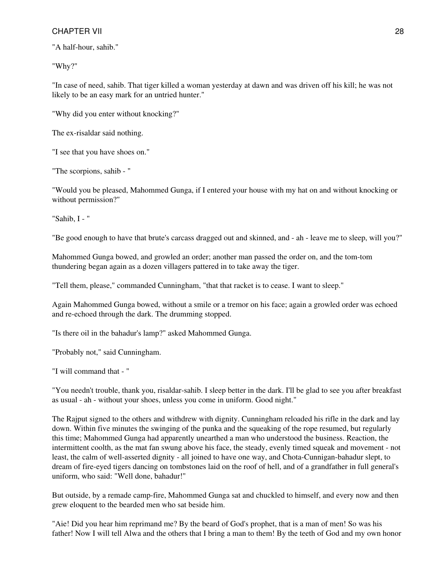"A half-hour, sahib."

"Why?"

"In case of need, sahib. That tiger killed a woman yesterday at dawn and was driven off his kill; he was not likely to be an easy mark for an untried hunter."

"Why did you enter without knocking?"

The ex-risaldar said nothing.

"I see that you have shoes on."

"The scorpions, sahib - "

"Would you be pleased, Mahommed Gunga, if I entered your house with my hat on and without knocking or without permission?"

"Sahib, I - "

"Be good enough to have that brute's carcass dragged out and skinned, and - ah - leave me to sleep, will you?"

Mahommed Gunga bowed, and growled an order; another man passed the order on, and the tom-tom thundering began again as a dozen villagers pattered in to take away the tiger.

"Tell them, please," commanded Cunningham, "that that racket is to cease. I want to sleep."

Again Mahommed Gunga bowed, without a smile or a tremor on his face; again a growled order was echoed and re-echoed through the dark. The drumming stopped.

"Is there oil in the bahadur's lamp?" asked Mahommed Gunga.

"Probably not," said Cunningham.

"I will command that - "

"You needn't trouble, thank you, risaldar-sahib. I sleep better in the dark. I'll be glad to see you after breakfast as usual - ah - without your shoes, unless you come in uniform. Good night."

The Rajput signed to the others and withdrew with dignity. Cunningham reloaded his rifle in the dark and lay down. Within five minutes the swinging of the punka and the squeaking of the rope resumed, but regularly this time; Mahommed Gunga had apparently unearthed a man who understood the business. Reaction, the intermittent coolth, as the mat fan swung above his face, the steady, evenly timed squeak and movement - not least, the calm of well-asserted dignity - all joined to have one way, and Chota-Cunnigan-bahadur slept, to dream of fire-eyed tigers dancing on tombstones laid on the roof of hell, and of a grandfather in full general's uniform, who said: "Well done, bahadur!"

But outside, by a remade camp-fire, Mahommed Gunga sat and chuckled to himself, and every now and then grew eloquent to the bearded men who sat beside him.

"Aie! Did you hear him reprimand me? By the beard of God's prophet, that is a man of men! So was his father! Now I will tell Alwa and the others that I bring a man to them! By the teeth of God and my own honor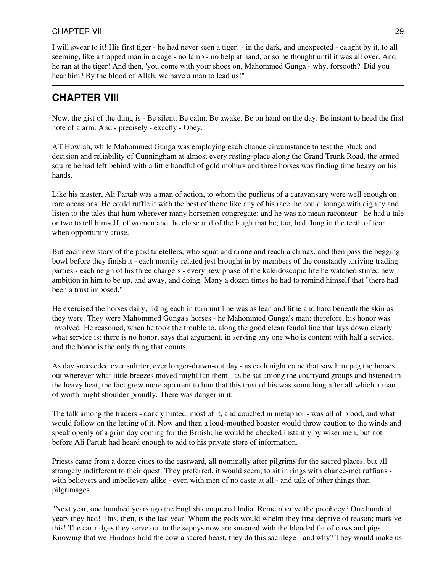I will swear to it! His first tiger - he had never seen a tiger! - in the dark, and unexpected - caught by it, to all seeming, like a trapped man in a cage - no lamp - no help at hand, or so he thought until it was all over. And he ran at the tiger! And then, 'you come with your shoes on, Mahommed Gunga - why, forsooth?' Did you hear him? By the blood of Allah, we have a man to lead us!"

# **CHAPTER VIII**

Now, the gist of the thing is - Be silent. Be calm. Be awake. Be on hand on the day. Be instant to heed the first note of alarm. And - precisely - exactly - Obey.

AT Howrah, while Mahommed Gunga was employing each chance circumstance to test the pluck and decision and reliability of Cunningham at almost every resting-place along the Grand Trunk Road, the armed squire he had left behind with a little handful of gold mohurs and three horses was finding time heavy on his hands.

Like his master, Ali Partab was a man of action, to whom the purlieus of a caravansary were well enough on rare occasions. He could ruffle it with the best of them; like any of his race, he could lounge with dignity and listen to the tales that hum wherever many horsemen congregate; and he was no mean raconteur - he had a tale or two to tell himself, of women and the chase and of the laugh that he, too, had flung in the teeth of fear when opportunity arose.

But each new story of the paid taletellers, who squat and drone and reach a climax, and then pass the begging bowl before they finish it - each merrily related jest brought in by members of the constantly arriving trading parties - each neigh of his three chargers - every new phase of the kaleidoscopic life he watched stirred new ambition in him to be up, and away, and doing. Many a dozen times he had to remind himself that "there had been a trust imposed."

He exercised the horses daily, riding each in turn until he was as lean and lithe and hard beneath the skin as they were. They were Mahommed Gunga's horses - he Mahommed Gunga's man; therefore, his honor was involved. He reasoned, when he took the trouble to, along the good clean feudal line that lays down clearly what service is: there is no honor, says that argument, in serving any one who is content with half a service, and the honor is the only thing that counts.

As day succeeded ever sultrier, ever longer-drawn-out day - as each night came that saw him peg the horses out wherever what little breezes moved might fan them - as he sat among the courtyard groups and listened in the heavy heat, the fact grew more apparent to him that this trust of his was something after all which a man of worth might shoulder proudly. There was danger in it.

The talk among the traders - darkly hinted, most of it, and couched in metaphor - was all of blood, and what would follow on the letting of it. Now and then a loud-mouthed boaster would throw caution to the winds and speak openly of a grim day coming for the British; he would be checked instantly by wiser men, but not before Ali Partab had heard enough to add to his private store of information.

Priests came from a dozen cities to the eastward, all nominally after pilgrims for the sacred places, but all strangely indifferent to their quest. They preferred, it would seem, to sit in rings with chance-met ruffians with believers and unbelievers alike - even with men of no caste at all - and talk of other things than pilgrimages.

"Next year, one hundred years ago the English conquered India. Remember ye the prophecy? One hundred years they had! This, then, is the last year. Whom the gods would whelm they first deprive of reason; mark ye this! The cartridges they serve out to the sepoys now are smeared with the blended fat of cows and pigs. Knowing that we Hindoos hold the cow a sacred beast, they do this sacrilege - and why? They would make us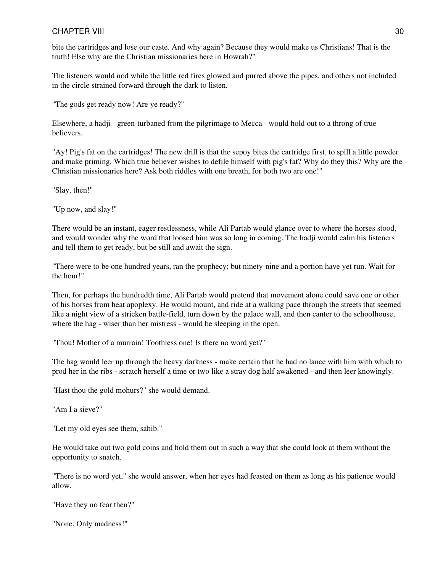bite the cartridges and lose our caste. And why again? Because they would make us Christians! That is the truth! Else why are the Christian missionaries here in Howrah?"

The listeners would nod while the little red fires glowed and purred above the pipes, and others not included in the circle strained forward through the dark to listen.

"The gods get ready now! Are ye ready?"

Elsewhere, a hadji - green-turbaned from the pilgrimage to Mecca - would hold out to a throng of true believers.

"Ay! Pig's fat on the cartridges! The new drill is that the sepoy bites the cartridge first, to spill a little powder and make priming. Which true believer wishes to defile himself with pig's fat? Why do they this? Why are the Christian missionaries here? Ask both riddles with one breath, for both two are one!"

"Slay, then!"

"Up now, and slay!"

There would be an instant, eager restlessness, while Ali Partab would glance over to where the horses stood, and would wonder why the word that loosed him was so long in coming. The hadji would calm his listeners and tell them to get ready, but be still and await the sign.

"There were to be one hundred years, ran the prophecy; but ninety-nine and a portion have yet run. Wait for the hour!"

Then, for perhaps the hundredth time, Ali Partab would pretend that movement alone could save one or other of his horses from heat apoplexy. He would mount, and ride at a walking pace through the streets that seemed like a night view of a stricken battle-field, turn down by the palace wall, and then canter to the schoolhouse, where the hag - wiser than her mistress - would be sleeping in the open.

"Thou! Mother of a murrain! Toothless one! Is there no word yet?"

The hag would leer up through the heavy darkness - make certain that he had no lance with him with which to prod her in the ribs - scratch herself a time or two like a stray dog half awakened - and then leer knowingly.

"Hast thou the gold mohurs?" she would demand.

"Am I a sieve?"

"Let my old eyes see them, sahib."

He would take out two gold coins and hold them out in such a way that she could look at them without the opportunity to snatch.

"There is no word yet," she would answer, when her eyes had feasted on them as long as his patience would allow.

"Have they no fear then?"

"None. Only madness!"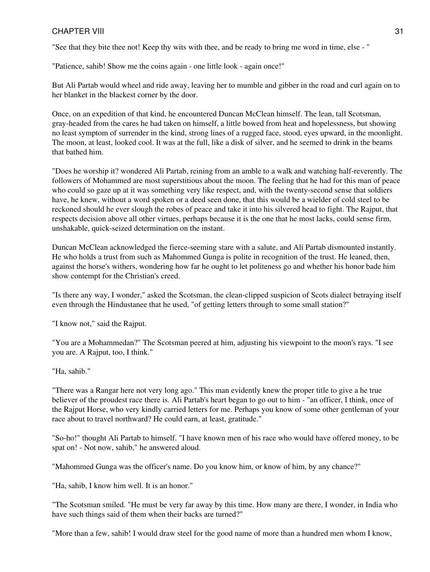"See that they bite thee not! Keep thy wits with thee, and be ready to bring me word in time, else - "

"Patience, sahib! Show me the coins again - one little look - again once!"

But Ali Partab would wheel and ride away, leaving her to mumble and gibber in the road and curl again on to her blanket in the blackest corner by the door.

Once, on an expedition of that kind, he encountered Duncan McClean himself. The lean, tall Scotsman, gray-headed from the cares he had taken on himself, a little bowed from heat and hopelessness, but showing no least symptom of surrender in the kind, strong lines of a rugged face, stood, eyes upward, in the moonlight. The moon, at least, looked cool. It was at the full, like a disk of silver, and he seemed to drink in the beams that bathed him.

"Does he worship it? wondered Ali Partab, reining from an amble to a walk and watching half-reverently. The followers of Mohammed are most superstitious about the moon. The feeling that he had for this man of peace who could so gaze up at it was something very like respect, and, with the twenty-second sense that soldiers have, he knew, without a word spoken or a deed seen done, that this would be a wielder of cold steel to be reckoned should he ever slough the robes of peace and take it into his silvered head to fight. The Rajput, that respects decision above all other virtues, perhaps because it is the one that he most lacks, could sense firm, unshakable, quick-seized determination on the instant.

Duncan McClean acknowledged the fierce-seeming stare with a salute, and Ali Partab dismounted instantly. He who holds a trust from such as Mahommed Gunga is polite in recognition of the trust. He leaned, then, against the horse's withers, wondering how far he ought to let politeness go and whether his honor bade him show contempt for the Christian's creed.

"Is there any way, I wonder," asked the Scotsman, the clean-clipped suspicion of Scots dialect betraying itself even through the Hindustanee that he used, "of getting letters through to some small station?"

"I know not," said the Rajput.

"You are a Mohammedan?" The Scotsman peered at him, adjusting his viewpoint to the moon's rays. "I see you are. A Rajput, too, I think."

"Ha, sahib."

"There was a Rangar here not very long ago." This man evidently knew the proper title to give a he true believer of the proudest race there is. Ali Partab's heart began to go out to him - "an officer, I think, once of the Rajput Horse, who very kindly carried letters for me. Perhaps you know of some other gentleman of your race about to travel northward? He could earn, at least, gratitude."

"So-ho!" thought Ali Partab to himself. "I have known men of his race who would have offered money, to be spat on! - Not now, sahib," he answered aloud.

"Mahommed Gunga was the officer's name. Do you know him, or know of him, by any chance?"

"Ha, sahib, I know him well. It is an honor."

"The Scotsman smiled. "He must be very far away by this time. How many are there, I wonder, in India who have such things said of them when their backs are turned?"

"More than a few, sahib! I would draw steel for the good name of more than a hundred men whom I know,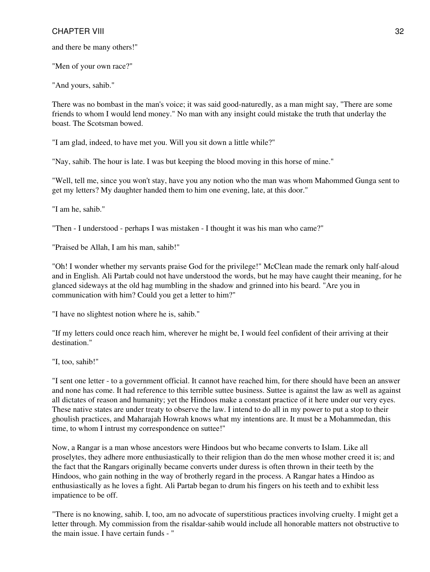and there be many others!"

"Men of your own race?"

"And yours, sahib."

There was no bombast in the man's voice; it was said good-naturedly, as a man might say, "There are some friends to whom I would lend money." No man with any insight could mistake the truth that underlay the boast. The Scotsman bowed.

"I am glad, indeed, to have met you. Will you sit down a little while?"

"Nay, sahib. The hour is late. I was but keeping the blood moving in this horse of mine."

"Well, tell me, since you won't stay, have you any notion who the man was whom Mahommed Gunga sent to get my letters? My daughter handed them to him one evening, late, at this door."

"I am he, sahib."

"Then - I understood - perhaps I was mistaken - I thought it was his man who came?"

"Praised be Allah, I am his man, sahib!"

"Oh! I wonder whether my servants praise God for the privilege!" McClean made the remark only half-aloud and in English. Ali Partab could not have understood the words, but he may have caught their meaning, for he glanced sideways at the old hag mumbling in the shadow and grinned into his beard. "Are you in communication with him? Could you get a letter to him?"

"I have no slightest notion where he is, sahib."

"If my letters could once reach him, wherever he might be, I would feel confident of their arriving at their destination."

"I, too, sahib!"

"I sent one letter - to a government official. It cannot have reached him, for there should have been an answer and none has come. It had reference to this terrible suttee business. Suttee is against the law as well as against all dictates of reason and humanity; yet the Hindoos make a constant practice of it here under our very eyes. These native states are under treaty to observe the law. I intend to do all in my power to put a stop to their ghoulish practices, and Maharajah Howrah knows what my intentions are. It must be a Mohammedan, this time, to whom I intrust my correspondence on suttee!"

Now, a Rangar is a man whose ancestors were Hindoos but who became converts to Islam. Like all proselytes, they adhere more enthusiastically to their religion than do the men whose mother creed it is; and the fact that the Rangars originally became converts under duress is often thrown in their teeth by the Hindoos, who gain nothing in the way of brotherly regard in the process. A Rangar hates a Hindoo as enthusiastically as he loves a fight. Ali Partab began to drum his fingers on his teeth and to exhibit less impatience to be off.

"There is no knowing, sahib. I, too, am no advocate of superstitious practices involving cruelty. I might get a letter through. My commission from the risaldar-sahib would include all honorable matters not obstructive to the main issue. I have certain funds - "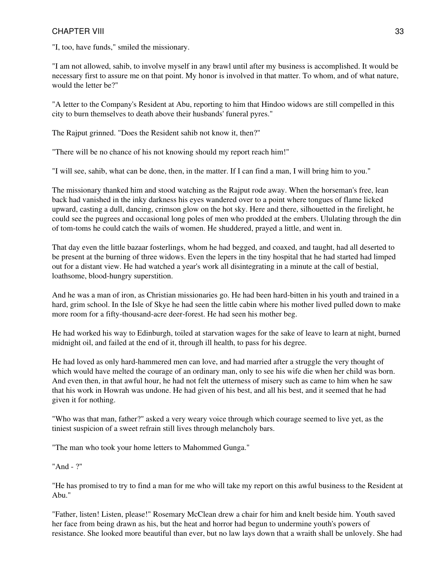"I, too, have funds," smiled the missionary.

"I am not allowed, sahib, to involve myself in any brawl until after my business is accomplished. It would be necessary first to assure me on that point. My honor is involved in that matter. To whom, and of what nature, would the letter be?"

"A letter to the Company's Resident at Abu, reporting to him that Hindoo widows are still compelled in this city to burn themselves to death above their husbands' funeral pyres."

The Rajput grinned. "Does the Resident sahib not know it, then?"

"There will be no chance of his not knowing should my report reach him!"

"I will see, sahib, what can be done, then, in the matter. If I can find a man, I will bring him to you."

The missionary thanked him and stood watching as the Rajput rode away. When the horseman's free, lean back had vanished in the inky darkness his eyes wandered over to a point where tongues of flame licked upward, casting a dull, dancing, crimson glow on the hot sky. Here and there, silhouetted in the firelight, he could see the pugrees and occasional long poles of men who prodded at the embers. Ululating through the din of tom-toms he could catch the wails of women. He shuddered, prayed a little, and went in.

That day even the little bazaar fosterlings, whom he had begged, and coaxed, and taught, had all deserted to be present at the burning of three widows. Even the lepers in the tiny hospital that he had started had limped out for a distant view. He had watched a year's work all disintegrating in a minute at the call of bestial, loathsome, blood-hungry superstition.

And he was a man of iron, as Christian missionaries go. He had been hard-bitten in his youth and trained in a hard, grim school. In the Isle of Skye he had seen the little cabin where his mother lived pulled down to make more room for a fifty-thousand-acre deer-forest. He had seen his mother beg.

He had worked his way to Edinburgh, toiled at starvation wages for the sake of leave to learn at night, burned midnight oil, and failed at the end of it, through ill health, to pass for his degree.

He had loved as only hard-hammered men can love, and had married after a struggle the very thought of which would have melted the courage of an ordinary man, only to see his wife die when her child was born. And even then, in that awful hour, he had not felt the utterness of misery such as came to him when he saw that his work in Howrah was undone. He had given of his best, and all his best, and it seemed that he had given it for nothing.

"Who was that man, father?" asked a very weary voice through which courage seemed to live yet, as the tiniest suspicion of a sweet refrain still lives through melancholy bars.

"The man who took your home letters to Mahommed Gunga."

"And - ?"

"He has promised to try to find a man for me who will take my report on this awful business to the Resident at Abu."

"Father, listen! Listen, please!" Rosemary McClean drew a chair for him and knelt beside him. Youth saved her face from being drawn as his, but the heat and horror had begun to undermine youth's powers of resistance. She looked more beautiful than ever, but no law lays down that a wraith shall be unlovely. She had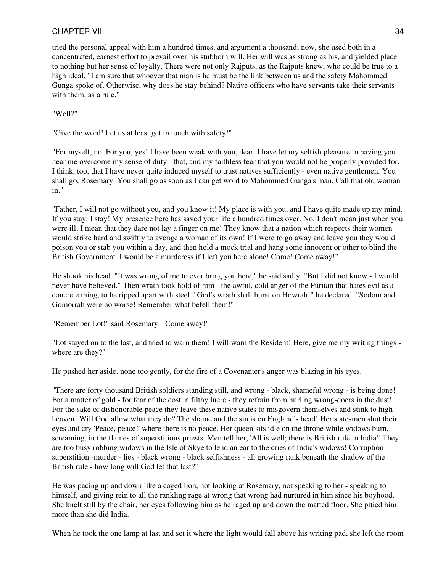tried the personal appeal with him a hundred times, and argument a thousand; now, she used both in a concentrated, earnest effort to prevail over his stubborn will. Her will was as strong as his, and yielded place to nothing but her sense of loyalty. There were not only Rajputs, as the Rajputs knew, who could be true to a high ideal. "I am sure that whoever that man is he must be the link between us and the safety Mahommed Gunga spoke of. Otherwise, why does he stay behind? Native officers who have servants take their servants with them, as a rule."

"Well?"

"Give the word! Let us at least get in touch with safety!"

"For myself, no. For you, yes! I have been weak with you, dear. I have let my selfish pleasure in having you near me overcome my sense of duty - that, and my faithless fear that you would not be properly provided for. I think, too, that I have never quite induced myself to trust natives sufficiently - even native gentlemen. You shall go, Rosemary. You shall go as soon as I can get word to Mahommed Gunga's man. Call that old woman in."

"Father, I will not go without you, and you know it! My place is with you, and I have quite made up my mind. If you stay, I stay! My presence here has saved your life a hundred times over. No, I don't mean just when you were ill; I mean that they dare not lay a finger on me! They know that a nation which respects their women would strike hard and swiftly to avenge a woman of its own! If I were to go away and leave you they would poison you or stab you within a day, and then hold a mock trial and hang some innocent or other to blind the British Government. I would be a murderess if I left you here alone! Come! Come away!"

He shook his head. "It was wrong of me to ever bring you here," he said sadly. "But I did not know - I would never have believed." Then wrath took hold of him - the awful, cold anger of the Puritan that hates evil as a concrete thing, to be ripped apart with steel. "God's wrath shall burst on Howrah!" he declared. "Sodom and Gomorrah were no worse! Remember what befell them!"

"Remember Lot!" said Rosemary. "Come away!"

"Lot stayed on to the last, and tried to warn them! I will warn the Resident! Here, give me my writing things where are they?"

He pushed her aside, none too gently, for the fire of a Covenanter's anger was blazing in his eyes.

"There are forty thousand British soldiers standing still, and wrong - black, shameful wrong - is being done! For a matter of gold - for fear of the cost in filthy lucre - they refrain from hurling wrong-doers in the dust! For the sake of dishonorable peace they leave these native states to misgovern themselves and stink to high heaven! Will God allow what they do? The shame and the sin is on England's head! Her statesmen shut their eyes and cry 'Peace, peace!' where there is no peace. Her queen sits idle on the throne while widows burn, screaming, in the flames of superstitious priests. Men tell her, 'All is well; there is British rule in India!' They are too busy robbing widows in the Isle of Skye to lend an ear to the cries of India's widows! Corruption superstition -murder - lies - black wrong - black selfishness - all growing rank beneath the shadow of the British rule - how long will God let that last?"

He was pacing up and down like a caged lion, not looking at Rosemary, not speaking to her - speaking to himself, and giving rein to all the rankling rage at wrong that wrong had nurtured in him since his boyhood. She knelt still by the chair, her eyes following him as he raged up and down the matted floor. She pitied him more than she did India.

When he took the one lamp at last and set it where the light would fall above his writing pad, she left the room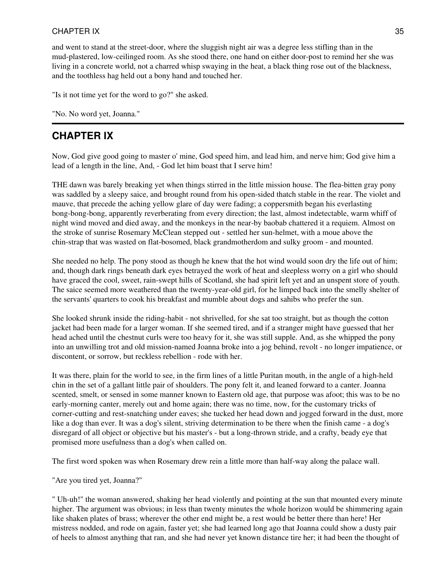and went to stand at the street-door, where the sluggish night air was a degree less stifling than in the mud-plastered, low-ceilinged room. As she stood there, one hand on either door-post to remind her she was living in a concrete world, not a charred whisp swaying in the heat, a black thing rose out of the blackness, and the toothless hag held out a bony hand and touched her.

"Is it not time yet for the word to go?" she asked.

"No. No word yet, Joanna."

### **CHAPTER IX**

Now, God give good going to master o' mine, God speed him, and lead him, and nerve him; God give him a lead of a length in the line, And, - God let him boast that I serve him!

THE dawn was barely breaking yet when things stirred in the little mission house. The flea-bitten gray pony was saddled by a sleepy saice, and brought round from his open-sided thatch stable in the rear. The violet and mauve, that precede the aching yellow glare of day were fading; a coppersmith began his everlasting bong-bong-bong, apparently reverberating from every direction; the last, almost indetectable, warm whiff of night wind moved and died away, and the monkeys in the near-by baobab chattered it a requiem. Almost on the stroke of sunrise Rosemary McClean stepped out - settled her sun-helmet, with a moue above the chin-strap that was wasted on flat-bosomed, black grandmotherdom and sulky groom - and mounted.

She needed no help. The pony stood as though he knew that the hot wind would soon dry the life out of him; and, though dark rings beneath dark eyes betrayed the work of heat and sleepless worry on a girl who should have graced the cool, sweet, rain-swept hills of Scotland, she had spirit left yet and an unspent store of youth. The saice seemed more weathered than the twenty-year-old girl, for he limped back into the smelly shelter of the servants' quarters to cook his breakfast and mumble about dogs and sahibs who prefer the sun.

She looked shrunk inside the riding-habit - not shrivelled, for she sat too straight, but as though the cotton jacket had been made for a larger woman. If she seemed tired, and if a stranger might have guessed that her head ached until the chestnut curls were too heavy for it, she was still supple. And, as she whipped the pony into an unwilling trot and old mission-named Joanna broke into a jog behind, revolt - no longer impatience, or discontent, or sorrow, but reckless rebellion - rode with her.

It was there, plain for the world to see, in the firm lines of a little Puritan mouth, in the angle of a high-held chin in the set of a gallant little pair of shoulders. The pony felt it, and leaned forward to a canter. Joanna scented, smelt, or sensed in some manner known to Eastern old age, that purpose was afoot; this was to be no early-morning canter, merely out and home again; there was no time, now, for the customary tricks of corner-cutting and rest-snatching under eaves; she tucked her head down and jogged forward in the dust, more like a dog than ever. It was a dog's silent, striving determination to be there when the finish came - a dog's disregard of all object or objective but his master's - but a long-thrown stride, and a crafty, beady eye that promised more usefulness than a dog's when called on.

The first word spoken was when Rosemary drew rein a little more than half-way along the palace wall.

"Are you tired yet, Joanna?"

" Uh-uh!" the woman answered, shaking her head violently and pointing at the sun that mounted every minute higher. The argument was obvious; in less than twenty minutes the whole horizon would be shimmering again like shaken plates of brass; wherever the other end might be, a rest would be better there than here! Her mistress nodded, and rode on again, faster yet; she had learned long ago that Joanna could show a dusty pair of heels to almost anything that ran, and she had never yet known distance tire her; it had been the thought of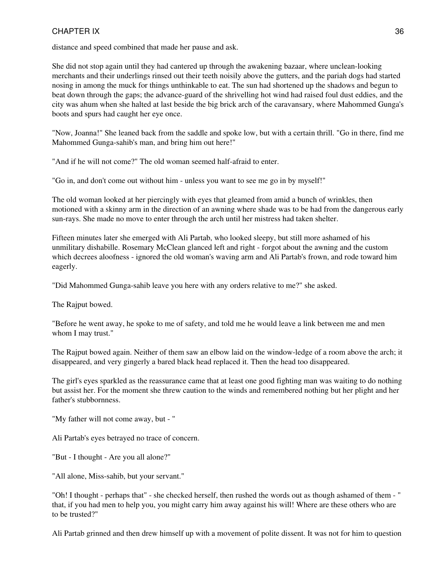distance and speed combined that made her pause and ask.

She did not stop again until they had cantered up through the awakening bazaar, where unclean-looking merchants and their underlings rinsed out their teeth noisily above the gutters, and the pariah dogs had started nosing in among the muck for things unthinkable to eat. The sun had shortened up the shadows and begun to beat down through the gaps; the advance-guard of the shrivelling hot wind had raised foul dust eddies, and the city was ahum when she halted at last beside the big brick arch of the caravansary, where Mahommed Gunga's boots and spurs had caught her eye once.

"Now, Joanna!" She leaned back from the saddle and spoke low, but with a certain thrill. "Go in there, find me Mahommed Gunga-sahib's man, and bring him out here!"

"And if he will not come?" The old woman seemed half-afraid to enter.

"Go in, and don't come out without him - unless you want to see me go in by myself!"

The old woman looked at her piercingly with eyes that gleamed from amid a bunch of wrinkles, then motioned with a skinny arm in the direction of an awning where shade was to be had from the dangerous early sun-rays. She made no move to enter through the arch until her mistress had taken shelter.

Fifteen minutes later she emerged with Ali Partab, who looked sleepy, but still more ashamed of his unmilitary dishabille. Rosemary McClean glanced left and right - forgot about the awning and the custom which decrees aloofness - ignored the old woman's waving arm and Ali Partab's frown, and rode toward him eagerly.

"Did Mahommed Gunga-sahib leave you here with any orders relative to me?" she asked.

The Rajput bowed.

"Before he went away, he spoke to me of safety, and told me he would leave a link between me and men whom I may trust."

The Rajput bowed again. Neither of them saw an elbow laid on the window-ledge of a room above the arch; it disappeared, and very gingerly a bared black head replaced it. Then the head too disappeared.

The girl's eyes sparkled as the reassurance came that at least one good fighting man was waiting to do nothing but assist her. For the moment she threw caution to the winds and remembered nothing but her plight and her father's stubbornness.

"My father will not come away, but - "

Ali Partab's eyes betrayed no trace of concern.

"But - I thought - Are you all alone?"

"All alone, Miss-sahib, but your servant."

"Oh! I thought - perhaps that" - she checked herself, then rushed the words out as though ashamed of them - " that, if you had men to help you, you might carry him away against his will! Where are these others who are to be trusted?"

Ali Partab grinned and then drew himself up with a movement of polite dissent. It was not for him to question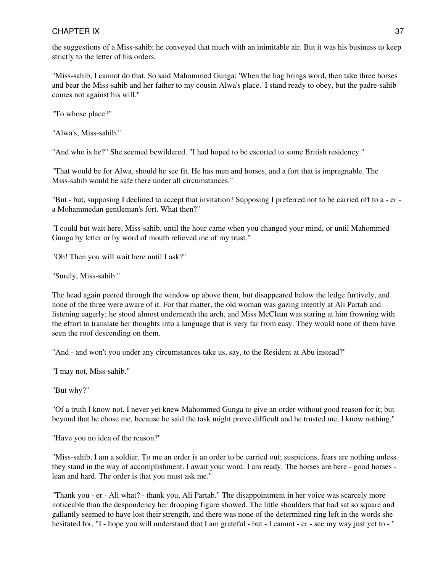## CHAPTER IX 37

the suggestions of a Miss-sahib; he conveyed that much with an inimitable air. But it was his business to keep strictly to the letter of his orders.

"Miss-sahib, I cannot do that. So said Mahommed Gunga: 'When the hag brings word, then take three horses and bear the Miss-sahib and her father to my cousin Alwa's place.' I stand ready to obey, but the padre-sahib comes not against his will."

"To whose place?"

"Alwa's, Miss-sahib."

"And who is he?" She seemed bewildered. "I had hoped to be escorted to some British residency."

"That would be for Alwa, should he see fit. He has men and horses, and a fort that is impregnable. The Miss-sahib would be safe there under all circumstances."

"But - but, supposing I declined to accept that invitation? Supposing I preferred not to be carried off to a - er a Mohammedan gentleman's fort. What then?"

"I could but wait here, Miss-sahib, until the hour came when you changed your mind, or until Mahommed Gunga by letter or by word of mouth relieved me of my trust."

"Oh! Then you will wait here until I ask?"

"Surely, Miss-sahib."

The head again peered through the window up above them, but disappeared below the ledge furtively, and none of the three were aware of it. For that matter, the old woman was gazing intently at Ali Partab and listening eagerly; he stood almost underneath the arch, and Miss McClean was staring at him frowning with the effort to translate her thoughts into a language that is very far from easy. They would none of them have seen the roof descending on them.

"And - and won't you under any circumstances take us, say, to the Resident at Abu instead?"

"I may not, Miss-sahib."

"But why?"

"Of a truth I know not. I never yet knew Mahommed Gunga to give an order without good reason for it; but beyond that he chose me, because he said the task might prove difficult and he trusted me, I know nothing."

"Have you no idea of the reason?"

"Miss-sahib, I am a soldier. To me an order is an order to be carried out; suspicions, fears are nothing unless they stand in the way of accomplishment. I await your word. I am ready. The horses are here - good horses lean and hard. The order is that you must ask me."

"Thank you - er - Ali what? - thank you, Ali Partab." The disappointment in her voice was scarcely more noticeable than the despondency her drooping figure showed. The little shoulders that had sat so square and gallantly seemed to have lost their strength, and there was none of the determined ring left in the words she hesitated for. "I - hope you will understand that I am grateful - but - I cannot - er - see my way just yet to - "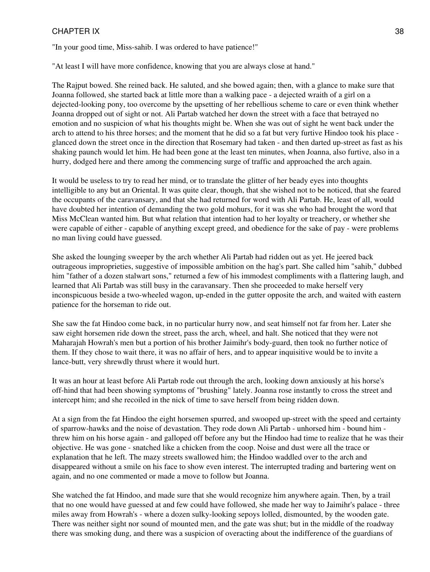### CHAPTER IX 38

"In your good time, Miss-sahib. I was ordered to have patience!"

"At least I will have more confidence, knowing that you are always close at hand."

The Rajput bowed. She reined back. He saluted, and she bowed again; then, with a glance to make sure that Joanna followed, she started back at little more than a walking pace - a dejected wraith of a girl on a dejected-looking pony, too overcome by the upsetting of her rebellious scheme to care or even think whether Joanna dropped out of sight or not. Ali Partab watched her down the street with a face that betrayed no emotion and no suspicion of what his thoughts might be. When she was out of sight he went back under the arch to attend to his three horses; and the moment that he did so a fat but very furtive Hindoo took his place glanced down the street once in the direction that Rosemary had taken - and then darted up-street as fast as his shaking paunch would let him. He had been gone at the least ten minutes, when Joanna, also furtive, also in a hurry, dodged here and there among the commencing surge of traffic and approached the arch again.

It would be useless to try to read her mind, or to translate the glitter of her beady eyes into thoughts intelligible to any but an Oriental. It was quite clear, though, that she wished not to be noticed, that she feared the occupants of the caravansary, and that she had returned for word with Ali Partab. He, least of all, would have doubted her intention of demanding the two gold mohurs, for it was she who had brought the word that Miss McClean wanted him. But what relation that intention had to her loyalty or treachery, or whether she were capable of either - capable of anything except greed, and obedience for the sake of pay - were problems no man living could have guessed.

She asked the lounging sweeper by the arch whether Ali Partab had ridden out as yet. He jeered back outrageous improprieties, suggestive of impossible ambition on the hag's part. She called him "sahib," dubbed him "father of a dozen stalwart sons," returned a few of his immodest compliments with a flattering laugh, and learned that Ali Partab was still busy in the caravansary. Then she proceeded to make herself very inconspicuous beside a two-wheeled wagon, up-ended in the gutter opposite the arch, and waited with eastern patience for the horseman to ride out.

She saw the fat Hindoo come back, in no particular hurry now, and seat himself not far from her. Later she saw eight horsemen ride down the street, pass the arch, wheel, and halt. She noticed that they were not Maharajah Howrah's men but a portion of his brother Jaimihr's body-guard, then took no further notice of them. If they chose to wait there, it was no affair of hers, and to appear inquisitive would be to invite a lance-butt, very shrewdly thrust where it would hurt.

It was an hour at least before Ali Partab rode out through the arch, looking down anxiously at his horse's off-hind that had been showing symptoms of "brushing" lately. Joanna rose instantly to cross the street and intercept him; and she recoiled in the nick of time to save herself from being ridden down.

At a sign from the fat Hindoo the eight horsemen spurred, and swooped up-street with the speed and certainty of sparrow-hawks and the noise of devastation. They rode down Ali Partab - unhorsed him - bound him threw him on his horse again - and galloped off before any but the Hindoo had time to realize that he was their objective. He was gone - snatched like a chicken from the coop. Noise and dust were all the trace or explanation that he left. The mazy streets swallowed him; the Hindoo waddled over to the arch and disappeared without a smile on his face to show even interest. The interrupted trading and bartering went on again, and no one commented or made a move to follow but Joanna.

She watched the fat Hindoo, and made sure that she would recognize him anywhere again. Then, by a trail that no one would have guessed at and few could have followed, she made her way to Jaimihr's palace - three miles away from Howrah's - where a dozen sulky-looking sepoys lolled, dismounted, by the wooden gate. There was neither sight nor sound of mounted men, and the gate was shut; but in the middle of the roadway there was smoking dung, and there was a suspicion of overacting about the indifference of the guardians of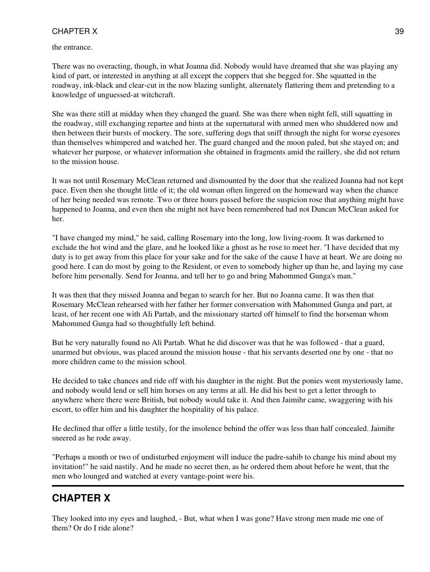the entrance.

There was no overacting, though, in what Joanna did. Nobody would have dreamed that she was playing any kind of part, or interested in anything at all except the coppers that she begged for. She squatted in the roadway, ink-black and clear-cut in the now blazing sunlight, alternately flattering them and pretending to a knowledge of unguessed-at witchcraft.

She was there still at midday when they changed the guard. She was there when night fell, still squatting in the roadway, still exchanging repartee and hints at the supernatural with armed men who shuddered now and then between their bursts of mockery. The sore, suffering dogs that sniff through the night for worse eyesores than themselves whimpered and watched her. The guard changed and the moon paled, but she stayed on; and whatever her purpose, or whatever information she obtained in fragments amid the raillery, she did not return to the mission house.

It was not until Rosemary McClean returned and dismounted by the door that she realized Joanna had not kept pace. Even then she thought little of it; the old woman often lingered on the homeward way when the chance of her being needed was remote. Two or three hours passed before the suspicion rose that anything might have happened to Joanna, and even then she might not have been remembered had not Duncan McClean asked for her.

"I have changed my mind," he said, calling Rosemary into the long, low living-room. It was darkened to exclude the hot wind and the glare, and he looked like a ghost as he rose to meet her. "I have decided that my duty is to get away from this place for your sake and for the sake of the cause I have at heart. We are doing no good here. I can do most by going to the Resident, or even to somebody higher up than he, and laying my case before him personally. Send for Joanna, and tell her to go and bring Mahommed Gunga's man."

It was then that they missed Joanna and began to search for her. But no Joanna came. It was then that Rosemary McClean rehearsed with her father her former conversation with Mahommed Gunga and part, at least, of her recent one with Ali Partab, and the missionary started off himself to find the horseman whom Mahommed Gunga had so thoughtfully left behind.

But he very naturally found no Ali Partab. What he did discover was that he was followed - that a guard, unarmed but obvious, was placed around the mission house - that his servants deserted one by one - that no more children came to the mission school.

He decided to take chances and ride off with his daughter in the night. But the ponies went mysteriously lame, and nobody would lend or sell him horses on any terms at all. He did his best to get a letter through to anywhere where there were British, but nobody would take it. And then Jaimihr came, swaggering with his escort, to offer him and his daughter the hospitality of his palace.

He declined that offer a little testily, for the insolence behind the offer was less than half concealed. Jaimihr sneered as he rode away.

"Perhaps a month or two of undisturbed enjoyment will induce the padre-sahib to change his mind about my invitation!" he said nastily. And he made no secret then, as he ordered them about before he went, that the men who lounged and watched at every vantage-point were his.

# **CHAPTER X**

They looked into my eyes and laughed, - But, what when I was gone? Have strong men made me one of them? Or do I ride alone?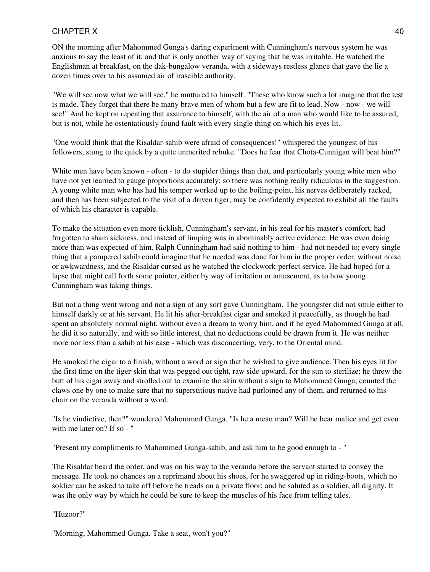ON the morning after Mahommed Gunga's daring experiment with Cunningham's nervous system he was anxious to say the least of it; and that is only another way of saying that he was irritable. He watched the Englishman at breakfast, on the dak-bungalow veranda, with a sideways restless glance that gave the lie a dozen times over to his assumed air of irascible authority.

"We will see now what we will see," he muttured to himself. "These who know such a lot imagine that the test is made. They forget that there be many brave men of whom but a few are fit to lead. Now - now - we will see!" And he kept on repeating that assurance to himself, with the air of a man who would like to be assured, but is not, while he ostentatiously found fault with every single thing on which his eyes lit.

"One would think that the Risaldar-sahib were afraid of consequences!" whispered the youngest of his followers, stung to the quick by a quite unmerited rebuke. "Does he fear that Chota-Cunnigan will beat him?"

White men have been known - often - to do stupider things than that, and particularly young white men who have not yet learned to gauge proportions accurately; so there was nothing really ridiculous in the suggestion. A young white man who has had his temper worked up to the boiling-point, his nerves deliberately racked, and then has been subjected to the visit of a driven tiger, may be confidently expected to exhibit all the faults of which his character is capable.

To make the situation even more ticklish, Cunningham's servant, in his zeal for his master's comfort, had forgotten to sham sickness, and instead of limping was in abominably active evidence. He was even doing more than was expected of him. Ralph Cunningham had said nothing to him - had not needed to; every single thing that a pampered sahib could imagine that he needed was done for him in the proper order, without noise or awkwardness, and the Risaldar cursed as he watched the clockwork-perfect service. He had hoped for a lapse that might call forth some pointer, either by way of irritation or amusement, as to how young Cunningham was taking things.

But not a thing went wrong and not a sign of any sort gave Cunningham. The youngster did not smile either to himself darkly or at his servant. He lit his after-breakfast cigar and smoked it peacefully, as though he had spent an absolutely normal night, without even a dream to worry him, and if he eyed Mahommed Gunga at all, he did it so naturally, and with so little interest, that no deductions could be drawn from it. He was neither more nor less than a sahib at his ease - which was disconcerting, very, to the Oriental mind.

He smoked the cigar to a finish, without a word or sign that he wished to give audience. Then his eyes lit for the first time on the tiger-skin that was pegged out tight, raw side upward, for the sun to sterilize; he threw the butt of his cigar away and strolled out to examine the skin without a sign to Mahommed Gunga, counted the claws one by one to make sure that no superstitious native had purloined any of them, and returned to his chair on the veranda without a word.

"Is he vindictive, then?" wondered Mahommed Gunga. "Is he a mean man? Will he bear malice and get even with me later on? If so - "

"Present my compliments to Mahommed Gunga-sahib, and ask him to be good enough to - "

The Risaldar heard the order, and was on his way to the veranda before the servant started to convey the message. He took no chances on a reprimand about his shoes, for he swaggered up in riding-boots, which no soldier can be asked to take off before he treads on a private floor; and he saluted as a soldier, all dignity. It was the only way by which he could be sure to keep the muscles of his face from telling tales.

"Huzoor?"

"Morning, Mahommed Gunga. Take a seat, won't you?"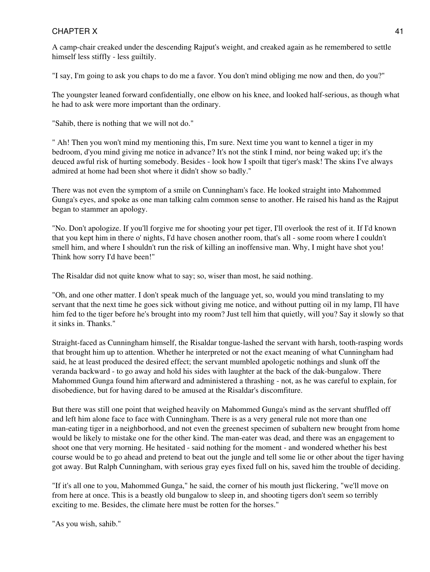A camp-chair creaked under the descending Rajput's weight, and creaked again as he remembered to settle himself less stiffly - less guiltily.

"I say, I'm going to ask you chaps to do me a favor. You don't mind obliging me now and then, do you?"

The youngster leaned forward confidentially, one elbow on his knee, and looked half-serious, as though what he had to ask were more important than the ordinary.

"Sahib, there is nothing that we will not do."

" Ah! Then you won't mind my mentioning this, I'm sure. Next time you want to kennel a tiger in my bedroom, d'you mind giving me notice in advance? It's not the stink I mind, nor being waked up; it's the deuced awful risk of hurting somebody. Besides - look how I spoilt that tiger's mask! The skins I've always admired at home had been shot where it didn't show so badly."

There was not even the symptom of a smile on Cunningham's face. He looked straight into Mahommed Gunga's eyes, and spoke as one man talking calm common sense to another. He raised his hand as the Rajput began to stammer an apology.

"No. Don't apologize. If you'll forgive me for shooting your pet tiger, I'll overlook the rest of it. If I'd known that you kept him in there o' nights, I'd have chosen another room, that's all - some room where I couldn't smell him, and where I shouldn't run the risk of killing an inoffensive man. Why, I might have shot you! Think how sorry I'd have been!"

The Risaldar did not quite know what to say; so, wiser than most, he said nothing.

"Oh, and one other matter. I don't speak much of the language yet, so, would you mind translating to my servant that the next time he goes sick without giving me notice, and without putting oil in my lamp, I'll have him fed to the tiger before he's brought into my room? Just tell him that quietly, will you? Say it slowly so that it sinks in. Thanks."

Straight-faced as Cunningham himself, the Risaldar tongue-lashed the servant with harsh, tooth-rasping words that brought him up to attention. Whether he interpreted or not the exact meaning of what Cunningham had said, he at least produced the desired effect; the servant mumbled apologetic nothings and slunk off the veranda backward - to go away and hold his sides with laughter at the back of the dak-bungalow. There Mahommed Gunga found him afterward and administered a thrashing - not, as he was careful to explain, for disobedience, but for having dared to be amused at the Risaldar's discomfiture.

But there was still one point that weighed heavily on Mahommed Gunga's mind as the servant shuffled off and left him alone face to face with Cunningham. There is as a very general rule not more than one man-eating tiger in a neighborhood, and not even the greenest specimen of subaltern new brought from home would be likely to mistake one for the other kind. The man-eater was dead, and there was an engagement to shoot one that very morning. He hesitated - said nothing for the moment - and wondered whether his best course would be to go ahead and pretend to beat out the jungle and tell some lie or other about the tiger having got away. But Ralph Cunningham, with serious gray eyes fixed full on his, saved him the trouble of deciding.

"If it's all one to you, Mahommed Gunga," he said, the corner of his mouth just flickering, "we'll move on from here at once. This is a beastly old bungalow to sleep in, and shooting tigers don't seem so terribly exciting to me. Besides, the climate here must be rotten for the horses."

"As you wish, sahib."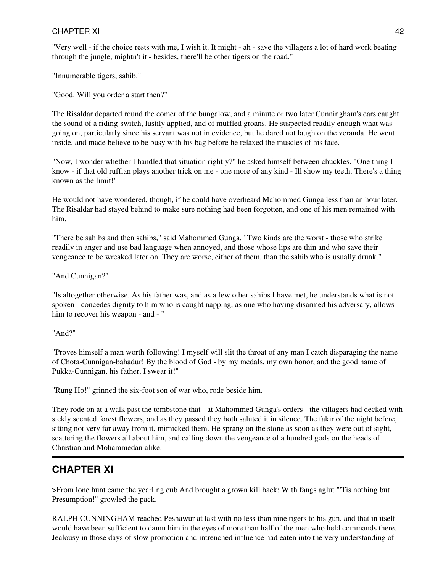"Very well - if the choice rests with me, I wish it. It might - ah - save the villagers a lot of hard work beating through the jungle, mightn't it - besides, there'll be other tigers on the road."

"Innumerable tigers, sahib."

"Good. Will you order a start then?"

The Risaldar departed round the comer of the bungalow, and a minute or two later Cunningham's ears caught the sound of a riding-switch, lustily applied, and of muffled groans. He suspected readily enough what was going on, particularly since his servant was not in evidence, but he dared not laugh on the veranda. He went inside, and made believe to be busy with his bag before he relaxed the muscles of his face.

"Now, I wonder whether I handled that situation rightly?" he asked himself between chuckles. "One thing I know - if that old ruffian plays another trick on me - one more of any kind - Ill show my teeth. There's a thing known as the limit!"

He would not have wondered, though, if he could have overheard Mahommed Gunga less than an hour later. The Risaldar had stayed behind to make sure nothing had been forgotten, and one of his men remained with him.

"There be sahibs and then sahibs," said Mahommed Gunga. "Two kinds are the worst - those who strike readily in anger and use bad language when annoyed, and those whose lips are thin and who save their vengeance to be wreaked later on. They are worse, either of them, than the sahib who is usually drunk."

"And Cunnigan?"

"Is altogether otherwise. As his father was, and as a few other sahibs I have met, he understands what is not spoken - concedes dignity to him who is caught napping, as one who having disarmed his adversary, allows him to recover his weapon - and - "

"And?"

"Proves himself a man worth following! I myself will slit the throat of any man I catch disparaging the name of Chota-Cunnigan-bahadur! By the blood of God - by my medals, my own honor, and the good name of Pukka-Cunnigan, his father, I swear it!"

"Rung Ho!" grinned the six-foot son of war who, rode beside him.

They rode on at a walk past the tombstone that - at Mahommed Gunga's orders - the villagers had decked with sickly scented forest flowers, and as they passed they both saluted it in silence. The fakir of the night before, sitting not very far away from it, mimicked them. He sprang on the stone as soon as they were out of sight, scattering the flowers all about him, and calling down the vengeance of a hundred gods on the heads of Christian and Mohammedan alike.

## **CHAPTER XI**

>From lone hunt came the yearling cub And brought a grown kill back; With fangs aglut "'Tis nothing but Presumption!" growled the pack.

RALPH CUNNINGHAM reached Peshawur at last with no less than nine tigers to his gun, and that in itself would have been sufficient to damn him in the eyes of more than half of the men who held commands there. Jealousy in those days of slow promotion and intrenched influence had eaten into the very understanding of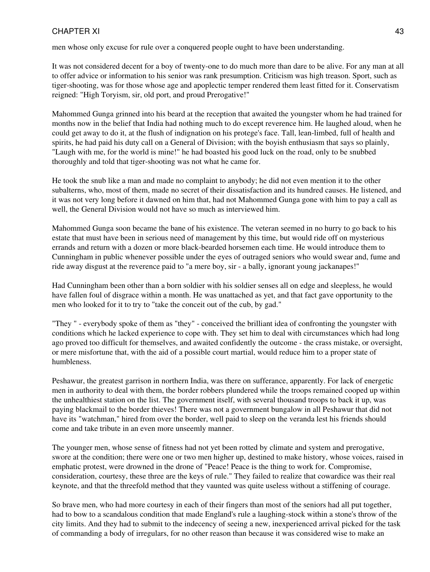## CHAPTER XI and the state of the state of the state of the state of the state of the state of the state of the state of the state of the state of the state of the state of the state of the state of the state of the state of

men whose only excuse for rule over a conquered people ought to have been understanding.

It was not considered decent for a boy of twenty-one to do much more than dare to be alive. For any man at all to offer advice or information to his senior was rank presumption. Criticism was high treason. Sport, such as tiger-shooting, was for those whose age and apoplectic temper rendered them least fitted for it. Conservatism reigned: "High Toryism, sir, old port, and proud Prerogative!"

Mahommed Gunga grinned into his beard at the reception that awaited the youngster whom he had trained for months now in the belief that India had nothing much to do except reverence him. He laughed aloud, when he could get away to do it, at the flush of indignation on his protege's face. Tall, lean-limbed, full of health and spirits, he had paid his duty call on a General of Division; with the boyish enthusiasm that says so plainly, "Laugh with me, for the world is mine!" he had boasted his good luck on the road, only to be snubbed thoroughly and told that tiger-shooting was not what he came for.

He took the snub like a man and made no complaint to anybody; he did not even mention it to the other subalterns, who, most of them, made no secret of their dissatisfaction and its hundred causes. He listened, and it was not very long before it dawned on him that, had not Mahommed Gunga gone with him to pay a call as well, the General Division would not have so much as interviewed him.

Mahommed Gunga soon became the bane of his existence. The veteran seemed in no hurry to go back to his estate that must have been in serious need of management by this time, but would ride off on mysterious errands and return with a dozen or more black-bearded horsemen each time. He would introduce them to Cunningham in public whenever possible under the eyes of outraged seniors who would swear and, fume and ride away disgust at the reverence paid to "a mere boy, sir - a bally, ignorant young jackanapes!"

Had Cunningham been other than a born soldier with his soldier senses all on edge and sleepless, he would have fallen foul of disgrace within a month. He was unattached as yet, and that fact gave opportunity to the men who looked for it to try to "take the conceit out of the cub, by gad."

"They " - everybody spoke of them as "they" - conceived the brilliant idea of confronting the youngster with conditions which he lacked experience to cope with. They set him to deal with circumstances which had long ago proved too difficult for themselves, and awaited confidently the outcome - the crass mistake, or oversight, or mere misfortune that, with the aid of a possible court martial, would reduce him to a proper state of humbleness.

Peshawur, the greatest garrison in northern India, was there on sufferance, apparently. For lack of energetic men in authority to deal with them, the border robbers plundered while the troops remained cooped up within the unhealthiest station on the list. The government itself, with several thousand troops to back it up, was paying blackmail to the border thieves! There was not a government bungalow in all Peshawur that did not have its "watchman," hired from over the border, well paid to sleep on the veranda lest his friends should come and take tribute in an even more unseemly manner.

The younger men, whose sense of fitness had not yet been rotted by climate and system and prerogative, swore at the condition; there were one or two men higher up, destined to make history, whose voices, raised in emphatic protest, were drowned in the drone of "Peace! Peace is the thing to work for. Compromise, consideration, courtesy, these three are the keys of rule." They failed to realize that cowardice was their real keynote, and that the threefold method that they vaunted was quite useless without a stiffening of courage.

So brave men, who had more courtesy in each of their fingers than most of the seniors had all put together, had to bow to a scandalous condition that made England's rule a laughing-stock within a stone's throw of the city limits. And they had to submit to the indecency of seeing a new, inexperienced arrival picked for the task of commanding a body of irregulars, for no other reason than because it was considered wise to make an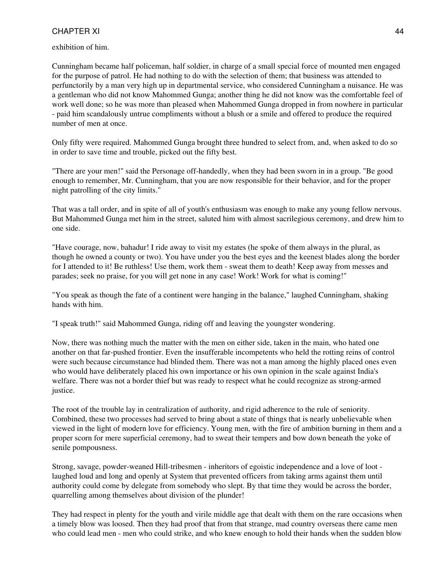#### exhibition of him.

Cunningham became half policeman, half soldier, in charge of a small special force of mounted men engaged for the purpose of patrol. He had nothing to do with the selection of them; that business was attended to perfunctorily by a man very high up in departmental service, who considered Cunningham a nuisance. He was a gentleman who did not know Mahommed Gunga; another thing he did not know was the comfortable feel of work well done; so he was more than pleased when Mahommed Gunga dropped in from nowhere in particular - paid him scandalously untrue compliments without a blush or a smile and offered to produce the required number of men at once.

Only fifty were required. Mahommed Gunga brought three hundred to select from, and, when asked to do so in order to save time and trouble, picked out the fifty best.

"There are your men!" said the Personage off-handedly, when they had been sworn in in a group. "Be good enough to remember, Mr. Cunningham, that you are now responsible for their behavior, and for the proper night patrolling of the city limits."

That was a tall order, and in spite of all of youth's enthusiasm was enough to make any young fellow nervous. But Mahommed Gunga met him in the street, saluted him with almost sacrilegious ceremony, and drew him to one side.

"Have courage, now, bahadur! I ride away to visit my estates (he spoke of them always in the plural, as though he owned a county or two). You have under you the best eyes and the keenest blades along the border for I attended to it! Be ruthless! Use them, work them - sweat them to death! Keep away from messes and parades; seek no praise, for you will get none in any case! Work! Work for what is coming!"

"You speak as though the fate of a continent were hanging in the balance," laughed Cunningham, shaking hands with him.

"I speak truth!" said Mahommed Gunga, riding off and leaving the youngster wondering.

Now, there was nothing much the matter with the men on either side, taken in the main, who hated one another on that far-pushed frontier. Even the insufferable incompetents who held the rotting reins of control were such because circumstance had blinded them. There was not a man among the highly placed ones even who would have deliberately placed his own importance or his own opinion in the scale against India's welfare. There was not a border thief but was ready to respect what he could recognize as strong-armed justice.

The root of the trouble lay in centralization of authority, and rigid adherence to the rule of seniority. Combined, these two processes had served to bring about a state of things that is nearly unbelievable when viewed in the light of modern love for efficiency. Young men, with the fire of ambition burning in them and a proper scorn for mere superficial ceremony, had to sweat their tempers and bow down beneath the yoke of senile pompousness.

Strong, savage, powder-weaned Hill-tribesmen - inheritors of egoistic independence and a love of loot laughed loud and long and openly at System that prevented officers from taking arms against them until authority could come by delegate from somebody who slept. By that time they would be across the border, quarrelling among themselves about division of the plunder!

They had respect in plenty for the youth and virile middle age that dealt with them on the rare occasions when a timely blow was loosed. Then they had proof that from that strange, mad country overseas there came men who could lead men - men who could strike, and who knew enough to hold their hands when the sudden blow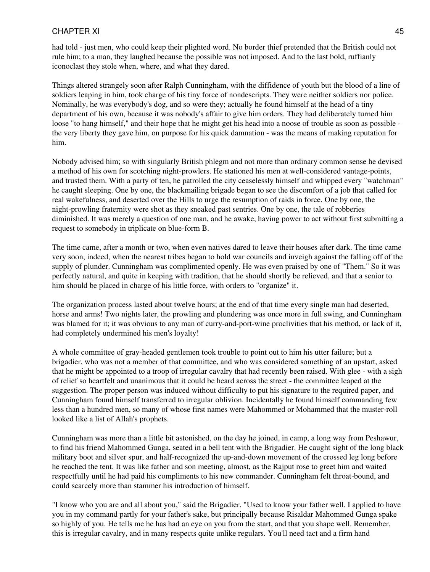#### CHAPTER XI and the set of the set of the set of the set of the set of the set of the set of the set of the set of the set of the set of the set of the set of the set of the set of the set of the set of the set of the set o

had told - just men, who could keep their plighted word. No border thief pretended that the British could not rule him; to a man, they laughed because the possible was not imposed. And to the last bold, ruffianly iconoclast they stole when, where, and what they dared.

Things altered strangely soon after Ralph Cunningham, with the diffidence of youth but the blood of a line of soldiers leaping in him, took charge of his tiny force of nondescripts. They were neither soldiers nor police. Nominally, he was everybody's dog, and so were they; actually he found himself at the head of a tiny department of his own, because it was nobody's affair to give him orders. They had deliberately turned him loose "to hang himself," and their hope that he might get his head into a noose of trouble as soon as possible the very liberty they gave him, on purpose for his quick damnation - was the means of making reputation for him.

Nobody advised him; so with singularly British phlegm and not more than ordinary common sense he devised a method of his own for scotching night-prowlers. He stationed his men at well-considered vantage-points, and trusted them. With a party of ten, he patrolled the city ceaselessly himself and whipped every "watchman" he caught sleeping. One by one, the blackmailing brigade began to see the discomfort of a job that called for real wakefulness, and deserted over the Hills to urge the resumption of raids in force. One by one, the night-prowling fraternity were shot as they sneaked past sentries. One by one, the tale of robberies diminished. It was merely a question of one man, and he awake, having power to act without first submitting a request to somebody in triplicate on blue-form B.

The time came, after a month or two, when even natives dared to leave their houses after dark. The time came very soon, indeed, when the nearest tribes began to hold war councils and inveigh against the falling off of the supply of plunder. Cunningham was complimented openly. He was even praised by one of "Them." So it was perfectly natural, and quite in keeping with tradition, that he should shortly be relieved, and that a senior to him should be placed in charge of his little force, with orders to "organize" it.

The organization process lasted about twelve hours; at the end of that time every single man had deserted, horse and arms! Two nights later, the prowling and plundering was once more in full swing, and Cunningham was blamed for it; it was obvious to any man of curry-and-port-wine proclivities that his method, or lack of it, had completely undermined his men's loyalty!

A whole committee of gray-headed gentlemen took trouble to point out to him his utter failure; but a brigadier, who was not a member of that committee, and who was considered something of an upstart, asked that he might be appointed to a troop of irregular cavalry that had recently been raised. With glee - with a sigh of relief so heartfelt and unanimous that it could be heard across the street - the committee leaped at the suggestion. The proper person was induced without difficulty to put his signature to the required paper, and Cunningham found himself transferred to irregular oblivion. Incidentally he found himself commanding few less than a hundred men, so many of whose first names were Mahommed or Mohammed that the muster-roll looked like a list of Allah's prophets.

Cunningham was more than a little bit astonished, on the day he joined, in camp, a long way from Peshawur, to find his friend Mahommed Gunga, seated in a bell tent with the Brigadier. He caught sight of the long black military boot and silver spur, and half-recognized the up-and-down movement of the crossed leg long before he reached the tent. It was like father and son meeting, almost, as the Rajput rose to greet him and waited respectfully until he had paid his compliments to his new commander. Cunningham felt throat-bound, and could scarcely more than stammer his introduction of himself.

"I know who you are and all about you," said the Brigadier. "Used to know your father well. I applied to have you in my command partly for your father's sake, but principally because Risaldar Mahommed Gunga spake so highly of you. He tells me he has had an eye on you from the start, and that you shape well. Remember, this is irregular cavalry, and in many respects quite unlike regulars. You'll need tact and a firm hand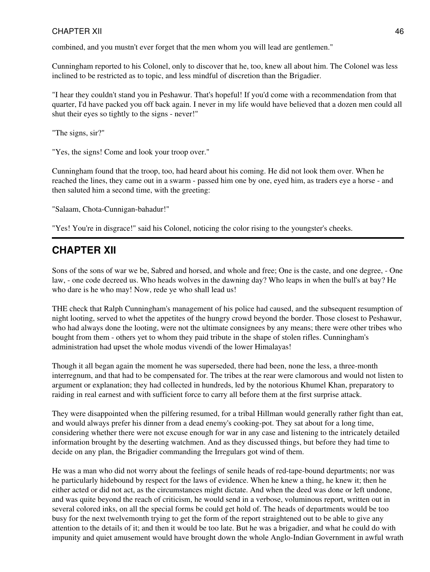combined, and you mustn't ever forget that the men whom you will lead are gentlemen."

Cunningham reported to his Colonel, only to discover that he, too, knew all about him. The Colonel was less inclined to be restricted as to topic, and less mindful of discretion than the Brigadier.

"I hear they couldn't stand you in Peshawur. That's hopeful! If you'd come with a recommendation from that quarter, I'd have packed you off back again. I never in my life would have believed that a dozen men could all shut their eyes so tightly to the signs - never!"

"The signs, sir?"

"Yes, the signs! Come and look your troop over."

Cunningham found that the troop, too, had heard about his coming. He did not look them over. When he reached the lines, they came out in a swarm - passed him one by one, eyed him, as traders eye a horse - and then saluted him a second time, with the greeting:

"Salaam, Chota-Cunnigan-bahadur!"

"Yes! You're in disgrace!" said his Colonel, noticing the color rising to the youngster's cheeks.

## **CHAPTER XII**

Sons of the sons of war we be, Sabred and horsed, and whole and free; One is the caste, and one degree, - One law, - one code decreed us. Who heads wolves in the dawning day? Who leaps in when the bull's at bay? He who dare is he who may! Now, rede ye who shall lead us!

THE check that Ralph Cunningham's management of his police had caused, and the subsequent resumption of night looting, served to whet the appetites of the hungry crowd beyond the border. Those closest to Peshawur, who had always done the looting, were not the ultimate consignees by any means; there were other tribes who bought from them - others yet to whom they paid tribute in the shape of stolen rifles. Cunningham's administration had upset the whole modus vivendi of the lower Himalayas!

Though it all began again the moment he was superseded, there had been, none the less, a three-month interregnum, and that had to be compensated for. The tribes at the rear were clamorous and would not listen to argument or explanation; they had collected in hundreds, led by the notorious Khumel Khan, preparatory to raiding in real earnest and with sufficient force to carry all before them at the first surprise attack.

They were disappointed when the pilfering resumed, for a tribal Hillman would generally rather fight than eat, and would always prefer his dinner from a dead enemy's cooking-pot. They sat about for a long time, considering whether there were not excuse enough for war in any case and listening to the intricately detailed information brought by the deserting watchmen. And as they discussed things, but before they had time to decide on any plan, the Brigadier commanding the Irregulars got wind of them.

He was a man who did not worry about the feelings of senile heads of red-tape-bound departments; nor was he particularly hidebound by respect for the laws of evidence. When he knew a thing, he knew it; then he either acted or did not act, as the circumstances might dictate. And when the deed was done or left undone, and was quite beyond the reach of criticism, he would send in a verbose, voluminous report, written out in several colored inks, on all the special forms be could get hold of. The heads of departments would be too busy for the next twelvemonth trying to get the form of the report straightened out to be able to give any attention to the details of it; and then it would be too late. But he was a brigadier, and what he could do with impunity and quiet amusement would have brought down the whole Anglo-Indian Government in awful wrath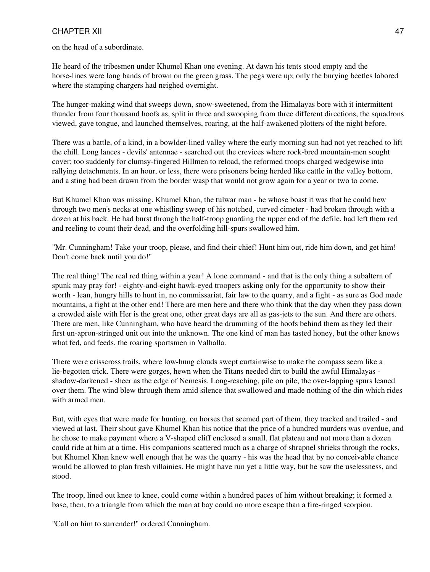on the head of a subordinate.

He heard of the tribesmen under Khumel Khan one evening. At dawn his tents stood empty and the horse-lines were long bands of brown on the green grass. The pegs were up; only the burying beetles labored where the stamping chargers had neighed overnight.

The hunger-making wind that sweeps down, snow-sweetened, from the Himalayas bore with it intermittent thunder from four thousand hoofs as, split in three and swooping from three different directions, the squadrons viewed, gave tongue, and launched themselves, roaring, at the half-awakened plotters of the night before.

There was a battle, of a kind, in a bowlder-lined valley where the early morning sun had not yet reached to lift the chill. Long lances - devils' antennae - searched out the crevices where rock-bred mountain-men sought cover; too suddenly for clumsy-fingered Hillmen to reload, the reformed troops charged wedgewise into rallying detachments. In an hour, or less, there were prisoners being herded like cattle in the valley bottom, and a sting had been drawn from the border wasp that would not grow again for a year or two to come.

But Khumel Khan was missing. Khumel Khan, the tulwar man - he whose boast it was that he could hew through two men's necks at one whistling sweep of his notched, curved cimeter - had broken through with a dozen at his back. He had burst through the half-troop guarding the upper end of the defile, had left them red and reeling to count their dead, and the overfolding hill-spurs swallowed him.

"Mr. Cunningham! Take your troop, please, and find their chief! Hunt him out, ride him down, and get him! Don't come back until you do!"

The real thing! The real red thing within a year! A lone command - and that is the only thing a subaltern of spunk may pray for! - eighty-and-eight hawk-eyed troopers asking only for the opportunity to show their worth - lean, hungry hills to hunt in, no commissariat, fair law to the quarry, and a fight - as sure as God made mountains, a fight at the other end! There are men here and there who think that the day when they pass down a crowded aisle with Her is the great one, other great days are all as gas-jets to the sun. And there are others. There are men, like Cunningham, who have heard the drumming of the hoofs behind them as they led their first un-apron-stringed unit out into the unknown. The one kind of man has tasted honey, but the other knows what fed, and feeds, the roaring sportsmen in Valhalla.

There were crisscross trails, where low-hung clouds swept curtainwise to make the compass seem like a lie-begotten trick. There were gorges, hewn when the Titans needed dirt to build the awful Himalayas shadow-darkened - sheer as the edge of Nemesis. Long-reaching, pile on pile, the over-lapping spurs leaned over them. The wind blew through them amid silence that swallowed and made nothing of the din which rides with armed men.

But, with eyes that were made for hunting, on horses that seemed part of them, they tracked and trailed - and viewed at last. Their shout gave Khumel Khan his notice that the price of a hundred murders was overdue, and he chose to make payment where a V-shaped cliff enclosed a small, flat plateau and not more than a dozen could ride at him at a time. His companions scattered much as a charge of shrapnel shrieks through the rocks, but Khumel Khan knew well enough that he was the quarry - his was the head that by no conceivable chance would be allowed to plan fresh villainies. He might have run yet a little way, but he saw the uselessness, and stood.

The troop, lined out knee to knee, could come within a hundred paces of him without breaking; it formed a base, then, to a triangle from which the man at bay could no more escape than a fire-ringed scorpion.

"Call on him to surrender!" ordered Cunningham.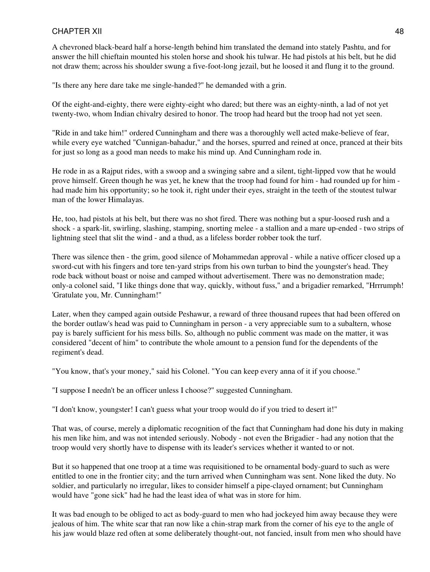A chevroned black-beard half a horse-length behind him translated the demand into stately Pashtu, and for answer the hill chieftain mounted his stolen horse and shook his tulwar. He had pistols at his belt, but he did not draw them; across his shoulder swung a five-foot-long jezail, but he loosed it and flung it to the ground.

"Is there any here dare take me single-handed?" he demanded with a grin.

Of the eight-and-eighty, there were eighty-eight who dared; but there was an eighty-ninth, a lad of not yet twenty-two, whom Indian chivalry desired to honor. The troop had heard but the troop had not yet seen.

"Ride in and take him!" ordered Cunningham and there was a thoroughly well acted make-believe of fear, while every eye watched "Cunnigan-bahadur," and the horses, spurred and reined at once, pranced at their bits for just so long as a good man needs to make his mind up. And Cunningham rode in.

He rode in as a Rajput rides, with a swoop and a swinging sabre and a silent, tight-lipped vow that he would prove himself. Green though he was yet, he knew that the troop had found for him - had rounded up for him had made him his opportunity; so he took it, right under their eyes, straight in the teeth of the stoutest tulwar man of the lower Himalayas.

He, too, had pistols at his belt, but there was no shot fired. There was nothing but a spur-loosed rush and a shock - a spark-lit, swirling, slashing, stamping, snorting melee - a stallion and a mare up-ended - two strips of lightning steel that slit the wind - and a thud, as a lifeless border robber took the turf.

There was silence then - the grim, good silence of Mohammedan approval - while a native officer closed up a sword-cut with his fingers and tore ten-yard strips from his own turban to bind the youngster's head. They rode back without boast or noise and camped without advertisement. There was no demonstration made; only-a colonel said, "I like things done that way, quickly, without fuss," and a brigadier remarked, "Hrrrumph! 'Gratulate you, Mr. Cunningham!"

Later, when they camped again outside Peshawur, a reward of three thousand rupees that had been offered on the border outlaw's head was paid to Cunningham in person - a very appreciable sum to a subaltern, whose pay is barely sufficient for his mess bills. So, although no public comment was made on the matter, it was considered "decent of him" to contribute the whole amount to a pension fund for the dependents of the regiment's dead.

"You know, that's your money," said his Colonel. "You can keep every anna of it if you choose."

"I suppose I needn't be an officer unless I choose?" suggested Cunningham.

"I don't know, youngster! I can't guess what your troop would do if you tried to desert it!"

That was, of course, merely a diplomatic recognition of the fact that Cunningham had done his duty in making his men like him, and was not intended seriously. Nobody - not even the Brigadier - had any notion that the troop would very shortly have to dispense with its leader's services whether it wanted to or not.

But it so happened that one troop at a time was requisitioned to be ornamental body-guard to such as were entitled to one in the frontier city; and the turn arrived when Cunningham was sent. None liked the duty. No soldier, and particularly no irregular, likes to consider himself a pipe-clayed ornament; but Cunningham would have "gone sick" had he had the least idea of what was in store for him.

It was bad enough to be obliged to act as body-guard to men who had jockeyed him away because they were jealous of him. The white scar that ran now like a chin-strap mark from the corner of his eye to the angle of his jaw would blaze red often at some deliberately thought-out, not fancied, insult from men who should have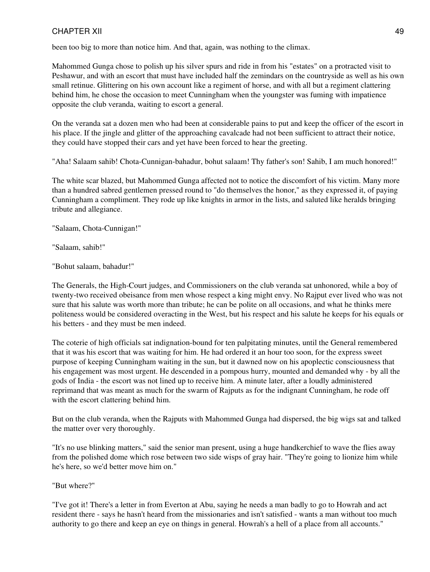been too big to more than notice him. And that, again, was nothing to the climax.

Mahommed Gunga chose to polish up his silver spurs and ride in from his "estates" on a protracted visit to Peshawur, and with an escort that must have included half the zemindars on the countryside as well as his own small retinue. Glittering on his own account like a regiment of horse, and with all but a regiment clattering behind him, he chose the occasion to meet Cunningham when the youngster was fuming with impatience opposite the club veranda, waiting to escort a general.

On the veranda sat a dozen men who had been at considerable pains to put and keep the officer of the escort in his place. If the jingle and glitter of the approaching cavalcade had not been sufficient to attract their notice, they could have stopped their cars and yet have been forced to hear the greeting.

"Aha! Salaam sahib! Chota-Cunnigan-bahadur, bohut salaam! Thy father's son! Sahib, I am much honored!"

The white scar blazed, but Mahommed Gunga affected not to notice the discomfort of his victim. Many more than a hundred sabred gentlemen pressed round to "do themselves the honor," as they expressed it, of paying Cunningham a compliment. They rode up like knights in armor in the lists, and saluted like heralds bringing tribute and allegiance.

"Salaam, Chota-Cunnigan!"

"Salaam, sahib!"

"Bohut salaam, bahadur!"

The Generals, the High-Court judges, and Commissioners on the club veranda sat unhonored, while a boy of twenty-two received obeisance from men whose respect a king might envy. No Rajput ever lived who was not sure that his salute was worth more than tribute; he can be polite on all occasions, and what he thinks mere politeness would be considered overacting in the West, but his respect and his salute he keeps for his equals or his betters - and they must be men indeed.

The coterie of high officials sat indignation-bound for ten palpitating minutes, until the General remembered that it was his escort that was waiting for him. He had ordered it an hour too soon, for the express sweet purpose of keeping Cunningham waiting in the sun, but it dawned now on his apoplectic consciousness that his engagement was most urgent. He descended in a pompous hurry, mounted and demanded why - by all the gods of India - the escort was not lined up to receive him. A minute later, after a loudly administered reprimand that was meant as much for the swarm of Rajputs as for the indignant Cunningham, he rode off with the escort clattering behind him.

But on the club veranda, when the Rajputs with Mahommed Gunga had dispersed, the big wigs sat and talked the matter over very thoroughly.

"It's no use blinking matters," said the senior man present, using a huge handkerchief to wave the flies away from the polished dome which rose between two side wisps of gray hair. "They're going to lionize him while he's here, so we'd better move him on."

"But where?"

"I've got it! There's a letter in from Everton at Abu, saying he needs a man badly to go to Howrah and act resident there - says he hasn't heard from the missionaries and isn't satisfied - wants a man without too much authority to go there and keep an eye on things in general. Howrah's a hell of a place from all accounts."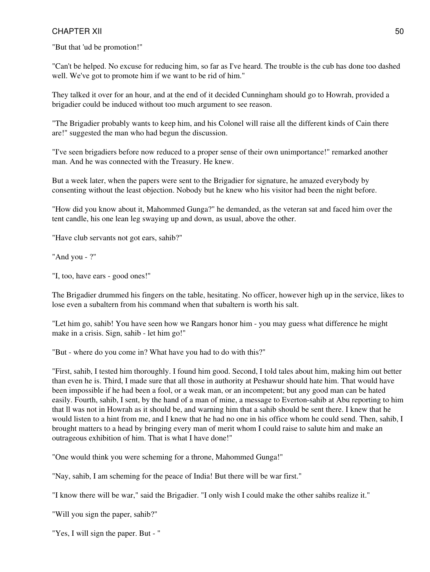"But that 'ud be promotion!"

"Can't be helped. No excuse for reducing him, so far as I've heard. The trouble is the cub has done too dashed well. We've got to promote him if we want to be rid of him."

They talked it over for an hour, and at the end of it decided Cunningham should go to Howrah, provided a brigadier could be induced without too much argument to see reason.

"The Brigadier probably wants to keep him, and his Colonel will raise all the different kinds of Cain there are!" suggested the man who had begun the discussion.

"I've seen brigadiers before now reduced to a proper sense of their own unimportance!" remarked another man. And he was connected with the Treasury. He knew.

But a week later, when the papers were sent to the Brigadier for signature, he amazed everybody by consenting without the least objection. Nobody but he knew who his visitor had been the night before.

"How did you know about it, Mahommed Gunga?" he demanded, as the veteran sat and faced him over the tent candle, his one lean leg swaying up and down, as usual, above the other.

"Have club servants not got ears, sahib?"

"And you - ?"

"I, too, have ears - good ones!"

The Brigadier drummed his fingers on the table, hesitating. No officer, however high up in the service, likes to lose even a subaltern from his command when that subaltern is worth his salt.

"Let him go, sahib! You have seen how we Rangars honor him - you may guess what difference he might make in a crisis. Sign, sahib - let him go!"

"But - where do you come in? What have you had to do with this?"

"First, sahib, I tested him thoroughly. I found him good. Second, I told tales about him, making him out better than even he is. Third, I made sure that all those in authority at Peshawur should hate him. That would have been impossible if he had been a fool, or a weak man, or an incompetent; but any good man can be hated easily. Fourth, sahib, I sent, by the hand of a man of mine, a message to Everton-sahib at Abu reporting to him that ll was not in Howrah as it should be, and warning him that a sahib should be sent there. I knew that he would listen to a hint from me, and I knew that he had no one in his office whom he could send. Then, sahib, I brought matters to a head by bringing every man of merit whom I could raise to salute him and make an outrageous exhibition of him. That is what I have done!"

"One would think you were scheming for a throne, Mahommed Gunga!"

"Nay, sahib, I am scheming for the peace of India! But there will be war first."

"I know there will be war," said the Brigadier. "I only wish I could make the other sahibs realize it."

"Will you sign the paper, sahib?"

"Yes, I will sign the paper. But - "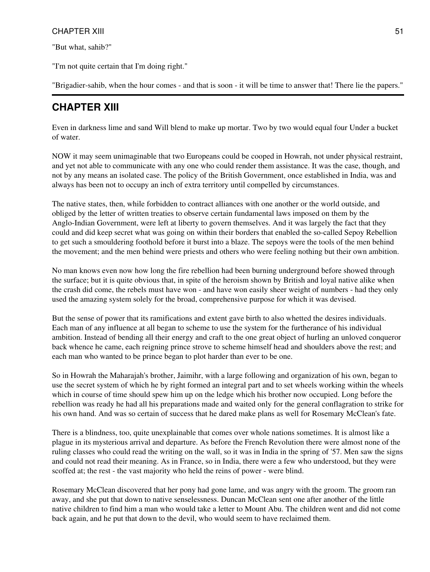"But what, sahib?"

"I'm not quite certain that I'm doing right."

"Brigadier-sahib, when the hour comes - and that is soon - it will be time to answer that! There lie the papers."

## **CHAPTER XIII**

Even in darkness lime and sand Will blend to make up mortar. Two by two would equal four Under a bucket of water.

NOW it may seem unimaginable that two Europeans could be cooped in Howrah, not under physical restraint, and yet not able to communicate with any one who could render them assistance. It was the case, though, and not by any means an isolated case. The policy of the British Government, once established in India, was and always has been not to occupy an inch of extra territory until compelled by circumstances.

The native states, then, while forbidden to contract alliances with one another or the world outside, and obliged by the letter of written treaties to observe certain fundamental laws imposed on them by the Anglo-Indian Government, were left at liberty to govern themselves. And it was largely the fact that they could and did keep secret what was going on within their borders that enabled the so-called Sepoy Rebellion to get such a smouldering foothold before it burst into a blaze. The sepoys were the tools of the men behind the movement; and the men behind were priests and others who were feeling nothing but their own ambition.

No man knows even now how long the fire rebellion had been burning underground before showed through the surface; but it is quite obvious that, in spite of the heroism shown by British and loyal native alike when the crash did come, the rebels must have won - and have won easily sheer weight of numbers - had they only used the amazing system solely for the broad, comprehensive purpose for which it was devised.

But the sense of power that its ramifications and extent gave birth to also whetted the desires individuals. Each man of any influence at all began to scheme to use the system for the furtherance of his individual ambition. Instead of bending all their energy and craft to the one great object of hurling an unloved conqueror back whence he came, each reigning prince strove to scheme himself head and shoulders above the rest; and each man who wanted to be prince began to plot harder than ever to be one.

So in Howrah the Maharajah's brother, Jaimihr, with a large following and organization of his own, began to use the secret system of which he by right formed an integral part and to set wheels working within the wheels which in course of time should spew him up on the ledge which his brother now occupied. Long before the rebellion was ready he had all his preparations made and waited only for the general conflagration to strike for his own hand. And was so certain of success that he dared make plans as well for Rosemary McClean's fate.

There is a blindness, too, quite unexplainable that comes over whole nations sometimes. It is almost like a plague in its mysterious arrival and departure. As before the French Revolution there were almost none of the ruling classes who could read the writing on the wall, so it was in India in the spring of '57. Men saw the signs and could not read their meaning. As in France, so in India, there were a few who understood, but they were scoffed at; the rest - the vast majority who held the reins of power - were blind.

Rosemary McClean discovered that her pony had gone lame, and was angry with the groom. The groom ran away, and she put that down to native senselessness. Duncan McClean sent one after another of the little native children to find him a man who would take a letter to Mount Abu. The children went and did not come back again, and he put that down to the devil, who would seem to have reclaimed them.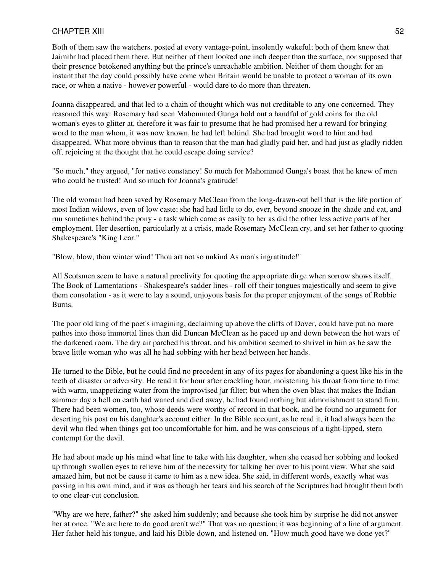Both of them saw the watchers, posted at every vantage-point, insolently wakeful; both of them knew that Jaimihr had placed them there. But neither of them looked one inch deeper than the surface, nor supposed that their presence betokened anything but the prince's unreachable ambition. Neither of them thought for an instant that the day could possibly have come when Britain would be unable to protect a woman of its own race, or when a native - however powerful - would dare to do more than threaten.

Joanna disappeared, and that led to a chain of thought which was not creditable to any one concerned. They reasoned this way: Rosemary had seen Mahommed Gunga hold out a handful of gold coins for the old woman's eyes to glitter at, therefore it was fair to presume that he had promised her a reward for bringing word to the man whom, it was now known, he had left behind. She had brought word to him and had disappeared. What more obvious than to reason that the man had gladly paid her, and had just as gladly ridden off, rejoicing at the thought that he could escape doing service?

"So much," they argued, "for native constancy! So much for Mahommed Gunga's boast that he knew of men who could be trusted! And so much for Joanna's gratitude!

The old woman had been saved by Rosemary McClean from the long-drawn-out hell that is the life portion of most Indian widows, even of low caste; she had had little to do, ever, beyond snooze in the shade and eat, and run sometimes behind the pony - a task which came as easily to her as did the other less active parts of her employment. Her desertion, particularly at a crisis, made Rosemary McClean cry, and set her father to quoting Shakespeare's "King Lear."

"Blow, blow, thou winter wind! Thou art not so unkind As man's ingratitude!"

All Scotsmen seem to have a natural proclivity for quoting the appropriate dirge when sorrow shows itself. The Book of Lamentations - Shakespeare's sadder lines - roll off their tongues majestically and seem to give them consolation - as it were to lay a sound, unjoyous basis for the proper enjoyment of the songs of Robbie Burns.

The poor old king of the poet's imagining, declaiming up above the cliffs of Dover, could have put no more pathos into those immortal lines than did Duncan McClean as he paced up and down between the hot wars of the darkened room. The dry air parched his throat, and his ambition seemed to shrivel in him as he saw the brave little woman who was all he had sobbing with her head between her hands.

He turned to the Bible, but he could find no precedent in any of its pages for abandoning a quest like his in the teeth of disaster or adversity. He read it for hour after crackling hour, moistening his throat from time to time with warm, unappetizing water from the improvised jar filter; but when the oven blast that makes the Indian summer day a hell on earth had waned and died away, he had found nothing but admonishment to stand firm. There had been women, too, whose deeds were worthy of record in that book, and he found no argument for deserting his post on his daughter's account either. In the Bible account, as he read it, it had always been the devil who fled when things got too uncomfortable for him, and he was conscious of a tight-lipped, stern contempt for the devil.

He had about made up his mind what line to take with his daughter, when she ceased her sobbing and looked up through swollen eyes to relieve him of the necessity for talking her over to his point view. What she said amazed him, but not be cause it came to him as a new idea. She said, in different words, exactly what was passing in his own mind, and it was as though her tears and his search of the Scriptures had brought them both to one clear-cut conclusion.

"Why are we here, father?" she asked him suddenly; and because she took him by surprise he did not answer her at once. "We are here to do good aren't we?" That was no question; it was beginning of a line of argument. Her father held his tongue, and laid his Bible down, and listened on. "How much good have we done yet?"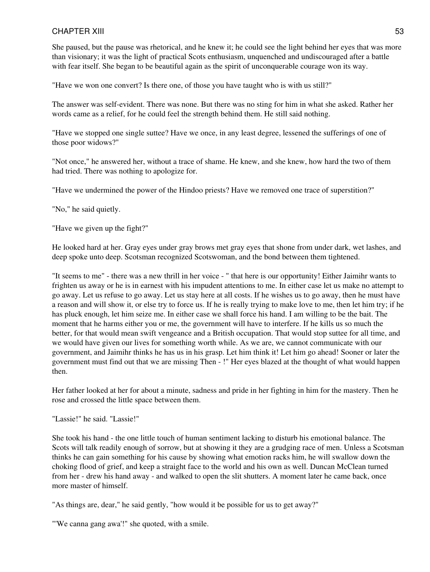She paused, but the pause was rhetorical, and he knew it; he could see the light behind her eyes that was more than visionary; it was the light of practical Scots enthusiasm, unquenched and undiscouraged after a battle with fear itself. She began to be beautiful again as the spirit of unconquerable courage won its way.

"Have we won one convert? Is there one, of those you have taught who is with us still?"

The answer was self-evident. There was none. But there was no sting for him in what she asked. Rather her words came as a relief, for he could feel the strength behind them. He still said nothing.

"Have we stopped one single suttee? Have we once, in any least degree, lessened the sufferings of one of those poor widows?"

"Not once," he answered her, without a trace of shame. He knew, and she knew, how hard the two of them had tried. There was nothing to apologize for.

"Have we undermined the power of the Hindoo priests? Have we removed one trace of superstition?"

"No," he said quietly.

"Have we given up the fight?"

He looked hard at her. Gray eyes under gray brows met gray eyes that shone from under dark, wet lashes, and deep spoke unto deep. Scotsman recognized Scotswoman, and the bond between them tightened.

"It seems to me" - there was a new thrill in her voice - " that here is our opportunity! Either Jaimihr wants to frighten us away or he is in earnest with his impudent attentions to me. In either case let us make no attempt to go away. Let us refuse to go away. Let us stay here at all costs. If he wishes us to go away, then he must have a reason and will show it, or else try to force us. If he is really trying to make love to me, then let him try; if he has pluck enough, let him seize me. In either case we shall force his hand. I am willing to be the bait. The moment that he harms either you or me, the government will have to interfere. If he kills us so much the better, for that would mean swift vengeance and a British occupation. That would stop suttee for all time, and we would have given our lives for something worth while. As we are, we cannot communicate with our government, and Jaimihr thinks he has us in his grasp. Let him think it! Let him go ahead! Sooner or later the government must find out that we are missing Then - !" Her eyes blazed at the thought of what would happen then.

Her father looked at her for about a minute, sadness and pride in her fighting in him for the mastery. Then he rose and crossed the little space between them.

"Lassie!" he said. "Lassie!"

She took his hand - the one little touch of human sentiment lacking to disturb his emotional balance. The Scots will talk readily enough of sorrow, but at showing it they are a grudging race of men. Unless a Scotsman thinks he can gain something for his cause by showing what emotion racks him, he will swallow down the choking flood of grief, and keep a straight face to the world and his own as well. Duncan McClean turned from her - drew his hand away - and walked to open the slit shutters. A moment later he came back, once more master of himself.

"As things are, dear," he said gently, "how would it be possible for us to get away?"

"'We canna gang awa'!" she quoted, with a smile.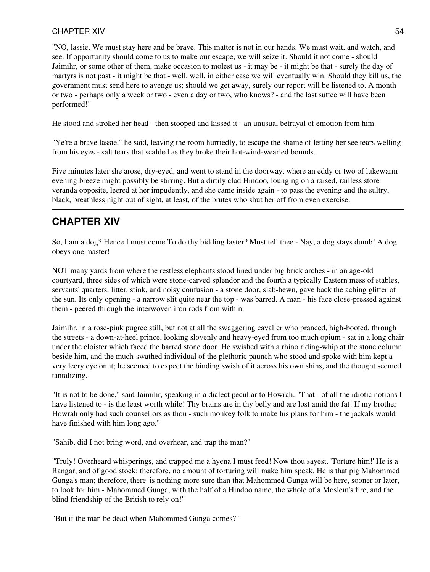"NO, lassie. We must stay here and be brave. This matter is not in our hands. We must wait, and watch, and see. If opportunity should come to us to make our escape, we will seize it. Should it not come - should Jaimihr, or some other of them, make occasion to molest us - it may be - it might be that - surely the day of martyrs is not past - it might be that - well, well, in either case we will eventually win. Should they kill us, the government must send here to avenge us; should we get away, surely our report will be listened to. A month or two - perhaps only a week or two - even a day or two, who knows? - and the last suttee will have been performed!"

He stood and stroked her head - then stooped and kissed it - an unusual betrayal of emotion from him.

"Ye're a brave lassie," he said, leaving the room hurriedly, to escape the shame of letting her see tears welling from his eyes - salt tears that scalded as they broke their hot-wind-wearied bounds.

Five minutes later she arose, dry-eyed, and went to stand in the doorway, where an eddy or two of lukewarm evening breeze might possibly be stirring. But a dirtily clad Hindoo, lounging on a raised, railless store veranda opposite, leered at her impudently, and she came inside again - to pass the evening and the sultry, black, breathless night out of sight, at least, of the brutes who shut her off from even exercise.

## **CHAPTER XIV**

So, I am a dog? Hence I must come To do thy bidding faster? Must tell thee - Nay, a dog stays dumb! A dog obeys one master!

NOT many yards from where the restless elephants stood lined under big brick arches - in an age-old courtyard, three sides of which were stone-carved splendor and the fourth a typically Eastern mess of stables, servants' quarters, litter, stink, and noisy confusion - a stone door, slab-hewn, gave back the aching glitter of the sun. Its only opening - a narrow slit quite near the top - was barred. A man - his face close-pressed against them - peered through the interwoven iron rods from within.

Jaimihr, in a rose-pink pugree still, but not at all the swaggering cavalier who pranced, high-booted, through the streets - a down-at-heel prince, looking slovenly and heavy-eyed from too much opium - sat in a long chair under the cloister which faced the barred stone door. He swished with a rhino riding-whip at the stone column beside him, and the much-swathed individual of the plethoric paunch who stood and spoke with him kept a very leery eye on it; he seemed to expect the binding swish of it across his own shins, and the thought seemed tantalizing.

"It is not to be done," said Jaimihr, speaking in a dialect peculiar to Howrah. "That - of all the idiotic notions I have listened to - is the least worth while! Thy brains are in thy belly and are lost amid the fat! If my brother Howrah only had such counsellors as thou - such monkey folk to make his plans for him - the jackals would have finished with him long ago."

"Sahib, did I not bring word, and overhear, and trap the man?"

"Truly! Overheard whisperings, and trapped me a hyena I must feed! Now thou sayest, 'Torture him!' He is a Rangar, and of good stock; therefore, no amount of torturing will make him speak. He is that pig Mahommed Gunga's man; therefore, there' is nothing more sure than that Mahommed Gunga will be here, sooner or later, to look for him - Mahommed Gunga, with the half of a Hindoo name, the whole of a Moslem's fire, and the blind friendship of the British to rely on!"

"But if the man be dead when Mahommed Gunga comes?"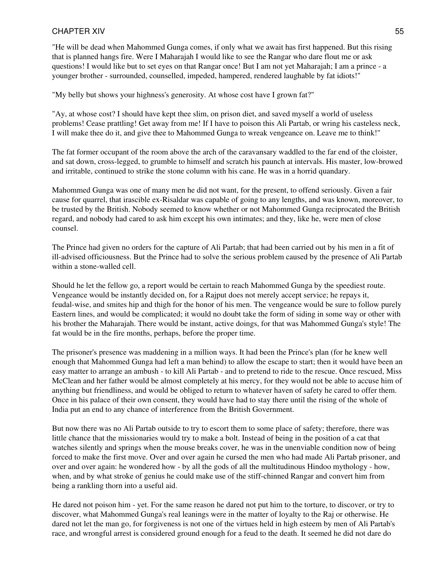"He will be dead when Mahommed Gunga comes, if only what we await has first happened. But this rising that is planned hangs fire. Were I Maharajah I would like to see the Rangar who dare flout me or ask questions! I would like but to set eyes on that Rangar once! But I am not yet Maharajah; I am a prince - a younger brother - surrounded, counselled, impeded, hampered, rendered laughable by fat idiots!"

"My belly but shows your highness's generosity. At whose cost have I grown fat?"

"Ay, at whose cost? I should have kept thee slim, on prison diet, and saved myself a world of useless problems! Cease prattling! Get away from me! If I have to poison this Ali Partab, or wring his casteless neck, I will make thee do it, and give thee to Mahommed Gunga to wreak vengeance on. Leave me to think!"

The fat former occupant of the room above the arch of the caravansary waddled to the far end of the cloister, and sat down, cross-legged, to grumble to himself and scratch his paunch at intervals. His master, low-browed and irritable, continued to strike the stone column with his cane. He was in a horrid quandary.

Mahommed Gunga was one of many men he did not want, for the present, to offend seriously. Given a fair cause for quarrel, that irascible ex-Risaldar was capable of going to any lengths, and was known, moreover, to be trusted by the British. Nobody seemed to know whether or not Mahommed Gunga reciprocated the British regard, and nobody had cared to ask him except his own intimates; and they, like he, were men of close counsel.

The Prince had given no orders for the capture of Ali Partab; that had been carried out by his men in a fit of ill-advised officiousness. But the Prince had to solve the serious problem caused by the presence of Ali Partab within a stone-walled cell.

Should he let the fellow go, a report would be certain to reach Mahommed Gunga by the speediest route. Vengeance would be instantly decided on, for a Rajput does not merely accept service; he repays it, feudal-wise, and smites hip and thigh for the honor of his men. The vengeance would be sure to follow purely Eastern lines, and would be complicated; it would no doubt take the form of siding in some way or other with his brother the Maharajah. There would be instant, active doings, for that was Mahommed Gunga's style! The fat would be in the fire months, perhaps, before the proper time.

The prisoner's presence was maddening in a million ways. It had been the Prince's plan (for he knew well enough that Mahommed Gunga had left a man behind) to allow the escape to start; then it would have been an easy matter to arrange an ambush - to kill Ali Partab - and to pretend to ride to the rescue. Once rescued, Miss McClean and her father would be almost completely at his mercy, for they would not be able to accuse him of anything but friendliness, and would be obliged to return to whatever haven of safety he cared to offer them. Once in his palace of their own consent, they would have had to stay there until the rising of the whole of India put an end to any chance of interference from the British Government.

But now there was no Ali Partab outside to try to escort them to some place of safety; therefore, there was little chance that the missionaries would try to make a bolt. Instead of being in the position of a cat that watches silently and springs when the mouse breaks cover, he was in the unenviable condition now of being forced to make the first move. Over and over again he cursed the men who had made Ali Partab prisoner, and over and over again: he wondered how - by all the gods of all the multitudinous Hindoo mythology - how, when, and by what stroke of genius he could make use of the stiff-chinned Rangar and convert him from being a rankling thorn into a useful aid.

He dared not poison him - yet. For the same reason he dared not put him to the torture, to discover, or try to discover, what Mahommed Gunga's real leanings were in the matter of loyalty to the Raj or otherwise. He dared not let the man go, for forgiveness is not one of the virtues held in high esteem by men of Ali Partab's race, and wrongful arrest is considered ground enough for a feud to the death. It seemed he did not dare do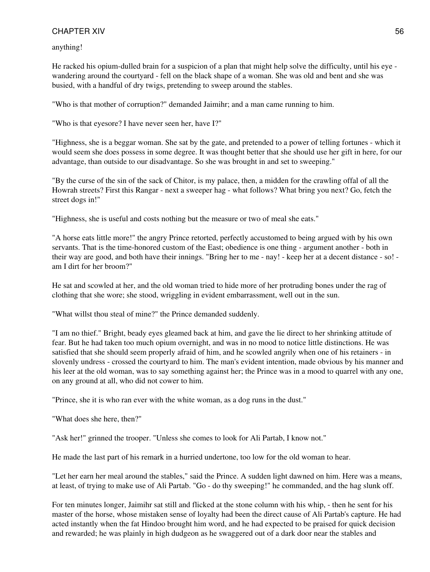anything!

He racked his opium-dulled brain for a suspicion of a plan that might help solve the difficulty, until his eye wandering around the courtyard - fell on the black shape of a woman. She was old and bent and she was busied, with a handful of dry twigs, pretending to sweep around the stables.

"Who is that mother of corruption?" demanded Jaimihr; and a man came running to him.

"Who is that eyesore? I have never seen her, have I?"

"Highness, she is a beggar woman. She sat by the gate, and pretended to a power of telling fortunes - which it would seem she does possess in some degree. It was thought better that she should use her gift in here, for our advantage, than outside to our disadvantage. So she was brought in and set to sweeping."

"By the curse of the sin of the sack of Chitor, is my palace, then, a midden for the crawling offal of all the Howrah streets? First this Rangar - next a sweeper hag - what follows? What bring you next? Go, fetch the street dogs in!"

"Highness, she is useful and costs nothing but the measure or two of meal she eats."

"A horse eats little more!" the angry Prince retorted, perfectly accustomed to being argued with by his own servants. That is the time-honored custom of the East; obedience is one thing - argument another - both in their way are good, and both have their innings. "Bring her to me - nay! - keep her at a decent distance - so! am I dirt for her broom?"

He sat and scowled at her, and the old woman tried to hide more of her protruding bones under the rag of clothing that she wore; she stood, wriggling in evident embarrassment, well out in the sun.

"What willst thou steal of mine?" the Prince demanded suddenly.

"I am no thief." Bright, beady eyes gleamed back at him, and gave the lie direct to her shrinking attitude of fear. But he had taken too much opium overnight, and was in no mood to notice little distinctions. He was satisfied that she should seem properly afraid of him, and he scowled angrily when one of his retainers - in slovenly undress - crossed the courtyard to him. The man's evident intention, made obvious by his manner and his leer at the old woman, was to say something against her; the Prince was in a mood to quarrel with any one, on any ground at all, who did not cower to him.

"Prince, she it is who ran ever with the white woman, as a dog runs in the dust."

"What does she here, then?"

"Ask her!" grinned the trooper. "Unless she comes to look for Ali Partab, I know not."

He made the last part of his remark in a hurried undertone, too low for the old woman to hear.

"Let her earn her meal around the stables," said the Prince. A sudden light dawned on him. Here was a means, at least, of trying to make use of Ali Partab. "Go - do thy sweeping!" he commanded, and the hag slunk off.

For ten minutes longer, Jaimihr sat still and flicked at the stone column with his whip, - then he sent for his master of the horse, whose mistaken sense of loyalty had been the direct cause of Ali Partab's capture. He had acted instantly when the fat Hindoo brought him word, and he had expected to be praised for quick decision and rewarded; he was plainly in high dudgeon as he swaggered out of a dark door near the stables and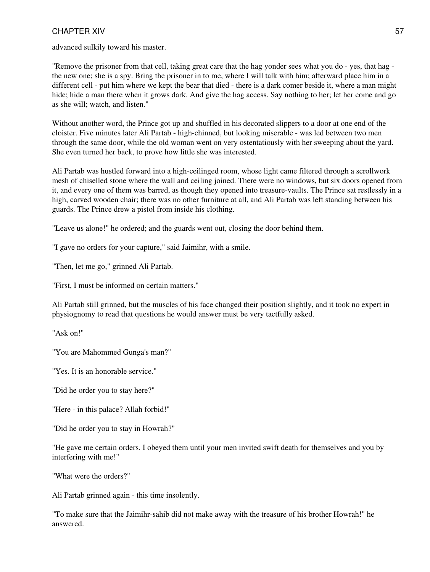advanced sulkily toward his master.

"Remove the prisoner from that cell, taking great care that the hag yonder sees what you do - yes, that hag the new one; she is a spy. Bring the prisoner in to me, where I will talk with him; afterward place him in a different cell - put him where we kept the bear that died - there is a dark comer beside it, where a man might hide; hide a man there when it grows dark. And give the hag access. Say nothing to her; let her come and go as she will; watch, and listen."

Without another word, the Prince got up and shuffled in his decorated slippers to a door at one end of the cloister. Five minutes later Ali Partab - high-chinned, but looking miserable - was led between two men through the same door, while the old woman went on very ostentatiously with her sweeping about the yard. She even turned her back, to prove how little she was interested.

Ali Partab was hustled forward into a high-ceilinged room, whose light came filtered through a scrollwork mesh of chiselled stone where the wall and ceiling joined. There were no windows, but six doors opened from it, and every one of them was barred, as though they opened into treasure-vaults. The Prince sat restlessly in a high, carved wooden chair; there was no other furniture at all, and Ali Partab was left standing between his guards. The Prince drew a pistol from inside his clothing.

"Leave us alone!" he ordered; and the guards went out, closing the door behind them.

"I gave no orders for your capture," said Jaimihr, with a smile.

"Then, let me go," grinned Ali Partab.

"First, I must be informed on certain matters."

Ali Partab still grinned, but the muscles of his face changed their position slightly, and it took no expert in physiognomy to read that questions he would answer must be very tactfully asked.

"Ask on!"

"You are Mahommed Gunga's man?"

"Yes. It is an honorable service."

"Did he order you to stay here?"

"Here - in this palace? Allah forbid!"

"Did he order you to stay in Howrah?"

"He gave me certain orders. I obeyed them until your men invited swift death for themselves and you by interfering with me!"

"What were the orders?"

Ali Partab grinned again - this time insolently.

"To make sure that the Jaimihr-sahib did not make away with the treasure of his brother Howrah!" he answered.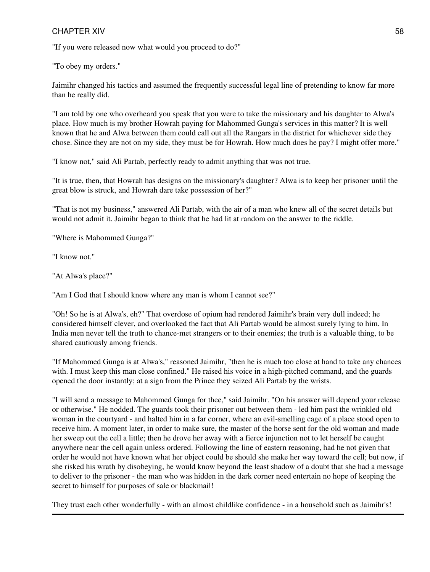"If you were released now what would you proceed to do?"

"To obey my orders."

Jaimihr changed his tactics and assumed the frequently successful legal line of pretending to know far more than he really did.

"I am told by one who overheard you speak that you were to take the missionary and his daughter to Alwa's place. How much is my brother Howrah paying for Mahommed Gunga's services in this matter? It is well known that he and Alwa between them could call out all the Rangars in the district for whichever side they chose. Since they are not on my side, they must be for Howrah. How much does he pay? I might offer more."

"I know not," said Ali Partab, perfectly ready to admit anything that was not true.

"It is true, then, that Howrah has designs on the missionary's daughter? Alwa is to keep her prisoner until the great blow is struck, and Howrah dare take possession of her?"

"That is not my business," answered Ali Partab, with the air of a man who knew all of the secret details but would not admit it. Jaimihr began to think that he had lit at random on the answer to the riddle.

"Where is Mahommed Gunga?"

"I know not."

"At Alwa's place?"

"Am I God that I should know where any man is whom I cannot see?"

"Oh! So he is at Alwa's, eh?" That overdose of opium had rendered Jaimihr's brain very dull indeed; he considered himself clever, and overlooked the fact that Ali Partab would be almost surely lying to him. In India men never tell the truth to chance-met strangers or to their enemies; the truth is a valuable thing, to be shared cautiously among friends.

"If Mahommed Gunga is at Alwa's," reasoned Jaimihr, "then he is much too close at hand to take any chances with. I must keep this man close confined." He raised his voice in a high-pitched command, and the guards opened the door instantly; at a sign from the Prince they seized Ali Partab by the wrists.

"I will send a message to Mahommed Gunga for thee," said Jaimihr. "On his answer will depend your release or otherwise." He nodded. The guards took their prisoner out between them - led him past the wrinkled old woman in the courtyard - and halted him in a far corner, where an evil-smelling cage of a place stood open to receive him. A moment later, in order to make sure, the master of the horse sent for the old woman and made her sweep out the cell a little; then he drove her away with a fierce injunction not to let herself be caught anywhere near the cell again unless ordered. Following the line of eastern reasoning, had he not given that order he would not have known what her object could be should she make her way toward the cell; but now, if she risked his wrath by disobeying, he would know beyond the least shadow of a doubt that she had a message to deliver to the prisoner - the man who was hidden in the dark corner need entertain no hope of keeping the secret to himself for purposes of sale or blackmail!

They trust each other wonderfully - with an almost childlike confidence - in a household such as Jaimihr's!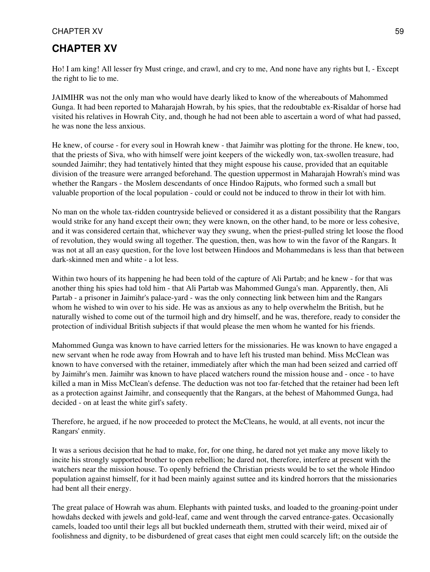## **CHAPTER XV**

Ho! I am king! All lesser fry Must cringe, and crawl, and cry to me, And none have any rights but I, - Except the right to lie to me.

JAIMIHR was not the only man who would have dearly liked to know of the whereabouts of Mahommed Gunga. It had been reported to Maharajah Howrah, by his spies, that the redoubtable ex-Risaldar of horse had visited his relatives in Howrah City, and, though he had not been able to ascertain a word of what had passed, he was none the less anxious.

He knew, of course - for every soul in Howrah knew - that Jaimihr was plotting for the throne. He knew, too, that the priests of Siva, who with himself were joint keepers of the wickedly won, tax-swollen treasure, had sounded Jaimihr; they had tentatively hinted that they might espouse his cause, provided that an equitable division of the treasure were arranged beforehand. The question uppermost in Maharajah Howrah's mind was whether the Rangars - the Moslem descendants of once Hindoo Rajputs, who formed such a small but valuable proportion of the local population - could or could not be induced to throw in their lot with him.

No man on the whole tax-ridden countryside believed or considered it as a distant possibility that the Rangars would strike for any hand except their own; they were known, on the other hand, to be more or less cohesive, and it was considered certain that, whichever way they swung, when the priest-pulled string let loose the flood of revolution, they would swing all together. The question, then, was how to win the favor of the Rangars. It was not at all an easy question, for the love lost between Hindoos and Mohammedans is less than that between dark-skinned men and white - a lot less.

Within two hours of its happening he had been told of the capture of Ali Partab; and he knew - for that was another thing his spies had told him - that Ali Partab was Mahommed Gunga's man. Apparently, then, Ali Partab - a prisoner in Jaimihr's palace-yard - was the only connecting link between him and the Rangars whom he wished to win over to his side. He was as anxious as any to help overwhelm the British, but he naturally wished to come out of the turmoil high and dry himself, and he was, therefore, ready to consider the protection of individual British subjects if that would please the men whom he wanted for his friends.

Mahommed Gunga was known to have carried letters for the missionaries. He was known to have engaged a new servant when he rode away from Howrah and to have left his trusted man behind. Miss McClean was known to have conversed with the retainer, immediately after which the man had been seized and carried off by Jaimihr's men. Jaimihr was known to have placed watchers round the mission house and - once - to have killed a man in Miss McClean's defense. The deduction was not too far-fetched that the retainer had been left as a protection against Jaimihr, and consequently that the Rangars, at the behest of Mahommed Gunga, had decided - on at least the white girl's safety.

Therefore, he argued, if he now proceeded to protect the McCleans, he would, at all events, not incur the Rangars' enmity.

It was a serious decision that he had to make, for, for one thing, he dared not yet make any move likely to incite his strongly supported brother to open rebellion; he dared not, therefore, interfere at present with the watchers near the mission house. To openly befriend the Christian priests would be to set the whole Hindoo population against himself, for it had been mainly against suttee and its kindred horrors that the missionaries had bent all their energy.

The great palace of Howrah was ahum. Elephants with painted tusks, and loaded to the groaning-point under howdahs decked with jewels and gold-leaf, came and went through the carved entrance-gates. Occasionally camels, loaded too until their legs all but buckled underneath them, strutted with their weird, mixed air of foolishness and dignity, to be disburdened of great cases that eight men could scarcely lift; on the outside the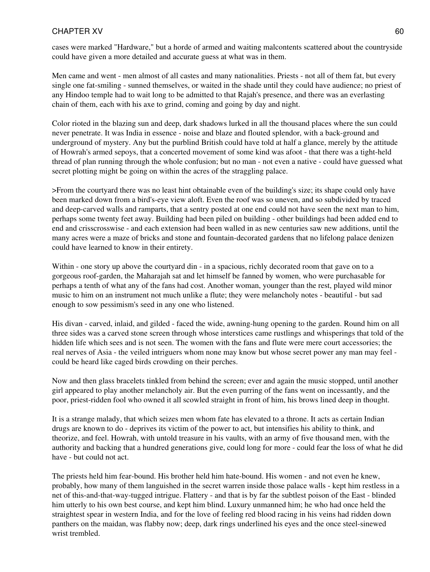cases were marked "Hardware," but a horde of armed and waiting malcontents scattered about the countryside could have given a more detailed and accurate guess at what was in them.

Men came and went - men almost of all castes and many nationalities. Priests - not all of them fat, but every single one fat-smiling - sunned themselves, or waited in the shade until they could have audience; no priest of any Hindoo temple had to wait long to be admitted to that Rajah's presence, and there was an everlasting chain of them, each with his axe to grind, coming and going by day and night.

Color rioted in the blazing sun and deep, dark shadows lurked in all the thousand places where the sun could never penetrate. It was India in essence - noise and blaze and flouted splendor, with a back-ground and underground of mystery. Any but the purblind British could have told at half a glance, merely by the attitude of Howrah's armed sepoys, that a concerted movement of some kind was afoot - that there was a tight-held thread of plan running through the whole confusion; but no man - not even a native - could have guessed what secret plotting might be going on within the acres of the straggling palace.

>From the courtyard there was no least hint obtainable even of the building's size; its shape could only have been marked down from a bird's-eye view aloft. Even the roof was so uneven, and so subdivided by traced and deep-carved walls and ramparts, that a sentry posted at one end could not have seen the next man to him, perhaps some twenty feet away. Building had been piled on building - other buildings had been added end to end and crisscrosswise - and each extension had been walled in as new centuries saw new additions, until the many acres were a maze of bricks and stone and fountain-decorated gardens that no lifelong palace denizen could have learned to know in their entirety.

Within - one story up above the courtyard din - in a spacious, richly decorated room that gave on to a gorgeous roof-garden, the Maharajah sat and let himself be fanned by women, who were purchasable for perhaps a tenth of what any of the fans had cost. Another woman, younger than the rest, played wild minor music to him on an instrument not much unlike a flute; they were melancholy notes - beautiful - but sad enough to sow pessimism's seed in any one who listened.

His divan - carved, inlaid, and gilded - faced the wide, awning-hung opening to the garden. Round him on all three sides was a carved stone screen through whose interstices came rustlings and whisperings that told of the hidden life which sees and is not seen. The women with the fans and flute were mere court accessories; the real nerves of Asia - the veiled intriguers whom none may know but whose secret power any man may feel could be heard like caged birds crowding on their perches.

Now and then glass bracelets tinkled from behind the screen; ever and again the music stopped, until another girl appeared to play another melancholy air. But the even purring of the fans went on incessantly, and the poor, priest-ridden fool who owned it all scowled straight in front of him, his brows lined deep in thought.

It is a strange malady, that which seizes men whom fate has elevated to a throne. It acts as certain Indian drugs are known to do - deprives its victim of the power to act, but intensifies his ability to think, and theorize, and feel. Howrah, with untold treasure in his vaults, with an army of five thousand men, with the authority and backing that a hundred generations give, could long for more - could fear the loss of what he did have - but could not act.

The priests held him fear-bound. His brother held him hate-bound. His women - and not even he knew, probably, how many of them languished in the secret warren inside those palace walls - kept him restless in a net of this-and-that-way-tugged intrigue. Flattery - and that is by far the subtlest poison of the East - blinded him utterly to his own best course, and kept him blind. Luxury unmanned him; he who had once held the straightest spear in western India, and for the love of feeling red blood racing in his veins had ridden down panthers on the maidan, was flabby now; deep, dark rings underlined his eyes and the once steel-sinewed wrist trembled.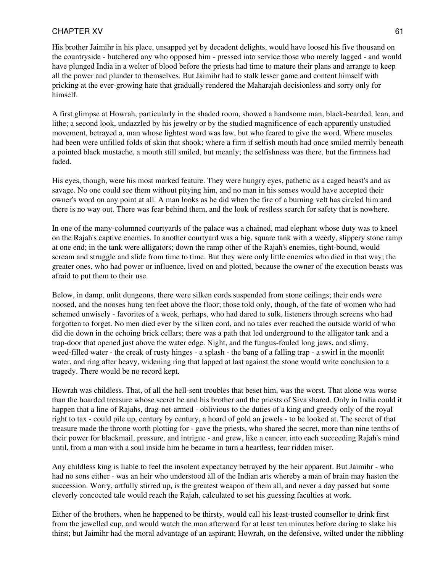His brother Jaimihr in his place, unsapped yet by decadent delights, would have loosed his five thousand on the countryside - butchered any who opposed him - pressed into service those who merely lagged - and would have plunged India in a welter of blood before the priests had time to mature their plans and arrange to keep all the power and plunder to themselves. But Jaimihr had to stalk lesser game and content himself with pricking at the ever-growing hate that gradually rendered the Maharajah decisionless and sorry only for himself.

A first glimpse at Howrah, particularly in the shaded room, showed a handsome man, black-bearded, lean, and lithe; a second look, undazzled by his jewelry or by the studied magnificence of each apparently unstudied movement, betrayed a, man whose lightest word was law, but who feared to give the word. Where muscles had been were unfilled folds of skin that shook; where a firm if selfish mouth had once smiled merrily beneath a pointed black mustache, a mouth still smiled, but meanly; the selfishness was there, but the firmness had faded.

His eyes, though, were his most marked feature. They were hungry eyes, pathetic as a caged beast's and as savage. No one could see them without pitying him, and no man in his senses would have accepted their owner's word on any point at all. A man looks as he did when the fire of a burning velt has circled him and there is no way out. There was fear behind them, and the look of restless search for safety that is nowhere.

In one of the many-columned courtyards of the palace was a chained, mad elephant whose duty was to kneel on the Rajah's captive enemies. In another courtyard was a big, square tank with a weedy, slippery stone ramp at one end; in the tank were alligators; down the ramp other of the Rajah's enemies, tight-bound, would scream and struggle and slide from time to time. But they were only little enemies who died in that way; the greater ones, who had power or influence, lived on and plotted, because the owner of the execution beasts was afraid to put them to their use.

Below, in damp, unlit dungeons, there were silken cords suspended from stone ceilings; their ends were noosed, and the nooses hung ten feet above the floor; those told only, though, of the fate of women who had schemed unwisely - favorites of a week, perhaps, who had dared to sulk, listeners through screens who had forgotten to forget. No men died ever by the silken cord, and no tales ever reached the outside world of who did die down in the echoing brick cellars; there was a path that led underground to the alligator tank and a trap-door that opened just above the water edge. Night, and the fungus-fouled long jaws, and slimy, weed-filled water - the creak of rusty hinges - a splash - the bang of a falling trap - a swirl in the moonlit water, and ring after heavy, widening ring that lapped at last against the stone would write conclusion to a tragedy. There would be no record kept.

Howrah was childless. That, of all the hell-sent troubles that beset him, was the worst. That alone was worse than the hoarded treasure whose secret he and his brother and the priests of Siva shared. Only in India could it happen that a line of Rajahs, drag-net-armed - oblivious to the duties of a king and greedy only of the royal right to tax - could pile up, century by century, a hoard of gold an jewels - to be looked at. The secret of that treasure made the throne worth plotting for - gave the priests, who shared the secret, more than nine tenths of their power for blackmail, pressure, and intrigue - and grew, like a cancer, into each succeeding Rajah's mind until, from a man with a soul inside him he became in turn a heartless, fear ridden miser.

Any childless king is liable to feel the insolent expectancy betrayed by the heir apparent. But Jaimihr - who had no sons either - was an heir who understood all of the Indian arts whereby a man of brain may hasten the succession. Worry, artfully stirred up, is the greatest weapon of them all, and never a day passed but some cleverly concocted tale would reach the Rajah, calculated to set his guessing faculties at work.

Either of the brothers, when he happened to be thirsty, would call his least-trusted counsellor to drink first from the jewelled cup, and would watch the man afterward for at least ten minutes before daring to slake his thirst; but Jaimihr had the moral advantage of an aspirant; Howrah, on the defensive, wilted under the nibbling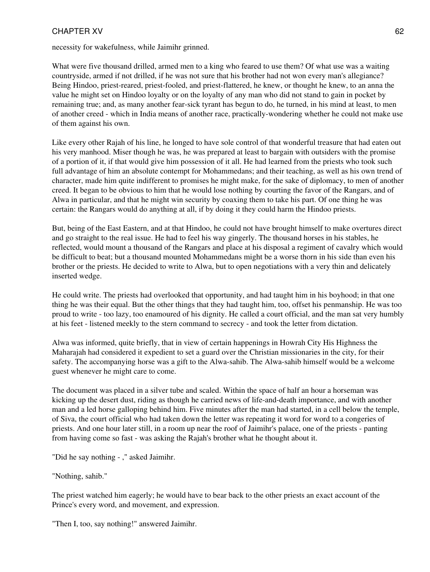necessity for wakefulness, while Jaimihr grinned.

What were five thousand drilled, armed men to a king who feared to use them? Of what use was a waiting countryside, armed if not drilled, if he was not sure that his brother had not won every man's allegiance? Being Hindoo, priest-reared, priest-fooled, and priest-flattered, he knew, or thought he knew, to an anna the value he might set on Hindoo loyalty or on the loyalty of any man who did not stand to gain in pocket by remaining true; and, as many another fear-sick tyrant has begun to do, he turned, in his mind at least, to men of another creed - which in India means of another race, practically-wondering whether he could not make use of them against his own.

Like every other Rajah of his line, he longed to have sole control of that wonderful treasure that had eaten out his very manhood. Miser though he was, he was prepared at least to bargain with outsiders with the promise of a portion of it, if that would give him possession of it all. He had learned from the priests who took such full advantage of him an absolute contempt for Mohammedans; and their teaching, as well as his own trend of character, made him quite indifferent to promises he might make, for the sake of diplomacy, to men of another creed. It began to be obvious to him that he would lose nothing by courting the favor of the Rangars, and of Alwa in particular, and that he might win security by coaxing them to take his part. Of one thing he was certain: the Rangars would do anything at all, if by doing it they could harm the Hindoo priests.

But, being of the East Eastern, and at that Hindoo, he could not have brought himself to make overtures direct and go straight to the real issue. He had to feel his way gingerly. The thousand horses in his stables, he reflected, would mount a thousand of the Rangars and place at his disposal a regiment of cavalry which would be difficult to beat; but a thousand mounted Mohammedans might be a worse thorn in his side than even his brother or the priests. He decided to write to Alwa, but to open negotiations with a very thin and delicately inserted wedge.

He could write. The priests had overlooked that opportunity, and had taught him in his boyhood; in that one thing he was their equal. But the other things that they had taught him, too, offset his penmanship. He was too proud to write - too lazy, too enamoured of his dignity. He called a court official, and the man sat very humbly at his feet - listened meekly to the stern command to secrecy - and took the letter from dictation.

Alwa was informed, quite briefly, that in view of certain happenings in Howrah City His Highness the Maharajah had considered it expedient to set a guard over the Christian missionaries in the city, for their safety. The accompanying horse was a gift to the Alwa-sahib. The Alwa-sahib himself would be a welcome guest whenever he might care to come.

The document was placed in a silver tube and scaled. Within the space of half an hour a horseman was kicking up the desert dust, riding as though he carried news of life-and-death importance, and with another man and a led horse galloping behind him. Five minutes after the man had started, in a cell below the temple, of Siva, the court official who had taken down the letter was repeating it word for word to a congeries of priests. And one hour later still, in a room up near the roof of Jaimihr's palace, one of the priests - panting from having come so fast - was asking the Rajah's brother what he thought about it.

"Did he say nothing - ," asked Jaimihr.

"Nothing, sahib."

The priest watched him eagerly; he would have to bear back to the other priests an exact account of the Prince's every word, and movement, and expression.

"Then I, too, say nothing!" answered Jaimihr.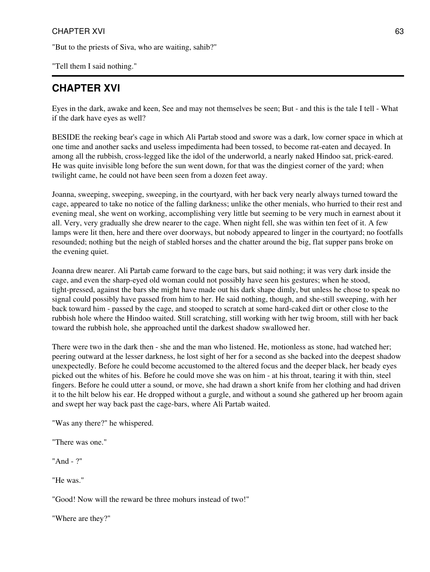"But to the priests of Siva, who are waiting, sahib?"

"Tell them I said nothing."

## **CHAPTER XVI**

Eyes in the dark, awake and keen, See and may not themselves be seen; But - and this is the tale I tell - What if the dark have eyes as well?

BESIDE the reeking bear's cage in which Ali Partab stood and swore was a dark, low corner space in which at one time and another sacks and useless impedimenta had been tossed, to become rat-eaten and decayed. In among all the rubbish, cross-legged like the idol of the underworld, a nearly naked Hindoo sat, prick-eared. He was quite invisible long before the sun went down, for that was the dingiest corner of the yard; when twilight came, he could not have been seen from a dozen feet away.

Joanna, sweeping, sweeping, sweeping, in the courtyard, with her back very nearly always turned toward the cage, appeared to take no notice of the falling darkness; unlike the other menials, who hurried to their rest and evening meal, she went on working, accomplishing very little but seeming to be very much in earnest about it all. Very, very gradually she drew nearer to the cage. When night fell, she was within ten feet of it. A few lamps were lit then, here and there over doorways, but nobody appeared to linger in the courtyard; no footfalls resounded; nothing but the neigh of stabled horses and the chatter around the big, flat supper pans broke on the evening quiet.

Joanna drew nearer. Ali Partab came forward to the cage bars, but said nothing; it was very dark inside the cage, and even the sharp-eyed old woman could not possibly have seen his gestures; when he stood, tight-pressed, against the bars she might have made out his dark shape dimly, but unless he chose to speak no signal could possibly have passed from him to her. He said nothing, though, and she-still sweeping, with her back toward him - passed by the cage, and stooped to scratch at some hard-caked dirt or other close to the rubbish hole where the Hindoo waited. Still scratching, still working with her twig broom, still with her back toward the rubbish hole, she approached until the darkest shadow swallowed her.

There were two in the dark then - she and the man who listened. He, motionless as stone, had watched her; peering outward at the lesser darkness, he lost sight of her for a second as she backed into the deepest shadow unexpectedly. Before he could become accustomed to the altered focus and the deeper black, her beady eyes picked out the whites of his. Before he could move she was on him - at his throat, tearing it with thin, steel fingers. Before he could utter a sound, or move, she had drawn a short knife from her clothing and had driven it to the hilt below his ear. He dropped without a gurgle, and without a sound she gathered up her broom again and swept her way back past the cage-bars, where Ali Partab waited.

"Was any there?" he whispered.

"There was one."

"And - ?"

"He was."

"Good! Now will the reward be three mohurs instead of two!"

"Where are they?"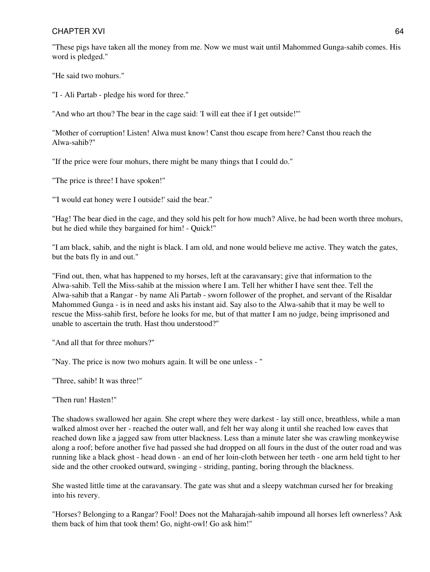"These pigs have taken all the money from me. Now we must wait until Mahommed Gunga-sahib comes. His word is pledged."

"He said two mohurs."

"I - Ali Partab - pledge his word for three."

"And who art thou? The bear in the cage said: 'I will eat thee if I get outside!"'

"Mother of corruption! Listen! Alwa must know! Canst thou escape from here? Canst thou reach the Alwa-sahib?"

"If the price were four mohurs, there might be many things that I could do."

"The price is three! I have spoken!"

"'I would eat honey were I outside!' said the bear."

"Hag! The bear died in the cage, and they sold his pelt for how much? Alive, he had been worth three mohurs, but he died while they bargained for him! - Quick!"

"I am black, sahib, and the night is black. I am old, and none would believe me active. They watch the gates, but the bats fly in and out."

"Find out, then, what has happened to my horses, left at the caravansary; give that information to the Alwa-sahib. Tell the Miss-sahib at the mission where I am. Tell her whither I have sent thee. Tell the Alwa-sahib that a Rangar - by name Ali Partab - sworn follower of the prophet, and servant of the Risaldar Mahommed Gunga - is in need and asks his instant aid. Say also to the Alwa-sahib that it may be well to rescue the Miss-sahib first, before he looks for me, but of that matter I am no judge, being imprisoned and unable to ascertain the truth. Hast thou understood?"

"And all that for three mohurs?"

"Nay. The price is now two mohurs again. It will be one unless - "

"Three, sahib! It was three!"

"Then run! Hasten!"

The shadows swallowed her again. She crept where they were darkest - lay still once, breathless, while a man walked almost over her - reached the outer wall, and felt her way along it until she reached low eaves that reached down like a jagged saw from utter blackness. Less than a minute later she was crawling monkeywise along a roof; before another five had passed she had dropped on all fours in the dust of the outer road and was running like a black ghost - head down - an end of her loin-cloth between her teeth - one arm held tight to her side and the other crooked outward, swinging - striding, panting, boring through the blackness.

She wasted little time at the caravansary. The gate was shut and a sleepy watchman cursed her for breaking into his revery.

"Horses? Belonging to a Rangar? Fool! Does not the Maharajah-sahib impound all horses left ownerless? Ask them back of him that took them! Go, night-owl! Go ask him!"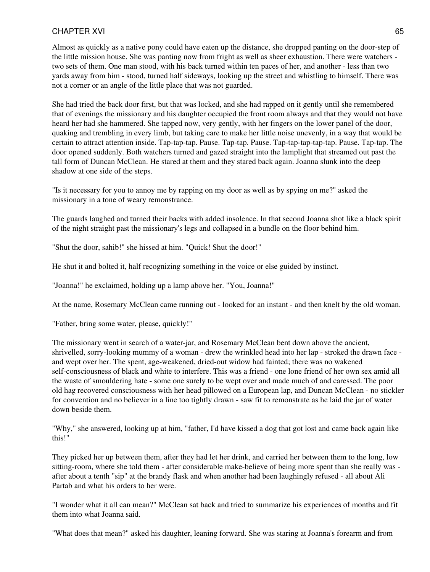Almost as quickly as a native pony could have eaten up the distance, she dropped panting on the door-step of the little mission house. She was panting now from fright as well as sheer exhaustion. There were watchers two sets of them. One man stood, with his back turned within ten paces of her, and another - less than two yards away from him - stood, turned half sideways, looking up the street and whistling to himself. There was not a corner or an angle of the little place that was not guarded.

She had tried the back door first, but that was locked, and she had rapped on it gently until she remembered that of evenings the missionary and his daughter occupied the front room always and that they would not have heard her had she hammered. She tapped now, very gently, with her fingers on the lower panel of the door, quaking and trembling in every limb, but taking care to make her little noise unevenly, in a way that would be certain to attract attention inside. Tap-tap-tap. Pause. Tap-tap. Pause. Tap-tap-tap-tap-tap. Pause. Tap-tap. The door opened suddenly. Both watchers turned and gazed straight into the lamplight that streamed out past the tall form of Duncan McClean. He stared at them and they stared back again. Joanna slunk into the deep shadow at one side of the steps.

"Is it necessary for you to annoy me by rapping on my door as well as by spying on me?" asked the missionary in a tone of weary remonstrance.

The guards laughed and turned their backs with added insolence. In that second Joanna shot like a black spirit of the night straight past the missionary's legs and collapsed in a bundle on the floor behind him.

"Shut the door, sahib!" she hissed at him. "Quick! Shut the door!"

He shut it and bolted it, half recognizing something in the voice or else guided by instinct.

"Joanna!" he exclaimed, holding up a lamp above her. "You, Joanna!"

At the name, Rosemary McClean came running out - looked for an instant - and then knelt by the old woman.

"Father, bring some water, please, quickly!"

The missionary went in search of a water-jar, and Rosemary McClean bent down above the ancient, shrivelled, sorry-looking mummy of a woman - drew the wrinkled head into her lap - stroked the drawn face and wept over her. The spent, age-weakened, dried-out widow had fainted; there was no wakened self-consciousness of black and white to interfere. This was a friend - one lone friend of her own sex amid all the waste of smouldering hate - some one surely to be wept over and made much of and caressed. The poor old hag recovered consciousness with her head pillowed on a European lap, and Duncan McClean - no stickler for convention and no believer in a line too tightly drawn - saw fit to remonstrate as he laid the jar of water down beside them.

"Why," she answered, looking up at him, "father, I'd have kissed a dog that got lost and came back again like this!"

They picked her up between them, after they had let her drink, and carried her between them to the long, low sitting-room, where she told them - after considerable make-believe of being more spent than she really was after about a tenth "sip" at the brandy flask and when another had been laughingly refused - all about Ali Partab and what his orders to her were.

"I wonder what it all can mean?" McClean sat back and tried to summarize his experiences of months and fit them into what Joanna said.

"What does that mean?" asked his daughter, leaning forward. She was staring at Joanna's forearm and from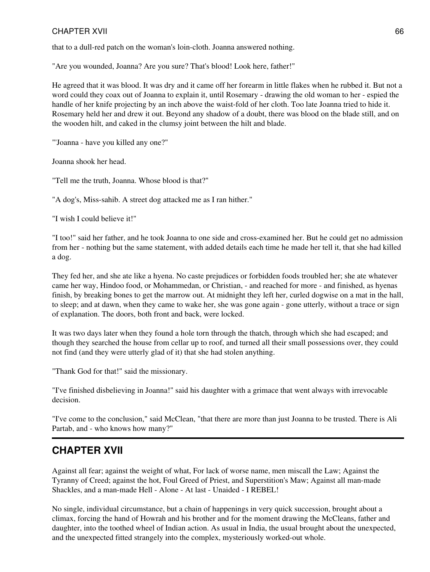that to a dull-red patch on the woman's loin-cloth. Joanna answered nothing.

"Are you wounded, Joanna? Are you sure? That's blood! Look here, father!"

He agreed that it was blood. It was dry and it came off her forearm in little flakes when he rubbed it. But not a word could they coax out of Joanna to explain it, until Rosemary - drawing the old woman to her - espied the handle of her knife projecting by an inch above the waist-fold of her cloth. Too late Joanna tried to hide it. Rosemary held her and drew it out. Beyond any shadow of a doubt, there was blood on the blade still, and on the wooden hilt, and caked in the clumsy joint between the hilt and blade.

"'Joanna - have you killed any one?"

Joanna shook her head.

"Tell me the truth, Joanna. Whose blood is that?"

"A dog's, Miss-sahib. A street dog attacked me as I ran hither."

"I wish I could believe it!"

"I too!" said her father, and he took Joanna to one side and cross-examined her. But he could get no admission from her - nothing but the same statement, with added details each time he made her tell it, that she had killed a dog.

They fed her, and she ate like a hyena. No caste prejudices or forbidden foods troubled her; she ate whatever came her way, Hindoo food, or Mohammedan, or Christian, - and reached for more - and finished, as hyenas finish, by breaking bones to get the marrow out. At midnight they left her, curled dogwise on a mat in the hall, to sleep; and at dawn, when they came to wake her, she was gone again - gone utterly, without a trace or sign of explanation. The doors, both front and back, were locked.

It was two days later when they found a hole torn through the thatch, through which she had escaped; and though they searched the house from cellar up to roof, and turned all their small possessions over, they could not find (and they were utterly glad of it) that she had stolen anything.

"Thank God for that!" said the missionary.

"I've finished disbelieving in Joanna!" said his daughter with a grimace that went always with irrevocable decision.

"I've come to the conclusion," said McClean, "that there are more than just Joanna to be trusted. There is Ali Partab, and - who knows how many?"

## **CHAPTER XVII**

Against all fear; against the weight of what, For lack of worse name, men miscall the Law; Against the Tyranny of Creed; against the hot, Foul Greed of Priest, and Superstition's Maw; Against all man-made Shackles, and a man-made Hell - Alone - At last - Unaided - I REBEL!

No single, individual circumstance, but a chain of happenings in very quick succession, brought about a climax, forcing the hand of Howrah and his brother and for the moment drawing the McCleans, father and daughter, into the toothed wheel of Indian action. As usual in India, the usual brought about the unexpected, and the unexpected fitted strangely into the complex, mysteriously worked-out whole.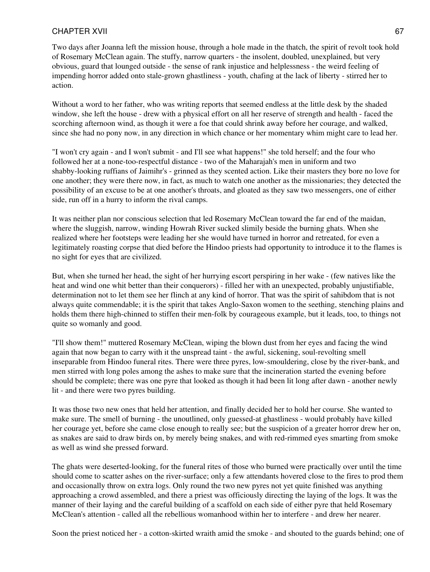Two days after Joanna left the mission house, through a hole made in the thatch, the spirit of revolt took hold of Rosemary McClean again. The stuffy, narrow quarters - the insolent, doubled, unexplained, but very obvious, guard that lounged outside - the sense of rank injustice and helplessness - the weird feeling of impending horror added onto stale-grown ghastliness - youth, chafing at the lack of liberty - stirred her to action.

Without a word to her father, who was writing reports that seemed endless at the little desk by the shaded window, she left the house - drew with a physical effort on all her reserve of strength and health - faced the scorching afternoon wind, as though it were a foe that could shrink away before her courage, and walked, since she had no pony now, in any direction in which chance or her momentary whim might care to lead her.

"I won't cry again - and I won't submit - and I'll see what happens!" she told herself; and the four who followed her at a none-too-respectful distance - two of the Maharajah's men in uniform and two shabby-looking ruffians of Jaimihr's - grinned as they scented action. Like their masters they bore no love for one another; they were there now, in fact, as much to watch one another as the missionaries; they detected the possibility of an excuse to be at one another's throats, and gloated as they saw two messengers, one of either side, run off in a hurry to inform the rival camps.

It was neither plan nor conscious selection that led Rosemary McClean toward the far end of the maidan, where the sluggish, narrow, winding Howrah River sucked slimily beside the burning ghats. When she realized where her footsteps were leading her she would have turned in horror and retreated, for even a legitimately roasting corpse that died before the Hindoo priests had opportunity to introduce it to the flames is no sight for eyes that are civilized.

But, when she turned her head, the sight of her hurrying escort perspiring in her wake - (few natives like the heat and wind one whit better than their conquerors) - filled her with an unexpected, probably unjustifiable, determination not to let them see her flinch at any kind of horror. That was the spirit of sahibdom that is not always quite commendable; it is the spirit that takes Anglo-Saxon women to the seething, stenching plains and holds them there high-chinned to stiffen their men-folk by courageous example, but it leads, too, to things not quite so womanly and good.

"I'll show them!" muttered Rosemary McClean, wiping the blown dust from her eyes and facing the wind again that now began to carry with it the unspread taint - the awful, sickening, soul-revolting smell inseparable from Hindoo funeral rites. There were three pyres, low-smouldering, close by the river-bank, and men stirred with long poles among the ashes to make sure that the incineration started the evening before should be complete; there was one pyre that looked as though it had been lit long after dawn - another newly lit - and there were two pyres building.

It was those two new ones that held her attention, and finally decided her to hold her course. She wanted to make sure. The smell of burning - the unoutlined, only guessed-at ghastliness - would probably have killed her courage yet, before she came close enough to really see; but the suspicion of a greater horror drew her on, as snakes are said to draw birds on, by merely being snakes, and with red-rimmed eyes smarting from smoke as well as wind she pressed forward.

The ghats were deserted-looking, for the funeral rites of those who burned were practically over until the time should come to scatter ashes on the river-surface; only a few attendants hovered close to the fires to prod them and occasionally throw on extra logs. Only round the two new pyres not yet quite finished was anything approaching a crowd assembled, and there a priest was officiously directing the laying of the logs. It was the manner of their laying and the careful building of a scaffold on each side of either pyre that held Rosemary McClean's attention - called all the rebellious womanhood within her to interfere - and drew her nearer.

Soon the priest noticed her - a cotton-skirted wraith amid the smoke - and shouted to the guards behind; one of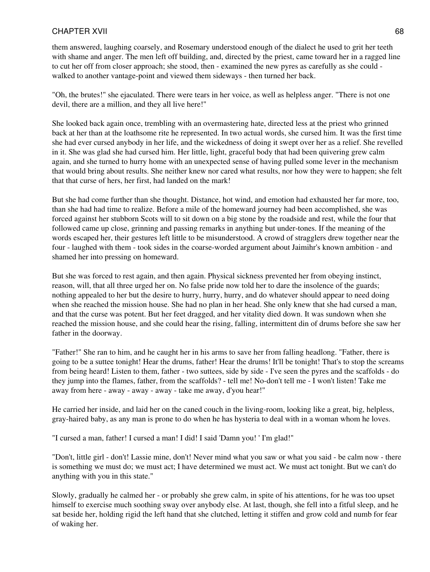them answered, laughing coarsely, and Rosemary understood enough of the dialect he used to grit her teeth with shame and anger. The men left off building, and, directed by the priest, came toward her in a ragged line to cut her off from closer approach; she stood, then - examined the new pyres as carefully as she could walked to another vantage-point and viewed them sideways - then turned her back.

"Oh, the brutes!" she ejaculated. There were tears in her voice, as well as helpless anger. "There is not one devil, there are a million, and they all live here!"

She looked back again once, trembling with an overmastering hate, directed less at the priest who grinned back at her than at the loathsome rite he represented. In two actual words, she cursed him. It was the first time she had ever cursed anybody in her life, and the wickedness of doing it swept over her as a relief. She revelled in it. She was glad she had cursed him. Her little, light, graceful body that had been quivering grew calm again, and she turned to hurry home with an unexpected sense of having pulled some lever in the mechanism that would bring about results. She neither knew nor cared what results, nor how they were to happen; she felt that that curse of hers, her first, had landed on the mark!

But she had come further than she thought. Distance, hot wind, and emotion had exhausted her far more, too, than she had had time to realize. Before a mile of the homeward journey had been accomplished, she was forced against her stubborn Scots will to sit down on a big stone by the roadside and rest, while the four that followed came up close, grinning and passing remarks in anything but under-tones. If the meaning of the words escaped her, their gestures left little to be misunderstood. A crowd of stragglers drew together near the four - laughed with them - took sides in the coarse-worded argument about Jaimihr's known ambition - and shamed her into pressing on homeward.

But she was forced to rest again, and then again. Physical sickness prevented her from obeying instinct, reason, will, that all three urged her on. No false pride now told her to dare the insolence of the guards; nothing appealed to her but the desire to hurry, hurry, hurry, and do whatever should appear to need doing when she reached the mission house. She had no plan in her head. She only knew that she had cursed a man, and that the curse was potent. But her feet dragged, and her vitality died down. It was sundown when she reached the mission house, and she could hear the rising, falling, intermittent din of drums before she saw her father in the doorway.

"Father!" She ran to him, and he caught her in his arms to save her from falling headlong. "Father, there is going to be a suttee tonight! Hear the drums, father! Hear the drums! It'll be tonight! That's to stop the screams from being heard! Listen to them, father - two suttees, side by side - I've seen the pyres and the scaffolds - do they jump into the flames, father, from the scaffolds? - tell me! No-don't tell me - I won't listen! Take me away from here - away - away - away - take me away, d'you hear!"

He carried her inside, and laid her on the caned couch in the living-room, looking like a great, big, helpless, gray-haired baby, as any man is prone to do when he has hysteria to deal with in a woman whom he loves.

"I cursed a man, father! I cursed a man! I did! I said 'Damn you! ' I'm glad!"

"Don't, little girl - don't! Lassie mine, don't! Never mind what you saw or what you said - be calm now - there is something we must do; we must act; I have determined we must act. We must act tonight. But we can't do anything with you in this state."

Slowly, gradually he calmed her - or probably she grew calm, in spite of his attentions, for he was too upset himself to exercise much soothing sway over anybody else. At last, though, she fell into a fitful sleep, and he sat beside her, holding rigid the left hand that she clutched, letting it stiffen and grow cold and numb for fear of waking her.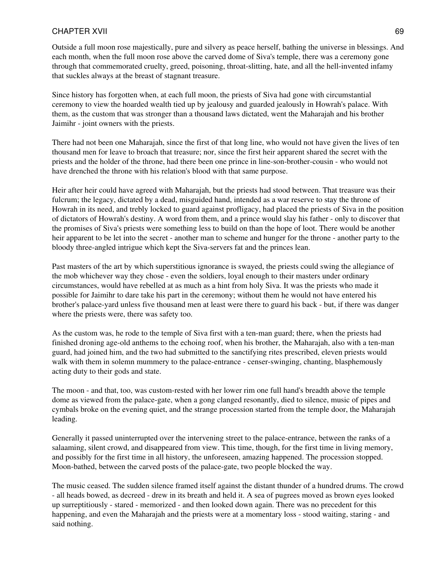Outside a full moon rose majestically, pure and silvery as peace herself, bathing the universe in blessings. And each month, when the full moon rose above the carved dome of Siva's temple, there was a ceremony gone through that commemorated cruelty, greed, poisoning, throat-slitting, hate, and all the hell-invented infamy that suckles always at the breast of stagnant treasure.

Since history has forgotten when, at each full moon, the priests of Siva had gone with circumstantial ceremony to view the hoarded wealth tied up by jealousy and guarded jealously in Howrah's palace. With them, as the custom that was stronger than a thousand laws dictated, went the Maharajah and his brother Jaimihr - joint owners with the priests.

There had not been one Maharajah, since the first of that long line, who would not have given the lives of ten thousand men for leave to broach that treasure; nor, since the first heir apparent shared the secret with the priests and the holder of the throne, had there been one prince in line-son-brother-cousin - who would not have drenched the throne with his relation's blood with that same purpose.

Heir after heir could have agreed with Maharajah, but the priests had stood between. That treasure was their fulcrum; the legacy, dictated by a dead, misguided hand, intended as a war reserve to stay the throne of Howrah in its need, and trebly locked to guard against profligacy, had placed the priests of Siva in the position of dictators of Howrah's destiny. A word from them, and a prince would slay his father - only to discover that the promises of Siva's priests were something less to build on than the hope of loot. There would be another heir apparent to be let into the secret - another man to scheme and hunger for the throne - another party to the bloody three-angled intrigue which kept the Siva-servers fat and the princes lean.

Past masters of the art by which superstitious ignorance is swayed, the priests could swing the allegiance of the mob whichever way they chose - even the soldiers, loyal enough to their masters under ordinary circumstances, would have rebelled at as much as a hint from holy Siva. It was the priests who made it possible for Jaimihr to dare take his part in the ceremony; without them he would not have entered his brother's palace-yard unless five thousand men at least were there to guard his back - but, if there was danger where the priests were, there was safety too.

As the custom was, he rode to the temple of Siva first with a ten-man guard; there, when the priests had finished droning age-old anthems to the echoing roof, when his brother, the Maharajah, also with a ten-man guard, had joined him, and the two had submitted to the sanctifying rites prescribed, eleven priests would walk with them in solemn mummery to the palace-entrance - censer-swinging, chanting, blasphemously acting duty to their gods and state.

The moon - and that, too, was custom-rested with her lower rim one full hand's breadth above the temple dome as viewed from the palace-gate, when a gong clanged resonantly, died to silence, music of pipes and cymbals broke on the evening quiet, and the strange procession started from the temple door, the Maharajah leading.

Generally it passed uninterrupted over the intervening street to the palace-entrance, between the ranks of a salaaming, silent crowd, and disappeared from view. This time, though, for the first time in living memory, and possibly for the first time in all history, the unforeseen, amazing happened. The procession stopped. Moon-bathed, between the carved posts of the palace-gate, two people blocked the way.

The music ceased. The sudden silence framed itself against the distant thunder of a hundred drums. The crowd - all heads bowed, as decreed - drew in its breath and held it. A sea of pugrees moved as brown eyes looked up surreptitiously - stared - memorized - and then looked down again. There was no precedent for this happening, and even the Maharajah and the priests were at a momentary loss - stood waiting, staring - and said nothing.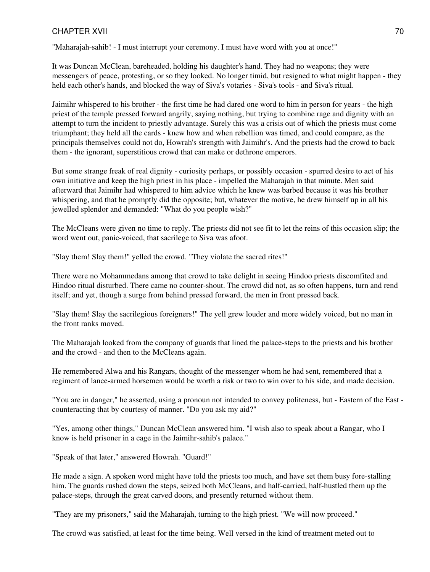"Maharajah-sahib! - I must interrupt your ceremony. I must have word with you at once!"

It was Duncan McClean, bareheaded, holding his daughter's hand. They had no weapons; they were messengers of peace, protesting, or so they looked. No longer timid, but resigned to what might happen - they held each other's hands, and blocked the way of Siva's votaries - Siva's tools - and Siva's ritual.

Jaimihr whispered to his brother - the first time he had dared one word to him in person for years - the high priest of the temple pressed forward angrily, saying nothing, but trying to combine rage and dignity with an attempt to turn the incident to priestly advantage. Surely this was a crisis out of which the priests must come triumphant; they held all the cards - knew how and when rebellion was timed, and could compare, as the principals themselves could not do, Howrah's strength with Jaimihr's. And the priests had the crowd to back them - the ignorant, superstitious crowd that can make or dethrone emperors.

But some strange freak of real dignity - curiosity perhaps, or possibly occasion - spurred desire to act of his own initiative and keep the high priest in his place - impelled the Maharajah in that minute. Men said afterward that Jaimihr had whispered to him advice which he knew was barbed because it was his brother whispering, and that he promptly did the opposite; but, whatever the motive, he drew himself up in all his jewelled splendor and demanded: "What do you people wish?"

The McCleans were given no time to reply. The priests did not see fit to let the reins of this occasion slip; the word went out, panic-voiced, that sacrilege to Siva was afoot.

"Slay them! Slay them!" yelled the crowd. "They violate the sacred rites!"

There were no Mohammedans among that crowd to take delight in seeing Hindoo priests discomfited and Hindoo ritual disturbed. There came no counter-shout. The crowd did not, as so often happens, turn and rend itself; and yet, though a surge from behind pressed forward, the men in front pressed back.

"Slay them! Slay the sacrilegious foreigners!" The yell grew louder and more widely voiced, but no man in the front ranks moved.

The Maharajah looked from the company of guards that lined the palace-steps to the priests and his brother and the crowd - and then to the McCleans again.

He remembered Alwa and his Rangars, thought of the messenger whom he had sent, remembered that a regiment of lance-armed horsemen would be worth a risk or two to win over to his side, and made decision.

"You are in danger," he asserted, using a pronoun not intended to convey politeness, but - Eastern of the East counteracting that by courtesy of manner. "Do you ask my aid?"

"Yes, among other things," Duncan McClean answered him. "I wish also to speak about a Rangar, who I know is held prisoner in a cage in the Jaimihr-sahib's palace."

"Speak of that later," answered Howrah. "Guard!"

He made a sign. A spoken word might have told the priests too much, and have set them busy fore-stalling him. The guards rushed down the steps, seized both McCleans, and half-carried, half-hustled them up the palace-steps, through the great carved doors, and presently returned without them.

"They are my prisoners," said the Maharajah, turning to the high priest. "We will now proceed."

The crowd was satisfied, at least for the time being. Well versed in the kind of treatment meted out to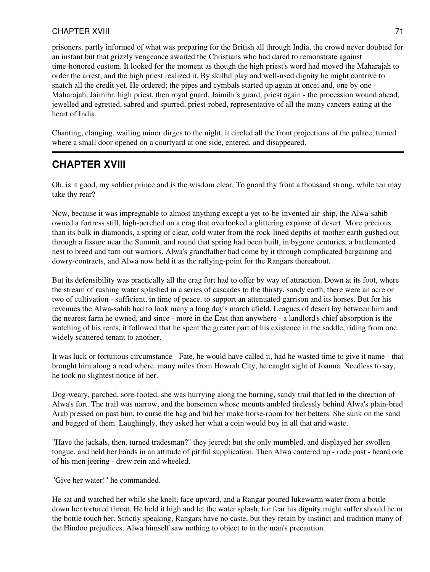prisoners, partly informed of what was preparing for the British all through India, the crowd never doubted for an instant but that grizzly vengeance awaited the Christians who had dared to remonstrate against time-honored custom. It looked for the moment as though the high priest's word had moved the Maharajah to order the arrest, and the high priest realized it. By skilful play and well-used dignity he might contrive to snatch all the credit yet. He ordered; the pipes and cymbals started up again at once; and, one by one - Maharajah, Jaimihr, high priest, then royal guard, Jaimihr's guard, priest again - the procession wound ahead, jewelled and egretted, sabred and spurred, priest-robed, representative of all the many cancers eating at the heart of India.

Chanting, clanging, wailing minor dirges to the night, it circled all the front projections of the palace, turned where a small door opened on a courtyard at one side, entered, and disappeared.

## **CHAPTER XVIII**

Oh, is it good, my soldier prince and is the wisdom clear, To guard thy front a thousand strong, while ten may take thy rear?

Now, because it was impregnable to almost anything except a yet-to-be-invented air-ship, the Alwa-sahib owned a fortress still, high-perched on a crag that overlooked a glittering expanse of desert. More precious than its bulk in diamonds, a spring of clear, cold water from the rock-lined depths of mother earth gushed out through a fissure near the Summit, and round that spring had been built, in bygone centuries, a battlemented nest to breed and turn out warriors. Alwa's grandfather had come by it through complicated bargaining and dowry-contracts, and Alwa now held it as the rallying-point for the Rangars thereabout.

But its defensibility was practically all the crag fort had to offer by way of attraction. Down at its foot, where the stream of rushing water splashed in a series of cascades to the thirsty, sandy earth, there were an acre or two of cultivation - sufficient, in time of peace, to support an attenuated garrison and its horses. But for his revenues the Alwa-sahib had to look many a long day's march afield. Leagues of desert lay between him and the nearest farm he owned, and since - more in the East than anywhere - a landlord's chief absorption is the watching of his rents, it followed that he spent the greater part of his existence in the saddle, riding from one widely scattered tenant to another.

It was luck or fortuitous circumstance - Fate, he would have called it, had he wasted time to give it name - that brought him along a road where, many miles from Howrah City, he caught sight of Joanna. Needless to say, he took no slightest notice of her.

Dog-weary, parched, sore-footed, she was hurrying along the burning, sandy trail that led in the direction of Alwa's fort. The trail was narrow, and the horsemen whose mounts ambled tirelessly behind Alwa's plain-bred Arab pressed on past him, to curse the hag and bid her make horse-room for her betters. She sunk on the sand and begged of them. Laughingly, they asked her what a coin would buy in all that arid waste.

"Have the jackals, then, turned tradesman?" they jeered; but she only mumbled, and displayed her swollen tongue, and held her hands in an attitude of pitiful supplication. Then Alwa cantered up - rode past - heard one of his men jeering - drew rein and wheeled.

"Give her water!" he commanded.

He sat and watched her while she knelt, face upward, and a Rangar poured lukewarm water from a bottle down her tortured throat. He held it high and let the water splash, for fear his dignity might suffer should he or the bottle touch her. Strictly speaking, Rangars have no caste, but they retain by instinct and tradition many of the Hindoo prejudices. Alwa himself saw nothing to object to in the man's precaution.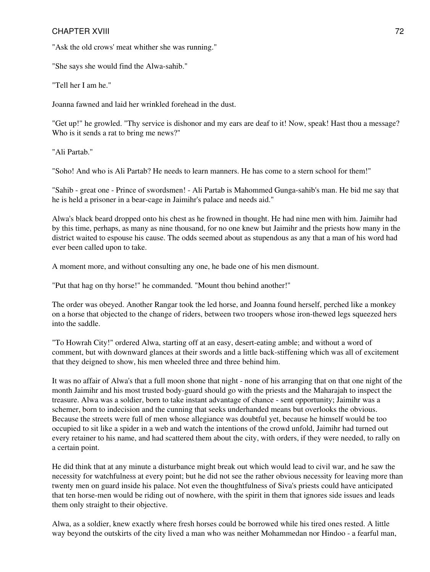"Ask the old crows' meat whither she was running."

"She says she would find the Alwa-sahib."

"Tell her I am he."

Joanna fawned and laid her wrinkled forehead in the dust.

"Get up!" he growled. "Thy service is dishonor and my ears are deaf to it! Now, speak! Hast thou a message? Who is it sends a rat to bring me news?"

"Ali Partab."

"Soho! And who is Ali Partab? He needs to learn manners. He has come to a stern school for them!"

"Sahib - great one - Prince of swordsmen! - Ali Partab is Mahommed Gunga-sahib's man. He bid me say that he is held a prisoner in a bear-cage in Jaimihr's palace and needs aid."

Alwa's black beard dropped onto his chest as he frowned in thought. He had nine men with him. Jaimihr had by this time, perhaps, as many as nine thousand, for no one knew but Jaimihr and the priests how many in the district waited to espouse his cause. The odds seemed about as stupendous as any that a man of his word had ever been called upon to take.

A moment more, and without consulting any one, he bade one of his men dismount.

"Put that hag on thy horse!" he commanded. "Mount thou behind another!"

The order was obeyed. Another Rangar took the led horse, and Joanna found herself, perched like a monkey on a horse that objected to the change of riders, between two troopers whose iron-thewed legs squeezed hers into the saddle.

"To Howrah City!" ordered Alwa, starting off at an easy, desert-eating amble; and without a word of comment, but with downward glances at their swords and a little back-stiffening which was all of excitement that they deigned to show, his men wheeled three and three behind him.

It was no affair of Alwa's that a full moon shone that night - none of his arranging that on that one night of the month Jaimihr and his most trusted body-guard should go with the priests and the Maharajah to inspect the treasure. Alwa was a soldier, born to take instant advantage of chance - sent opportunity; Jaimihr was a schemer, born to indecision and the cunning that seeks underhanded means but overlooks the obvious. Because the streets were full of men whose allegiance was doubtful yet, because he himself would be too occupied to sit like a spider in a web and watch the intentions of the crowd unfold, Jaimihr had turned out every retainer to his name, and had scattered them about the city, with orders, if they were needed, to rally on a certain point.

He did think that at any minute a disturbance might break out which would lead to civil war, and he saw the necessity for watchfulness at every point; but he did not see the rather obvious necessity for leaving more than twenty men on guard inside his palace. Not even the thoughtfulness of Siva's priests could have anticipated that ten horse-men would be riding out of nowhere, with the spirit in them that ignores side issues and leads them only straight to their objective.

Alwa, as a soldier, knew exactly where fresh horses could be borrowed while his tired ones rested. A little way beyond the outskirts of the city lived a man who was neither Mohammedan nor Hindoo - a fearful man,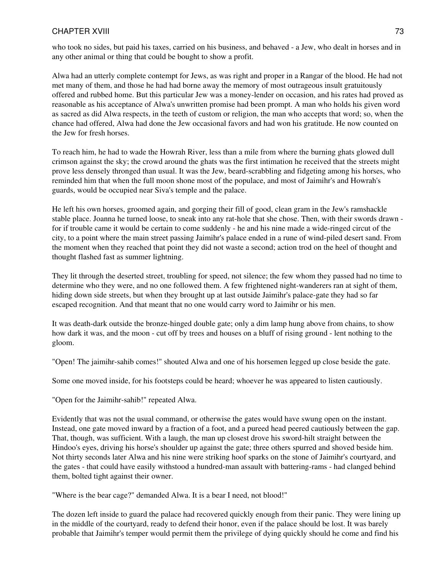who took no sides, but paid his taxes, carried on his business, and behaved - a Jew, who dealt in horses and in any other animal or thing that could be bought to show a profit.

Alwa had an utterly complete contempt for Jews, as was right and proper in a Rangar of the blood. He had not met many of them, and those he had had borne away the memory of most outrageous insult gratuitously offered and rubbed home. But this particular Jew was a money-lender on occasion, and his rates had proved as reasonable as his acceptance of Alwa's unwritten promise had been prompt. A man who holds his given word as sacred as did Alwa respects, in the teeth of custom or religion, the man who accepts that word; so, when the chance had offered, Alwa had done the Jew occasional favors and had won his gratitude. He now counted on the Jew for fresh horses.

To reach him, he had to wade the Howrah River, less than a mile from where the burning ghats glowed dull crimson against the sky; the crowd around the ghats was the first intimation he received that the streets might prove less densely thronged than usual. It was the Jew, beard-scrabbling and fidgeting among his horses, who reminded him that when the full moon shone most of the populace, and most of Jaimihr's and Howrah's guards, would be occupied near Siva's temple and the palace.

He left his own horses, groomed again, and gorging their fill of good, clean gram in the Jew's ramshackle stable place. Joanna he turned loose, to sneak into any rat-hole that she chose. Then, with their swords drawn for if trouble came it would be certain to come suddenly - he and his nine made a wide-ringed circut of the city, to a point where the main street passing Jaimihr's palace ended in a rune of wind-piled desert sand. From the moment when they reached that point they did not waste a second; action trod on the heel of thought and thought flashed fast as summer lightning.

They lit through the deserted street, troubling for speed, not silence; the few whom they passed had no time to determine who they were, and no one followed them. A few frightened night-wanderers ran at sight of them, hiding down side streets, but when they brought up at last outside Jaimihr's palace-gate they had so far escaped recognition. And that meant that no one would carry word to Jaimihr or his men.

It was death-dark outside the bronze-hinged double gate; only a dim lamp hung above from chains, to show how dark it was, and the moon - cut off by trees and houses on a bluff of rising ground - lent nothing to the gloom.

"Open! The jaimihr-sahib comes!" shouted Alwa and one of his horsemen legged up close beside the gate.

Some one moved inside, for his footsteps could be heard; whoever he was appeared to listen cautiously.

"Open for the Jaimihr-sahib!" repeated Alwa.

Evidently that was not the usual command, or otherwise the gates would have swung open on the instant. Instead, one gate moved inward by a fraction of a foot, and a pureed head peered cautiously between the gap. That, though, was sufficient. With a laugh, the man up closest drove his sword-hilt straight between the Hindoo's eyes, driving his horse's shoulder up against the gate; three others spurred and shoved beside him. Not thirty seconds later Alwa and his nine were striking hoof sparks on the stone of Jaimihr's courtyard, and the gates - that could have easily withstood a hundred-man assault with battering-rams - had clanged behind them, bolted tight against their owner.

"Where is the bear cage?" demanded Alwa. It is a bear I need, not blood!"

The dozen left inside to guard the palace had recovered quickly enough from their panic. They were lining up in the middle of the courtyard, ready to defend their honor, even if the palace should be lost. It was barely probable that Jaimihr's temper would permit them the privilege of dying quickly should he come and find his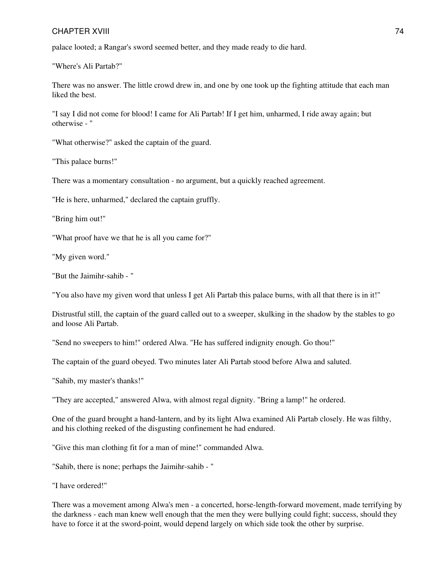palace looted; a Rangar's sword seemed better, and they made ready to die hard.

"Where's Ali Partab?"

There was no answer. The little crowd drew in, and one by one took up the fighting attitude that each man liked the best.

"I say I did not come for blood! I came for Ali Partab! If I get him, unharmed, I ride away again; but otherwise - "

"What otherwise?" asked the captain of the guard.

"This palace burns!"

There was a momentary consultation - no argument, but a quickly reached agreement.

"He is here, unharmed," declared the captain gruffly.

"Bring him out!"

"What proof have we that he is all you came for?"

"My given word."

"But the Jaimihr-sahib - "

"You also have my given word that unless I get Ali Partab this palace burns, with all that there is in it!"

Distrustful still, the captain of the guard called out to a sweeper, skulking in the shadow by the stables to go and loose Ali Partab.

"Send no sweepers to him!" ordered Alwa. "He has suffered indignity enough. Go thou!"

The captain of the guard obeyed. Two minutes later Ali Partab stood before Alwa and saluted.

"Sahib, my master's thanks!"

"They are accepted," answered Alwa, with almost regal dignity. "Bring a lamp!" he ordered.

One of the guard brought a hand-lantern, and by its light Alwa examined Ali Partab closely. He was filthy, and his clothing reeked of the disgusting confinement he had endured.

"Give this man clothing fit for a man of mine!" commanded Alwa.

"Sahib, there is none; perhaps the Jaimihr-sahib - "

"I have ordered!"

There was a movement among Alwa's men - a concerted, horse-length-forward movement, made terrifying by the darkness - each man knew well enough that the men they were bullying could fight; success, should they have to force it at the sword-point, would depend largely on which side took the other by surprise.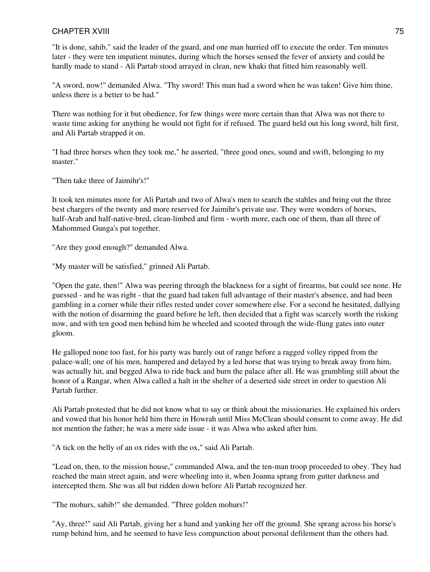"It is done, sahib," said the leader of the guard, and one man hurried off to execute the order. Ten minutes later - they were ten impatient minutes, during which the horses sensed the fever of anxiety and could be hardly made to stand - Ali Partab stood arrayed in clean, new khaki that fitted him reasonably well.

"A sword, now!" demanded Alwa. "Thy sword! This man had a sword when he was taken! Give him thine, unless there is a better to be had."

There was nothing for it but obedience, for few things were more certain than that Alwa was not there to waste time asking for anything he would not fight for if refused. The guard held out his long sword, hilt first, and Ali Partab strapped it on.

"I had three horses when they took me," he asserted, "three good ones, sound and swift, belonging to my master."

"Then take three of Jaimihr's!"

It took ten minutes more for Ali Partab and two of Alwa's men to search the stables and bring out the three best chargers of the twenty and more reserved for Jaimihr's private use. They were wonders of horses, half-Arab and half-native-bred, clean-limbed and firm - worth more, each one of them, than all three of Mahommed Gunga's put together.

"Are they good enough?" demanded Alwa.

"My master will be satisfied," grinned Ali Partab.

"Open the gate, then!" Alwa was peering through the blackness for a sight of firearms, but could see none. He guessed - and he was right - that the guard had taken full advantage of their master's absence, and had been gambling in a corner while their rifles rested under cover somewhere else. For a second he hesitated, dallying with the notion of disarming the guard before he left, then decided that a fight was scarcely worth the risking now, and with ten good men behind him he wheeled and scooted through the wide-flung gates into outer gloom.

He galloped none too fast, for his party was barely out of range before a ragged volley ripped from the palace-wall; one of his men, hampered and delayed by a led horse that was trying to break away from him, was actually hit, and begged Alwa to ride back and burn the palace after all. He was grumbling still about the honor of a Rangar, when Alwa called a halt in the shelter of a deserted side street in order to question Ali Partab further.

Ali Partab protested that he did not know what to say or think about the missionaries. He explained his orders and vowed that his honor held him there in Howrah until Miss McClean should consent to come away. He did not mention the father; he was a mere side issue - it was Alwa who asked after him.

"A tick on the belly of an ox rides with the ox," said Ali Partab.

"Lead on, then, to the mission house," commanded Alwa, and the ten-man troop proceeded to obey. They had reached the main street again, and were wheeling into it, when Joanna sprang from gutter darkness and intercepted them. She was all but ridden down before Ali Partab recognized her.

"The mohurs, sahib!" she demanded. "Three golden mohurs!"

"Ay, three!" said Ali Partab, giving her a hand and yanking her off the ground. She sprang across his horse's rump behind him, and he seemed to have less compunction about personal defilement than the others had.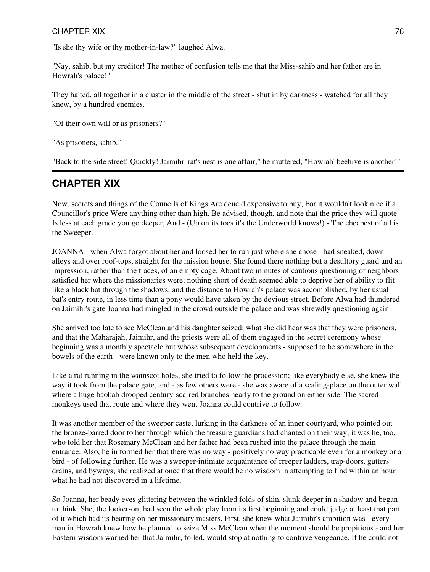"Is she thy wife or thy mother-in-law?" laughed Alwa.

"Nay, sahib, but my creditor! The mother of confusion tells me that the Miss-sahib and her father are in Howrah's palace!"

They halted, all together in a cluster in the middle of the street - shut in by darkness - watched for all they knew, by a hundred enemies.

"Of their own will or as prisoners?"

"As prisoners, sahib."

"Back to the side street! Quickly! Jaimihr' rat's nest is one affair," he muttered; "Howrah' beehive is another!"

## **CHAPTER XIX**

Now, secrets and things of the Councils of Kings Are deucid expensive to buy, For it wouldn't look nice if a Councillor's price Were anything other than high. Be advised, though, and note that the price they will quote Is less at each grade you go deeper, And - (Up on its toes it's the Underworld knows!) - The cheapest of all is the Sweeper.

JOANNA - when Alwa forgot about her and loosed her to run just where she chose - had sneaked, down alleys and over roof-tops, straight for the mission house. She found there nothing but a desultory guard and an impression, rather than the traces, of an empty cage. About two minutes of cautious questioning of neighbors satisfied her where the missionaries were; nothing short of death seemed able to deprive her of ability to flit like a black bat through the shadows, and the distance to Howrah's palace was accomplished, by her usual bat's entry route, in less time than a pony would have taken by the devious street. Before Alwa had thundered on Jaimihr's gate Joanna had mingled in the crowd outside the palace and was shrewdly questioning again.

She arrived too late to see McClean and his daughter seized; what she did hear was that they were prisoners, and that the Maharajah, Jaimihr, and the priests were all of them engaged in the secret ceremony whose beginning was a monthly spectacle but whose subsequent developments - supposed to be somewhere in the bowels of the earth - were known only to the men who held the key.

Like a rat running in the wainscot holes, she tried to follow the procession; like everybody else, she knew the way it took from the palace gate, and - as few others were - she was aware of a scaling-place on the outer wall where a huge baobab drooped century-scarred branches nearly to the ground on either side. The sacred monkeys used that route and where they went Joanna could contrive to follow.

It was another member of the sweeper caste, lurking in the darkness of an inner courtyard, who pointed out the bronze-barred door to her through which the treasure guardians had chanted on their way; it was he, too, who told her that Rosemary McClean and her father had been rushed into the palace through the main entrance. Also, he in formed her that there was no way - positively no way practicable even for a monkey or a bird - of following further. He was a sweeper-intimate acquaintance of creeper ladders, trap-doors, gutters drains, and byways; she realized at once that there would be no wisdom in attempting to find within an hour what he had not discovered in a lifetime.

So Joanna, her beady eyes glittering between the wrinkled folds of skin, slunk deeper in a shadow and began to think. She, the looker-on, had seen the whole play from its first beginning and could judge at least that part of it which had its bearing on her missionary masters. First, she knew what Jaimihr's ambition was - every man in Howrah knew how he planned to seize Miss McClean when the moment should be propitious - and her Eastern wisdom warned her that Jaimihr, foiled, would stop at nothing to contrive vengeance. If he could not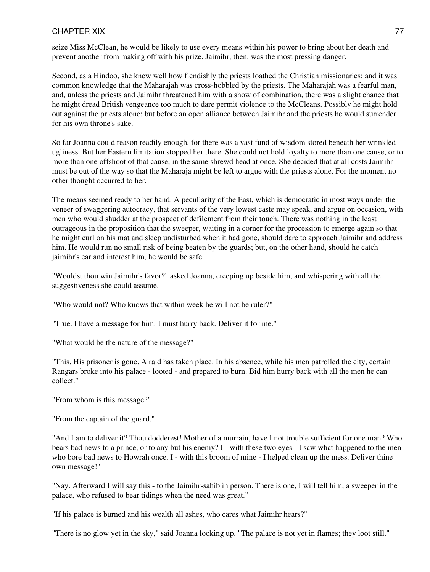seize Miss McClean, he would be likely to use every means within his power to bring about her death and prevent another from making off with his prize. Jaimihr, then, was the most pressing danger.

Second, as a Hindoo, she knew well how fiendishly the priests loathed the Christian missionaries; and it was common knowledge that the Maharajah was cross-hobbled by the priests. The Maharajah was a fearful man, and, unless the priests and Jaimihr threatened him with a show of combination, there was a slight chance that he might dread British vengeance too much to dare permit violence to the McCleans. Possibly he might hold out against the priests alone; but before an open alliance between Jaimihr and the priests he would surrender for his own throne's sake.

So far Joanna could reason readily enough, for there was a vast fund of wisdom stored beneath her wrinkled ugliness. But her Eastern limitation stopped her there. She could not hold loyalty to more than one cause, or to more than one offshoot of that cause, in the same shrewd head at once. She decided that at all costs Jaimihr must be out of the way so that the Maharaja might be left to argue with the priests alone. For the moment no other thought occurred to her.

The means seemed ready to her hand. A peculiarity of the East, which is democratic in most ways under the veneer of swaggering autocracy, that servants of the very lowest caste may speak, and argue on occasion, with men who would shudder at the prospect of defilement from their touch. There was nothing in the least outrageous in the proposition that the sweeper, waiting in a corner for the procession to emerge again so that he might curl on his mat and sleep undisturbed when it had gone, should dare to approach Jaimihr and address him. He would run no small risk of being beaten by the guards; but, on the other hand, should he catch jaimihr's ear and interest him, he would be safe.

"Wouldst thou win Jaimihr's favor?" asked Joanna, creeping up beside him, and whispering with all the suggestiveness she could assume.

"Who would not? Who knows that within week he will not be ruler?"

"True. I have a message for him. I must hurry back. Deliver it for me."

"What would be the nature of the message?"

"This. His prisoner is gone. A raid has taken place. In his absence, while his men patrolled the city, certain Rangars broke into his palace - looted - and prepared to burn. Bid him hurry back with all the men he can collect."

"From whom is this message?"

"From the captain of the guard."

"And I am to deliver it? Thou dodderest! Mother of a murrain, have I not trouble sufficient for one man? Who bears bad news to a prince, or to any but his enemy? I - with these two eyes - I saw what happened to the men who bore bad news to Howrah once. I - with this broom of mine - I helped clean up the mess. Deliver thine own message!"

"Nay. Afterward I will say this - to the Jaimihr-sahib in person. There is one, I will tell him, a sweeper in the palace, who refused to bear tidings when the need was great."

"If his palace is burned and his wealth all ashes, who cares what Jaimihr hears?"

"There is no glow yet in the sky," said Joanna looking up. "The palace is not yet in flames; they loot still."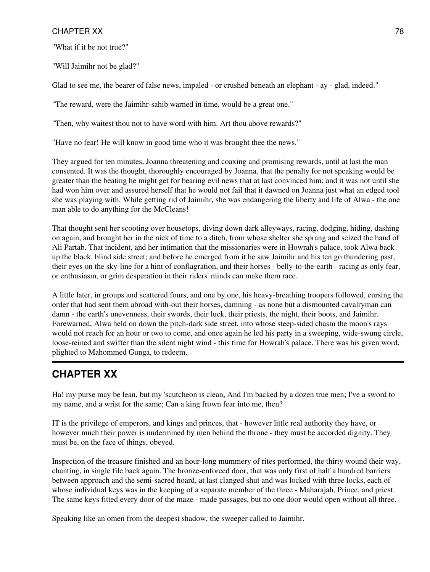"What if it be not true?"

"Will Jaimihr not be glad?"

Glad to see me, the bearer of false news, impaled - or crushed beneath an elephant - ay - glad, indeed."

"The reward, were the Jaimihr-sahib warned in time, would be a great one."

"Then, why waitest thou not to have word with him. Art thou above rewards?"

"Have no fear! He will know in good time who it was brought thee the news."

They argued for ten minutes, Joanna threatening and coaxing and promising rewards, until at last the man consented. It was the thought, thoroughly encouraged by Joanna, that the penalty for not speaking would be greater than the beating he might get for bearing evil news that at last convinced him; and it was not until she had won him over and assured herself that he would not fail that it dawned on Joanna just what an edged tool she was playing with. While getting rid of Jaimihr, she was endangering the liberty and life of Alwa - the one man able to do anything for the McCleans!

That thought sent her scooting over housetops, diving down dark alleyways, racing, dodging, hiding, dashing on again, and brought her in the nick of time to a ditch, from whose shelter she sprang and seized the hand of Ali Partab. That incident, and her intimation that the missionaries were in Howrah's palace, took Alwa back up the black, blind side street; and before he emerged from it he saw Jaimihr and his ten go thundering past, their eyes on the sky-line for a hint of conflagration, and their horses - belly-to-the-earth - racing as only fear, or enthusiasm, or grim desperation in their riders' minds can make them race.

A little later, in groups and scattered fours, and one by one, his heavy-breathing troopers followed, cursing the order that had sent them abroad with-out their horses, damning - as none but a dismounted cavalryman can damn - the earth's unevenness, their swords, their luck, their priests, the night, their boots, and Jaimihr. Forewarned, Alwa held on down the pitch-dark side street, into whose steep-sided chasm the moon's rays would not reach for an hour or two to come, and once again he led his party in a sweeping, wide-swung circle, loose-reined and swifter than the silent night wind - this time for Howrah's palace. There was his given word, plighted to Mahommed Gunga, to redeem.

# **CHAPTER XX**

Ha! my purse may be lean, but my 'scutcheon is clean, And I'm backed by a dozen true men; I've a sword to my name, and a wrist for the same; Can a king frown fear into me, then?

IT is the privilege of emperors, and kings and princes, that - however little real authority they have, or however much their power is undermined by men behind the throne - they must be accorded dignity. They must be, on the face of things, obeyed.

Inspection of the treasure finished and an hour-long mummery of rites performed, the thirty wound their way, chanting, in single file back again. The bronze-enforced door, that was only first of half a hundred barriers between approach and the semi-sacred hoard, at last clanged shut and was locked with three locks, each of whose individual keys was in the keeping of a separate member of the three - Maharajah, Prince, and priest. The same keys fitted every door of the maze - made passages, but no one door would open without all three.

Speaking like an omen from the deepest shadow, the sweeper called to Jaimihr.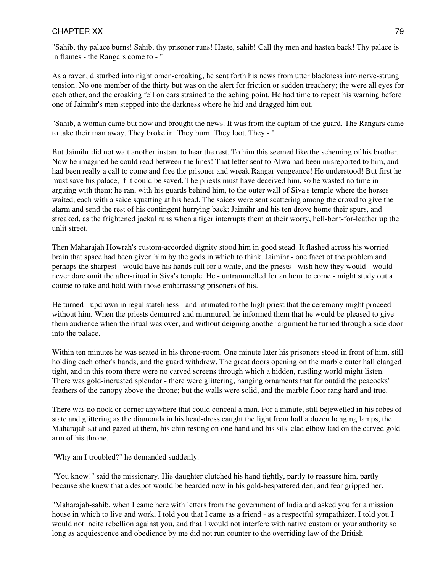"Sahib, thy palace burns! Sahib, thy prisoner runs! Haste, sahib! Call thy men and hasten back! Thy palace is in flames - the Rangars come to - "

As a raven, disturbed into night omen-croaking, he sent forth his news from utter blackness into nerve-strung tension. No one member of the thirty but was on the alert for friction or sudden treachery; the were all eyes for each other, and the croaking fell on ears strained to the aching point. He had time to repeat his warning before one of Jaimihr's men stepped into the darkness where he hid and dragged him out.

"Sahib, a woman came but now and brought the news. It was from the captain of the guard. The Rangars came to take their man away. They broke in. They burn. They loot. They - "

But Jaimihr did not wait another instant to hear the rest. To him this seemed like the scheming of his brother. Now he imagined he could read between the lines! That letter sent to Alwa had been misreported to him, and had been really a call to come and free the prisoner and wreak Rangar vengeance! He understood! But first he must save his palace, if it could be saved. The priests must have deceived him, so he wasted no time in arguing with them; he ran, with his guards behind him, to the outer wall of Siva's temple where the horses waited, each with a saice squatting at his head. The saices were sent scattering among the crowd to give the alarm and send the rest of his contingent hurrying back; Jaimihr and his ten drove home their spurs, and streaked, as the frightened jackal runs when a tiger interrupts them at their worry, hell-bent-for-leather up the unlit street.

Then Maharajah Howrah's custom-accorded dignity stood him in good stead. It flashed across his worried brain that space had been given him by the gods in which to think. Jaimihr - one facet of the problem and perhaps the sharpest - would have his hands full for a while, and the priests - wish how they would - would never dare omit the after-ritual in Siva's temple. He - untrammelled for an hour to come - might study out a course to take and hold with those embarrassing prisoners of his.

He turned - updrawn in regal stateliness - and intimated to the high priest that the ceremony might proceed without him. When the priests demurred and murmured, he informed them that he would be pleased to give them audience when the ritual was over, and without deigning another argument he turned through a side door into the palace.

Within ten minutes he was seated in his throne-room. One minute later his prisoners stood in front of him, still holding each other's hands, and the guard withdrew. The great doors opening on the marble outer hall clanged tight, and in this room there were no carved screens through which a hidden, rustling world might listen. There was gold-incrusted splendor - there were glittering, hanging ornaments that far outdid the peacocks' feathers of the canopy above the throne; but the walls were solid, and the marble floor rang hard and true.

There was no nook or corner anywhere that could conceal a man. For a minute, still bejewelled in his robes of state and glittering as the diamonds in his head-dress caught the light from half a dozen hanging lamps, the Maharajah sat and gazed at them, his chin resting on one hand and his silk-clad elbow laid on the carved gold arm of his throne.

"Why am I troubled?" he demanded suddenly.

"You know!" said the missionary. His daughter clutched his hand tightly, partly to reassure him, partly because she knew that a despot would be bearded now in his gold-bespattered den, and fear gripped her.

"Maharajah-sahib, when I came here with letters from the government of India and asked you for a mission house in which to live and work, I told you that I came as a friend - as a respectful sympathizer. I told you I would not incite rebellion against you, and that I would not interfere with native custom or your authority so long as acquiescence and obedience by me did not run counter to the overriding law of the British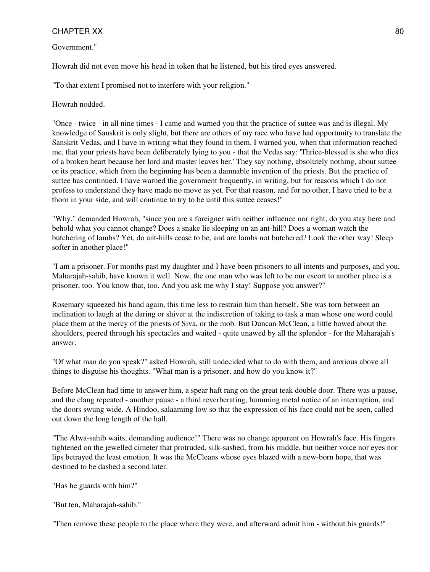#### Government."

Howrah did not even move his head in token that he listened, but his tired eyes answered.

"To that extent I promised not to interfere with your religion."

Howrah nodded.

"Once - twice - in all nine times - I came and warned you that the practice of suttee was and is illegal. My knowledge of Sanskrit is only slight, but there are others of my race who have had opportunity to translate the Sanskrit Vedas, and I have in writing what they found in them. I warned you, when that information reached me, that your priests have been deliberately lying to you - that the Vedas say: 'Thrice-blessed is she who dies of a broken heart because her lord and master leaves her.' They say nothing, absolutely nothing, about suttee or its practice, which from the beginning has been a damnable invention of the priests. But the practice of suttee has continued. I have warned the government frequently, in writing, but for reasons which I do not profess to understand they have made no move as yet. For that reason, and for no other, I have tried to be a thorn in your side, and will continue to try to be until this suttee ceases!"

"Why," demanded Howrah, "since you are a foreigner with neither influence nor right, do you stay here and behold what you cannot change? Does a snake lie sleeping on an ant-hill? Does a woman watch the butchering of lambs? Yet, do ant-hills cease to be, and are lambs not butchered? Look the other way! Sleep softer in another place!"

"I am a prisoner. For months past my daughter and I have been prisoners to all intents and purposes, and you, Maharajah-sahib, have known it well. Now, the one man who was left to be our escort to another place is a prisoner, too. You know that, too. And you ask me why I stay! Suppose you answer?"

Rosemary squeezed his hand again, this time less to restrain him than herself. She was torn between an inclination to laugh at the daring or shiver at the indiscretion of taking to task a man whose one word could place them at the mercy of the priests of Siva, or the mob. But Duncan McClean, a little bowed about the shoulders, peered through his spectacles and waited - quite unawed by all the splendor - for the Maharajah's answer.

"Of what man do you speak?" asked Howrah, still undecided what to do with them, and anxious above all things to disguise his thoughts. "What man is a prisoner, and how do you know it?"

Before McClean had time to answer him, a spear haft rang on the great teak double door. There was a pause, and the clang repeated - another pause - a third reverberating, humming metal notice of an interruption, and the doors swung wide. A Hindoo, salaaming low so that the expression of his face could not be seen, called out down the long length of the hall.

"The Alwa-sahib waits, demanding audience!" There was no change apparent on Howrah's face. His fingers tightened on the jewelled cimeter that protruded, silk-sashed, from his middle, but neither voice nor eyes nor lips betrayed the least emotion. It was the McCleans whose eyes blazed with a new-born hope, that was destined to be dashed a second later.

"Has he guards with him?"

"But ten, Maharajah-sahib."

"Then remove these people to the place where they were, and afterward admit him - without his guards!"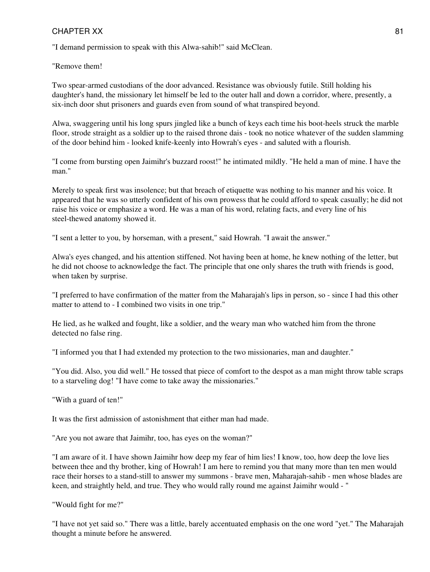"I demand permission to speak with this Alwa-sahib!" said McClean.

"Remove them!

Two spear-armed custodians of the door advanced. Resistance was obviously futile. Still holding his daughter's hand, the missionary let himself be led to the outer hall and down a corridor, where, presently, a six-inch door shut prisoners and guards even from sound of what transpired beyond.

Alwa, swaggering until his long spurs jingled like a bunch of keys each time his boot-heels struck the marble floor, strode straight as a soldier up to the raised throne dais - took no notice whatever of the sudden slamming of the door behind him - looked knife-keenly into Howrah's eyes - and saluted with a flourish.

"I come from bursting open Jaimihr's buzzard roost!" he intimated mildly. "He held a man of mine. I have the man."

Merely to speak first was insolence; but that breach of etiquette was nothing to his manner and his voice. It appeared that he was so utterly confident of his own prowess that he could afford to speak casually; he did not raise his voice or emphasize a word. He was a man of his word, relating facts, and every line of his steel-thewed anatomy showed it.

"I sent a letter to you, by horseman, with a present," said Howrah. "I await the answer."

Alwa's eyes changed, and his attention stiffened. Not having been at home, he knew nothing of the letter, but he did not choose to acknowledge the fact. The principle that one only shares the truth with friends is good, when taken by surprise.

"I preferred to have confirmation of the matter from the Maharajah's lips in person, so - since I had this other matter to attend to - I combined two visits in one trip."

He lied, as he walked and fought, like a soldier, and the weary man who watched him from the throne detected no false ring.

"I informed you that I had extended my protection to the two missionaries, man and daughter."

"You did. Also, you did well." He tossed that piece of comfort to the despot as a man might throw table scraps to a starveling dog! "I have come to take away the missionaries."

"With a guard of ten!"

It was the first admission of astonishment that either man had made.

"Are you not aware that Jaimihr, too, has eyes on the woman?"

"I am aware of it. I have shown Jaimihr how deep my fear of him lies! I know, too, how deep the love lies between thee and thy brother, king of Howrah! I am here to remind you that many more than ten men would race their horses to a stand-still to answer my summons - brave men, Maharajah-sahib - men whose blades are keen, and straightly held, and true. They who would rally round me against Jaimihr would - "

"Would fight for me?"

"I have not yet said so." There was a little, barely accentuated emphasis on the one word "yet." The Maharajah thought a minute before he answered.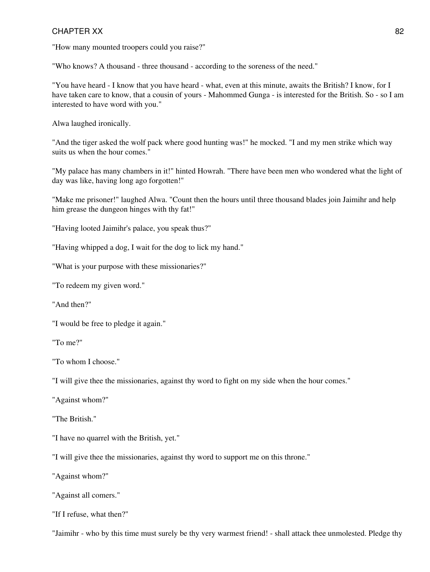"How many mounted troopers could you raise?"

"Who knows? A thousand - three thousand - according to the soreness of the need."

"You have heard - I know that you have heard - what, even at this minute, awaits the British? I know, for I have taken care to know, that a cousin of yours - Mahommed Gunga - is interested for the British. So - so I am interested to have word with you."

Alwa laughed ironically.

"And the tiger asked the wolf pack where good hunting was!" he mocked. "I and my men strike which way suits us when the hour comes."

"My palace has many chambers in it!" hinted Howrah. "There have been men who wondered what the light of day was like, having long ago forgotten!"

"Make me prisoner!" laughed Alwa. "Count then the hours until three thousand blades join Jaimihr and help him grease the dungeon hinges with thy fat!"

"Having looted Jaimihr's palace, you speak thus?"

"Having whipped a dog, I wait for the dog to lick my hand."

"What is your purpose with these missionaries?"

"To redeem my given word."

"And then?"

"I would be free to pledge it again."

"To me?"

"To whom I choose."

"I will give thee the missionaries, against thy word to fight on my side when the hour comes."

"Against whom?"

"The British"

"I have no quarrel with the British, yet."

"I will give thee the missionaries, against thy word to support me on this throne."

"Against whom?"

"Against all comers."

"If I refuse, what then?"

"Jaimihr - who by this time must surely be thy very warmest friend! - shall attack thee unmolested. Pledge thy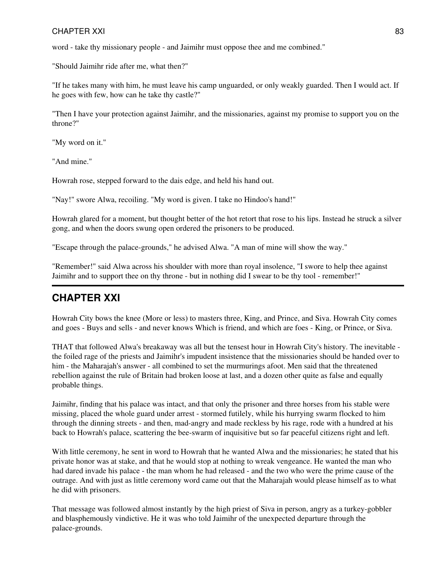word - take thy missionary people - and Jaimihr must oppose thee and me combined."

"Should Jaimihr ride after me, what then?"

"If he takes many with him, he must leave his camp unguarded, or only weakly guarded. Then I would act. If he goes with few, how can he take thy castle?"

"Then I have your protection against Jaimihr, and the missionaries, against my promise to support you on the throne?"

"My word on it."

"And mine."

Howrah rose, stepped forward to the dais edge, and held his hand out.

"Nay!" swore Alwa, recoiling. "My word is given. I take no Hindoo's hand!"

Howrah glared for a moment, but thought better of the hot retort that rose to his lips. Instead he struck a silver gong, and when the doors swung open ordered the prisoners to be produced.

"Escape through the palace-grounds," he advised Alwa. "A man of mine will show the way."

"Remember!" said Alwa across his shoulder with more than royal insolence, "I swore to help thee against Jaimihr and to support thee on thy throne - but in nothing did I swear to be thy tool - remember!"

# **CHAPTER XXI**

Howrah City bows the knee (More or less) to masters three, King, and Prince, and Siva. Howrah City comes and goes - Buys and sells - and never knows Which is friend, and which are foes - King, or Prince, or Siva.

THAT that followed Alwa's breakaway was all but the tensest hour in Howrah City's history. The inevitable the foiled rage of the priests and Jaimihr's impudent insistence that the missionaries should be handed over to him - the Maharajah's answer - all combined to set the murmurings afoot. Men said that the threatened rebellion against the rule of Britain had broken loose at last, and a dozen other quite as false and equally probable things.

Jaimihr, finding that his palace was intact, and that only the prisoner and three horses from his stable were missing, placed the whole guard under arrest - stormed futilely, while his hurrying swarm flocked to him through the dinning streets - and then, mad-angry and made reckless by his rage, rode with a hundred at his back to Howrah's palace, scattering the bee-swarm of inquisitive but so far peaceful citizens right and left.

With little ceremony, he sent in word to Howrah that he wanted Alwa and the missionaries; he stated that his private honor was at stake, and that he would stop at nothing to wreak vengeance. He wanted the man who had dared invade his palace - the man whom he had released - and the two who were the prime cause of the outrage. And with just as little ceremony word came out that the Maharajah would please himself as to what he did with prisoners.

That message was followed almost instantly by the high priest of Siva in person, angry as a turkey-gobbler and blasphemously vindictive. He it was who told Jaimihr of the unexpected departure through the palace-grounds.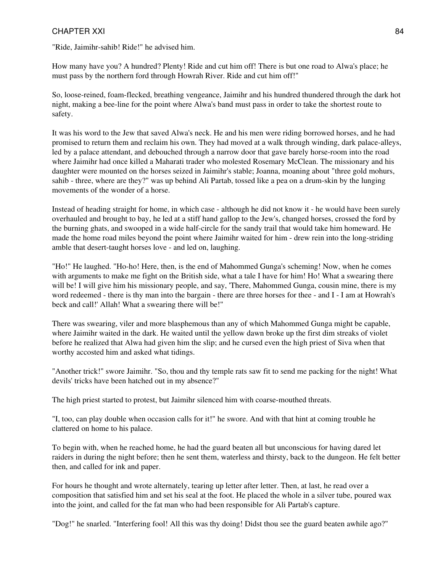"Ride, Jaimihr-sahib! Ride!" he advised him.

How many have you? A hundred? Plenty! Ride and cut him off! There is but one road to Alwa's place; he must pass by the northern ford through Howrah River. Ride and cut him off!"

So, loose-reined, foam-flecked, breathing vengeance, Jaimihr and his hundred thundered through the dark hot night, making a bee-line for the point where Alwa's band must pass in order to take the shortest route to safety.

It was his word to the Jew that saved Alwa's neck. He and his men were riding borrowed horses, and he had promised to return them and reclaim his own. They had moved at a walk through winding, dark palace-alleys, led by a palace attendant, and debouched through a narrow door that gave barely horse-room into the road where Jaimihr had once killed a Maharati trader who molested Rosemary McClean. The missionary and his daughter were mounted on the horses seized in Jaimihr's stable; Joanna, moaning about "three gold mohurs, sahib - three, where are they?" was up behind Ali Partab, tossed like a pea on a drum-skin by the lunging movements of the wonder of a horse.

Instead of heading straight for home, in which case - although he did not know it - he would have been surely overhauled and brought to bay, he led at a stiff hand gallop to the Jew's, changed horses, crossed the ford by the burning ghats, and swooped in a wide half-circle for the sandy trail that would take him homeward. He made the home road miles beyond the point where Jaimihr waited for him - drew rein into the long-striding amble that desert-taught horses love - and led on, laughing.

"Ho!" He laughed. "Ho-ho! Here, then, is the end of Mahommed Gunga's scheming! Now, when he comes with arguments to make me fight on the British side, what a tale I have for him! Ho! What a swearing there will be! I will give him his missionary people, and say, 'There, Mahommed Gunga, cousin mine, there is my word redeemed - there is thy man into the bargain - there are three horses for thee - and I - I am at Howrah's beck and call!' Allah! What a swearing there will be!"

There was swearing, viler and more blasphemous than any of which Mahommed Gunga might be capable, where Jaimihr waited in the dark. He waited until the yellow dawn broke up the first dim streaks of violet before he realized that Alwa had given him the slip; and he cursed even the high priest of Siva when that worthy accosted him and asked what tidings.

"Another trick!" swore Jaimihr. "So, thou and thy temple rats saw fit to send me packing for the night! What devils' tricks have been hatched out in my absence?"

The high priest started to protest, but Jaimihr silenced him with coarse-mouthed threats.

"I, too, can play double when occasion calls for it!" he swore. And with that hint at coming trouble he clattered on home to his palace.

To begin with, when he reached home, he had the guard beaten all but unconscious for having dared let raiders in during the night before; then he sent them, waterless and thirsty, back to the dungeon. He felt better then, and called for ink and paper.

For hours he thought and wrote alternately, tearing up letter after letter. Then, at last, he read over a composition that satisfied him and set his seal at the foot. He placed the whole in a silver tube, poured wax into the joint, and called for the fat man who had been responsible for Ali Partab's capture.

"Dog!" he snarled. "Interfering fool! All this was thy doing! Didst thou see the guard beaten awhile ago?"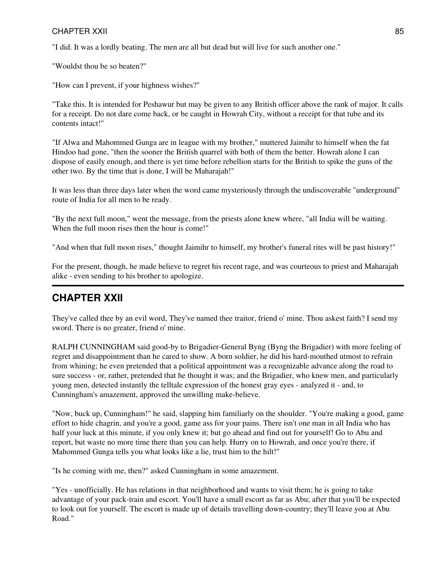"I did. It was a lordly beating. The men are all but dead but will live for such another one."

"Wouldst thou be so beaten?"

"How can I prevent, if your highness wishes?"

"Take this. It is intended for Peshawur but may be given to any British officer above the rank of major. It calls for a receipt. Do not dare come back, or be caught in Howrah City, without a receipt for that tube and its contents intact!"

"If Alwa and Mahommed Gunga are in league with my brother," muttered Jaimihr to himself when the fat Hindoo had gone, "then the sooner the British quarrel with both of them the better. Howrah alone I can dispose of easily enough, and there is yet time before rebellion starts for the British to spike the guns of the other two. By the time that is done, I will be Maharajah!"

It was less than three days later when the word came mysteriously through the undiscoverable "underground" route of India for all men to be ready.

"By the next full moon," went the message, from the priests alone knew where, "all India will be waiting. When the full moon rises then the hour is come!"

"And when that full moon rises," thought Jaimihr to himself, my brother's funeral rites will be past history!"

For the present, though, he made believe to regret his recent rage, and was courteous to priest and Maharajah alike - even sending to his brother to apologize.

# **CHAPTER XXII**

They've called thee by an evil word, They've named thee traitor, friend o' mine. Thou askest faith? I send my sword. There is no greater, friend o' mine.

RALPH CUNNINGHAM said good-by to Brigadier-General Byng (Byng the Brigadier) with more feeling of regret and disappointment than he cared to show. A born soldier, he did his hard-mouthed utmost to refrain from whining; he even pretended that a political appointment was a recognizable advance along the road to sure success - or, rather, pretended that he thought it was; and the Brigadier, who knew men, and particularly young men, detected instantly the telltale expression of the honest gray eyes - analyzed it - and, to Cunningham's amazement, approved the unwilling make-believe.

"Now, buck up, Cunningham!" he said, slapping him familiarly on the shoulder. "You're making a good, game effort to hide chagrin, and you're a good, game ass for your pains. There isn't one man in all India who has half your luck at this minute, if you only knew it; but go ahead and find out for yourself! Go to Abu and report, but waste no more time there than you can help. Hurry on to Howrah, and once you're there, if Mahommed Gunga tells you what looks like a lie, trust him to the hilt!"

"Is he coming with me, then?" asked Cunningham in some amazement.

"Yes - unofficially. He has relations in that neighborhood and wants to visit them; he is going to take advantage of your pack-train and escort. You'll have a small escort as far as Abu; after that you'll be expected to look out for yourself. The escort is made up of details travelling down-country; they'll leave you at Abu Road."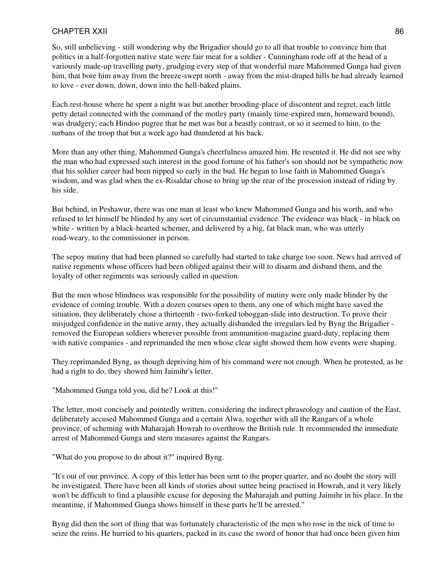So, still unbelieving - still wondering why the Brigadier should go to all that trouble to convince him that politics in a half-forgotten native state were fair meat for a soldier - Cunningham rode off at the head of a variously made-up travelling party, grudging every step of that wonderful mare Mahommed Gunga had given him, that bore him away from the breeze-swept north - away from the mist-draped hills he had already learned to love - ever down, down, down into the hell-baked plains.

Each rest-house where he spent a night was but another brooding-place of discontent and regret, each little petty detail connected with the command of the motley party (mainly time-expired men, homeward bound), was drudgery; each Hindoo pugree that he met was but a beastly contrast, or so it seemed to him, to the turbans of the troop that but a week ago had thundered at his back.

More than any other thing, Mahommed Gunga's cheerfulness amazed him. He resented it. He did not see why the man who had expressed such interest in the good fortune of his father's son should not be sympathetic now that his soldier career had been nipped so early in the bud. He began to lose faith in Mahommed Gunga's wisdom, and was glad when the ex-Risaldar chose to bring up the rear of the procession instead of riding by his side.

But behind, in Peshawur, there was one man at least who knew Mahommed Gunga and his worth, and who refused to let himself be blinded by any sort of circumstantial evidence. The evidence was black - in black on white - written by a black-hearted schemer, and delivered by a big, fat black man, who was utterly road-weary, to the commissioner in person.

The sepoy mutiny that had been planned so carefully had started to take charge too soon. News had arrived of native regiments whose officers had been obliged against their will to disarm and disband them, and the loyalty of other regiments was seriously called in question.

But the men whose blindness was responsible for the possibility of mutiny were only made blinder by the evidence of coming trouble. With a dozen courses open to them, any one of which might have saved the situation, they deliberately chose a thirteenth - two-forked toboggan-slide into destruction. To prove their misjudged confidence in the native army, they actually disbanded the irregulars led by Byng the Brigadier removed the European soldiers wherever possible from ammunition-magazine guard-duty, replacing them with native companies - and reprimanded the men whose clear sight showed them how events were shaping.

They reprimanded Byng, as though depriving him of his command were not enough. When he protested, as he had a right to do, they showed him Jaimihr's letter.

"Mahommed Gunga told you, did he? Look at this!"

The letter, most concisely and pointedly written, considering the indirect phraseology and caution of the East, deliberately accused Mahommed Gunga and a certain Alwa, together with all the Rangars of a whole province, of scheming with Maharajah Howrah to overthrow the British rule. It recommended the immediate arrest of Mahommed Gunga and stern measures against the Rangars.

"What do you propose to do about it?" inquired Byng.

"It's out of our province. A copy of this letter has been sent to the proper quarter, and no doubt the story will be investigated. There have been all kinds of stories about suttee being practised in Howrah, and it very likely won't be difficult to find a plausible excuse for deposing the Maharajah and putting Jaimihr in his place. In the meantime, if Mahommed Gunga shows himself in these parts he'll be arrested."

Byng did then the sort of thing that was fortunately characteristic of the men who rose in the nick of time to seize the reins. He hurried to his quarters, packed in its case the sword of honor that had once been given him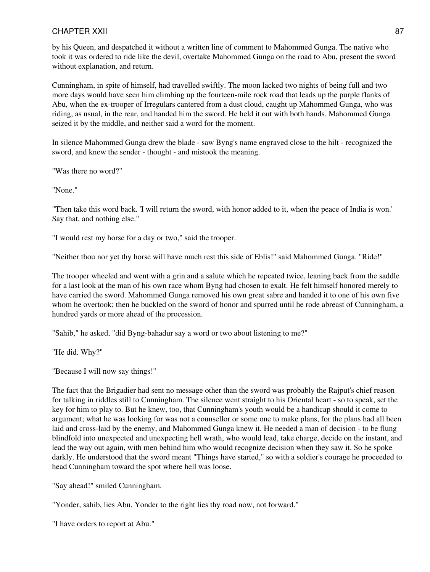by his Queen, and despatched it without a written line of comment to Mahommed Gunga. The native who took it was ordered to ride like the devil, overtake Mahommed Gunga on the road to Abu, present the sword without explanation, and return.

Cunningham, in spite of himself, had travelled swiftly. The moon lacked two nights of being full and two more days would have seen him climbing up the fourteen-mile rock road that leads up the purple flanks of Abu, when the ex-trooper of Irregulars cantered from a dust cloud, caught up Mahommed Gunga, who was riding, as usual, in the rear, and handed him the sword. He held it out with both hands. Mahommed Gunga seized it by the middle, and neither said a word for the moment.

In silence Mahommed Gunga drew the blade - saw Byng's name engraved close to the hilt - recognized the sword, and knew the sender - thought - and mistook the meaning.

"Was there no word?"

"None."

"Then take this word back. 'I will return the sword, with honor added to it, when the peace of India is won.' Say that, and nothing else."

"I would rest my horse for a day or two," said the trooper.

"Neither thou nor yet thy horse will have much rest this side of Eblis!" said Mahommed Gunga. "Ride!"

The trooper wheeled and went with a grin and a salute which he repeated twice, leaning back from the saddle for a last look at the man of his own race whom Byng had chosen to exalt. He felt himself honored merely to have carried the sword. Mahommed Gunga removed his own great sabre and handed it to one of his own five whom he overtook; then he buckled on the sword of honor and spurred until he rode abreast of Cunningham, a hundred yards or more ahead of the procession.

"Sahib," he asked, "did Byng-bahadur say a word or two about listening to me?"

"He did. Why?"

"Because I will now say things!"

The fact that the Brigadier had sent no message other than the sword was probably the Rajput's chief reason for talking in riddles still to Cunningham. The silence went straight to his Oriental heart - so to speak, set the key for him to play to. But he knew, too, that Cunningham's youth would be a handicap should it come to argument; what he was looking for was not a counsellor or some one to make plans, for the plans had all been laid and cross-laid by the enemy, and Mahommed Gunga knew it. He needed a man of decision - to be flung blindfold into unexpected and unexpecting hell wrath, who would lead, take charge, decide on the instant, and lead the way out again, with men behind him who would recognize decision when they saw it. So he spoke darkly. He understood that the sword meant "Things have started," so with a soldier's courage he proceeded to head Cunningham toward the spot where hell was loose.

"Say ahead!" smiled Cunningham.

"Yonder, sahib, lies Abu. Yonder to the right lies thy road now, not forward."

"I have orders to report at Abu."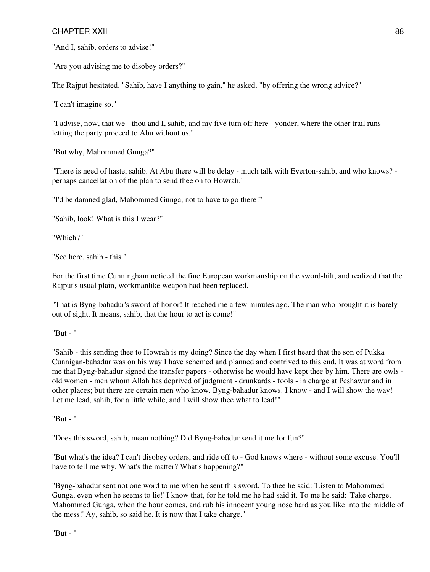"And I, sahib, orders to advise!"

"Are you advising me to disobey orders?"

The Rajput hesitated. "Sahib, have I anything to gain," he asked, "by offering the wrong advice?"

"I can't imagine so."

"I advise, now, that we - thou and I, sahib, and my five turn off here - yonder, where the other trail runs letting the party proceed to Abu without us."

"But why, Mahommed Gunga?"

"There is need of haste, sahib. At Abu there will be delay - much talk with Everton-sahib, and who knows? perhaps cancellation of the plan to send thee on to Howrah."

"I'd be damned glad, Mahommed Gunga, not to have to go there!"

"Sahib, look! What is this I wear?"

"Which?"

"See here, sahib - this."

For the first time Cunningham noticed the fine European workmanship on the sword-hilt, and realized that the Rajput's usual plain, workmanlike weapon had been replaced.

"That is Byng-bahadur's sword of honor! It reached me a few minutes ago. The man who brought it is barely out of sight. It means, sahib, that the hour to act is come!"

"But - "

"Sahib - this sending thee to Howrah is my doing? Since the day when I first heard that the son of Pukka Cunnigan-bahadur was on his way I have schemed and planned and contrived to this end. It was at word from me that Byng-bahadur signed the transfer papers - otherwise he would have kept thee by him. There are owls old women - men whom Allah has deprived of judgment - drunkards - fools - in charge at Peshawur and in other places; but there are certain men who know. Byng-bahadur knows. I know - and I will show the way! Let me lead, sahib, for a little while, and I will show thee what to lead!"

"But - "

"Does this sword, sahib, mean nothing? Did Byng-bahadur send it me for fun?"

"But what's the idea? I can't disobey orders, and ride off to - God knows where - without some excuse. You'll have to tell me why. What's the matter? What's happening?"

"Byng-bahadur sent not one word to me when he sent this sword. To thee he said: 'Listen to Mahommed Gunga, even when he seems to lie!' I know that, for he told me he had said it. To me he said: 'Take charge, Mahommed Gunga, when the hour comes, and rub his innocent young nose hard as you like into the middle of the mess!' Ay, sahib, so said he. It is now that I take charge."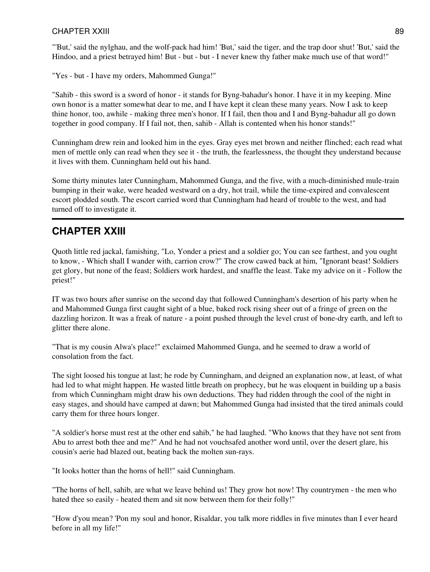"'But,' said the nylghau, and the wolf-pack had him! 'But,' said the tiger, and the trap door shut! 'But,' said the Hindoo, and a priest betrayed him! But - but - but - I never knew thy father make much use of that word!"

"Yes - but - I have my orders, Mahommed Gunga!"

"Sahib - this sword is a sword of honor - it stands for Byng-bahadur's honor. I have it in my keeping. Mine own honor is a matter somewhat dear to me, and I have kept it clean these many years. Now I ask to keep thine honor, too, awhile - making three men's honor. If I fail, then thou and I and Byng-bahadur all go down together in good company. If I fail not, then, sahib - Allah is contented when his honor stands!"

Cunningham drew rein and looked him in the eyes. Gray eyes met brown and neither flinched; each read what men of mettle only can read when they see it - the truth, the fearlessness, the thought they understand because it lives with them. Cunningham held out his hand.

Some thirty minutes later Cunningham, Mahommed Gunga, and the five, with a much-diminished mule-train bumping in their wake, were headed westward on a dry, hot trail, while the time-expired and convalescent escort plodded south. The escort carried word that Cunningham had heard of trouble to the west, and had turned off to investigate it.

# **CHAPTER XXIII**

Quoth little red jackal, famishing, "Lo, Yonder a priest and a soldier go; You can see farthest, and you ought to know, - Which shall I wander with, carrion crow?" The crow cawed back at him, "Ignorant beast! Soldiers get glory, but none of the feast; Soldiers work hardest, and snaffle the least. Take my advice on it - Follow the priest!"

IT was two hours after sunrise on the second day that followed Cunningham's desertion of his party when he and Mahommed Gunga first caught sight of a blue, baked rock rising sheer out of a fringe of green on the dazzling horizon. It was a freak of nature - a point pushed through the level crust of bone-dry earth, and left to glitter there alone.

"That is my cousin Alwa's place!" exclaimed Mahommed Gunga, and he seemed to draw a world of consolation from the fact.

The sight loosed his tongue at last; he rode by Cunningham, and deigned an explanation now, at least, of what had led to what might happen. He wasted little breath on prophecy, but he was eloquent in building up a basis from which Cunningham might draw his own deductions. They had ridden through the cool of the night in easy stages, and should have camped at dawn; but Mahommed Gunga had insisted that the tired animals could carry them for three hours longer.

"A soldier's horse must rest at the other end sahib," he had laughed. "Who knows that they have not sent from Abu to arrest both thee and me?" And he had not vouchsafed another word until, over the desert glare, his cousin's aerie had blazed out, beating back the molten sun-rays.

"It looks hotter than the horns of hell!" said Cunningham.

"The horns of hell, sahib, are what we leave behind us! They grow hot now! Thy countrymen - the men who hated thee so easily - heated them and sit now between them for their folly!"

"How d'you mean? 'Pon my soul and honor, Risaldar, you talk more riddles in five minutes than I ever heard before in all my life!"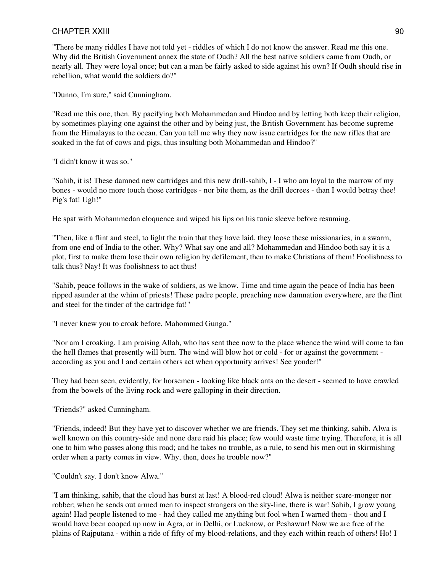"There be many riddles I have not told yet - riddles of which I do not know the answer. Read me this one. Why did the British Government annex the state of Oudh? All the best native soldiers came from Oudh, or nearly all. They were loyal once; but can a man be fairly asked to side against his own? If Oudh should rise in rebellion, what would the soldiers do?"

"Dunno, I'm sure," said Cunningham.

"Read me this one, then. By pacifying both Mohammedan and Hindoo and by letting both keep their religion, by sometimes playing one against the other and by being just, the British Government has become supreme from the Himalayas to the ocean. Can you tell me why they now issue cartridges for the new rifles that are soaked in the fat of cows and pigs, thus insulting both Mohammedan and Hindoo?"

"I didn't know it was so."

"Sahib, it is! These damned new cartridges and this new drill-sahib, I - I who am loyal to the marrow of my bones - would no more touch those cartridges - nor bite them, as the drill decrees - than I would betray thee! Pig's fat! Ugh!"

He spat with Mohammedan eloquence and wiped his lips on his tunic sleeve before resuming.

"Then, like a flint and steel, to light the train that they have laid, they loose these missionaries, in a swarm, from one end of India to the other. Why? What say one and all? Mohammedan and Hindoo both say it is a plot, first to make them lose their own religion by defilement, then to make Christians of them! Foolishness to talk thus? Nay! It was foolishness to act thus!

"Sahib, peace follows in the wake of soldiers, as we know. Time and time again the peace of India has been ripped asunder at the whim of priests! These padre people, preaching new damnation everywhere, are the flint and steel for the tinder of the cartridge fat!"

"I never knew you to croak before, Mahommed Gunga."

"Nor am I croaking. I am praising Allah, who has sent thee now to the place whence the wind will come to fan the hell flames that presently will burn. The wind will blow hot or cold - for or against the government according as you and I and certain others act when opportunity arrives! See yonder!"

They had been seen, evidently, for horsemen - looking like black ants on the desert - seemed to have crawled from the bowels of the living rock and were galloping in their direction.

"Friends?" asked Cunningham.

"Friends, indeed! But they have yet to discover whether we are friends. They set me thinking, sahib. Alwa is well known on this country-side and none dare raid his place; few would waste time trying. Therefore, it is all one to him who passes along this road; and he takes no trouble, as a rule, to send his men out in skirmishing order when a party comes in view. Why, then, does he trouble now?"

"Couldn't say. I don't know Alwa."

"I am thinking, sahib, that the cloud has burst at last! A blood-red cloud! Alwa is neither scare-monger nor robber; when he sends out armed men to inspect strangers on the sky-line, there is war! Sahib, I grow young again! Had people listened to me - had they called me anything but fool when I warned them - thou and I would have been cooped up now in Agra, or in Delhi, or Lucknow, or Peshawur! Now we are free of the plains of Rajputana - within a ride of fifty of my blood-relations, and they each within reach of others! Ho! I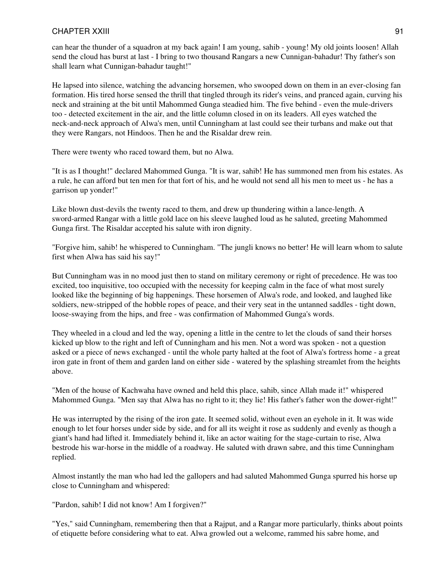can hear the thunder of a squadron at my back again! I am young, sahib - young! My old joints loosen! Allah send the cloud has burst at last - I bring to two thousand Rangars a new Cunnigan-bahadur! Thy father's son shall learn what Cunnigan-bahadur taught!"

He lapsed into silence, watching the advancing horsemen, who swooped down on them in an ever-closing fan formation. His tired horse sensed the thrill that tingled through its rider's veins, and pranced again, curving his neck and straining at the bit until Mahommed Gunga steadied him. The five behind - even the mule-drivers too - detected excitement in the air, and the little column closed in on its leaders. All eyes watched the neck-and-neck approach of Alwa's men, until Cunningham at last could see their turbans and make out that they were Rangars, not Hindoos. Then he and the Risaldar drew rein.

There were twenty who raced toward them, but no Alwa.

"It is as I thought!" declared Mahommed Gunga. "It is war, sahib! He has summoned men from his estates. As a rule, he can afford but ten men for that fort of his, and he would not send all his men to meet us - he has a garrison up yonder!"

Like blown dust-devils the twenty raced to them, and drew up thundering within a lance-length. A sword-armed Rangar with a little gold lace on his sleeve laughed loud as he saluted, greeting Mahommed Gunga first. The Risaldar accepted his salute with iron dignity.

"Forgive him, sahib! he whispered to Cunningham. "The jungli knows no better! He will learn whom to salute first when Alwa has said his say!"

But Cunningham was in no mood just then to stand on military ceremony or right of precedence. He was too excited, too inquisitive, too occupied with the necessity for keeping calm in the face of what most surely looked like the beginning of big happenings. These horsemen of Alwa's rode, and looked, and laughed like soldiers, new-stripped of the hobble ropes of peace, and their very seat in the untanned saddles - tight down, loose-swaying from the hips, and free - was confirmation of Mahommed Gunga's words.

They wheeled in a cloud and led the way, opening a little in the centre to let the clouds of sand their horses kicked up blow to the right and left of Cunningham and his men. Not a word was spoken - not a question asked or a piece of news exchanged - until the whole party halted at the foot of Alwa's fortress home - a great iron gate in front of them and garden land on either side - watered by the splashing streamlet from the heights above.

"Men of the house of Kachwaha have owned and held this place, sahib, since Allah made it!" whispered Mahommed Gunga. "Men say that Alwa has no right to it; they lie! His father's father won the dower-right!"

He was interrupted by the rising of the iron gate. It seemed solid, without even an eyehole in it. It was wide enough to let four horses under side by side, and for all its weight it rose as suddenly and evenly as though a giant's hand had lifted it. Immediately behind it, like an actor waiting for the stage-curtain to rise, Alwa bestrode his war-horse in the middle of a roadway. He saluted with drawn sabre, and this time Cunningham replied.

Almost instantly the man who had led the gallopers and had saluted Mahommed Gunga spurred his horse up close to Cunningham and whispered:

"Pardon, sahib! I did not know! Am I forgiven?"

"Yes," said Cunningham, remembering then that a Rajput, and a Rangar more particularly, thinks about points of etiquette before considering what to eat. Alwa growled out a welcome, rammed his sabre home, and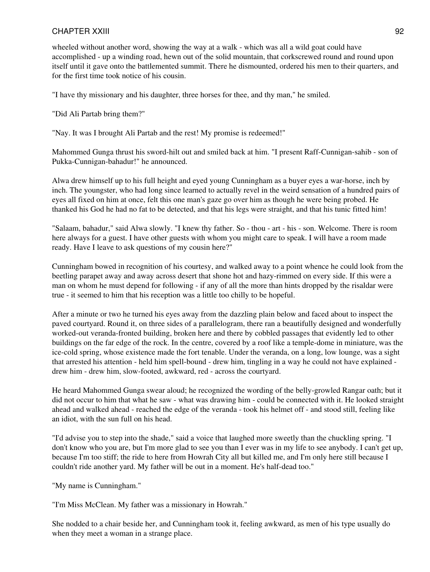wheeled without another word, showing the way at a walk - which was all a wild goat could have accomplished - up a winding road, hewn out of the solid mountain, that corkscrewed round and round upon itself until it gave onto the battlemented summit. There he dismounted, ordered his men to their quarters, and for the first time took notice of his cousin.

"I have thy missionary and his daughter, three horses for thee, and thy man," he smiled.

"Did Ali Partab bring them?"

"Nay. It was I brought Ali Partab and the rest! My promise is redeemed!"

Mahommed Gunga thrust his sword-hilt out and smiled back at him. "I present Raff-Cunnigan-sahib - son of Pukka-Cunnigan-bahadur!" he announced.

Alwa drew himself up to his full height and eyed young Cunningham as a buyer eyes a war-horse, inch by inch. The youngster, who had long since learned to actually revel in the weird sensation of a hundred pairs of eyes all fixed on him at once, felt this one man's gaze go over him as though he were being probed. He thanked his God he had no fat to be detected, and that his legs were straight, and that his tunic fitted him!

"Salaam, bahadur," said Alwa slowly. "I knew thy father. So - thou - art - his - son. Welcome. There is room here always for a guest. I have other guests with whom you might care to speak. I will have a room made ready. Have I leave to ask questions of my cousin here?"

Cunningham bowed in recognition of his courtesy, and walked away to a point whence he could look from the beetling parapet away and away across desert that shone hot and hazy-rimmed on every side. If this were a man on whom he must depend for following - if any of all the more than hints dropped by the risaldar were true - it seemed to him that his reception was a little too chilly to be hopeful.

After a minute or two he turned his eyes away from the dazzling plain below and faced about to inspect the paved courtyard. Round it, on three sides of a parallelogram, there ran a beautifully designed and wonderfully worked-out veranda-fronted building, broken here and there by cobbled passages that evidently led to other buildings on the far edge of the rock. In the centre, covered by a roof like a temple-dome in miniature, was the ice-cold spring, whose existence made the fort tenable. Under the veranda, on a long, low lounge, was a sight that arrested his attention - held him spell-bound - drew him, tingling in a way he could not have explained drew him - drew him, slow-footed, awkward, red - across the courtyard.

He heard Mahommed Gunga swear aloud; he recognized the wording of the belly-growled Rangar oath; but it did not occur to him that what he saw - what was drawing him - could be connected with it. He looked straight ahead and walked ahead - reached the edge of the veranda - took his helmet off - and stood still, feeling like an idiot, with the sun full on his head.

"I'd advise you to step into the shade," said a voice that laughed more sweetly than the chuckling spring. "I don't know who you are, but I'm more glad to see you than I ever was in my life to see anybody. I can't get up, because I'm too stiff; the ride to here from Howrah City all but killed me, and I'm only here still because I couldn't ride another yard. My father will be out in a moment. He's half-dead too."

"My name is Cunningham."

"I'm Miss McClean. My father was a missionary in Howrah."

She nodded to a chair beside her, and Cunningham took it, feeling awkward, as men of his type usually do when they meet a woman in a strange place.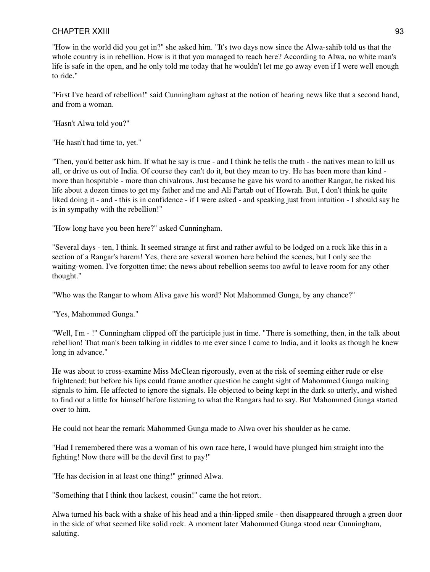"How in the world did you get in?" she asked him. "It's two days now since the Alwa-sahib told us that the whole country is in rebellion. How is it that you managed to reach here? According to Alwa, no white man's life is safe in the open, and he only told me today that he wouldn't let me go away even if I were well enough to ride."

"First I've heard of rebellion!" said Cunningham aghast at the notion of hearing news like that a second hand, and from a woman.

"Hasn't Alwa told you?"

"He hasn't had time to, yet."

"Then, you'd better ask him. If what he say is true - and I think he tells the truth - the natives mean to kill us all, or drive us out of India. Of course they can't do it, but they mean to try. He has been more than kind more than hospitable - more than chivalrous. Just because he gave his word to another Rangar, he risked his life about a dozen times to get my father and me and Ali Partab out of Howrah. But, I don't think he quite liked doing it - and - this is in confidence - if I were asked - and speaking just from intuition - I should say he is in sympathy with the rebellion!"

"How long have you been here?" asked Cunningham.

"Several days - ten, I think. It seemed strange at first and rather awful to be lodged on a rock like this in a section of a Rangar's harem! Yes, there are several women here behind the scenes, but I only see the waiting-women. I've forgotten time; the news about rebellion seems too awful to leave room for any other thought."

"Who was the Rangar to whom Aliva gave his word? Not Mahommed Gunga, by any chance?"

"Yes, Mahommed Gunga."

"Well, I'm - !" Cunningham clipped off the participle just in time. "There is something, then, in the talk about rebellion! That man's been talking in riddles to me ever since I came to India, and it looks as though he knew long in advance."

He was about to cross-examine Miss McClean rigorously, even at the risk of seeming either rude or else frightened; but before his lips could frame another question he caught sight of Mahommed Gunga making signals to him. He affected to ignore the signals. He objected to being kept in the dark so utterly, and wished to find out a little for himself before listening to what the Rangars had to say. But Mahommed Gunga started over to him.

He could not hear the remark Mahommed Gunga made to Alwa over his shoulder as he came.

"Had I remembered there was a woman of his own race here, I would have plunged him straight into the fighting! Now there will be the devil first to pay!"

"He has decision in at least one thing!" grinned Alwa.

"Something that I think thou lackest, cousin!" came the hot retort.

Alwa turned his back with a shake of his head and a thin-lipped smile - then disappeared through a green door in the side of what seemed like solid rock. A moment later Mahommed Gunga stood near Cunningham, saluting.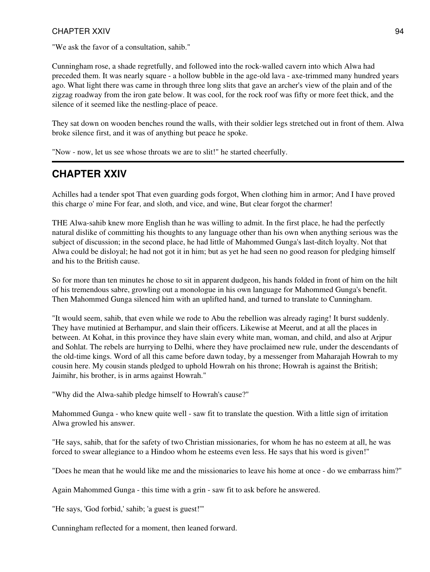"We ask the favor of a consultation, sahib."

Cunningham rose, a shade regretfully, and followed into the rock-walled cavern into which Alwa had preceded them. It was nearly square - a hollow bubble in the age-old lava - axe-trimmed many hundred years ago. What light there was came in through three long slits that gave an archer's view of the plain and of the zigzag roadway from the iron gate below. It was cool, for the rock roof was fifty or more feet thick, and the silence of it seemed like the nestling-place of peace.

They sat down on wooden benches round the walls, with their soldier legs stretched out in front of them. Alwa broke silence first, and it was of anything but peace he spoke.

"Now - now, let us see whose throats we are to slit!" he started cheerfully.

# **CHAPTER XXIV**

Achilles had a tender spot That even guarding gods forgot, When clothing him in armor; And I have proved this charge o' mine For fear, and sloth, and vice, and wine, But clear forgot the charmer!

THE Alwa-sahib knew more English than he was willing to admit. In the first place, he had the perfectly natural dislike of committing his thoughts to any language other than his own when anything serious was the subject of discussion; in the second place, he had little of Mahommed Gunga's last-ditch loyalty. Not that Alwa could be disloyal; he had not got it in him; but as yet he had seen no good reason for pledging himself and his to the British cause.

So for more than ten minutes he chose to sit in apparent dudgeon, his hands folded in front of him on the hilt of his tremendous sabre, growling out a monologue in his own language for Mahommed Gunga's benefit. Then Mahommed Gunga silenced him with an uplifted hand, and turned to translate to Cunningham.

"It would seem, sahib, that even while we rode to Abu the rebellion was already raging! It burst suddenly. They have mutinied at Berhampur, and slain their officers. Likewise at Meerut, and at all the places in between. At Kohat, in this province they have slain every white man, woman, and child, and also at Arjpur and Sohlat. The rebels are hurrying to Delhi, where they have proclaimed new rule, under the descendants of the old-time kings. Word of all this came before dawn today, by a messenger from Maharajah Howrah to my cousin here. My cousin stands pledged to uphold Howrah on his throne; Howrah is against the British; Jaimihr, his brother, is in arms against Howrah."

"Why did the Alwa-sahib pledge himself to Howrah's cause?"

Mahommed Gunga - who knew quite well - saw fit to translate the question. With a little sign of irritation Alwa growled his answer.

"He says, sahib, that for the safety of two Christian missionaries, for whom he has no esteem at all, he was forced to swear allegiance to a Hindoo whom he esteems even less. He says that his word is given!"

"Does he mean that he would like me and the missionaries to leave his home at once - do we embarrass him?"

Again Mahommed Gunga - this time with a grin - saw fit to ask before he answered.

"He says, 'God forbid,' sahib; 'a guest is guest!'"

Cunningham reflected for a moment, then leaned forward.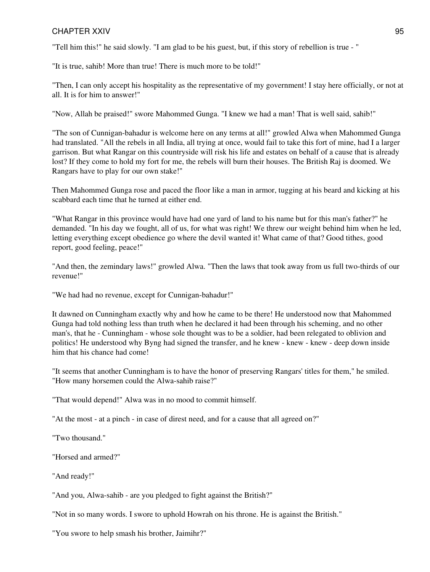"Tell him this!" he said slowly. "I am glad to be his guest, but, if this story of rebellion is true - "

"It is true, sahib! More than true! There is much more to be told!"

"Then, I can only accept his hospitality as the representative of my government! I stay here officially, or not at all. It is for him to answer!"

"Now, Allah be praised!" swore Mahommed Gunga. "I knew we had a man! That is well said, sahib!"

"The son of Cunnigan-bahadur is welcome here on any terms at all!" growled Alwa when Mahommed Gunga had translated. "All the rebels in all India, all trying at once, would fail to take this fort of mine, had I a larger garrison. But what Rangar on this countryside will risk his life and estates on behalf of a cause that is already lost? If they come to hold my fort for me, the rebels will burn their houses. The British Raj is doomed. We Rangars have to play for our own stake!"

Then Mahommed Gunga rose and paced the floor like a man in armor, tugging at his beard and kicking at his scabbard each time that he turned at either end.

"What Rangar in this province would have had one yard of land to his name but for this man's father?" he demanded. "In his day we fought, all of us, for what was right! We threw our weight behind him when he led, letting everything except obedience go where the devil wanted it! What came of that? Good tithes, good report, good feeling, peace!"

"And then, the zemindary laws!" growled Alwa. "Then the laws that took away from us full two-thirds of our revenue!"

"We had had no revenue, except for Cunnigan-bahadur!"

It dawned on Cunningham exactly why and how he came to be there! He understood now that Mahommed Gunga had told nothing less than truth when he declared it had been through his scheming, and no other man's, that he - Cunningham - whose sole thought was to be a soldier, had been relegated to oblivion and politics! He understood why Byng had signed the transfer, and he knew - knew - knew - deep down inside him that his chance had come!

"It seems that another Cunningham is to have the honor of preserving Rangars' titles for them," he smiled. "How many horsemen could the Alwa-sahib raise?"

"That would depend!" Alwa was in no mood to commit himself.

"At the most - at a pinch - in case of direst need, and for a cause that all agreed on?"

"Two thousand."

"Horsed and armed?"

"And ready!"

"And you, Alwa-sahib - are you pledged to fight against the British?"

"Not in so many words. I swore to uphold Howrah on his throne. He is against the British."

"You swore to help smash his brother, Jaimihr?"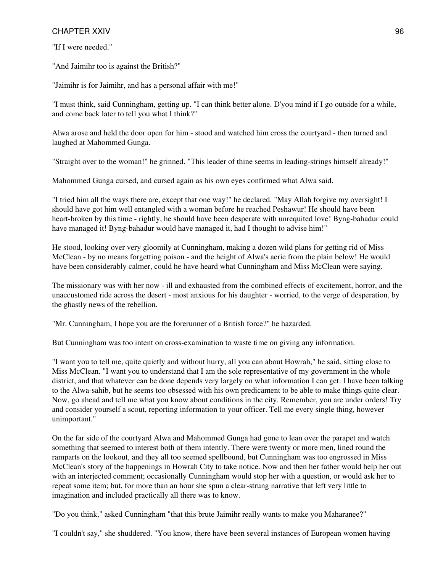"If I were needed."

"And Jaimihr too is against the British?"

"Jaimihr is for Jaimihr, and has a personal affair with me!"

"I must think, said Cunningham, getting up. "I can think better alone. D'you mind if I go outside for a while, and come back later to tell you what I think?"

Alwa arose and held the door open for him - stood and watched him cross the courtyard - then turned and laughed at Mahommed Gunga.

"Straight over to the woman!" he grinned. "This leader of thine seems in leading-strings himself already!"

Mahommed Gunga cursed, and cursed again as his own eyes confirmed what Alwa said.

"I tried him all the ways there are, except that one way!" he declared. "May Allah forgive my oversight! I should have got him well entangled with a woman before he reached Peshawur! He should have been heart-broken by this time - rightly, he should have been desperate with unrequited love! Byng-bahadur could have managed it! Byng-bahadur would have managed it, had I thought to advise him!"

He stood, looking over very gloomily at Cunningham, making a dozen wild plans for getting rid of Miss McClean - by no means forgetting poison - and the height of Alwa's aerie from the plain below! He would have been considerably calmer, could he have heard what Cunningham and Miss McClean were saying.

The missionary was with her now - ill and exhausted from the combined effects of excitement, horror, and the unaccustomed ride across the desert - most anxious for his daughter - worried, to the verge of desperation, by the ghastly news of the rebellion.

"Mr. Cunningham, I hope you are the forerunner of a British force?" he hazarded.

But Cunningham was too intent on cross-examination to waste time on giving any information.

"I want you to tell me, quite quietly and without hurry, all you can about Howrah," he said, sitting close to Miss McClean. "I want you to understand that I am the sole representative of my government in the whole district, and that whatever can be done depends very largely on what information I can get. I have been talking to the Alwa-sahib, but he seems too obsessed with his own predicament to be able to make things quite clear. Now, go ahead and tell me what you know about conditions in the city. Remember, you are under orders! Try and consider yourself a scout, reporting information to your officer. Tell me every single thing, however unimportant."

On the far side of the courtyard Alwa and Mahommed Gunga had gone to lean over the parapet and watch something that seemed to interest both of them intently. There were twenty or more men, lined round the ramparts on the lookout, and they all too seemed spellbound, but Cunningham was too engrossed in Miss McClean's story of the happenings in Howrah City to take notice. Now and then her father would help her out with an interjected comment; occasionally Cunningham would stop her with a question, or would ask her to repeat some item; but, for more than an hour she spun a clear-strung narrative that left very little to imagination and included practically all there was to know.

"Do you think," asked Cunningham "that this brute Jaimihr really wants to make you Maharanee?"

"I couldn't say," she shuddered. "You know, there have been several instances of European women having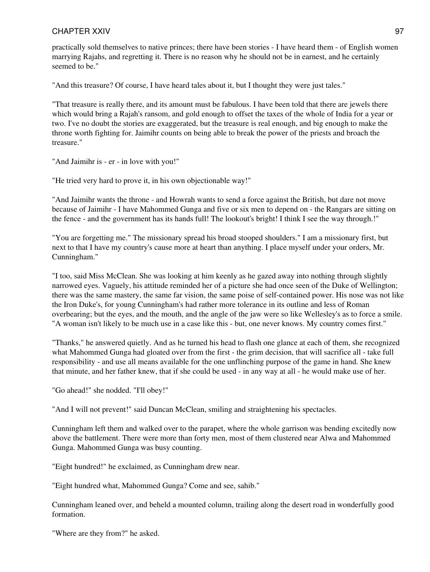practically sold themselves to native princes; there have been stories - I have heard them - of English women marrying Rajahs, and regretting it. There is no reason why he should not be in earnest, and he certainly seemed to be."

"And this treasure? Of course, I have heard tales about it, but I thought they were just tales."

"That treasure is really there, and its amount must be fabulous. I have been told that there are jewels there which would bring a Rajah's ransom, and gold enough to offset the taxes of the whole of India for a year or two. I've no doubt the stories are exaggerated, but the treasure is real enough, and big enough to make the throne worth fighting for. Jaimihr counts on being able to break the power of the priests and broach the treasure."

"And Jaimihr is - er - in love with you!"

"He tried very hard to prove it, in his own objectionable way!"

"And Jaimihr wants the throne - and Howrah wants to send a force against the British, but dare not move because of Jaimihr - I have Mahommed Gunga and five or six men to depend on - the Rangars are sitting on the fence - and the government has its hands full! The lookout's bright! I think I see the way through.!"

"You are forgetting me." The missionary spread his broad stooped shoulders." I am a missionary first, but next to that I have my country's cause more at heart than anything. I place myself under your orders, Mr. Cunningham."

"I too, said Miss McClean. She was looking at him keenly as he gazed away into nothing through slightly narrowed eyes. Vaguely, his attitude reminded her of a picture she had once seen of the Duke of Wellington; there was the same mastery, the same far vision, the same poise of self-contained power. His nose was not like the Iron Duke's, for young Cunningham's had rather more tolerance in its outline and less of Roman overbearing; but the eyes, and the mouth, and the angle of the jaw were so like Wellesley's as to force a smile. "A woman isn't likely to be much use in a case like this - but, one never knows. My country comes first."

"Thanks," he answered quietly. And as he turned his head to flash one glance at each of them, she recognized what Mahommed Gunga had gloated over from the first - the grim decision, that will sacrifice all - take full responsibility - and use all means available for the one unflinching purpose of the game in hand. She knew that minute, and her father knew, that if she could be used - in any way at all - he would make use of her.

"Go ahead!" she nodded. "I'll obey!"

"And I will not prevent!" said Duncan McClean, smiling and straightening his spectacles.

Cunningham left them and walked over to the parapet, where the whole garrison was bending excitedly now above the battlement. There were more than forty men, most of them clustered near Alwa and Mahommed Gunga. Mahommed Gunga was busy counting.

"Eight hundred!" he exclaimed, as Cunningham drew near.

"Eight hundred what, Mahommed Gunga? Come and see, sahib."

Cunningham leaned over, and beheld a mounted column, trailing along the desert road in wonderfully good formation.

"Where are they from?" he asked.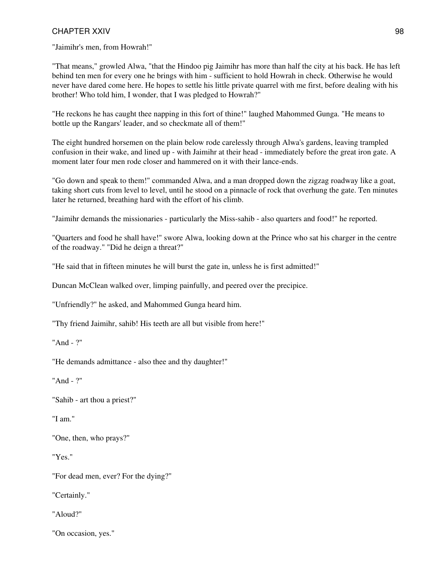"Jaimihr's men, from Howrah!"

"That means," growled Alwa, "that the Hindoo pig Jaimihr has more than half the city at his back. He has left behind ten men for every one he brings with him - sufficient to hold Howrah in check. Otherwise he would never have dared come here. He hopes to settle his little private quarrel with me first, before dealing with his brother! Who told him, I wonder, that I was pledged to Howrah?"

"He reckons he has caught thee napping in this fort of thine!" laughed Mahommed Gunga. "He means to bottle up the Rangars' leader, and so checkmate all of them!"

The eight hundred horsemen on the plain below rode carelessly through Alwa's gardens, leaving trampled confusion in their wake, and lined up - with Jaimihr at their head - immediately before the great iron gate. A moment later four men rode closer and hammered on it with their lance-ends.

"Go down and speak to them!" commanded Alwa, and a man dropped down the zigzag roadway like a goat, taking short cuts from level to level, until he stood on a pinnacle of rock that overhung the gate. Ten minutes later he returned, breathing hard with the effort of his climb.

"Jaimihr demands the missionaries - particularly the Miss-sahib - also quarters and food!" he reported.

"Quarters and food he shall have!" swore Alwa, looking down at the Prince who sat his charger in the centre of the roadway." "Did he deign a threat?"

"He said that in fifteen minutes he will burst the gate in, unless he is first admitted!"

Duncan McClean walked over, limping painfully, and peered over the precipice.

"Unfriendly?" he asked, and Mahommed Gunga heard him.

"Thy friend Jaimihr, sahib! His teeth are all but visible from here!"

"And - ?"

"He demands admittance - also thee and thy daughter!"

"And - ?"

"Sahib - art thou a priest?"

"I am."

"One, then, who prays?"

"Yes."

"For dead men, ever? For the dying?"

"Certainly."

"Aloud?"

"On occasion, yes."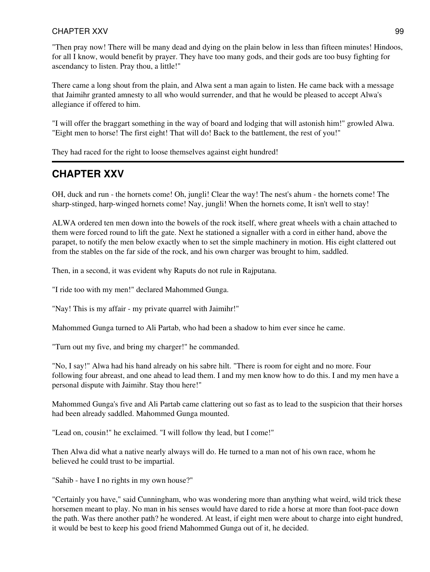"Then pray now! There will be many dead and dying on the plain below in less than fifteen minutes! Hindoos, for all I know, would benefit by prayer. They have too many gods, and their gods are too busy fighting for ascendancy to listen. Pray thou, a little!"

There came a long shout from the plain, and Alwa sent a man again to listen. He came back with a message that Jaimihr granted amnesty to all who would surrender, and that he would be pleased to accept Alwa's allegiance if offered to him.

"I will offer the braggart something in the way of board and lodging that will astonish him!" growled Alwa. "Eight men to horse! The first eight! That will do! Back to the battlement, the rest of you!"

They had raced for the right to loose themselves against eight hundred!

## **CHAPTER XXV**

OH, duck and run - the hornets come! Oh, jungli! Clear the way! The nest's ahum - the hornets come! The sharp-stinged, harp-winged hornets come! Nay, jungli! When the hornets come, It isn't well to stay!

ALWA ordered ten men down into the bowels of the rock itself, where great wheels with a chain attached to them were forced round to lift the gate. Next he stationed a signaller with a cord in either hand, above the parapet, to notify the men below exactly when to set the simple machinery in motion. His eight clattered out from the stables on the far side of the rock, and his own charger was brought to him, saddled.

Then, in a second, it was evident why Raputs do not rule in Rajputana.

"I ride too with my men!" declared Mahommed Gunga.

"Nay! This is my affair - my private quarrel with Jaimihr!"

Mahommed Gunga turned to Ali Partab, who had been a shadow to him ever since he came.

"Turn out my five, and bring my charger!" he commanded.

"No, I say!" Alwa had his hand already on his sabre hilt. "There is room for eight and no more. Four following four abreast, and one ahead to lead them. I and my men know how to do this. I and my men have a personal dispute with Jaimihr. Stay thou here!"

Mahommed Gunga's five and Ali Partab came clattering out so fast as to lead to the suspicion that their horses had been already saddled. Mahommed Gunga mounted.

"Lead on, cousin!" he exclaimed. "I will follow thy lead, but I come!"

Then Alwa did what a native nearly always will do. He turned to a man not of his own race, whom he believed he could trust to be impartial.

"Sahib - have I no rights in my own house?"

"Certainly you have," said Cunningham, who was wondering more than anything what weird, wild trick these horsemen meant to play. No man in his senses would have dared to ride a horse at more than foot-pace down the path. Was there another path? he wondered. At least, if eight men were about to charge into eight hundred, it would be best to keep his good friend Mahommed Gunga out of it, he decided.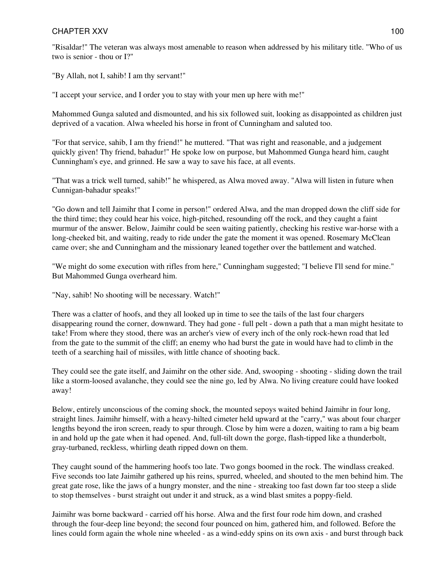## CHAPTER XXV and the contract of the contract of the contract of the contract of the contract of the contract of the contract of the contract of the contract of the contract of the contract of the contract of the contract o

"Risaldar!" The veteran was always most amenable to reason when addressed by his military title. "Who of us two is senior - thou or I?"

"By Allah, not I, sahib! I am thy servant!"

"I accept your service, and I order you to stay with your men up here with me!"

Mahommed Gunga saluted and dismounted, and his six followed suit, looking as disappointed as children just deprived of a vacation. Alwa wheeled his horse in front of Cunningham and saluted too.

"For that service, sahib, I am thy friend!" he muttered. "That was right and reasonable, and a judgement quickly given! Thy friend, bahadur!" He spoke low on purpose, but Mahommed Gunga heard him, caught Cunningham's eye, and grinned. He saw a way to save his face, at all events.

"That was a trick well turned, sahib!" he whispered, as Alwa moved away. "Alwa will listen in future when Cunnigan-bahadur speaks!"

"Go down and tell Jaimihr that I come in person!" ordered Alwa, and the man dropped down the cliff side for the third time; they could hear his voice, high-pitched, resounding off the rock, and they caught a faint murmur of the answer. Below, Jaimihr could be seen waiting patiently, checking his restive war-horse with a long-cheeked bit, and waiting, ready to ride under the gate the moment it was opened. Rosemary McClean came over; she and Cunningham and the missionary leaned together over the battlement and watched.

"We might do some execution with rifles from here," Cunningham suggested; "I believe I'll send for mine." But Mahommed Gunga overheard him.

"Nay, sahib! No shooting will be necessary. Watch!"

There was a clatter of hoofs, and they all looked up in time to see the tails of the last four chargers disappearing round the corner, downward. They had gone - full pelt - down a path that a man might hesitate to take! From where they stood, there was an archer's view of every inch of the only rock-hewn road that led from the gate to the summit of the cliff; an enemy who had burst the gate in would have had to climb in the teeth of a searching hail of missiles, with little chance of shooting back.

They could see the gate itself, and Jaimihr on the other side. And, swooping - shooting - sliding down the trail like a storm-loosed avalanche, they could see the nine go, led by Alwa. No living creature could have looked away!

Below, entirely unconscious of the coming shock, the mounted sepoys waited behind Jaimihr in four long, straight lines. Jaimihr himself, with a heavy-hilted cimeter held upward at the "carry," was about four charger lengths beyond the iron screen, ready to spur through. Close by him were a dozen, waiting to ram a big beam in and hold up the gate when it had opened. And, full-tilt down the gorge, flash-tipped like a thunderbolt, gray-turbaned, reckless, whirling death ripped down on them.

They caught sound of the hammering hoofs too late. Two gongs boomed in the rock. The windlass creaked. Five seconds too late Jaimihr gathered up his reins, spurred, wheeled, and shouted to the men behind him. The great gate rose, like the jaws of a hungry monster, and the nine - streaking too fast down far too steep a slide to stop themselves - burst straight out under it and struck, as a wind blast smites a poppy-field.

Jaimihr was borne backward - carried off his horse. Alwa and the first four rode him down, and crashed through the four-deep line beyond; the second four pounced on him, gathered him, and followed. Before the lines could form again the whole nine wheeled - as a wind-eddy spins on its own axis - and burst through back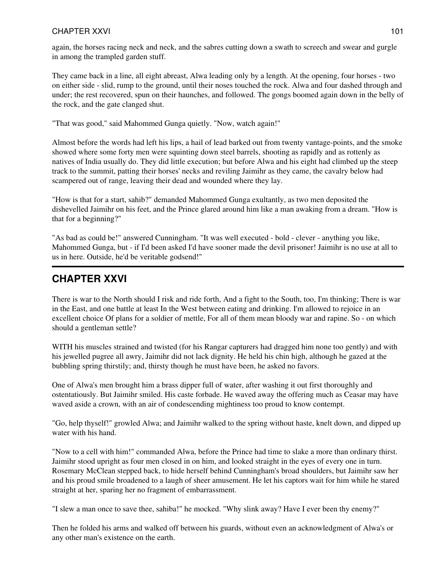## CHAPTER XXVI and the contract of the contract of the contract of the contract of the contract of the contract of the contract of the contract of the contract of the contract of the contract of the contract of the contract

again, the horses racing neck and neck, and the sabres cutting down a swath to screech and swear and gurgle in among the trampled garden stuff.

They came back in a line, all eight abreast, Alwa leading only by a length. At the opening, four horses - two on either side - slid, rump to the ground, until their noses touched the rock. Alwa and four dashed through and under; the rest recovered, spun on their haunches, and followed. The gongs boomed again down in the belly of the rock, and the gate clanged shut.

"That was good," said Mahommed Gunga quietly. "Now, watch again!"

Almost before the words had left his lips, a hail of lead barked out from twenty vantage-points, and the smoke showed where some forty men were squinting down steel barrels, shooting as rapidly and as rottenly as natives of India usually do. They did little execution; but before Alwa and his eight had climbed up the steep track to the summit, patting their horses' necks and reviling Jaimihr as they came, the cavalry below had scampered out of range, leaving their dead and wounded where they lay.

"How is that for a start, sahib?" demanded Mahommed Gunga exultantly, as two men deposited the dishevelled Jaimihr on his feet, and the Prince glared around him like a man awaking from a dream. "How is that for a beginning?"

"As bad as could be!" answered Cunningham. "It was well executed - bold - clever - anything you like, Mahommed Gunga, but - if I'd been asked I'd have sooner made the devil prisoner! Jaimihr is no use at all to us in here. Outside, he'd be veritable godsend!"

# **CHAPTER XXVI**

There is war to the North should I risk and ride forth, And a fight to the South, too, I'm thinking; There is war in the East, and one battle at least In the West between eating and drinking. I'm allowed to rejoice in an excellent choice Of plans for a soldier of mettle, For all of them mean bloody war and rapine. So - on which should a gentleman settle?

WITH his muscles strained and twisted (for his Rangar capturers had dragged him none too gently) and with his jewelled pugree all awry, Jaimihr did not lack dignity. He held his chin high, although he gazed at the bubbling spring thirstily; and, thirsty though he must have been, he asked no favors.

One of Alwa's men brought him a brass dipper full of water, after washing it out first thoroughly and ostentatiously. But Jaimihr smiled. His caste forbade. He waved away the offering much as Ceasar may have waved aside a crown, with an air of condescending mightiness too proud to know contempt.

"Go, help thyself!" growled Alwa; and Jaimihr walked to the spring without haste, knelt down, and dipped up water with his hand.

"Now to a cell with him!" commanded Alwa, before the Prince had time to slake a more than ordinary thirst. Jaimihr stood upright as four men closed in on him, and looked straight in the eyes of every one in turn. Rosemary McClean stepped back, to hide herself behind Cunningham's broad shoulders, but Jaimihr saw her and his proud smile broadened to a laugh of sheer amusement. He let his captors wait for him while he stared straight at her, sparing her no fragment of embarrassment.

"I slew a man once to save thee, sahiba!" he mocked. "Why slink away? Have I ever been thy enemy?"

Then he folded his arms and walked off between his guards, without even an acknowledgment of Alwa's or any other man's existence on the earth.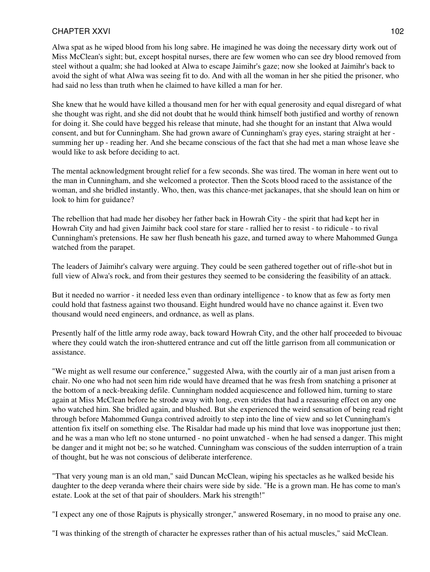#### CHAPTER XXVI and the state of the state of the state of the state of the state of the state of the state of the state of the state of the state of the state of the state of the state of the state of the state of the state

Alwa spat as he wiped blood from his long sabre. He imagined he was doing the necessary dirty work out of Miss McClean's sight; but, except hospital nurses, there are few women who can see dry blood removed from steel without a qualm; she had looked at Alwa to escape Jaimihr's gaze; now she looked at Jaimihr's back to avoid the sight of what Alwa was seeing fit to do. And with all the woman in her she pitied the prisoner, who had said no less than truth when he claimed to have killed a man for her.

She knew that he would have killed a thousand men for her with equal generosity and equal disregard of what she thought was right, and she did not doubt that he would think himself both justified and worthy of renown for doing it. She could have begged his release that minute, had she thought for an instant that Alwa would consent, and but for Cunningham. She had grown aware of Cunningham's gray eyes, staring straight at her summing her up - reading her. And she became conscious of the fact that she had met a man whose leave she would like to ask before deciding to act.

The mental acknowledgment brought relief for a few seconds. She was tired. The woman in here went out to the man in Cunningham, and she welcomed a protector. Then the Scots blood raced to the assistance of the woman, and she bridled instantly. Who, then, was this chance-met jackanapes, that she should lean on him or look to him for guidance?

The rebellion that had made her disobey her father back in Howrah City - the spirit that had kept her in Howrah City and had given Jaimihr back cool stare for stare - rallied her to resist - to ridicule - to rival Cunningham's pretensions. He saw her flush beneath his gaze, and turned away to where Mahommed Gunga watched from the parapet.

The leaders of Jaimihr's calvary were arguing. They could be seen gathered together out of rifle-shot but in full view of Alwa's rock, and from their gestures they seemed to be considering the feasibility of an attack.

But it needed no warrior - it needed less even than ordinary intelligence - to know that as few as forty men could hold that fastness against two thousand. Eight hundred would have no chance against it. Even two thousand would need engineers, and ordnance, as well as plans.

Presently half of the little army rode away, back toward Howrah City, and the other half proceeded to bivouac where they could watch the iron-shuttered entrance and cut off the little garrison from all communication or assistance.

"We might as well resume our conference," suggested Alwa, with the courtly air of a man just arisen from a chair. No one who had not seen him ride would have dreamed that he was fresh from snatching a prisoner at the bottom of a neck-breaking defile. Cunningham nodded acquiescence and followed him, turning to stare again at Miss McClean before he strode away with long, even strides that had a reassuring effect on any one who watched him. She bridled again, and blushed. But she experienced the weird sensation of being read right through before Mahommed Gunga contrived adroitly to step into the line of view and so let Cunningham's attention fix itself on something else. The Risaldar had made up his mind that love was inopportune just then; and he was a man who left no stone unturned - no point unwatched - when he had sensed a danger. This might be danger and it might not be; so he watched. Cunningham was conscious of the sudden interruption of a train of thought, but he was not conscious of deliberate interference.

"That very young man is an old man," said Duncan McClean, wiping his spectacles as he walked beside his daughter to the deep veranda where their chairs were side by side. "He is a grown man. He has come to man's estate. Look at the set of that pair of shoulders. Mark his strength!"

"I expect any one of those Rajputs is physically stronger," answered Rosemary, in no mood to praise any one.

"I was thinking of the strength of character he expresses rather than of his actual muscles," said McClean.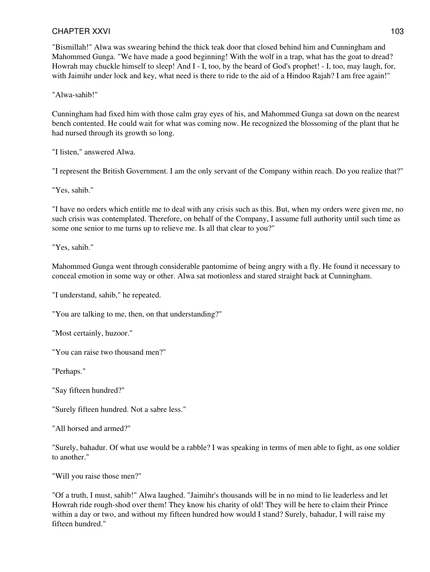### CHAPTER XXVI and the state of the state of the state of the state of the state of the state of the state of the state of the state of the state of the state of the state of the state of the state of the state of the state

"Bismillah!" Alwa was swearing behind the thick teak door that closed behind him and Cunningham and Mahommed Gunga. "We have made a good beginning! With the wolf in a trap, what has the goat to dread? Howrah may chuckle himself to sleep! And I - I, too, by the beard of God's prophet! - I, too, may laugh, for, with Jaimihr under lock and key, what need is there to ride to the aid of a Hindoo Rajah? I am free again!"

"Alwa-sahib!"

Cunningham had fixed him with those calm gray eyes of his, and Mahommed Gunga sat down on the nearest bench contented. He could wait for what was coming now. He recognized the blossoming of the plant that he had nursed through its growth so long.

"I listen," answered Alwa.

"I represent the British Government. I am the only servant of the Company within reach. Do you realize that?"

"Yes, sahib."

"I have no orders which entitle me to deal with any crisis such as this. But, when my orders were given me, no such crisis was contemplated. Therefore, on behalf of the Company, I assume full authority until such time as some one senior to me turns up to relieve me. Is all that clear to you?"

"Yes, sahib."

Mahommed Gunga went through considerable pantomime of being angry with a fly. He found it necessary to conceal emotion in some way or other. Alwa sat motionless and stared straight back at Cunningham.

"I understand, sahib," he repeated.

"You are talking to me, then, on that understanding?"

"Most certainly, huzoor."

"You can raise two thousand men?"

"Perhaps."

"Say fifteen hundred?"

"Surely fifteen hundred. Not a sabre less."

"All horsed and armed?"

"Surely, bahadur. Of what use would be a rabble? I was speaking in terms of men able to fight, as one soldier to another."

"Will you raise those men?"

"Of a truth, I must, sahib!" Alwa laughed. "Jaimihr's thousands will be in no mind to lie leaderless and let Howrah ride rough-shod over them! They know his charity of old! They will be here to claim their Prince within a day or two, and without my fifteen hundred how would I stand? Surely, bahadur, I will raise my fifteen hundred."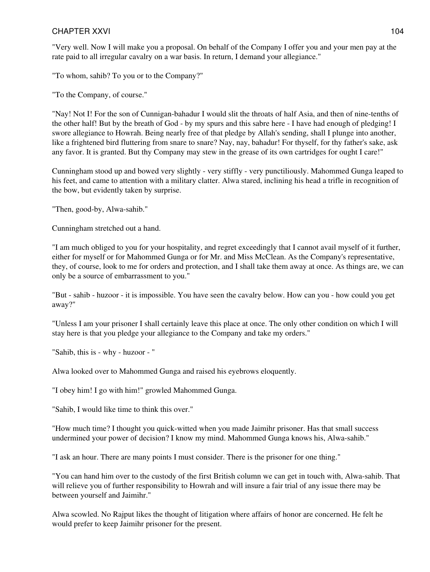#### CHAPTER XXVI and the state of the state of the state of the state of the state of the state of the state of the state of the state of the state of the state of the state of the state of the state of the state of the state

"Very well. Now I will make you a proposal. On behalf of the Company I offer you and your men pay at the rate paid to all irregular cavalry on a war basis. In return, I demand your allegiance."

"To whom, sahib? To you or to the Company?"

"To the Company, of course."

"Nay! Not I! For the son of Cunnigan-bahadur I would slit the throats of half Asia, and then of nine-tenths of the other half! But by the breath of God - by my spurs and this sabre here - I have had enough of pledging! I swore allegiance to Howrah. Being nearly free of that pledge by Allah's sending, shall I plunge into another, like a frightened bird fluttering from snare to snare? Nay, nay, bahadur! For thyself, for thy father's sake, ask any favor. It is granted. But thy Company may stew in the grease of its own cartridges for ought I care!"

Cunningham stood up and bowed very slightly - very stiffly - very punctiliously. Mahommed Gunga leaped to his feet, and came to attention with a military clatter. Alwa stared, inclining his head a trifle in recognition of the bow, but evidently taken by surprise.

"Then, good-by, Alwa-sahib."

Cunningham stretched out a hand.

"I am much obliged to you for your hospitality, and regret exceedingly that I cannot avail myself of it further, either for myself or for Mahommed Gunga or for Mr. and Miss McClean. As the Company's representative, they, of course, look to me for orders and protection, and I shall take them away at once. As things are, we can only be a source of embarrassment to you."

"But - sahib - huzoor - it is impossible. You have seen the cavalry below. How can you - how could you get away?"

"Unless I am your prisoner I shall certainly leave this place at once. The only other condition on which I will stay here is that you pledge your allegiance to the Company and take my orders."

"Sahib, this is - why - huzoor - "

Alwa looked over to Mahommed Gunga and raised his eyebrows eloquently.

"I obey him! I go with him!" growled Mahommed Gunga.

"Sahib, I would like time to think this over."

"How much time? I thought you quick-witted when you made Jaimihr prisoner. Has that small success undermined your power of decision? I know my mind. Mahommed Gunga knows his, Alwa-sahib."

"I ask an hour. There are many points I must consider. There is the prisoner for one thing."

"You can hand him over to the custody of the first British column we can get in touch with, Alwa-sahib. That will relieve you of further responsibility to Howrah and will insure a fair trial of any issue there may be between yourself and Jaimihr."

Alwa scowled. No Rajput likes the thought of litigation where affairs of honor are concerned. He felt he would prefer to keep Jaimihr prisoner for the present.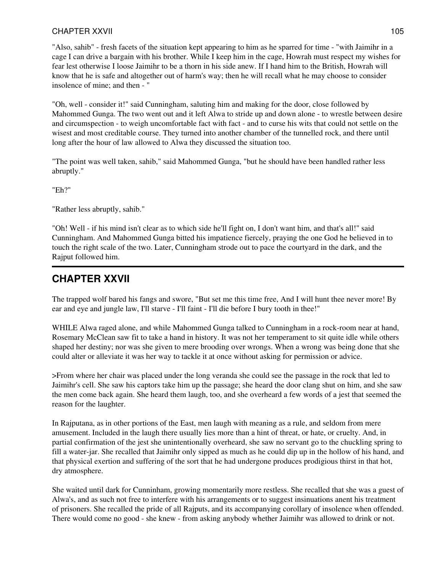"Also, sahib" - fresh facets of the situation kept appearing to him as he sparred for time - "with Jaimihr in a cage I can drive a bargain with his brother. While I keep him in the cage, Howrah must respect my wishes for fear lest otherwise I loose Jaimihr to be a thorn in his side anew. If I hand him to the British, Howrah will know that he is safe and altogether out of harm's way; then he will recall what he may choose to consider insolence of mine; and then - "

"Oh, well - consider it!" said Cunningham, saluting him and making for the door, close followed by Mahommed Gunga. The two went out and it left Alwa to stride up and down alone - to wrestle between desire and circumspection - to weigh uncomfortable fact with fact - and to curse his wits that could not settle on the wisest and most creditable course. They turned into another chamber of the tunnelled rock, and there until long after the hour of law allowed to Alwa they discussed the situation too.

"The point was well taken, sahib," said Mahommed Gunga, "but he should have been handled rather less abruptly."

"Eh?"

"Rather less abruptly, sahib."

"Oh! Well - if his mind isn't clear as to which side he'll fight on, I don't want him, and that's all!" said Cunningham. And Mahommed Gunga bitted his impatience fiercely, praying the one God he believed in to touch the right scale of the two. Later, Cunningham strode out to pace the courtyard in the dark, and the Rajput followed him.

# **CHAPTER XXVII**

The trapped wolf bared his fangs and swore, "But set me this time free, And I will hunt thee never more! By ear and eye and jungle law, I'll starve - I'll faint - I'll die before I bury tooth in thee!"

WHILE Alwa raged alone, and while Mahommed Gunga talked to Cunningham in a rock-room near at hand, Rosemary McClean saw fit to take a hand in history. It was not her temperament to sit quite idle while others shaped her destiny; nor was she given to mere brooding over wrongs. When a wrong was being done that she could alter or alleviate it was her way to tackle it at once without asking for permission or advice.

>From where her chair was placed under the long veranda she could see the passage in the rock that led to Jaimihr's cell. She saw his captors take him up the passage; she heard the door clang shut on him, and she saw the men come back again. She heard them laugh, too, and she overheard a few words of a jest that seemed the reason for the laughter.

In Rajputana, as in other portions of the East, men laugh with meaning as a rule, and seldom from mere amusement. Included in the laugh there usually lies more than a hint of threat, or hate, or cruelty. And, in partial confirmation of the jest she unintentionally overheard, she saw no servant go to the chuckling spring to fill a water-jar. She recalled that Jaimihr only sipped as much as he could dip up in the hollow of his hand, and that physical exertion and suffering of the sort that he had undergone produces prodigious thirst in that hot, dry atmosphere.

She waited until dark for Cunninham, growing momentarily more restless. She recalled that she was a guest of Alwa's, and as such not free to interfere with his arrangements or to suggest insinuations anent his treatment of prisoners. She recalled the pride of all Rajputs, and its accompanying corollary of insolence when offended. There would come no good - she knew - from asking anybody whether Jaimihr was allowed to drink or not.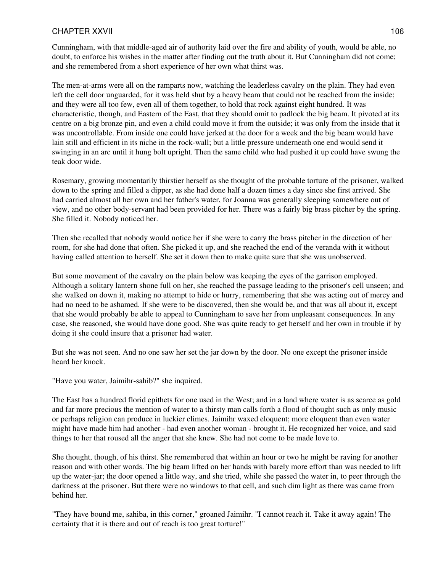Cunningham, with that middle-aged air of authority laid over the fire and ability of youth, would be able, no doubt, to enforce his wishes in the matter after finding out the truth about it. But Cunningham did not come; and she remembered from a short experience of her own what thirst was.

The men-at-arms were all on the ramparts now, watching the leaderless cavalry on the plain. They had even left the cell door unguarded, for it was held shut by a heavy beam that could not be reached from the inside; and they were all too few, even all of them together, to hold that rock against eight hundred. It was characteristic, though, and Eastern of the East, that they should omit to padlock the big beam. It pivoted at its centre on a big bronze pin, and even a child could move it from the outside; it was only from the inside that it was uncontrollable. From inside one could have jerked at the door for a week and the big beam would have lain still and efficient in its niche in the rock-wall; but a little pressure underneath one end would send it swinging in an arc until it hung bolt upright. Then the same child who had pushed it up could have swung the teak door wide.

Rosemary, growing momentarily thirstier herself as she thought of the probable torture of the prisoner, walked down to the spring and filled a dipper, as she had done half a dozen times a day since she first arrived. She had carried almost all her own and her father's water, for Joanna was generally sleeping somewhere out of view, and no other body-servant had been provided for her. There was a fairly big brass pitcher by the spring. She filled it. Nobody noticed her.

Then she recalled that nobody would notice her if she were to carry the brass pitcher in the direction of her room, for she had done that often. She picked it up, and she reached the end of the veranda with it without having called attention to herself. She set it down then to make quite sure that she was unobserved.

But some movement of the cavalry on the plain below was keeping the eyes of the garrison employed. Although a solitary lantern shone full on her, she reached the passage leading to the prisoner's cell unseen; and she walked on down it, making no attempt to hide or hurry, remembering that she was acting out of mercy and had no need to be ashamed. If she were to be discovered, then she would be, and that was all about it, except that she would probably be able to appeal to Cunningham to save her from unpleasant consequences. In any case, she reasoned, she would have done good. She was quite ready to get herself and her own in trouble if by doing it she could insure that a prisoner had water.

But she was not seen. And no one saw her set the jar down by the door. No one except the prisoner inside heard her knock.

"Have you water, Jaimihr-sahib?" she inquired.

The East has a hundred florid epithets for one used in the West; and in a land where water is as scarce as gold and far more precious the mention of water to a thirsty man calls forth a flood of thought such as only music or perhaps religion can produce in luckier climes. Jaimihr waxed eloquent; more eloquent than even water might have made him had another - had even another woman - brought it. He recognized her voice, and said things to her that roused all the anger that she knew. She had not come to be made love to.

She thought, though, of his thirst. She remembered that within an hour or two he might be raving for another reason and with other words. The big beam lifted on her hands with barely more effort than was needed to lift up the water-jar; the door opened a little way, and she tried, while she passed the water in, to peer through the darkness at the prisoner. But there were no windows to that cell, and such dim light as there was came from behind her.

"They have bound me, sahiba, in this corner," groaned Jaimihr. "I cannot reach it. Take it away again! The certainty that it is there and out of reach is too great torture!"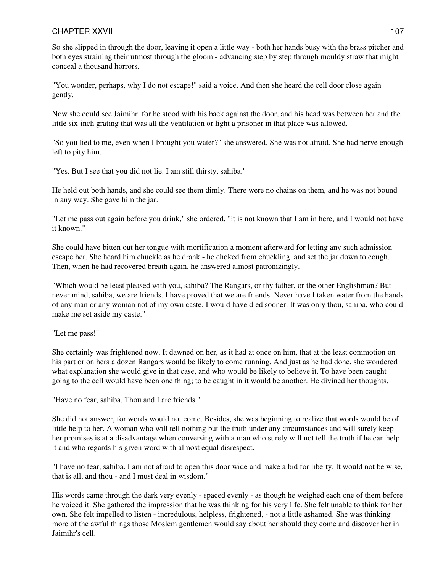So she slipped in through the door, leaving it open a little way - both her hands busy with the brass pitcher and both eyes straining their utmost through the gloom - advancing step by step through mouldy straw that might conceal a thousand horrors.

"You wonder, perhaps, why I do not escape!" said a voice. And then she heard the cell door close again gently.

Now she could see Jaimihr, for he stood with his back against the door, and his head was between her and the little six-inch grating that was all the ventilation or light a prisoner in that place was allowed.

"So you lied to me, even when I brought you water?" she answered. She was not afraid. She had nerve enough left to pity him.

"Yes. But I see that you did not lie. I am still thirsty, sahiba."

He held out both hands, and she could see them dimly. There were no chains on them, and he was not bound in any way. She gave him the jar.

"Let me pass out again before you drink," she ordered. "it is not known that I am in here, and I would not have it known."

She could have bitten out her tongue with mortification a moment afterward for letting any such admission escape her. She heard him chuckle as he drank - he choked from chuckling, and set the jar down to cough. Then, when he had recovered breath again, he answered almost patronizingly.

"Which would be least pleased with you, sahiba? The Rangars, or thy father, or the other Englishman? But never mind, sahiba, we are friends. I have proved that we are friends. Never have I taken water from the hands of any man or any woman not of my own caste. I would have died sooner. It was only thou, sahiba, who could make me set aside my caste."

"Let me pass!"

She certainly was frightened now. It dawned on her, as it had at once on him, that at the least commotion on his part or on hers a dozen Rangars would be likely to come running. And just as he had done, she wondered what explanation she would give in that case, and who would be likely to believe it. To have been caught going to the cell would have been one thing; to be caught in it would be another. He divined her thoughts.

"Have no fear, sahiba. Thou and I are friends."

She did not answer, for words would not come. Besides, she was beginning to realize that words would be of little help to her. A woman who will tell nothing but the truth under any circumstances and will surely keep her promises is at a disadvantage when conversing with a man who surely will not tell the truth if he can help it and who regards his given word with almost equal disrespect.

"I have no fear, sahiba. I am not afraid to open this door wide and make a bid for liberty. It would not be wise, that is all, and thou - and I must deal in wisdom."

His words came through the dark very evenly - spaced evenly - as though he weighed each one of them before he voiced it. She gathered the impression that he was thinking for his very life. She felt unable to think for her own. She felt impelled to listen - incredulous, helpless, frightened, - not a little ashamed. She was thinking more of the awful things those Moslem gentlemen would say about her should they come and discover her in Jaimihr's cell.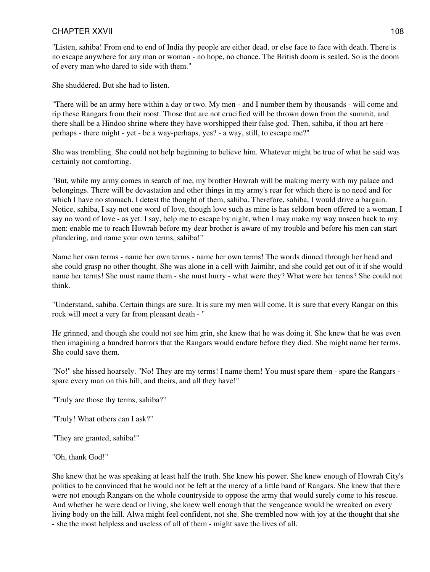"Listen, sahiba! From end to end of India thy people are either dead, or else face to face with death. There is no escape anywhere for any man or woman - no hope, no chance. The British doom is sealed. So is the doom of every man who dared to side with them."

She shuddered. But she had to listen.

"There will be an army here within a day or two. My men - and I number them by thousands - will come and rip these Rangars from their roost. Those that are not crucified will be thrown down from the summit, and there shall be a Hindoo shrine where they have worshipped their false god. Then, sahiba, if thou art here perhaps - there might - yet - be a way-perhaps, yes? - a way, still, to escape me?"

She was trembling. She could not help beginning to believe him. Whatever might be true of what he said was certainly not comforting.

"But, while my army comes in search of me, my brother Howrah will be making merry with my palace and belongings. There will be devastation and other things in my army's rear for which there is no need and for which I have no stomach. I detest the thought of them, sahiba. Therefore, sahiba, I would drive a bargain. Notice, sahiba, I say not one word of love, though love such as mine is has seldom been offered to a woman. I say no word of love - as yet. I say, help me to escape by night, when I may make my way unseen back to my men: enable me to reach Howrah before my dear brother is aware of my trouble and before his men can start plundering, and name your own terms, sahiba!"

Name her own terms - name her own terms - name her own terms! The words dinned through her head and she could grasp no other thought. She was alone in a cell with Jaimihr, and she could get out of it if she would name her terms! She must name them - she must hurry - what were they? What were her terms? She could not think.

"Understand, sahiba. Certain things are sure. It is sure my men will come. It is sure that every Rangar on this rock will meet a very far from pleasant death - "

He grinned, and though she could not see him grin, she knew that he was doing it. She knew that he was even then imagining a hundred horrors that the Rangars would endure before they died. She might name her terms. She could save them.

"No!" she hissed hoarsely. "No! They are my terms! I name them! You must spare them - spare the Rangars spare every man on this hill, and theirs, and all they have!"

"Truly are those thy terms, sahiba?"

"Truly! What others can I ask?"

"They are granted, sahiba!"

#### "Oh, thank God!"

She knew that he was speaking at least half the truth. She knew his power. She knew enough of Howrah City's politics to be convinced that he would not be left at the mercy of a little band of Rangars. She knew that there were not enough Rangars on the whole countryside to oppose the army that would surely come to his rescue. And whether he were dead or living, she knew well enough that the vengeance would be wreaked on every living body on the hill. Alwa might feel confident, not she. She trembled now with joy at the thought that she - she the most helpless and useless of all of them - might save the lives of all.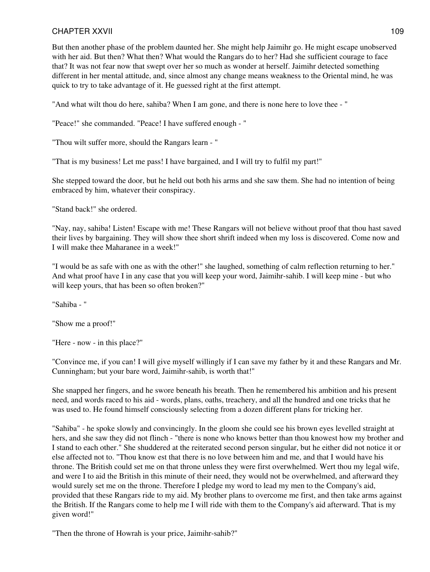But then another phase of the problem daunted her. She might help Jaimihr go. He might escape unobserved with her aid. But then? What then? What would the Rangars do to her? Had she sufficient courage to face that? It was not fear now that swept over her so much as wonder at herself. Jaimihr detected something different in her mental attitude, and, since almost any change means weakness to the Oriental mind, he was quick to try to take advantage of it. He guessed right at the first attempt.

"And what wilt thou do here, sahiba? When I am gone, and there is none here to love thee - "

"Peace!" she commanded. "Peace! I have suffered enough - "

"Thou wilt suffer more, should the Rangars learn - "

"That is my business! Let me pass! I have bargained, and I will try to fulfil my part!"

She stepped toward the door, but he held out both his arms and she saw them. She had no intention of being embraced by him, whatever their conspiracy.

"Stand back!" she ordered.

"Nay, nay, sahiba! Listen! Escape with me! These Rangars will not believe without proof that thou hast saved their lives by bargaining. They will show thee short shrift indeed when my loss is discovered. Come now and I will make thee Maharanee in a week!"

"I would be as safe with one as with the other!" she laughed, something of calm reflection returning to her." And what proof have I in any case that you will keep your word, Jaimihr-sahib. I will keep mine - but who will keep yours, that has been so often broken?"

"Sahiba - "

"Show me a proof!"

"Here - now - in this place?"

"Convince me, if you can! I will give myself willingly if I can save my father by it and these Rangars and Mr. Cunningham; but your bare word, Jaimihr-sahib, is worth that!"

She snapped her fingers, and he swore beneath his breath. Then he remembered his ambition and his present need, and words raced to his aid - words, plans, oaths, treachery, and all the hundred and one tricks that he was used to. He found himself consciously selecting from a dozen different plans for tricking her.

"Sahiba" - he spoke slowly and convincingly. In the gloom she could see his brown eyes levelled straight at hers, and she saw they did not flinch - "there is none who knows better than thou knowest how my brother and I stand to each other." She shuddered at the reiterated second person singular, but he either did not notice it or else affected not to. "Thou know est that there is no love between him and me, and that I would have his throne. The British could set me on that throne unless they were first overwhelmed. Wert thou my legal wife, and were I to aid the British in this minute of their need, they would not be overwhelmed, and afterward they would surely set me on the throne. Therefore I pledge my word to lead my men to the Company's aid, provided that these Rangars ride to my aid. My brother plans to overcome me first, and then take arms against the British. If the Rangars come to help me I will ride with them to the Company's aid afterward. That is my given word!"

"Then the throne of Howrah is your price, Jaimihr-sahib?"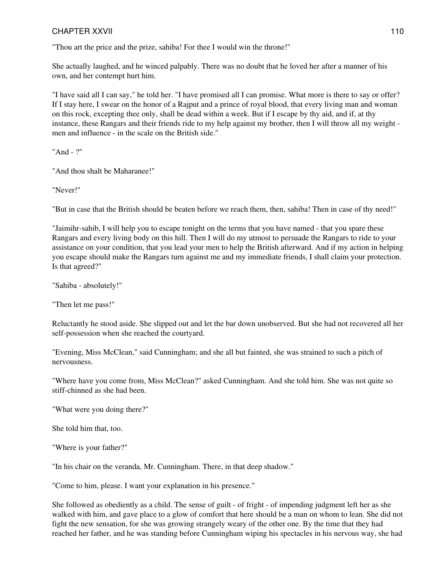"Thou art the price and the prize, sahiba! For thee I would win the throne!"

She actually laughed, and he winced palpably. There was no doubt that he loved her after a manner of his own, and her contempt hurt him.

"I have said all I can say," he told her. "I have promised all I can promise. What more is there to say or offer? If I stay here, I swear on the honor of a Rajput and a prince of royal blood, that every living man and woman on this rock, excepting thee only, shall be dead within a week. But if I escape by thy aid, and if, at thy instance, these Rangars and their friends ride to my help against my brother, then I will throw all my weight men and influence - in the scale on the British side."

"And - ?"

"And thou shalt be Maharanee!"

"Never!"

"But in case that the British should be beaten before we reach them, then, sahiba! Then in case of thy need!"

"Jaimihr-sahib, I will help you to escape tonight on the terms that you have named - that you spare these Rangars and every living body on this hill. Then I will do my utmost to persuade the Rangars to ride to your assistance on your condition, that you lead your men to help the British afterward. And if my action in helping you escape should make the Rangars turn against me and my immediate friends, I shall claim your protection. Is that agreed?"

"Sahiba - absolutely!"

"Then let me pass!"

Reluctantly he stood aside. She slipped out and let the bar down unobserved. But she had not recovered all her self-possession when she reached the courtyard.

"Evening, Miss McClean," said Cunningham; and she all but fainted, she was strained to such a pitch of nervousness.

"Where have you come from, Miss McClean?" asked Cunningham. And she told him. She was not quite so stiff-chinned as she had been.

"What were you doing there?"

She told him that, too.

"Where is your father?"

"In his chair on the veranda, Mr. Cunningham. There, in that deep shadow."

"Come to him, please. I want your explanation in his presence."

She followed as obediently as a child. The sense of guilt - of fright - of impending judgment left her as she walked with him, and gave place to a glow of comfort that here should be a man on whom to lean. She did not fight the new sensation, for she was growing strangely weary of the other one. By the time that they had reached her father, and he was standing before Cunningham wiping his spectacles in his nervous way, she had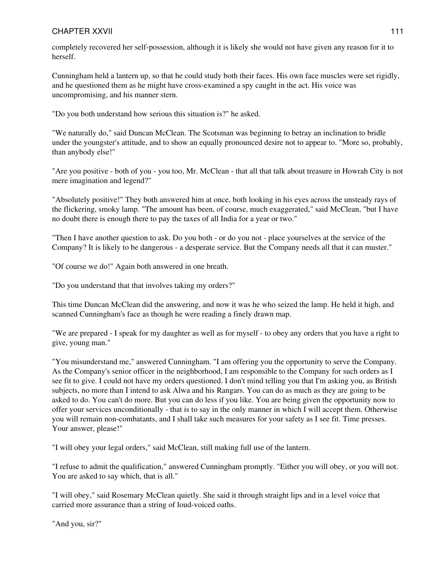### CHAPTER XXVII 2000 111

completely recovered her self-possession, although it is likely she would not have given any reason for it to herself.

Cunningham held a lantern up, so that he could study both their faces. His own face muscles were set rigidly, and he questioned them as he might have cross-examined a spy caught in the act. His voice was uncompromising, and his manner stern.

"Do you both understand how serious this situation is?" he asked.

"We naturally do," said Duncan McClean. The Scotsman was beginning to betray an inclination to bridle under the youngster's attitude, and to show an equally pronounced desire not to appear to. "More so, probably, than anybody else!"

"Are you positive - both of you - you too, Mr. McClean - that all that talk about treasure in Howrah City is not mere imagination and legend?"

"Absolutely positive!" They both answered him at once, both looking in his eyes across the unsteady rays of the flickering, smoky lamp. "The amount has been, of course, much exaggerated," said McClean, "but I have no doubt there is enough there to pay the taxes of all India for a year or two."

"Then I have another question to ask. Do you both - or do you not - place yourselves at the service of the Company? It is likely to be dangerous - a desperate service. But the Company needs all that it can muster."

"Of course we do!" Again both answered in one breath.

"Do you understand that that involves taking my orders?"

This time Duncan McClean did the answering, and now it was he who seized the lamp. He held it high, and scanned Cunningham's face as though he were reading a finely drawn map.

"We are prepared - I speak for my daughter as well as for myself - to obey any orders that you have a right to give, young man."

"You misunderstand me," answered Cunningham. "I am offering you the opportunity to serve the Company. As the Company's senior officer in the neighborhood, I am responsible to the Company for such orders as I see fit to give. I could not have my orders questioned. I don't mind telling you that I'm asking you, as British subjects, no more than I intend to ask Alwa and his Rangars. You can do as much as they are going to be asked to do. You can't do more. But you can do less if you like. You are being given the opportunity now to offer your services unconditionally - that is to say in the only manner in which I will accept them. Otherwise you will remain non-combatants, and I shall take such measures for your safety as I see fit. Time presses. Your answer, please!"

"I will obey your legal orders," said McClean, still making full use of the lantern.

"I refuse to admit the qualification," answered Cunningham promptly. "Either you will obey, or you will not. You are asked to say which, that is all."

"I will obey," said Rosemary McClean quietly. She said it through straight lips and in a level voice that carried more assurance than a string of loud-voiced oaths.

"And you, sir?"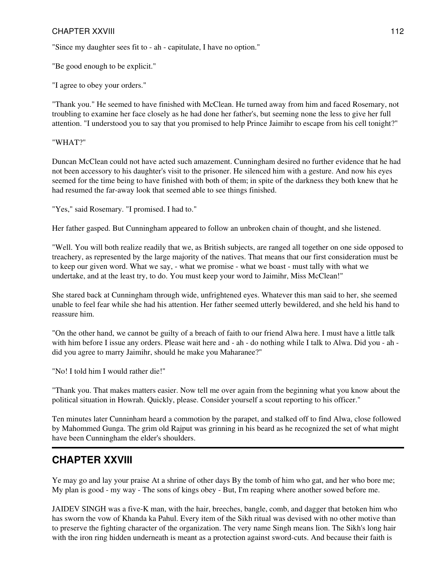### CHAPTER XXVIII 2002 2003 2004 2004 2005 2006 2007 2008 2009 2007 2008 2009 2009 2007 2008 2009 2009 2009 2009

"Since my daughter sees fit to - ah - capitulate, I have no option."

"Be good enough to be explicit."

"I agree to obey your orders."

"Thank you." He seemed to have finished with McClean. He turned away from him and faced Rosemary, not troubling to examine her face closely as he had done her father's, but seeming none the less to give her full attention. "I understood you to say that you promised to help Prince Jaimihr to escape from his cell tonight?"

#### "WHAT?"

Duncan McClean could not have acted such amazement. Cunningham desired no further evidence that he had not been accessory to his daughter's visit to the prisoner. He silenced him with a gesture. And now his eyes seemed for the time being to have finished with both of them; in spite of the darkness they both knew that he had resumed the far-away look that seemed able to see things finished.

"Yes," said Rosemary. "I promised. I had to."

Her father gasped. But Cunningham appeared to follow an unbroken chain of thought, and she listened.

"Well. You will both realize readily that we, as British subjects, are ranged all together on one side opposed to treachery, as represented by the large majority of the natives. That means that our first consideration must be to keep our given word. What we say, - what we promise - what we boast - must tally with what we undertake, and at the least try, to do. You must keep your word to Jaimihr, Miss McClean!"

She stared back at Cunningham through wide, unfrightened eyes. Whatever this man said to her, she seemed unable to feel fear while she had his attention. Her father seemed utterly bewildered, and she held his hand to reassure him.

"On the other hand, we cannot be guilty of a breach of faith to our friend Alwa here. I must have a little talk with him before I issue any orders. Please wait here and - ah - do nothing while I talk to Alwa. Did you - ah did you agree to marry Jaimihr, should he make you Maharanee?"

"No! I told him I would rather die!"

"Thank you. That makes matters easier. Now tell me over again from the beginning what you know about the political situation in Howrah. Quickly, please. Consider yourself a scout reporting to his officer."

Ten minutes later Cunninham heard a commotion by the parapet, and stalked off to find Alwa, close followed by Mahommed Gunga. The grim old Rajput was grinning in his beard as he recognized the set of what might have been Cunningham the elder's shoulders.

### **CHAPTER XXVIII**

Ye may go and lay your praise At a shrine of other days By the tomb of him who gat, and her who bore me; My plan is good - my way - The sons of kings obey - But, I'm reaping where another sowed before me.

JAIDEV SINGH was a five-K man, with the hair, breeches, bangle, comb, and dagger that betoken him who has sworn the vow of Khanda ka Pahul. Every item of the Sikh ritual was devised with no other motive than to preserve the fighting character of the organization. The very name Singh means lion. The Sikh's long hair with the iron ring hidden underneath is meant as a protection against sword-cuts. And because their faith is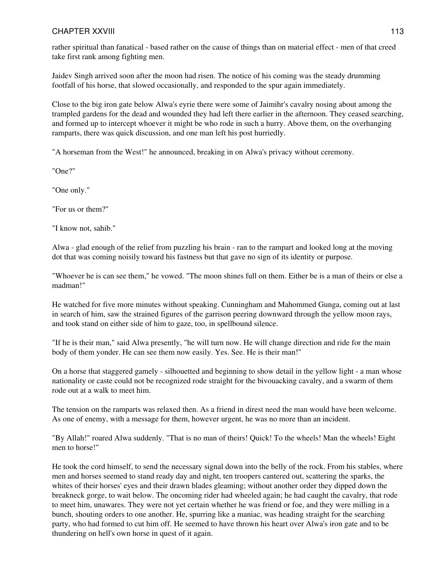rather spiritual than fanatical - based rather on the cause of things than on material effect - men of that creed take first rank among fighting men.

Jaidev Singh arrived soon after the moon had risen. The notice of his coming was the steady drumming footfall of his horse, that slowed occasionally, and responded to the spur again immediately.

Close to the big iron gate below Alwa's eyrie there were some of Jaimihr's cavalry nosing about among the trampled gardens for the dead and wounded they had left there earlier in the afternoon. They ceased searching, and formed up to intercept whoever it might be who rode in such a hurry. Above them, on the overhanging ramparts, there was quick discussion, and one man left his post hurriedly.

"A horseman from the West!" he announced, breaking in on Alwa's privacy without ceremony.

"One?"

"One only."

"For us or them?"

"I know not, sahib."

Alwa - glad enough of the relief from puzzling his brain - ran to the rampart and looked long at the moving dot that was coming noisily toward his fastness but that gave no sign of its identity or purpose.

"Whoever he is can see them," he vowed. "The moon shines full on them. Either be is a man of theirs or else a madman!"

He watched for five more minutes without speaking. Cunningham and Mahommed Gunga, coming out at last in search of him, saw the strained figures of the garrison peering downward through the yellow moon rays, and took stand on either side of him to gaze, too, in spellbound silence.

"If he is their man," said Alwa presently, "he will turn now. He will change direction and ride for the main body of them yonder. He can see them now easily. Yes. See. He is their man!"

On a horse that staggered gamely - silhouetted and beginning to show detail in the yellow light - a man whose nationality or caste could not be recognized rode straight for the bivouacking cavalry, and a swarm of them rode out at a walk to meet him.

The tension on the ramparts was relaxed then. As a friend in direst need the man would have been welcome. As one of enemy, with a message for them, however urgent, he was no more than an incident.

"By Allah!" roared Alwa suddenly. "That is no man of theirs! Quick! To the wheels! Man the wheels! Eight men to horse!"

He took the cord himself, to send the necessary signal down into the belly of the rock. From his stables, where men and horses seemed to stand ready day and night, ten troopers cantered out, scattering the sparks, the whites of their horses' eyes and their drawn blades gleaming; without another order they dipped down the breakneck gorge, to wait below. The oncoming rider had wheeled again; he had caught the cavalry, that rode to meet him, unawares. They were not yet certain whether he was friend or foe, and they were milling in a bunch, shouting orders to one another. He, spurring like a maniac, was heading straight for the searching party, who had formed to cut him off. He seemed to have thrown his heart over Alwa's iron gate and to be thundering on hell's own horse in quest of it again.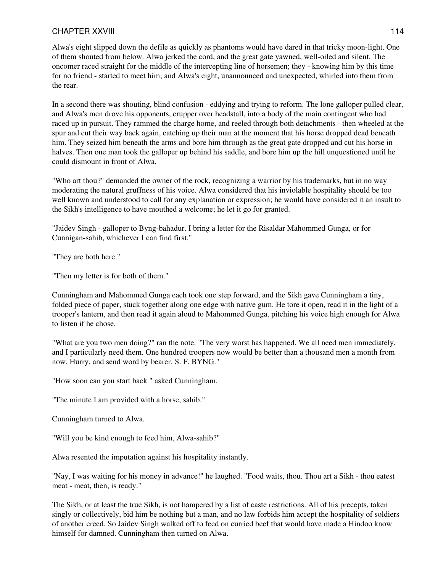### CHAPTER XXVIII 2000 114

Alwa's eight slipped down the defile as quickly as phantoms would have dared in that tricky moon-light. One of them shouted from below. Alwa jerked the cord, and the great gate yawned, well-oiled and silent. The oncomer raced straight for the middle of the intercepting line of horsemen; they - knowing him by this time for no friend - started to meet him; and Alwa's eight, unannounced and unexpected, whirled into them from the rear.

In a second there was shouting, blind confusion - eddying and trying to reform. The lone galloper pulled clear, and Alwa's men drove his opponents, crupper over headstall, into a body of the main contingent who had raced up in pursuit. They rammed the charge home, and reeled through both detachments - then wheeled at the spur and cut their way back again, catching up their man at the moment that his horse dropped dead beneath him. They seized him beneath the arms and bore him through as the great gate dropped and cut his horse in halves. Then one man took the galloper up behind his saddle, and bore him up the hill unquestioned until he could dismount in front of Alwa.

"Who art thou?" demanded the owner of the rock, recognizing a warrior by his trademarks, but in no way moderating the natural gruffness of his voice. Alwa considered that his inviolable hospitality should be too well known and understood to call for any explanation or expression; he would have considered it an insult to the Sikh's intelligence to have mouthed a welcome; he let it go for granted.

"Jaidev Singh - galloper to Byng-bahadur. I bring a letter for the Risaldar Mahommed Gunga, or for Cunnigan-sahib, whichever I can find first."

"They are both here."

"Then my letter is for both of them."

Cunningham and Mahommed Gunga each took one step forward, and the Sikh gave Cunningham a tiny, folded piece of paper, stuck together along one edge with native gum. He tore it open, read it in the light of a trooper's lantern, and then read it again aloud to Mahommed Gunga, pitching his voice high enough for Alwa to listen if he chose.

"What are you two men doing?" ran the note. "The very worst has happened. We all need men immediately, and I particularly need them. One hundred troopers now would be better than a thousand men a month from now. Hurry, and send word by bearer. S. F. BYNG."

"How soon can you start back " asked Cunningham.

"The minute I am provided with a horse, sahib."

Cunningham turned to Alwa.

"Will you be kind enough to feed him, Alwa-sahib?"

Alwa resented the imputation against his hospitality instantly.

"Nay, I was waiting for his money in advance!" he laughed. "Food waits, thou. Thou art a Sikh - thou eatest meat - meat, then, is ready."

The Sikh, or at least the true Sikh, is not hampered by a list of caste restrictions. All of his precepts, taken singly or collectively, bid him be nothing but a man, and no law forbids him accept the hospitality of soldiers of another creed. So Jaidev Singh walked off to feed on curried beef that would have made a Hindoo know himself for damned. Cunningham then turned on Alwa.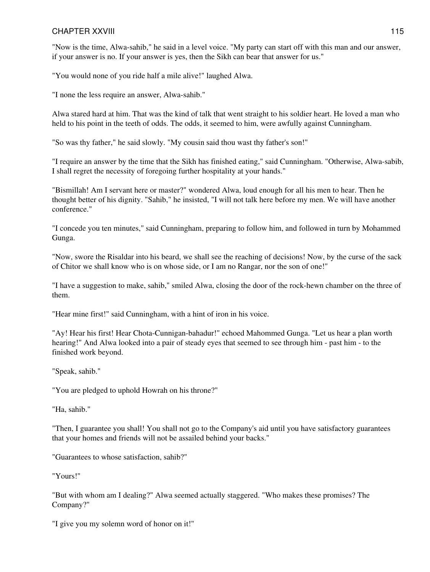"Now is the time, Alwa-sahib," he said in a level voice. "My party can start off with this man and our answer, if your answer is no. If your answer is yes, then the Sikh can bear that answer for us."

"You would none of you ride half a mile alive!" laughed Alwa.

"I none the less require an answer, Alwa-sahib."

Alwa stared hard at him. That was the kind of talk that went straight to his soldier heart. He loved a man who held to his point in the teeth of odds. The odds, it seemed to him, were awfully against Cunningham.

"So was thy father," he said slowly. "My cousin said thou wast thy father's son!"

"I require an answer by the time that the Sikh has finished eating," said Cunningham. "Otherwise, Alwa-sabib, I shall regret the necessity of foregoing further hospitality at your hands."

"Bismillah! Am I servant here or master?" wondered Alwa, loud enough for all his men to hear. Then he thought better of his dignity. "Sahib," he insisted, "I will not talk here before my men. We will have another conference."

"I concede you ten minutes," said Cunningham, preparing to follow him, and followed in turn by Mohammed Gunga.

"Now, swore the Risaldar into his beard, we shall see the reaching of decisions! Now, by the curse of the sack of Chitor we shall know who is on whose side, or I am no Rangar, nor the son of one!"

"I have a suggestion to make, sahib," smiled Alwa, closing the door of the rock-hewn chamber on the three of them.

"Hear mine first!" said Cunningham, with a hint of iron in his voice.

"Ay! Hear his first! Hear Chota-Cunnigan-bahadur!" echoed Mahommed Gunga. "Let us hear a plan worth hearing!" And Alwa looked into a pair of steady eyes that seemed to see through him - past him - to the finished work beyond.

"Speak, sahib."

"You are pledged to uphold Howrah on his throne?"

"Ha, sahib."

"Then, I guarantee you shall! You shall not go to the Company's aid until you have satisfactory guarantees that your homes and friends will not be assailed behind your backs."

"Guarantees to whose satisfaction, sahib?"

"Yours!"

"But with whom am I dealing?" Alwa seemed actually staggered. "Who makes these promises? The Company?"

"I give you my solemn word of honor on it!"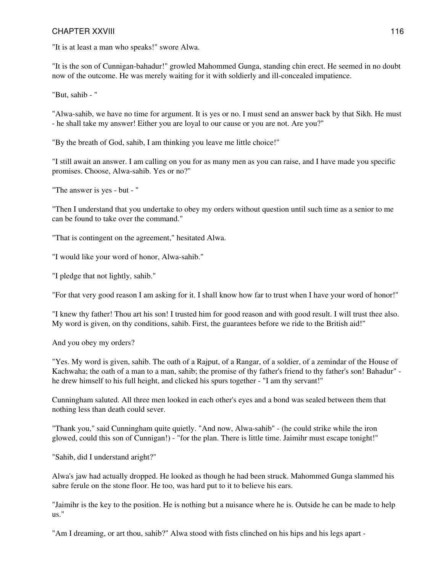"It is at least a man who speaks!" swore Alwa.

"It is the son of Cunnigan-bahadur!" growled Mahommed Gunga, standing chin erect. He seemed in no doubt now of the outcome. He was merely waiting for it with soldierly and ill-concealed impatience.

"But, sahib - "

"Alwa-sahib, we have no time for argument. It is yes or no. I must send an answer back by that Sikh. He must - he shall take my answer! Either you are loyal to our cause or you are not. Are you?"

"By the breath of God, sahib, I am thinking you leave me little choice!"

"I still await an answer. I am calling on you for as many men as you can raise, and I have made you specific promises. Choose, Alwa-sahib. Yes or no?"

"The answer is yes - but - "

"Then I understand that you undertake to obey my orders without question until such time as a senior to me can be found to take over the command."

"That is contingent on the agreement," hesitated Alwa.

"I would like your word of honor, Alwa-sahib."

"I pledge that not lightly, sahib."

"For that very good reason I am asking for it. I shall know how far to trust when I have your word of honor!"

"I knew thy father! Thou art his son! I trusted him for good reason and with good result. I will trust thee also. My word is given, on thy conditions, sahib. First, the guarantees before we ride to the British aid!"

And you obey my orders?

"Yes. My word is given, sahib. The oath of a Rajput, of a Rangar, of a soldier, of a zemindar of the House of Kachwaha; the oath of a man to a man, sahib; the promise of thy father's friend to thy father's son! Bahadur" he drew himself to his full height, and clicked his spurs together - "I am thy servant!"

Cunningham saluted. All three men looked in each other's eyes and a bond was sealed between them that nothing less than death could sever.

"Thank you," said Cunningham quite quietly. "And now, Alwa-sahib" - (he could strike while the iron glowed, could this son of Cunnigan!) - "for the plan. There is little time. Jaimihr must escape tonight!"

"Sahib, did I understand aright?"

Alwa's jaw had actually dropped. He looked as though he had been struck. Mahommed Gunga slammed his sabre ferule on the stone floor. He too, was hard put to it to believe his ears.

"Jaimihr is the key to the position. He is nothing but a nuisance where he is. Outside he can be made to help us."

"Am I dreaming, or art thou, sahib?" Alwa stood with fists clinched on his hips and his legs apart -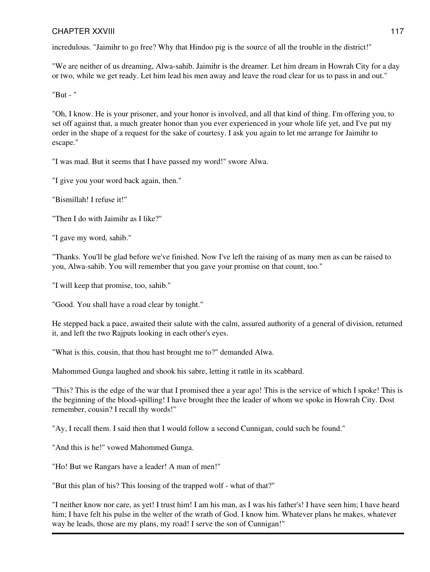incredulous. "Jaimihr to go free? Why that Hindoo pig is the source of all the trouble in the district!"

"We are neither of us dreaming, Alwa-sahib. Jaimihr is the dreamer. Let him dream in Howrah City for a day or two, while we get ready. Let him lead his men away and leave the road clear for us to pass in and out."

"But - "

"Oh, I know. He is your prisoner, and your honor is involved, and all that kind of thing. I'm offering you, to set off against that, a much greater honor than you ever experienced in your whole life yet, and I've put my order in the shape of a request for the sake of courtesy. I ask you again to let me arrange for Jaimihr to escape."

"I was mad. But it seems that I have passed my word!" swore Alwa.

"I give you your word back again, then."

"Bismillah! I refuse it!"

"Then I do with Jaimihr as I like?"

"I gave my word, sahib."

"Thanks. You'll be glad before we've finished. Now I've left the raising of as many men as can be raised to you, Alwa-sahib. You will remember that you gave your promise on that count, too."

"I will keep that promise, too, sahib."

"Good. You shall have a road clear by tonight."

He stepped back a pace, awaited their salute with the calm, assured authority of a general of division, returned it, and left the two Rajputs looking in each other's eyes.

"What is this, cousin, that thou hast brought me to?" demanded Alwa.

Mahommed Gunga laughed and shook his sabre, letting it rattle in its scabbard.

"This? This is the edge of the war that I promised thee a year ago! This is the service of which I spoke! This is the beginning of the blood-spilling! I have brought thee the leader of whom we spoke in Howrah City. Dost remember, cousin? I recall thy words!"

"Ay, I recall them. I said then that I would follow a second Cunnigan, could such be found."

"And this is he!" vowed Mahommed Gunga.

"Ho! But we Rangars have a leader! A man of men!"

"But this plan of his? This loosing of the trapped wolf - what of that?"

"I neither know nor care, as yet! I trust him! I am his man, as I was his father's! I have seen him; I have heard him; I have felt his pulse in the welter of the wrath of God. I know him. Whatever plans he makes, whatever way he leads, those are my plans, my road! I serve the son of Cunnigan!"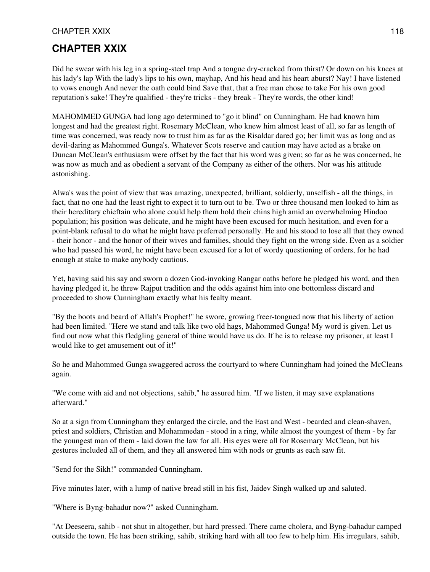# **CHAPTER XXIX**

Did he swear with his leg in a spring-steel trap And a tongue dry-cracked from thirst? Or down on his knees at his lady's lap With the lady's lips to his own, mayhap, And his head and his heart aburst? Nay! I have listened to vows enough And never the oath could bind Save that, that a free man chose to take For his own good reputation's sake! They're qualified - they're tricks - they break - They're words, the other kind!

MAHOMMED GUNGA had long ago determined to "go it blind" on Cunningham. He had known him longest and had the greatest right. Rosemary McClean, who knew him almost least of all, so far as length of time was concerned, was ready now to trust him as far as the Risaldar dared go; her limit was as long and as devil-daring as Mahommed Gunga's. Whatever Scots reserve and caution may have acted as a brake on Duncan McClean's enthusiasm were offset by the fact that his word was given; so far as he was concerned, he was now as much and as obedient a servant of the Company as either of the others. Nor was his attitude astonishing.

Alwa's was the point of view that was amazing, unexpected, brilliant, soldierly, unselfish - all the things, in fact, that no one had the least right to expect it to turn out to be. Two or three thousand men looked to him as their hereditary chieftain who alone could help them hold their chins high amid an overwhelming Hindoo population; his position was delicate, and he might have been excused for much hesitation, and even for a point-blank refusal to do what he might have preferred personally. He and his stood to lose all that they owned - their honor - and the honor of their wives and families, should they fight on the wrong side. Even as a soldier who had passed his word, he might have been excused for a lot of wordy questioning of orders, for he had enough at stake to make anybody cautious.

Yet, having said his say and sworn a dozen God-invoking Rangar oaths before he pledged his word, and then having pledged it, he threw Rajput tradition and the odds against him into one bottomless discard and proceeded to show Cunningham exactly what his fealty meant.

"By the boots and beard of Allah's Prophet!" he swore, growing freer-tongued now that his liberty of action had been limited. "Here we stand and talk like two old hags, Mahommed Gunga! My word is given. Let us find out now what this fledgling general of thine would have us do. If he is to release my prisoner, at least I would like to get amusement out of it!"

So he and Mahommed Gunga swaggered across the courtyard to where Cunningham had joined the McCleans again.

"We come with aid and not objections, sahib," he assured him. "If we listen, it may save explanations afterward."

So at a sign from Cunningham they enlarged the circle, and the East and West - bearded and clean-shaven, priest and soldiers, Christian and Mohammedan - stood in a ring, while almost the youngest of them - by far the youngest man of them - laid down the law for all. His eyes were all for Rosemary McClean, but his gestures included all of them, and they all answered him with nods or grunts as each saw fit.

"Send for the Sikh!" commanded Cunningham.

Five minutes later, with a lump of native bread still in his fist, Jaidev Singh walked up and saluted.

"Where is Byng-bahadur now?" asked Cunningham.

"At Deeseera, sahib - not shut in altogether, but hard pressed. There came cholera, and Byng-bahadur camped outside the town. He has been striking, sahib, striking hard with all too few to help him. His irregulars, sahib,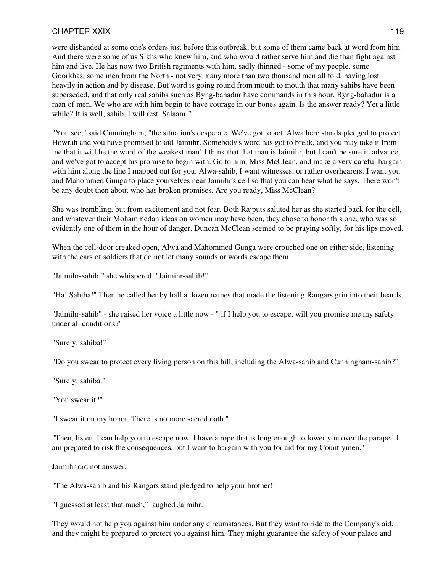were disbanded at some one's orders just before this outbreak, but some of them came back at word from him. And there were some of us Sikhs who knew him, and who would rather serve him and die than fight against him and live. He has now two British regiments with him, sadly thinned - some of my people, some Goorkhas, some men from the North - not very many more than two thousand men all told, having lost heavily in action and by disease. But word is going round from mouth to mouth that many sahibs have been superseded, and that only real sahibs such as Byng-bahadur have commands in this hour. Byng-bahadur is a man of men. We who are with him begin to have courage in our bones again. Is the answer ready? Yet a little while? It is well, sahib, I will rest. Salaam!"

"You see," said Cunningham, "the situation's desperate. We've got to act. Alwa here stands pledged to protect Howrah and you have promised to aid Jaimihr. Somebody's word has got to break, and you may take it from me that it will be the word of the weakest man! I think that that man is Jaimihr, but I can't be sure in advance, and we've got to accept his promise to begin with. Go to him, Miss McClean, and make a very careful bargain with him along the line I mapped out for you. Alwa-sahib, I want witnesses, or rather overhearers. I want you and Mahommed Gunga to place yourselves near Jaimihr's cell so that you can hear what he says. There won't be any doubt then about who has broken promises. Are you ready, Miss McClean?"

She was trembling, but from excitement and not fear. Both Rajputs saluted her as she started back for the cell, and whatever their Mohammedan ideas on women may have been, they chose to honor this one, who was so evidently one of them in the hour of danger. Duncan McClean seemed to be praying softly, for his lips moved.

When the cell-door creaked open, Alwa and Mahommed Gunga were crouched one on either side, listening with the ears of soldiers that do not let many sounds or words escape them.

"Jaimihr-sahib!" she whispered. "Jaimihr-sahib!"

"Ha! Sahiba!" Then he called her by half a dozen names that made the listening Rangars grin into their beards.

"Jaimihr-sahib" - she raised her voice a little now - " if I help you to escape, will you promise me my safety under all conditions?"

"Surely, sahiba!"

"Do you swear to protect every living person on this hill, including the Alwa-sahib and Cunningham-sahib?"

"Surely, sahiba."

"You swear it?"

"I swear it on my honor. There is no more sacred oath."

"Then, listen. I can help you to escape now. I have a rope that is long enough to lower you over the parapet. I am prepared to risk the consequences, but I want to bargain with you for aid for my Countrymen."

Jaimihr did not answer.

"The Alwa-sahib and his Rangars stand pledged to help your brother!"

"I guessed at least that much," laughed Jaimihr.

They would not help you against him under any circumstances. But they want to ride to the Company's aid, and they might be prepared to protect you against him. They might guarantee the safety of your palace and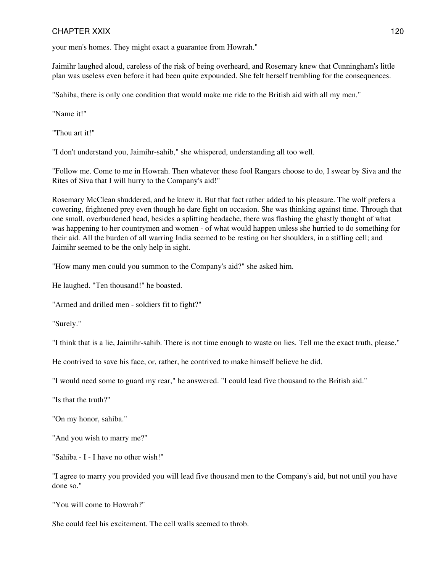your men's homes. They might exact a guarantee from Howrah."

Jaimihr laughed aloud, careless of the risk of being overheard, and Rosemary knew that Cunningham's little plan was useless even before it had been quite expounded. She felt herself trembling for the consequences.

"Sahiba, there is only one condition that would make me ride to the British aid with all my men."

"Name it!"

"Thou art it!"

"I don't understand you, Jaimihr-sahib," she whispered, understanding all too well.

"Follow me. Come to me in Howrah. Then whatever these fool Rangars choose to do, I swear by Siva and the Rites of Siva that I will hurry to the Company's aid!"

Rosemary McClean shuddered, and he knew it. But that fact rather added to his pleasure. The wolf prefers a cowering, frightened prey even though he dare fight on occasion. She was thinking against time. Through that one small, overburdened head, besides a splitting headache, there was flashing the ghastly thought of what was happening to her countrymen and women - of what would happen unless she hurried to do something for their aid. All the burden of all warring India seemed to be resting on her shoulders, in a stifling cell; and Jaimihr seemed to be the only help in sight.

"How many men could you summon to the Company's aid?" she asked him.

He laughed. "Ten thousand!" he boasted.

"Armed and drilled men - soldiers fit to fight?"

"Surely."

"I think that is a lie, Jaimihr-sahib. There is not time enough to waste on lies. Tell me the exact truth, please."

He contrived to save his face, or, rather, he contrived to make himself believe he did.

"I would need some to guard my rear," he answered. "I could lead five thousand to the British aid."

"Is that the truth?"

"On my honor, sahiba."

"And you wish to marry me?"

"Sahiba - I - I have no other wish!"

"I agree to marry you provided you will lead five thousand men to the Company's aid, but not until you have done so."

"You will come to Howrah?"

She could feel his excitement. The cell walls seemed to throb.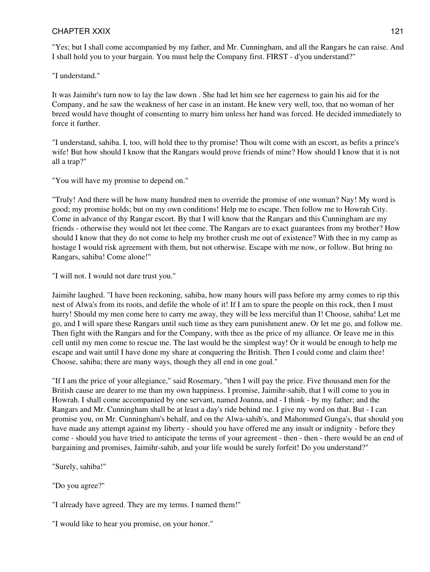"Yes; but I shall come accompanied by my father, and Mr. Cunningham, and all the Rangars he can raise. And I shall hold you to your bargain. You must help the Company first. FIRST - d'you understand?"

"I understand."

It was Jaimihr's turn now to lay the law down . She had let him see her eagerness to gain his aid for the Company, and he saw the weakness of her case in an instant. He knew very well, too, that no woman of her breed would have thought of consenting to marry him unless her hand was forced. He decided immediately to force it further.

"I understand, sahiba. I, too, will hold thee to thy promise! Thou wilt come with an escort, as befits a prince's wife! But how should I know that the Rangars would prove friends of mine? How should I know that it is not all a trap?"

"You will have my promise to depend on."

"Truly! And there will be how many hundred men to override the promise of one woman? Nay! My word is good; my promise holds; but on my own conditions! Help me to escape. Then follow me to Howrah City. Come in advance of thy Rangar escort. By that I will know that the Rangars and this Cunningham are my friends - otherwise they would not let thee come. The Rangars are to exact guarantees from my brother? How should I know that they do not come to help my brother crush me out of existence? With thee in my camp as hostage I would risk agreement with them, but not otherwise. Escape with me now, or follow. But bring no Rangars, sahiba! Come alone!"

"I will not. I would not dare trust you."

Jaimihr laughed. "I have been reckoning, sahiba, how many hours will pass before my army comes to rip this nest of Alwa's from its roots, and defile the whole of it! If I am to spare the people on this rock, then I must hurry! Should my men come here to carry me away, they will be less merciful than I! Choose, sahiba! Let me go, and I will spare these Rangars until such time as they earn punishment anew. Or let me go, and follow me. Then fight with the Rangars and for the Company, with thee as the price of my alliance. Or leave me in this cell until my men come to rescue me. The last would be the simplest way! Or it would be enough to help me escape and wait until I have done my share at conquering the British. Then I could come and claim thee! Choose, sahiba; there are many ways, though they all end in one goal."

"If I am the price of your allegiance," said Rosemary, "then I will pay the price. Five thousand men for the British cause are dearer to me than my own happiness. I promise, Jaimihr-sahib, that I will come to you in Howrah. I shall come accompanied by one servant, named Joanna, and - I think - by my father; and the Rangars and Mr. Cunningham shall be at least a day's ride behind me. I give my word on that. But - I can promise you, on Mr. Cunningham's behalf, and on the Alwa-sahib's, and Mahommed Gunga's, that should you have made any attempt against my liberty - should you have offered me any insult or indignity - before they come - should you have tried to anticipate the terms of your agreement - then - then - there would be an end of bargaining and promises, Jaimihr-sahib, and your life would be surely forfeit! Do you understand?"

"Surely, sahiba!"

"Do you agree?"

"I already have agreed. They are my terms. I named them!"

"I would like to hear you promise, on your honor."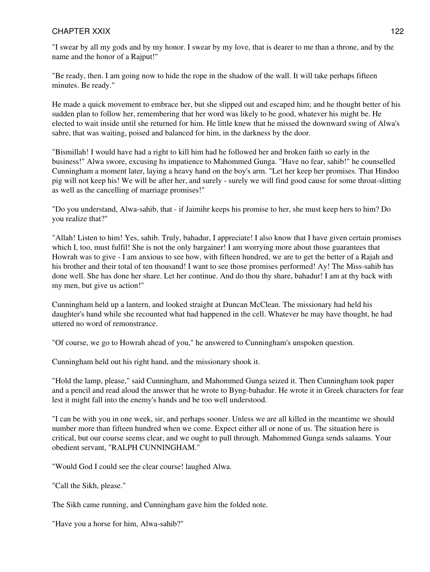"I swear by all my gods and by my honor. I swear by my love, that is dearer to me than a throne, and by the name and the honor of a Rajput!"

"Be ready, then. I am going now to hide the rope in the shadow of the wall. It will take perhaps fifteen minutes. Be ready."

He made a quick movement to embrace her, but she slipped out and escaped him; and he thought better of his sudden plan to follow her, remembering that her word was likely to be good, whatever his might be. He elected to wait inside until she returned for him. He little knew that he missed the downward swing of Alwa's sabre, that was waiting, poised and balanced for him, in the darkness by the door.

"Bismillah! I would have had a right to kill him had he followed her and broken faith so early in the business!" Alwa swore, excusing hs impatience to Mahommed Gunga. "Have no fear, sahib!" he counselled Cunningham a moment later, laying a heavy hand on the boy's arm. "Let her keep her promises. That Hindoo pig will not keep his! We will be after her, and surely - surely we will find good cause for some throat-slitting as well as the cancelling of marriage promises!"

"Do you understand, Alwa-sahib, that - if Jaimihr keeps his promise to her, she must keep hers to him? Do you realize that?"

"Allah! Listen to him! Yes, sahib. Truly, bahadur, I appreciate! I also know that I have given certain promises which I, too, must fulfil! She is not the only bargainer! I am worrying more about those guarantees that Howrah was to give - I am anxious to see how, with fifteen hundred, we are to get the better of a Rajah and his brother and their total of ten thousand! I want to see those promises performed! Ay! The Miss-sahib has done well. She has done her share. Let her continue. And do thou thy share, bahadur! I am at thy back with my men, but give us action!"

Cunningham held up a lantern, and looked straight at Duncan McClean. The missionary had held his daughter's hand while she recounted what had happened in the cell. Whatever he may have thought, he had uttered no word of remonstrance.

"Of course, we go to Howrah ahead of you," he answered to Cunningham's unspoken question.

Cunningham held out his right hand, and the missionary shook it.

"Hold the lamp, please," said Cunningham, and Mahommed Gunga seized it. Then Cunningham took paper and a pencil and read aloud the answer that he wrote to Byng-bahadur. He wrote it in Greek characters for fear lest it might fall into the enemy's hands and be too well understood.

"I can be with you in one week, sir, and perhaps sooner. Unless we are all killed in the meantime we should number more than fifteen hundred when we come. Expect either all or none of us. The situation here is critical, but our course seems clear, and we ought to pull through. Mahommed Gunga sends salaams. Your obedient servant, "RALPH CUNNINGHAM."

"Would God I could see the clear course! laughed Alwa.

"Call the Sikh, please."

The Sikh came running, and Cunningham gave him the folded note.

"Have you a horse for him, Alwa-sahib?"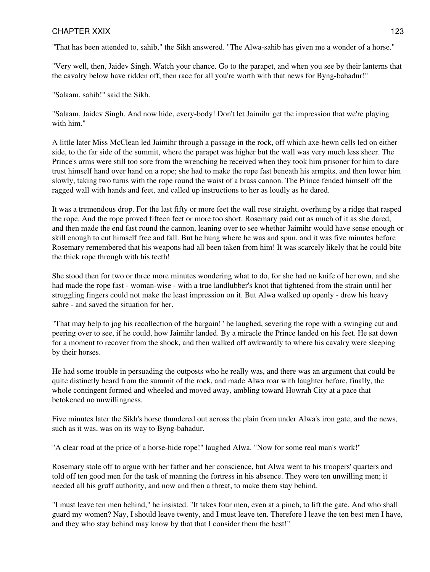"That has been attended to, sahib," the Sikh answered. "The Alwa-sahib has given me a wonder of a horse."

"Very well, then, Jaidev Singh. Watch your chance. Go to the parapet, and when you see by their lanterns that the cavalry below have ridden off, then race for all you're worth with that news for Byng-bahadur!"

"Salaam, sahib!" said the Sikh.

"Salaam, Jaidev Singh. And now hide, every-body! Don't let Jaimihr get the impression that we're playing with him."

A little later Miss McClean led Jaimihr through a passage in the rock, off which axe-hewn cells led on either side, to the far side of the summit, where the parapet was higher but the wall was very much less sheer. The Prince's arms were still too sore from the wrenching he received when they took him prisoner for him to dare trust himself hand over hand on a rope; she had to make the rope fast beneath his armpits, and then lower him slowly, taking two turns with the rope round the waist of a brass cannon. The Prince fended himself off the ragged wall with hands and feet, and called up instructions to her as loudly as he dared.

It was a tremendous drop. For the last fifty or more feet the wall rose straight, overhung by a ridge that rasped the rope. And the rope proved fifteen feet or more too short. Rosemary paid out as much of it as she dared, and then made the end fast round the cannon, leaning over to see whether Jaimihr would have sense enough or skill enough to cut himself free and fall. But he hung where he was and spun, and it was five minutes before Rosemary remembered that his weapons had all been taken from him! It was scarcely likely that he could bite the thick rope through with his teeth!

She stood then for two or three more minutes wondering what to do, for she had no knife of her own, and she had made the rope fast - woman-wise - with a true landlubber's knot that tightened from the strain until her struggling fingers could not make the least impression on it. But Alwa walked up openly - drew his heavy sabre - and saved the situation for her.

"That may help to jog his recollection of the bargain!" he laughed, severing the rope with a swinging cut and peering over to see, if he could, how Jaimihr landed. By a miracle the Prince landed on his feet. He sat down for a moment to recover from the shock, and then walked off awkwardly to where his cavalry were sleeping by their horses.

He had some trouble in persuading the outposts who he really was, and there was an argument that could be quite distinctly heard from the summit of the rock, and made Alwa roar with laughter before, finally, the whole contingent formed and wheeled and moved away, ambling toward Howrah City at a pace that betokened no unwillingness.

Five minutes later the Sikh's horse thundered out across the plain from under Alwa's iron gate, and the news, such as it was, was on its way to Byng-bahadur.

"A clear road at the price of a horse-hide rope!" laughed Alwa. "Now for some real man's work!"

Rosemary stole off to argue with her father and her conscience, but Alwa went to his troopers' quarters and told off ten good men for the task of manning the fortress in his absence. They were ten unwilling men; it needed all his gruff authority, and now and then a threat, to make them stay behind.

"I must leave ten men behind," he insisted. "It takes four men, even at a pinch, to lift the gate. And who shall guard my women? Nay, I should leave twenty, and I must leave ten. Therefore I leave the ten best men I have, and they who stay behind may know by that that I consider them the best!"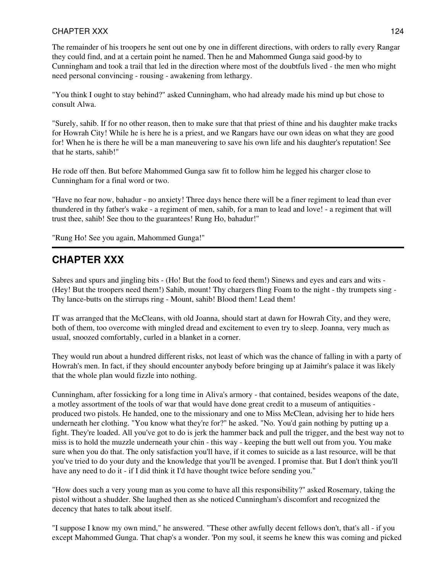### CHAPTER XXX and the state of the state of the state of the state of the state of the state of the state of the state of the state of the state of the state of the state of the state of the state of the state of the state o

The remainder of his troopers he sent out one by one in different directions, with orders to rally every Rangar they could find, and at a certain point he named. Then he and Mahommed Gunga said good-by to Cunningham and took a trail that led in the direction where most of the doubtfuls lived - the men who might need personal convincing - rousing - awakening from lethargy.

"You think I ought to stay behind?" asked Cunningham, who had already made his mind up but chose to consult Alwa.

"Surely, sahib. If for no other reason, then to make sure that that priest of thine and his daughter make tracks for Howrah City! While he is here he is a priest, and we Rangars have our own ideas on what they are good for! When he is there he will be a man maneuvering to save his own life and his daughter's reputation! See that he starts, sahib!"

He rode off then. But before Mahommed Gunga saw fit to follow him he legged his charger close to Cunningham for a final word or two.

"Have no fear now, bahadur - no anxiety! Three days hence there will be a finer regiment to lead than ever thundered in thy father's wake - a regiment of men, sahib, for a man to lead and love! - a regiment that will trust thee, sahib! See thou to the guarantees! Rung Ho, bahadur!"

"Rung Ho! See you again, Mahommed Gunga!"

# **CHAPTER XXX**

Sabres and spurs and jingling bits - (Ho! But the food to feed them!) Sinews and eyes and ears and wits - (Hey! But the troopers need them!) Sahib, mount! Thy chargers fling Foam to the night - thy trumpets sing - Thy lance-butts on the stirrups ring - Mount, sahib! Blood them! Lead them!

IT was arranged that the McCleans, with old Joanna, should start at dawn for Howrah City, and they were, both of them, too overcome with mingled dread and excitement to even try to sleep. Joanna, very much as usual, snoozed comfortably, curled in a blanket in a corner.

They would run about a hundred different risks, not least of which was the chance of falling in with a party of Howrah's men. In fact, if they should encounter anybody before bringing up at Jaimihr's palace it was likely that the whole plan would fizzle into nothing.

Cunningham, after fossicking for a long time in Aliva's armory - that contained, besides weapons of the date, a motley assortment of the tools of war that would have done great credit to a museum of antiquities produced two pistols. He handed, one to the missionary and one to Miss McClean, advising her to hide hers underneath her clothing. "You know what they're for?" he asked. "No. You'd gain nothing by putting up a fight. They're loaded. All you've got to do is jerk the hammer back and pull the trigger, and the best way not to miss is to hold the muzzle underneath your chin - this way - keeping the butt well out from you. You make sure when you do that. The only satisfaction you'll have, if it comes to suicide as a last resource, will be that you've tried to do your duty and the knowledge that you'll be avenged. I promise that. But I don't think you'll have any need to do it - if I did think it I'd have thought twice before sending you."

"How does such a very young man as you come to have all this responsibility?" asked Rosemary, taking the pistol without a shudder. She laughed then as she noticed Cunningham's discomfort and recognized the decency that hates to talk about itself.

"I suppose I know my own mind," he answered. "These other awfully decent fellows don't, that's all - if you except Mahommed Gunga. That chap's a wonder. 'Pon my soul, it seems he knew this was coming and picked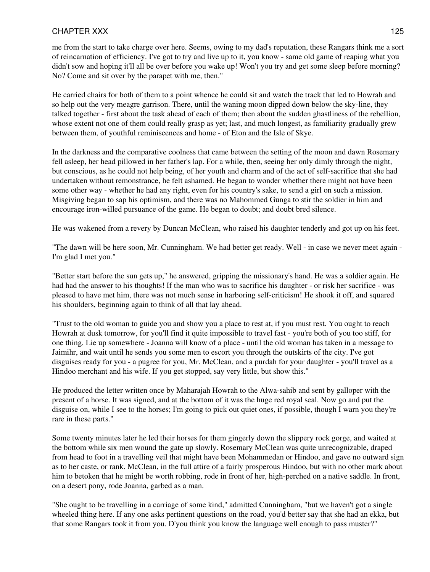me from the start to take charge over here. Seems, owing to my dad's reputation, these Rangars think me a sort of reincarnation of efficiency. I've got to try and live up to it, you know - same old game of reaping what you didn't sow and hoping it'll all be over before you wake up! Won't you try and get some sleep before morning? No? Come and sit over by the parapet with me, then."

He carried chairs for both of them to a point whence he could sit and watch the track that led to Howrah and so help out the very meagre garrison. There, until the waning moon dipped down below the sky-line, they talked together - first about the task ahead of each of them; then about the sudden ghastliness of the rebellion, whose extent not one of them could really grasp as yet; last, and much longest, as familiarity gradually grew between them, of youthful reminiscences and home - of Eton and the Isle of Skye.

In the darkness and the comparative coolness that came between the setting of the moon and dawn Rosemary fell asleep, her head pillowed in her father's lap. For a while, then, seeing her only dimly through the night, but conscious, as he could not help being, of her youth and charm and of the act of self-sacrifice that she had undertaken without remonstrance, he felt ashamed. He began to wonder whether there might not have been some other way - whether he had any right, even for his country's sake, to send a girl on such a mission. Misgiving began to sap his optimism, and there was no Mahommed Gunga to stir the soldier in him and encourage iron-willed pursuance of the game. He began to doubt; and doubt bred silence.

He was wakened from a revery by Duncan McClean, who raised his daughter tenderly and got up on his feet.

"The dawn will be here soon, Mr. Cunningham. We had better get ready. Well - in case we never meet again - I'm glad I met you."

"Better start before the sun gets up," he answered, gripping the missionary's hand. He was a soldier again. He had had the answer to his thoughts! If the man who was to sacrifice his daughter - or risk her sacrifice - was pleased to have met him, there was not much sense in harboring self-criticism! He shook it off, and squared his shoulders, beginning again to think of all that lay ahead.

"Trust to the old woman to guide you and show you a place to rest at, if you must rest. You ought to reach Howrah at dusk tomorrow, for you'll find it quite impossible to travel fast - you're both of you too stiff, for one thing. Lie up somewhere - Joanna will know of a place - until the old woman has taken in a message to Jaimihr, and wait until he sends you some men to escort you through the outskirts of the city. I've got disguises ready for you - a pugree for you, Mr. McClean, and a purdah for your daughter - you'll travel as a Hindoo merchant and his wife. If you get stopped, say very little, but show this."

He produced the letter written once by Maharajah Howrah to the Alwa-sahib and sent by galloper with the present of a horse. It was signed, and at the bottom of it was the huge red royal seal. Now go and put the disguise on, while I see to the horses; I'm going to pick out quiet ones, if possible, though I warn you they're rare in these parts."

Some twenty minutes later he led their horses for them gingerly down the slippery rock gorge, and waited at the bottom while six men wound the gate up slowly. Rosemary McClean was quite unrecognizable, draped from head to foot in a travelling veil that might have been Mohammedan or Hindoo, and gave no outward sign as to her caste, or rank. McClean, in the full attire of a fairly prosperous Hindoo, but with no other mark about him to betoken that he might be worth robbing, rode in front of her, high-perched on a native saddle. In front, on a desert pony, rode Joanna, garbed as a man.

"She ought to be travelling in a carriage of some kind," admitted Cunningham, "but we haven't got a single wheeled thing here. If any one asks pertinent questions on the road, you'd better say that she had an ekka, but that some Rangars took it from you. D'you think you know the language well enough to pass muster?"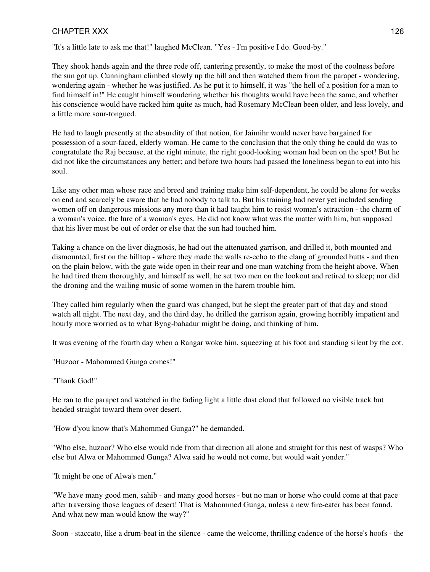"It's a little late to ask me that!" laughed McClean. "Yes - I'm positive I do. Good-by."

They shook hands again and the three rode off, cantering presently, to make the most of the coolness before the sun got up. Cunningham climbed slowly up the hill and then watched them from the parapet - wondering, wondering again - whether he was justified. As he put it to himself, it was "the hell of a position for a man to find himself in!" He caught himself wondering whether his thoughts would have been the same, and whether his conscience would have racked him quite as much, had Rosemary McClean been older, and less lovely, and a little more sour-tongued.

He had to laugh presently at the absurdity of that notion, for Jaimihr would never have bargained for possession of a sour-faced, elderly woman. He came to the conclusion that the only thing he could do was to congratulate the Raj because, at the right minute, the right good-looking woman had been on the spot! But he did not like the circumstances any better; and before two hours had passed the loneliness began to eat into his soul.

Like any other man whose race and breed and training make him self-dependent, he could be alone for weeks on end and scarcely be aware that he had nobody to talk to. But his training had never yet included sending women off on dangerous missions any more than it had taught him to resist woman's attraction - the charm of a woman's voice, the lure of a woman's eyes. He did not know what was the matter with him, but supposed that his liver must be out of order or else that the sun had touched him.

Taking a chance on the liver diagnosis, he had out the attenuated garrison, and drilled it, both mounted and dismounted, first on the hilltop - where they made the walls re-echo to the clang of grounded butts - and then on the plain below, with the gate wide open in their rear and one man watching from the height above. When he had tired them thoroughly, and himself as well, he set two men on the lookout and retired to sleep; nor did the droning and the wailing music of some women in the harem trouble him.

They called him regularly when the guard was changed, but he slept the greater part of that day and stood watch all night. The next day, and the third day, he drilled the garrison again, growing horribly impatient and hourly more worried as to what Byng-bahadur might be doing, and thinking of him.

It was evening of the fourth day when a Rangar woke him, squeezing at his foot and standing silent by the cot.

"Huzoor - Mahommed Gunga comes!"

"Thank God!"

He ran to the parapet and watched in the fading light a little dust cloud that followed no visible track but headed straight toward them over desert.

"How d'you know that's Mahommed Gunga?" he demanded.

"Who else, huzoor? Who else would ride from that direction all alone and straight for this nest of wasps? Who else but Alwa or Mahommed Gunga? Alwa said he would not come, but would wait yonder."

"It might be one of Alwa's men."

"We have many good men, sahib - and many good horses - but no man or horse who could come at that pace after traversing those leagues of desert! That is Mahommed Gunga, unless a new fire-eater has been found. And what new man would know the way?"

Soon - staccato, like a drum-beat in the silence - came the welcome, thrilling cadence of the horse's hoofs - the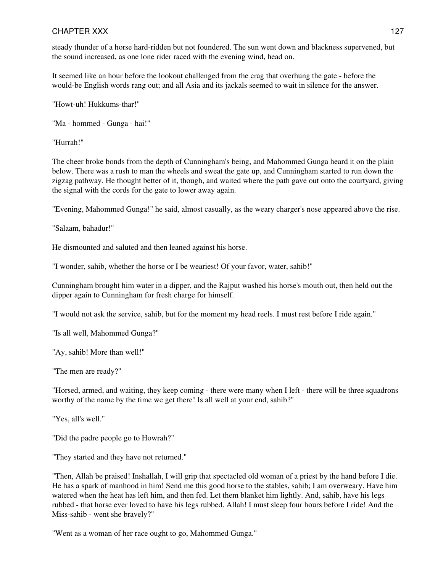### CHAPTER XXX and the state of the state of the state of the state of the state of the state of the state of the state of the state of the state of the state of the state of the state of the state of the state of the state o

steady thunder of a horse hard-ridden but not foundered. The sun went down and blackness supervened, but the sound increased, as one lone rider raced with the evening wind, head on.

It seemed like an hour before the lookout challenged from the crag that overhung the gate - before the would-be English words rang out; and all Asia and its jackals seemed to wait in silence for the answer.

"Howt-uh! Hukkums-thar!"

"Ma - hommed - Gunga - hai!"

"Hurrah!"

The cheer broke bonds from the depth of Cunningham's being, and Mahommed Gunga heard it on the plain below. There was a rush to man the wheels and sweat the gate up, and Cunningham started to run down the zigzag pathway. He thought better of it, though, and waited where the path gave out onto the courtyard, giving the signal with the cords for the gate to lower away again.

"Evening, Mahommed Gunga!" he said, almost casually, as the weary charger's nose appeared above the rise.

"Salaam, bahadur!"

He dismounted and saluted and then leaned against his horse.

"I wonder, sahib, whether the horse or I be weariest! Of your favor, water, sahib!"

Cunningham brought him water in a dipper, and the Rajput washed his horse's mouth out, then held out the dipper again to Cunningham for fresh charge for himself.

"I would not ask the service, sahib, but for the moment my head reels. I must rest before I ride again."

"Is all well, Mahommed Gunga?"

"Ay, sahib! More than well!"

"The men are ready?"

"Horsed, armed, and waiting, they keep coming - there were many when I left - there will be three squadrons worthy of the name by the time we get there! Is all well at your end, sahib?"

"Yes, all's well."

"Did the padre people go to Howrah?"

"They started and they have not returned."

"Then, Allah be praised! Inshallah, I will grip that spectacled old woman of a priest by the hand before I die. He has a spark of manhood in him! Send me this good horse to the stables, sahib; I am overweary. Have him watered when the heat has left him, and then fed. Let them blanket him lightly. And, sahib, have his legs rubbed - that horse ever loved to have his legs rubbed. Allah! I must sleep four hours before I ride! And the Miss-sahib - went she bravely?"

"Went as a woman of her race ought to go, Mahommed Gunga."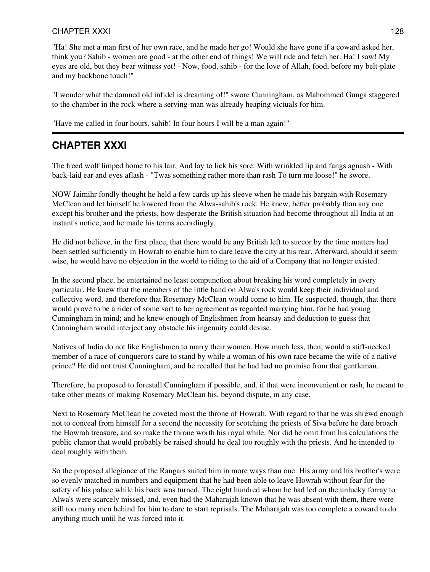### CHAPTER XXXI and the state of the state of the state of the state of the state of the state of the state of the state of the state of the state of the state of the state of the state of the state of the state of the state

"Ha! She met a man first of her own race, and he made her go! Would she have gone if a coward asked her, think you? Sahib - women are good - at the other end of things! We will ride and fetch her. Ha! I saw! My eyes are old, but they bear witness yet! - Now, food, sahib - for the love of Allah, food, before my belt-plate and my backbone touch!"

"I wonder what the damned old infidel is dreaming of!" swore Cunningham, as Mahommed Gunga staggered to the chamber in the rock where a serving-man was already heaping victuals for him.

"Have me called in four hours, sahib! In four hours I will be a man again!"

## **CHAPTER XXXI**

The freed wolf limped home to his lair, And lay to lick his sore. With wrinkled lip and fangs agnash - With back-laid ear and eyes aflash - "Twas something rather more than rash To turn me loose!" he swore.

NOW Jaimihr fondly thought he held a few cards up his sleeve when he made his bargain with Rosemary McClean and let himself be lowered from the Alwa-sahib's rock. He knew, better probably than any one except his brother and the priests, how desperate the British situation had become throughout all India at an instant's notice, and he made his terms accordingly.

He did not believe, in the first place, that there would be any British left to succor by the time matters had been settled sufficiently in Howrah to enable him to dare leave the city at his rear. Afterward, should it seem wise, he would have no objection in the world to riding to the aid of a Company that no longer existed.

In the second place, he entertained no least compunction about breaking his word completely in every particular. He knew that the members of the little band on Alwa's rock would keep their individual and collective word, and therefore that Rosemary McClean would come to him. He suspected, though, that there would prove to be a rider of some sort to her agreement as regarded marrying him, for he had young Cunningham in mind; and he knew enough of Englishmen from hearsay and deduction to guess that Cunningham would interject any obstacle his ingenuity could devise.

Natives of India do not like Englishmen to marry their women. How much less, then, would a stiff-necked member of a race of conquerors care to stand by while a woman of his own race became the wife of a native prince? He did not trust Cunningham, and he recalled that he had had no promise from that gentleman.

Therefore, he proposed to forestall Cunningham if possible, and, if that were inconvenient or rash, he meant to take other means of making Rosemary McClean his, beyond dispute, in any case.

Next to Rosemary McClean he coveted most the throne of Howrah. With regard to that he was shrewd enough not to conceal from himself for a second the necessity for scotching the priests of Siva before he dare broach the Howrah treasure, and so make the throne worth his royal while. Nor did he omit from his calculations the public clamor that would probably be raised should he deal too roughly with the priests. And he intended to deal roughly with them.

So the proposed allegiance of the Rangars suited him in more ways than one. His army and his brother's were so evenly matched in numbers and equipment that he had been able to leave Howrah without fear for the safety of his palace while his back was turned. The eight hundred whom he had led on the unlucky forray to Alwa's were scarcely missed, and, even had the Maharajah known that he was absent with them, there were still too many men behind for him to dare to start reprisals. The Maharajah was too complete a coward to do anything much until he was forced into it.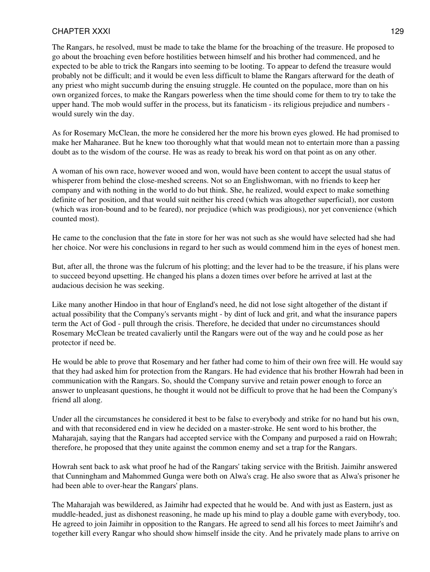### CHAPTER XXXI and the contract of the contract of the contract of the contract of the contract of the contract of the contract of the contract of the contract of the contract of the contract of the contract of the contract

The Rangars, he resolved, must be made to take the blame for the broaching of the treasure. He proposed to go about the broaching even before hostilities between himself and his brother had commenced, and he expected to be able to trick the Rangars into seeming to be looting. To appear to defend the treasure would probably not be difficult; and it would be even less difficult to blame the Rangars afterward for the death of any priest who might succumb during the ensuing struggle. He counted on the populace, more than on his own organized forces, to make the Rangars powerless when the time should come for them to try to take the upper hand. The mob would suffer in the process, but its fanaticism - its religious prejudice and numbers would surely win the day.

As for Rosemary McClean, the more he considered her the more his brown eyes glowed. He had promised to make her Maharanee. But he knew too thoroughly what that would mean not to entertain more than a passing doubt as to the wisdom of the course. He was as ready to break his word on that point as on any other.

A woman of his own race, however wooed and won, would have been content to accept the usual status of whisperer from behind the close-meshed screens. Not so an Englishwoman, with no friends to keep her company and with nothing in the world to do but think. She, he realized, would expect to make something definite of her position, and that would suit neither his creed (which was altogether superficial), nor custom (which was iron-bound and to be feared), nor prejudice (which was prodigious), nor yet convenience (which counted most).

He came to the conclusion that the fate in store for her was not such as she would have selected had she had her choice. Nor were his conclusions in regard to her such as would commend him in the eyes of honest men.

But, after all, the throne was the fulcrum of his plotting; and the lever had to be the treasure, if his plans were to succeed beyond upsetting. He changed his plans a dozen times over before he arrived at last at the audacious decision he was seeking.

Like many another Hindoo in that hour of England's need, he did not lose sight altogether of the distant if actual possibility that the Company's servants might - by dint of luck and grit, and what the insurance papers term the Act of God - pull through the crisis. Therefore, he decided that under no circumstances should Rosemary McClean be treated cavalierly until the Rangars were out of the way and he could pose as her protector if need be.

He would be able to prove that Rosemary and her father had come to him of their own free will. He would say that they had asked him for protection from the Rangars. He had evidence that his brother Howrah had been in communication with the Rangars. So, should the Company survive and retain power enough to force an answer to unpleasant questions, he thought it would not be difficult to prove that he had been the Company's friend all along.

Under all the circumstances he considered it best to be false to everybody and strike for no hand but his own, and with that reconsidered end in view he decided on a master-stroke. He sent word to his brother, the Maharajah, saying that the Rangars had accepted service with the Company and purposed a raid on Howrah; therefore, he proposed that they unite against the common enemy and set a trap for the Rangars.

Howrah sent back to ask what proof he had of the Rangars' taking service with the British. Jaimihr answered that Cunningham and Mahommed Gunga were both on Alwa's crag. He also swore that as Alwa's prisoner he had been able to over-hear the Rangars' plans.

The Maharajah was bewildered, as Jaimihr had expected that he would be. And with just as Eastern, just as muddle-headed, just as dishonest reasoning, he made up his mind to play a double game with everybody, too. He agreed to join Jaimihr in opposition to the Rangars. He agreed to send all his forces to meet Jaimihr's and together kill every Rangar who should show himself inside the city. And he privately made plans to arrive on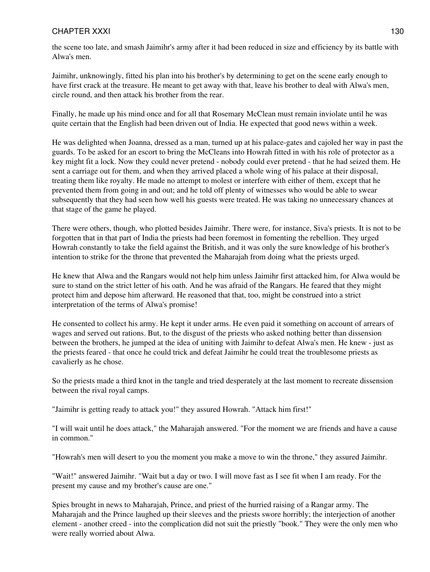### CHAPTER XXXI and the state of the state of the state of the state of the state of the state of the state of the state of the state of the state of the state of the state of the state of the state of the state of the state

the scene too late, and smash Jaimihr's army after it had been reduced in size and efficiency by its battle with Alwa's men.

Jaimihr, unknowingly, fitted his plan into his brother's by determining to get on the scene early enough to have first crack at the treasure. He meant to get away with that, leave his brother to deal with Alwa's men, circle round, and then attack his brother from the rear.

Finally, he made up his mind once and for all that Rosemary McClean must remain inviolate until he was quite certain that the English had been driven out of India. He expected that good news within a week.

He was delighted when Joanna, dressed as a man, turned up at his palace-gates and cajoled her way in past the guards. To be asked for an escort to bring the McCleans into Howrah fitted in with his role of protector as a key might fit a lock. Now they could never pretend - nobody could ever pretend - that he had seized them. He sent a carriage out for them, and when they arrived placed a whole wing of his palace at their disposal, treating them like royalty. He made no attempt to molest or interfere with either of them, except that he prevented them from going in and out; and he told off plenty of witnesses who would be able to swear subsequently that they had seen how well his guests were treated. He was taking no unnecessary chances at that stage of the game he played.

There were others, though, who plotted besides Jaimihr. There were, for instance, Siva's priests. It is not to be forgotten that in that part of India the priests had been foremost in fomenting the rebellion. They urged Howrah constantly to take the field against the British, and it was only the sure knowledge of his brother's intention to strike for the throne that prevented the Maharajah from doing what the priests urged.

He knew that Alwa and the Rangars would not help him unless Jaimihr first attacked him, for Alwa would be sure to stand on the strict letter of his oath. And he was afraid of the Rangars. He feared that they might protect him and depose him afterward. He reasoned that that, too, might be construed into a strict interpretation of the terms of Alwa's promise!

He consented to collect his army. He kept it under arms. He even paid it something on account of arrears of wages and served out rations. But, to the disgust of the priests who asked nothing better than dissension between the brothers, he jumped at the idea of uniting with Jaimihr to defeat Alwa's men. He knew - just as the priests feared - that once he could trick and defeat Jaimihr he could treat the troublesome priests as cavalierly as he chose.

So the priests made a third knot in the tangle and tried desperately at the last moment to recreate dissension between the rival royal camps.

"Jaimihr is getting ready to attack you!" they assured Howrah. "Attack him first!"

"I will wait until he does attack," the Maharajah answered. "For the moment we are friends and have a cause in common."

"Howrah's men will desert to you the moment you make a move to win the throne," they assured Jaimihr.

"Wait!" answered Jaimihr. "Wait but a day or two. I will move fast as I see fit when I am ready. For the present my cause and my brother's cause are one."

Spies brought in news to Maharajah, Prince, and priest of the hurried raising of a Rangar army. The Maharajah and the Prince laughed up their sleeves and the priests swore horribly; the interjection of another element - another creed - into the complication did not suit the priestly "book." They were the only men who were really worried about Alwa.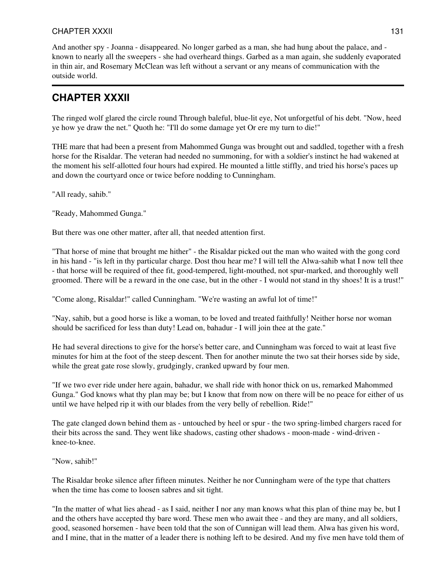And another spy - Joanna - disappeared. No longer garbed as a man, she had hung about the palace, and known to nearly all the sweepers - she had overheard things. Garbed as a man again, she suddenly evaporated in thin air, and Rosemary McClean was left without a servant or any means of communication with the outside world.

# **CHAPTER XXXII**

The ringed wolf glared the circle round Through baleful, blue-lit eye, Not unforgetful of his debt. "Now, heed ye how ye draw the net." Quoth he: "I'll do some damage yet Or ere my turn to die!"

THE mare that had been a present from Mahommed Gunga was brought out and saddled, together with a fresh horse for the Risaldar. The veteran had needed no summoning, for with a soldier's instinct he had wakened at the moment his self-allotted four hours had expired. He mounted a little stiffly, and tried his horse's paces up and down the courtyard once or twice before nodding to Cunningham.

"All ready, sahib."

"Ready, Mahommed Gunga."

But there was one other matter, after all, that needed attention first.

"That horse of mine that brought me hither" - the Risaldar picked out the man who waited with the gong cord in his hand - "is left in thy particular charge. Dost thou hear me? I will tell the Alwa-sahib what I now tell thee - that horse will be required of thee fit, good-tempered, light-mouthed, not spur-marked, and thoroughly well groomed. There will be a reward in the one case, but in the other - I would not stand in thy shoes! It is a trust!"

"Come along, Risaldar!" called Cunningham. "We're wasting an awful lot of time!"

"Nay, sahib, but a good horse is like a woman, to be loved and treated faithfully! Neither horse nor woman should be sacrificed for less than duty! Lead on, bahadur - I will join thee at the gate."

He had several directions to give for the horse's better care, and Cunningham was forced to wait at least five minutes for him at the foot of the steep descent. Then for another minute the two sat their horses side by side, while the great gate rose slowly, grudgingly, cranked upward by four men.

"If we two ever ride under here again, bahadur, we shall ride with honor thick on us, remarked Mahommed Gunga." God knows what thy plan may be; but I know that from now on there will be no peace for either of us until we have helped rip it with our blades from the very belly of rebellion. Ride!"

The gate clanged down behind them as - untouched by heel or spur - the two spring-limbed chargers raced for their bits across the sand. They went like shadows, casting other shadows - moon-made - wind-driven knee-to-knee.

"Now, sahib!"

The Risaldar broke silence after fifteen minutes. Neither he nor Cunningham were of the type that chatters when the time has come to loosen sabres and sit tight.

"In the matter of what lies ahead - as I said, neither I nor any man knows what this plan of thine may be, but I and the others have accepted thy bare word. These men who await thee - and they are many, and all soldiers, good, seasoned horsemen - have been told that the son of Cunnigan will lead them. Alwa has given his word, and I mine, that in the matter of a leader there is nothing left to be desired. And my five men have told them of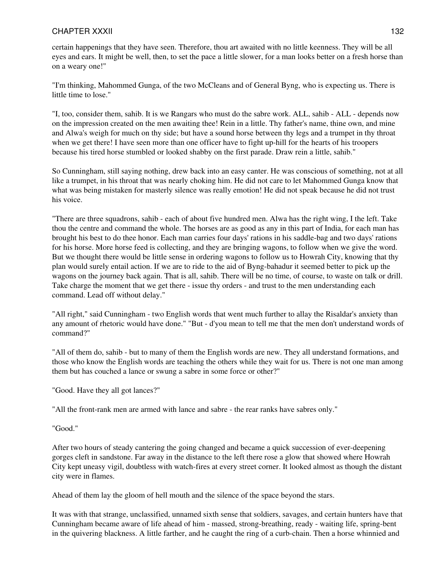certain happenings that they have seen. Therefore, thou art awaited with no little keenness. They will be all eyes and ears. It might be well, then, to set the pace a little slower, for a man looks better on a fresh horse than on a weary one!"

"I'm thinking, Mahommed Gunga, of the two McCleans and of General Byng, who is expecting us. There is little time to lose."

"I, too, consider them, sahib. It is we Rangars who must do the sabre work. ALL, sahib - ALL - depends now on the impression created on the men awaiting thee! Rein in a little. Thy father's name, thine own, and mine and Alwa's weigh for much on thy side; but have a sound horse between thy legs and a trumpet in thy throat when we get there! I have seen more than one officer have to fight up-hill for the hearts of his troopers because his tired horse stumbled or looked shabby on the first parade. Draw rein a little, sahib."

So Cunningham, still saying nothing, drew back into an easy canter. He was conscious of something, not at all like a trumpet, in his throat that was nearly choking him. He did not care to let Mahommed Gunga know that what was being mistaken for masterly silence was really emotion! He did not speak because he did not trust his voice.

"There are three squadrons, sahib - each of about five hundred men. Alwa has the right wing, I the left. Take thou the centre and command the whole. The horses are as good as any in this part of India, for each man has brought his best to do thee honor. Each man carries four days' rations in his saddle-bag and two days' rations for his horse. More horse feed is collecting, and they are bringing wagons, to follow when we give the word. But we thought there would be little sense in ordering wagons to follow us to Howrah City, knowing that thy plan would surely entail action. If we are to ride to the aid of Byng-bahadur it seemed better to pick up the wagons on the journey back again. That is all, sahib. There will be no time, of course, to waste on talk or drill. Take charge the moment that we get there - issue thy orders - and trust to the men understanding each command. Lead off without delay."

"All right," said Cunningham - two English words that went much further to allay the Risaldar's anxiety than any amount of rhetoric would have done." "But - d'you mean to tell me that the men don't understand words of command?"

"All of them do, sahib - but to many of them the English words are new. They all understand formations, and those who know the English words are teaching the others while they wait for us. There is not one man among them but has couched a lance or swung a sabre in some force or other?"

"Good. Have they all got lances?"

"All the front-rank men are armed with lance and sabre - the rear ranks have sabres only."

"Good."

After two hours of steady cantering the going changed and became a quick succession of ever-deepening gorges cleft in sandstone. Far away in the distance to the left there rose a glow that showed where Howrah City kept uneasy vigil, doubtless with watch-fires at every street corner. It looked almost as though the distant city were in flames.

Ahead of them lay the gloom of hell mouth and the silence of the space beyond the stars.

It was with that strange, unclassified, unnamed sixth sense that soldiers, savages, and certain hunters have that Cunningham became aware of life ahead of him - massed, strong-breathing, ready - waiting life, spring-bent in the quivering blackness. A little farther, and he caught the ring of a curb-chain. Then a horse whinnied and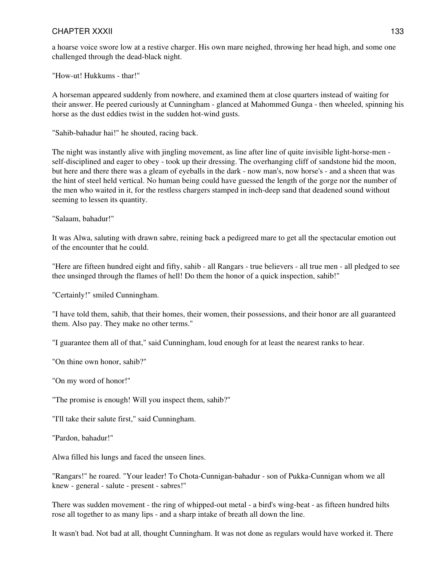a hoarse voice swore low at a restive charger. His own mare neighed, throwing her head high, and some one challenged through the dead-black night.

"How-ut! Hukkums - thar!"

A horseman appeared suddenly from nowhere, and examined them at close quarters instead of waiting for their answer. He peered curiously at Cunningham - glanced at Mahommed Gunga - then wheeled, spinning his horse as the dust eddies twist in the sudden hot-wind gusts.

"Sahib-bahadur hai!" he shouted, racing back.

The night was instantly alive with jingling movement, as line after line of quite invisible light-horse-men self-disciplined and eager to obey - took up their dressing. The overhanging cliff of sandstone hid the moon, but here and there there was a gleam of eyeballs in the dark - now man's, now horse's - and a sheen that was the hint of steel held vertical. No human being could have guessed the length of the gorge nor the number of the men who waited in it, for the restless chargers stamped in inch-deep sand that deadened sound without seeming to lessen its quantity.

"Salaam, bahadur!"

It was Alwa, saluting with drawn sabre, reining back a pedigreed mare to get all the spectacular emotion out of the encounter that he could.

"Here are fifteen hundred eight and fifty, sahib - all Rangars - true believers - all true men - all pledged to see thee unsinged through the flames of hell! Do them the honor of a quick inspection, sahib!"

"Certainly!" smiled Cunningham.

"I have told them, sahib, that their homes, their women, their possessions, and their honor are all guaranteed them. Also pay. They make no other terms."

"I guarantee them all of that," said Cunningham, loud enough for at least the nearest ranks to hear.

"On thine own honor, sahib?"

"On my word of honor!"

"The promise is enough! Will you inspect them, sahib?"

"I'll take their salute first," said Cunningham.

"Pardon, bahadur!"

Alwa filled his lungs and faced the unseen lines.

"Rangars!" he roared. "Your leader! To Chota-Cunnigan-bahadur - son of Pukka-Cunnigan whom we all knew - general - salute - present - sabres!"

There was sudden movement - the ring of whipped-out metal - a bird's wing-beat - as fifteen hundred hilts rose all together to as many lips - and a sharp intake of breath all down the line.

It wasn't bad. Not bad at all, thought Cunningham. It was not done as regulars would have worked it. There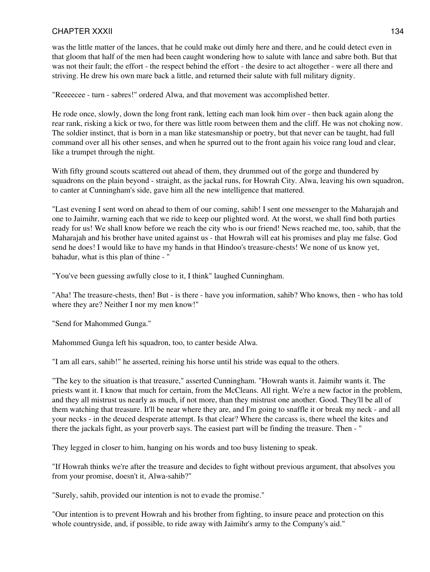was the little matter of the lances, that he could make out dimly here and there, and he could detect even in that gloom that half of the men had been caught wondering how to salute with lance and sabre both. But that was not their fault; the effort - the respect behind the effort - the desire to act altogether - were all there and striving. He drew his own mare back a little, and returned their salute with full military dignity.

"Reeeecee - turn - sabres!" ordered Alwa, and that movement was accomplished better.

He rode once, slowly, down the long front rank, letting each man look him over - then back again along the rear rank, risking a kick or two, for there was little room between them and the cliff. He was not choking now. The soldier instinct, that is born in a man like statesmanship or poetry, but that never can be taught, had full command over all his other senses, and when he spurred out to the front again his voice rang loud and clear, like a trumpet through the night.

With fifty ground scouts scattered out ahead of them, they drummed out of the gorge and thundered by squadrons on the plain beyond - straight, as the jackal runs, for Howrah City. Alwa, leaving his own squadron, to canter at Cunningham's side, gave him all the new intelligence that mattered.

"Last evening I sent word on ahead to them of our coming, sahib! I sent one messenger to the Maharajah and one to Jaimihr, warning each that we ride to keep our plighted word. At the worst, we shall find both parties ready for us! We shall know before we reach the city who is our friend! News reached me, too, sahib, that the Maharajah and his brother have united against us - that Howrah will eat his promises and play me false. God send he does! I would like to have my hands in that Hindoo's treasure-chests! We none of us know yet, bahadur, what is this plan of thine - "

"You've been guessing awfully close to it, I think" laughed Cunningham.

"Aha! The treasure-chests, then! But - is there - have you information, sahib? Who knows, then - who has told where they are? Neither I nor my men know!"

"Send for Mahommed Gunga."

Mahommed Gunga left his squadron, too, to canter beside Alwa.

"I am all ears, sahib!" he asserted, reining his horse until his stride was equal to the others.

"The key to the situation is that treasure," asserted Cunningham. "Howrah wants it. Jaimihr wants it. The priests want it. I know that much for certain, from the McCleans. All right. We're a new factor in the problem, and they all mistrust us nearly as much, if not more, than they mistrust one another. Good. They'll be all of them watching that treasure. It'll be near where they are, and I'm going to snaffle it or break my neck - and all your necks - in the deuced desperate attempt. Is that clear? Where the carcass is, there wheel the kites and there the jackals fight, as your proverb says. The easiest part will be finding the treasure. Then - "

They legged in closer to him, hanging on his words and too busy listening to speak.

"If Howrah thinks we're after the treasure and decides to fight without previous argument, that absolves you from your promise, doesn't it, Alwa-sahib?"

"Surely, sahib, provided our intention is not to evade the promise."

"Our intention is to prevent Howrah and his brother from fighting, to insure peace and protection on this whole countryside, and, if possible, to ride away with Jaimihr's army to the Company's aid."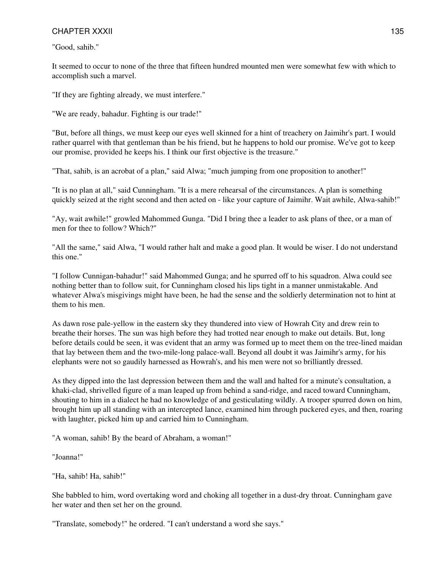"Good, sahib."

It seemed to occur to none of the three that fifteen hundred mounted men were somewhat few with which to accomplish such a marvel.

"If they are fighting already, we must interfere."

"We are ready, bahadur. Fighting is our trade!"

"But, before all things, we must keep our eyes well skinned for a hint of treachery on Jaimihr's part. I would rather quarrel with that gentleman than be his friend, but he happens to hold our promise. We've got to keep our promise, provided he keeps his. I think our first objective is the treasure."

"That, sahib, is an acrobat of a plan," said Alwa; "much jumping from one proposition to another!"

"It is no plan at all," said Cunningham. "It is a mere rehearsal of the circumstances. A plan is something quickly seized at the right second and then acted on - like your capture of Jaimihr. Wait awhile, Alwa-sahib!"

"Ay, wait awhile!" growled Mahommed Gunga. "Did I bring thee a leader to ask plans of thee, or a man of men for thee to follow? Which?"

"All the same," said Alwa, "I would rather halt and make a good plan. It would be wiser. I do not understand this one."

"I follow Cunnigan-bahadur!" said Mahommed Gunga; and he spurred off to his squadron. Alwa could see nothing better than to follow suit, for Cunningham closed his lips tight in a manner unmistakable. And whatever Alwa's misgivings might have been, he had the sense and the soldierly determination not to hint at them to his men.

As dawn rose pale-yellow in the eastern sky they thundered into view of Howrah City and drew rein to breathe their horses. The sun was high before they had trotted near enough to make out details. But, long before details could be seen, it was evident that an army was formed up to meet them on the tree-lined maidan that lay between them and the two-mile-long palace-wall. Beyond all doubt it was Jaimihr's army, for his elephants were not so gaudily harnessed as Howrah's, and his men were not so brilliantly dressed.

As they dipped into the last depression between them and the wall and halted for a minute's consultation, a khaki-clad, shrivelled figure of a man leaped up from behind a sand-ridge, and raced toward Cunningham, shouting to him in a dialect he had no knowledge of and gesticulating wildly. A trooper spurred down on him, brought him up all standing with an intercepted lance, examined him through puckered eyes, and then, roaring with laughter, picked him up and carried him to Cunningham.

"A woman, sahib! By the beard of Abraham, a woman!"

"Joanna!"

"Ha, sahib! Ha, sahib!"

She babbled to him, word overtaking word and choking all together in a dust-dry throat. Cunningham gave her water and then set her on the ground.

"Translate, somebody!" he ordered. "I can't understand a word she says."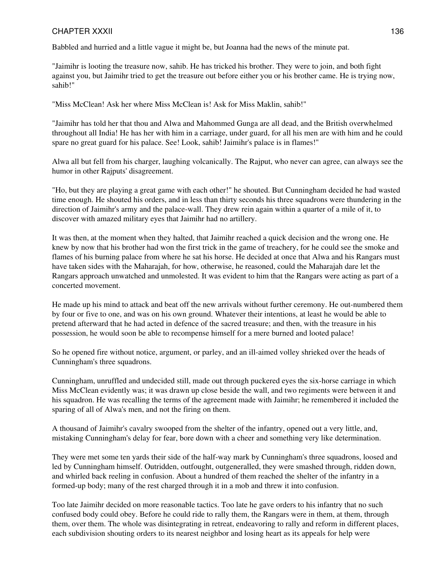Babbled and hurried and a little vague it might be, but Joanna had the news of the minute pat.

"Jaimihr is looting the treasure now, sahib. He has tricked his brother. They were to join, and both fight against you, but Jaimihr tried to get the treasure out before either you or his brother came. He is trying now, sahib!"

"Miss McClean! Ask her where Miss McClean is! Ask for Miss Maklin, sahib!"

"Jaimihr has told her that thou and Alwa and Mahommed Gunga are all dead, and the British overwhelmed throughout all India! He has her with him in a carriage, under guard, for all his men are with him and he could spare no great guard for his palace. See! Look, sahib! Jaimihr's palace is in flames!"

Alwa all but fell from his charger, laughing volcanically. The Rajput, who never can agree, can always see the humor in other Rajputs' disagreement.

"Ho, but they are playing a great game with each other!" he shouted. But Cunningham decided he had wasted time enough. He shouted his orders, and in less than thirty seconds his three squadrons were thundering in the direction of Jaimihr's army and the palace-wall. They drew rein again within a quarter of a mile of it, to discover with amazed military eyes that Jaimihr had no artillery.

It was then, at the moment when they halted, that Jaimihr reached a quick decision and the wrong one. He knew by now that his brother had won the first trick in the game of treachery, for he could see the smoke and flames of his burning palace from where he sat his horse. He decided at once that Alwa and his Rangars must have taken sides with the Maharajah, for how, otherwise, he reasoned, could the Maharajah dare let the Rangars approach unwatched and unmolested. It was evident to him that the Rangars were acting as part of a concerted movement.

He made up his mind to attack and beat off the new arrivals without further ceremony. He out-numbered them by four or five to one, and was on his own ground. Whatever their intentions, at least he would be able to pretend afterward that he had acted in defence of the sacred treasure; and then, with the treasure in his possession, he would soon be able to recompense himself for a mere burned and looted palace!

So he opened fire without notice, argument, or parley, and an ill-aimed volley shrieked over the heads of Cunningham's three squadrons.

Cunningham, unruffled and undecided still, made out through puckered eyes the six-horse carriage in which Miss McClean evidently was; it was drawn up close beside the wall, and two regiments were between it and his squadron. He was recalling the terms of the agreement made with Jaimihr; he remembered it included the sparing of all of Alwa's men, and not the firing on them.

A thousand of Jaimihr's cavalry swooped from the shelter of the infantry, opened out a very little, and, mistaking Cunningham's delay for fear, bore down with a cheer and something very like determination.

They were met some ten yards their side of the half-way mark by Cunningham's three squadrons, loosed and led by Cunningham himself. Outridden, outfought, outgeneralled, they were smashed through, ridden down, and whirled back reeling in confusion. About a hundred of them reached the shelter of the infantry in a formed-up body; many of the rest charged through it in a mob and threw it into confusion.

Too late Jaimihr decided on more reasonable tactics. Too late he gave orders to his infantry that no such confused body could obey. Before he could ride to rally them, the Rangars were in them, at them, through them, over them. The whole was disintegrating in retreat, endeavoring to rally and reform in different places, each subdivision shouting orders to its nearest neighbor and losing heart as its appeals for help were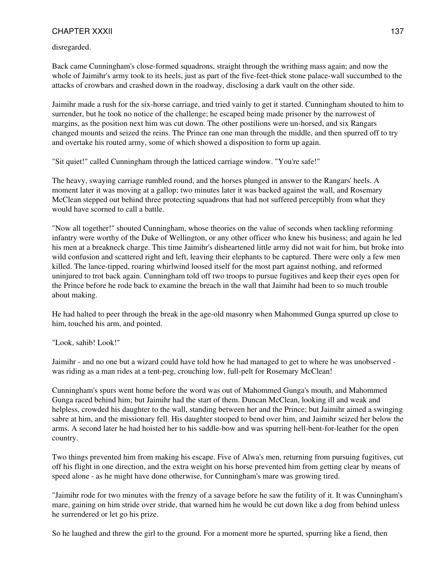disregarded.

Back came Cunningham's close-formed squadrons, straight through the writhing mass again; and now the whole of Jaimihr's army took to its heels, just as part of the five-feet-thick stone palace-wall succumbed to the attacks of crowbars and crashed down in the roadway, disclosing a dark vault on the other side.

Jaimihr made a rush for the six-horse carriage, and tried vainly to get it started. Cunningham shouted to him to surrender, but he took no notice of the challenge; he escaped being made prisoner by the narrowest of margins, as the position next him was cut down. The other postilions were un-horsed, and six Rangars changed mounts and seized the reins. The Prince ran one man through the middle, and then spurred off to try and overtake his routed army, some of which showed a disposition to form up again.

"Sit quiet!" called Cunningham through the latticed carriage window. "You're safe!"

The heavy, swaying carriage rumbled round, and the horses plunged in answer to the Rangars' heels. A moment later it was moving at a gallop; two minutes later it was backed against the wall, and Rosemary McClean stepped out behind three protecting squadrons that had not suffered perceptibly from what they would have scorned to call a battle.

"Now all together!" shouted Cunningham, whose theories on the value of seconds when tackling reforming infantry were worthy of the Duke of Wellington, or any other officer who knew his business; and again he led his men at a breakneck charge. This time Jaimihr's disheartened little army did not wait for him, but broke into wild confusion and scattered right and left, leaving their elephants to be captured. There were only a few men killed. The lance-tipped, roaring whirlwind loosed itself for the most part against nothing, and reformed uninjured to trot back again. Cunningham told off two troops to pursue fugitives and keep their eyes open for the Prince before he rode back to examine the breach in the wall that Jaimihr had been to so much trouble about making.

He had halted to peer through the break in the age-old masonry when Mahommed Gunga spurred up close to him, touched his arm, and pointed.

"Look, sahib! Look!"

Jaimihr - and no one but a wizard could have told how he had managed to get to where he was unobserved was riding as a man rides at a tent-peg, crouching low, full-pelt for Rosemary McClean!

Cunningham's spurs went home before the word was out of Mahommed Gunga's mouth, and Mahommed Gunga raced behind him; but Jaimihr had the start of them. Duncan McClean, looking ill and weak and helpless, crowded his daughter to the wall, standing between her and the Prince; but Jaimihr aimed a swinging sabre at him, and the missionary fell. His daughter stooped to bend over him, and Jaimihr seized her below the arms. A second later he had hoisted her to his saddle-bow and was spurring hell-bent-for-leather for the open country.

Two things prevented him from making his escape. Five of Alwa's men, returning from pursuing fugitives, cut off his flight in one direction, and the extra weight on his horse prevented him from getting clear by means of speed alone - as he might have done otherwise, for Cunningham's mare was growing tired.

"Jaimihr rode for two minutes with the frenzy of a savage before he saw the futility of it. It was Cunningham's mare, gaining on him stride over stride, that warned him he would be cut down like a dog from behind unless he surrendered or let go his prize.

So he laughed and threw the girl to the ground. For a moment more he spurted, spurring like a fiend, then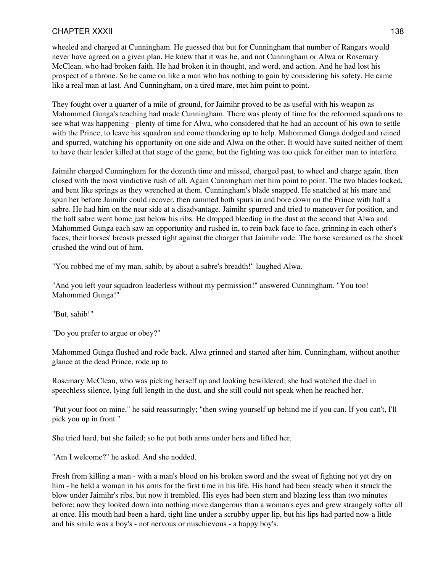wheeled and charged at Cunningham. He guessed that but for Cunningham that number of Rangars would never have agreed on a given plan. He knew that it was he, and not Cunningham or Alwa or Rosemary McClean, who had broken faith. He had broken it in thought, and word, and action. And he had lost his prospect of a throne. So he came on like a man who has nothing to gain by considering his safety. He came like a real man at last. And Cunningham, on a tired mare, met him point to point.

They fought over a quarter of a mile of ground, for Jaimihr proved to be as useful with his weapon as Mahommed Gunga's teaching had made Cunningham. There was plenty of time for the reformed squadrons to see what was happening - plenty of time for Alwa, who considered that he had an account of his own to settle with the Prince, to leave his squadron and come thundering up to help. Mahommed Gunga dodged and reined and spurred, watching his opportunity on one side and Alwa on the other. It would have suited neither of them to have their leader killed at that stage of the game, but the fighting was too quick for either man to interfere.

Jaimihr charged Cunningham for the dozenth time and missed, charged past, to wheel and charge again, then closed with the most vindictive rush of all. Again Cunningham met him point to point. The two blades locked, and bent like springs as they wrenched at them. Cunningham's blade snapped. He snatched at his mare and spun her before Jaimihr could recover, then rammed both spurs in and bore down on the Prince with half a sabre. He had him on the near side at a disadvantage. Jaimihr spurred and tried to maneuver for position, and the half sabre went home just below his ribs. He dropped bleeding in the dust at the second that Alwa and Mahommed Gunga each saw an opportunity and rushed in, to rein back face to face, grinning in each other's faces, their horses' breasts pressed tight against the charger that Jaimihr rode. The horse screamed as the shock crushed the wind out of him.

"You robbed me of my man, sahib, by about a sabre's breadth!" laughed Alwa.

"And you left your squadron leaderless without my permission!" answered Cunningham. "You too! Mahommed Gunga!"

"But, sahib!"

"Do you prefer to argue or obey?"

Mahommed Gunga flushed and rode back. Alwa grinned and started after him. Cunningham, without another glance at the dead Prince, rode up to

Rosemary McClean, who was picking herself up and looking bewildered; she had watched the duel in speechless silence, lying full length in the dust, and she still could not speak when he reached her.

"Put your foot on mine," he said reassuringly; "then swing yourself up behind me if you can. If you can't, I'll pick you up in front."

She tried hard, but she failed; so he put both arms under hers and lifted her.

"Am I welcome?" he asked. And she nodded.

Fresh from killing a man - with a man's blood on his broken sword and the sweat of fighting not yet dry on him - he held a woman in his arms for the first time in his life. His hand had been steady when it struck the blow under Jaimihr's ribs, but now it trembled. His eyes had been stern and blazing less than two minutes before; now they looked down into nothing more dangerous than a woman's eyes and grew strangely softer all at once. His mouth had been a hard, tight line under a scrubby upper lip, but his lips had parted now a little and his smile was a boy's - not nervous or mischievous - a happy boy's.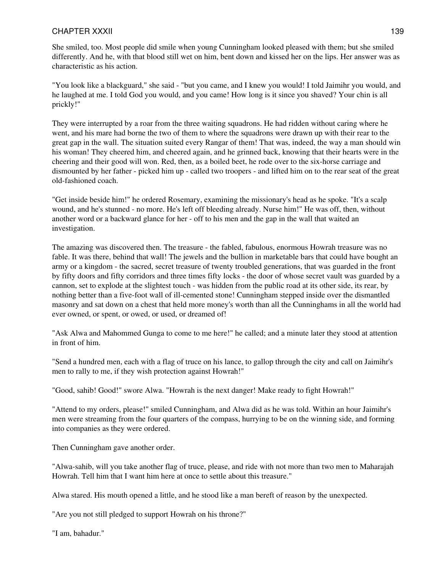She smiled, too. Most people did smile when young Cunningham looked pleased with them; but she smiled differently. And he, with that blood still wet on him, bent down and kissed her on the lips. Her answer was as characteristic as his action.

"You look like a blackguard," she said - "but you came, and I knew you would! I told Jaimihr you would, and he laughed at me. I told God you would, and you came! How long is it since you shaved? Your chin is all prickly!"

They were interrupted by a roar from the three waiting squadrons. He had ridden without caring where he went, and his mare had borne the two of them to where the squadrons were drawn up with their rear to the great gap in the wall. The situation suited every Rangar of them! That was, indeed, the way a man should win his woman! They cheered him, and cheered again, and he grinned back, knowing that their hearts were in the cheering and their good will won. Red, then, as a boiled beet, he rode over to the six-horse carriage and dismounted by her father - picked him up - called two troopers - and lifted him on to the rear seat of the great old-fashioned coach.

"Get inside beside him!" he ordered Rosemary, examining the missionary's head as he spoke. "It's a scalp wound, and he's stunned - no more. He's left off bleeding already. Nurse him!" He was off, then, without another word or a backward glance for her - off to his men and the gap in the wall that waited an investigation.

The amazing was discovered then. The treasure - the fabled, fabulous, enormous Howrah treasure was no fable. It was there, behind that wall! The jewels and the bullion in marketable bars that could have bought an army or a kingdom - the sacred, secret treasure of twenty troubled generations, that was guarded in the front by fifty doors and fifty corridors and three times fifty locks - the door of whose secret vault was guarded by a cannon, set to explode at the slightest touch - was hidden from the public road at its other side, its rear, by nothing better than a five-foot wall of ill-cemented stone! Cunningham stepped inside over the dismantled masonry and sat down on a chest that held more money's worth than all the Cunninghams in all the world had ever owned, or spent, or owed, or used, or dreamed of!

"Ask Alwa and Mahommed Gunga to come to me here!" he called; and a minute later they stood at attention in front of him.

"Send a hundred men, each with a flag of truce on his lance, to gallop through the city and call on Jaimihr's men to rally to me, if they wish protection against Howrah!"

"Good, sahib! Good!" swore Alwa. "Howrah is the next danger! Make ready to fight Howrah!"

"Attend to my orders, please!" smiled Cunningham, and Alwa did as he was told. Within an hour Jaimihr's men were streaming from the four quarters of the compass, hurrying to be on the winning side, and forming into companies as they were ordered.

Then Cunningham gave another order.

"Alwa-sahib, will you take another flag of truce, please, and ride with not more than two men to Maharajah Howrah. Tell him that I want him here at once to settle about this treasure."

Alwa stared. His mouth opened a little, and he stood like a man bereft of reason by the unexpected.

"Are you not still pledged to support Howrah on his throne?"

"I am, bahadur."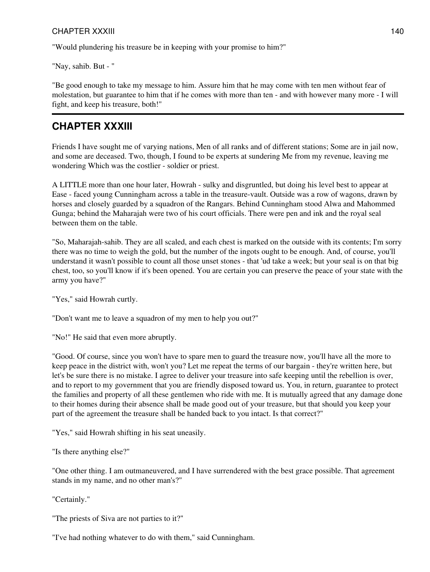"Would plundering his treasure be in keeping with your promise to him?"

"Nay, sahib. But - "

"Be good enough to take my message to him. Assure him that he may come with ten men without fear of molestation, but guarantee to him that if he comes with more than ten - and with however many more - I will fight, and keep his treasure, both!"

### **CHAPTER XXXIII**

Friends I have sought me of varying nations, Men of all ranks and of different stations; Some are in jail now, and some are deceased. Two, though, I found to be experts at sundering Me from my revenue, leaving me wondering Which was the costlier - soldier or priest.

A LITTLE more than one hour later, Howrah - sulky and disgruntled, but doing his level best to appear at Ease - faced young Cunningham across a table in the treasure-vault. Outside was a row of wagons, drawn by horses and closely guarded by a squadron of the Rangars. Behind Cunningham stood Alwa and Mahommed Gunga; behind the Maharajah were two of his court officials. There were pen and ink and the royal seal between them on the table.

"So, Maharajah-sahib. They are all scaled, and each chest is marked on the outside with its contents; I'm sorry there was no time to weigh the gold, but the number of the ingots ought to be enough. And, of course, you'll understand it wasn't possible to count all those unset stones - that 'ud take a week; but your seal is on that big chest, too, so you'll know if it's been opened. You are certain you can preserve the peace of your state with the army you have?"

"Yes," said Howrah curtly.

"Don't want me to leave a squadron of my men to help you out?"

"No!" He said that even more abruptly.

"Good. Of course, since you won't have to spare men to guard the treasure now, you'll have all the more to keep peace in the district with, won't you? Let me repeat the terms of our bargain - they're written here, but let's be sure there is no mistake. I agree to deliver your treasure into safe keeping until the rebellion is over, and to report to my government that you are friendly disposed toward us. You, in return, guarantee to protect the families and property of all these gentlemen who ride with me. It is mutually agreed that any damage done to their homes during their absence shall be made good out of your treasure, but that should you keep your part of the agreement the treasure shall be handed back to you intact. Is that correct?"

"Yes," said Howrah shifting in his seat uneasily.

"Is there anything else?"

"One other thing. I am outmaneuvered, and I have surrendered with the best grace possible. That agreement stands in my name, and no other man's?"

"Certainly."

"The priests of Siva are not parties to it?"

"I've had nothing whatever to do with them," said Cunningham.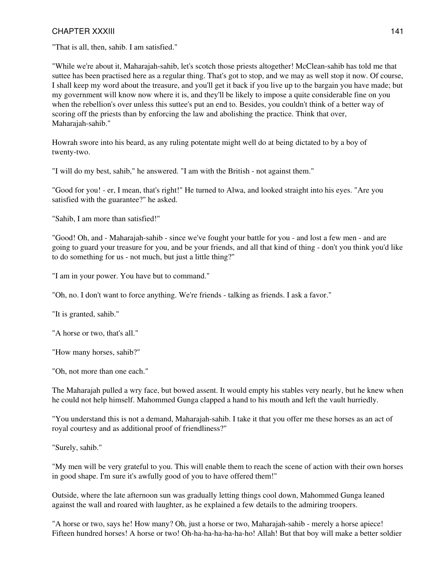"That is all, then, sahib. I am satisfied."

"While we're about it, Maharajah-sahib, let's scotch those priests altogether! McClean-sahib has told me that suttee has been practised here as a regular thing. That's got to stop, and we may as well stop it now. Of course, I shall keep my word about the treasure, and you'll get it back if you live up to the bargain you have made; but my government will know now where it is, and they'll be likely to impose a quite considerable fine on you when the rebellion's over unless this suttee's put an end to. Besides, you couldn't think of a better way of scoring off the priests than by enforcing the law and abolishing the practice. Think that over, Maharajah-sahib."

Howrah swore into his beard, as any ruling potentate might well do at being dictated to by a boy of twenty-two.

"I will do my best, sahib," he answered. "I am with the British - not against them."

"Good for you! - er, I mean, that's right!" He turned to Alwa, and looked straight into his eyes. "Are you satisfied with the guarantee?" he asked.

"Sahib, I am more than satisfied!"

"Good! Oh, and - Maharajah-sahib - since we've fought your battle for you - and lost a few men - and are going to guard your treasure for you, and be your friends, and all that kind of thing - don't you think you'd like to do something for us - not much, but just a little thing?"

"I am in your power. You have but to command."

"Oh, no. I don't want to force anything. We're friends - talking as friends. I ask a favor."

"It is granted, sahib."

"A horse or two, that's all."

"How many horses, sahib?"

"Oh, not more than one each."

The Maharajah pulled a wry face, but bowed assent. It would empty his stables very nearly, but he knew when he could not help himself. Mahommed Gunga clapped a hand to his mouth and left the vault hurriedly.

"You understand this is not a demand, Maharajah-sahib. I take it that you offer me these horses as an act of royal courtesy and as additional proof of friendliness?"

"Surely, sahib."

"My men will be very grateful to you. This will enable them to reach the scene of action with their own horses in good shape. I'm sure it's awfully good of you to have offered them!"

Outside, where the late afternoon sun was gradually letting things cool down, Mahommed Gunga leaned against the wall and roared with laughter, as he explained a few details to the admiring troopers.

"A horse or two, says he! How many? Oh, just a horse or two, Maharajah-sahib - merely a horse apiece! Fifteen hundred horses! A horse or two! Oh-ha-ha-ha-ha-ha-ho! Allah! But that boy will make a better soldier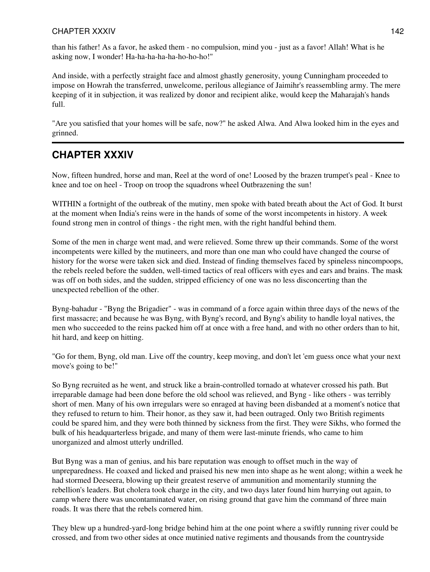### CHAPTER XXXIV 8 and 20 and 20 and 20 and 20 and 20 and 20 and 20 and 20 and 20 and 20 and 20 and 20 and 20 and

than his father! As a favor, he asked them - no compulsion, mind you - just as a favor! Allah! What is he asking now, I wonder! Ha-ha-ha-ha-ha-ho-ho-ho!"

And inside, with a perfectly straight face and almost ghastly generosity, young Cunningham proceeded to impose on Howrah the transferred, unwelcome, perilous allegiance of Jaimihr's reassembling army. The mere keeping of it in subjection, it was realized by donor and recipient alike, would keep the Maharajah's hands full.

"Are you satisfied that your homes will be safe, now?" he asked Alwa. And Alwa looked him in the eyes and grinned.

## **CHAPTER XXXIV**

Now, fifteen hundred, horse and man, Reel at the word of one! Loosed by the brazen trumpet's peal - Knee to knee and toe on heel - Troop on troop the squadrons wheel Outbrazening the sun!

WITHIN a fortnight of the outbreak of the mutiny, men spoke with bated breath about the Act of God. It burst at the moment when India's reins were in the hands of some of the worst incompetents in history. A week found strong men in control of things - the right men, with the right handful behind them.

Some of the men in charge went mad, and were relieved. Some threw up their commands. Some of the worst incompetents were killed by the mutineers, and more than one man who could have changed the course of history for the worse were taken sick and died. Instead of finding themselves faced by spineless nincompoops, the rebels reeled before the sudden, well-timed tactics of real officers with eyes and ears and brains. The mask was off on both sides, and the sudden, stripped efficiency of one was no less disconcerting than the unexpected rebellion of the other.

Byng-bahadur - "Byng the Brigadier" - was in command of a force again within three days of the news of the first massacre; and because he was Byng, with Byng's record, and Byng's ability to handle loyal natives, the men who succeeded to the reins packed him off at once with a free hand, and with no other orders than to hit, hit hard, and keep on hitting.

"Go for them, Byng, old man. Live off the country, keep moving, and don't let 'em guess once what your next move's going to be!"

So Byng recruited as he went, and struck like a brain-controlled tornado at whatever crossed his path. But irreparable damage had been done before the old school was relieved, and Byng - like others - was terribly short of men. Many of his own irregulars were so enraged at having been disbanded at a moment's notice that they refused to return to him. Their honor, as they saw it, had been outraged. Only two British regiments could be spared him, and they were both thinned by sickness from the first. They were Sikhs, who formed the bulk of his headquarterless brigade, and many of them were last-minute friends, who came to him unorganized and almost utterly undrilled.

But Byng was a man of genius, and his bare reputation was enough to offset much in the way of unpreparedness. He coaxed and licked and praised his new men into shape as he went along; within a week he had stormed Deeseera, blowing up their greatest reserve of ammunition and momentarily stunning the rebellion's leaders. But cholera took charge in the city, and two days later found him hurrying out again, to camp where there was uncontaminated water, on rising ground that gave him the command of three main roads. It was there that the rebels cornered him.

They blew up a hundred-yard-long bridge behind him at the one point where a swiftly running river could be crossed, and from two other sides at once mutinied native regiments and thousands from the countryside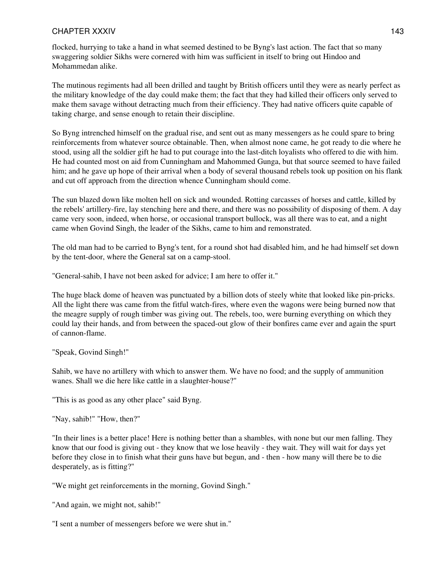### CHAPTER XXXIV 8 and 20 and 20 and 20 and 20 and 20 and 20 and 20 and 20 and 20 and 20 and 20 and 20 and 20 and

flocked, hurrying to take a hand in what seemed destined to be Byng's last action. The fact that so many swaggering soldier Sikhs were cornered with him was sufficient in itself to bring out Hindoo and Mohammedan alike.

The mutinous regiments had all been drilled and taught by British officers until they were as nearly perfect as the military knowledge of the day could make them; the fact that they had killed their officers only served to make them savage without detracting much from their efficiency. They had native officers quite capable of taking charge, and sense enough to retain their discipline.

So Byng intrenched himself on the gradual rise, and sent out as many messengers as he could spare to bring reinforcements from whatever source obtainable. Then, when almost none came, he got ready to die where he stood, using all the soldier gift he had to put courage into the last-ditch loyalists who offered to die with him. He had counted most on aid from Cunningham and Mahommed Gunga, but that source seemed to have failed him; and he gave up hope of their arrival when a body of several thousand rebels took up position on his flank and cut off approach from the direction whence Cunningham should come.

The sun blazed down like molten hell on sick and wounded. Rotting carcasses of horses and cattle, killed by the rebels' artillery-fire, lay stenching here and there, and there was no possibility of disposing of them. A day came very soon, indeed, when horse, or occasional transport bullock, was all there was to eat, and a night came when Govind Singh, the leader of the Sikhs, came to him and remonstrated.

The old man had to be carried to Byng's tent, for a round shot had disabled him, and he had himself set down by the tent-door, where the General sat on a camp-stool.

"General-sahib, I have not been asked for advice; I am here to offer it."

The huge black dome of heaven was punctuated by a billion dots of steely white that looked like pin-pricks. All the light there was came from the fitful watch-fires, where even the wagons were being burned now that the meagre supply of rough timber was giving out. The rebels, too, were burning everything on which they could lay their hands, and from between the spaced-out glow of their bonfires came ever and again the spurt of cannon-flame.

"Speak, Govind Singh!"

Sahib, we have no artillery with which to answer them. We have no food; and the supply of ammunition wanes. Shall we die here like cattle in a slaughter-house?"

"This is as good as any other place" said Byng.

"Nay, sahib!" "How, then?"

"In their lines is a better place! Here is nothing better than a shambles, with none but our men falling. They know that our food is giving out - they know that we lose heavily - they wait. They will wait for days yet before they close in to finish what their guns have but begun, and - then - how many will there be to die desperately, as is fitting?"

"We might get reinforcements in the morning, Govind Singh."

"And again, we might not, sahib!"

"I sent a number of messengers before we were shut in."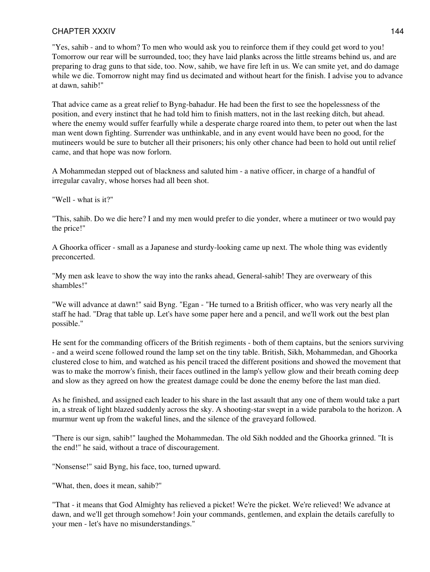#### CHAPTER XXXIV 8 and 20 and 20 and 20 and 20 and 20 and 20 and 20 and 20 and 20 and 20 and 20 and 20 and 20 and

"Yes, sahib - and to whom? To men who would ask you to reinforce them if they could get word to you! Tomorrow our rear will be surrounded, too; they have laid planks across the little streams behind us, and are preparing to drag guns to that side, too. Now, sahib, we have fire left in us. We can smite yet, and do damage while we die. Tomorrow night may find us decimated and without heart for the finish. I advise you to advance at dawn, sahib!"

That advice came as a great relief to Byng-bahadur. He had been the first to see the hopelessness of the position, and every instinct that he had told him to finish matters, not in the last reeking ditch, but ahead. where the enemy would suffer fearfully while a desperate charge roared into them, to peter out when the last man went down fighting. Surrender was unthinkable, and in any event would have been no good, for the mutineers would be sure to butcher all their prisoners; his only other chance had been to hold out until relief came, and that hope was now forlorn.

A Mohammedan stepped out of blackness and saluted him - a native officer, in charge of a handful of irregular cavalry, whose horses had all been shot.

"Well - what is it?"

"This, sahib. Do we die here? I and my men would prefer to die yonder, where a mutineer or two would pay the price!"

A Ghoorka officer - small as a Japanese and sturdy-looking came up next. The whole thing was evidently preconcerted.

"My men ask leave to show the way into the ranks ahead, General-sahib! They are overweary of this shambles!"

"We will advance at dawn!" said Byng. "Egan - "He turned to a British officer, who was very nearly all the staff he had. "Drag that table up. Let's have some paper here and a pencil, and we'll work out the best plan possible."

He sent for the commanding officers of the British regiments - both of them captains, but the seniors surviving - and a weird scene followed round the lamp set on the tiny table. British, Sikh, Mohammedan, and Ghoorka clustered close to him, and watched as his pencil traced the different positions and showed the movement that was to make the morrow's finish, their faces outlined in the lamp's yellow glow and their breath coming deep and slow as they agreed on how the greatest damage could be done the enemy before the last man died.

As he finished, and assigned each leader to his share in the last assault that any one of them would take a part in, a streak of light blazed suddenly across the sky. A shooting-star swept in a wide parabola to the horizon. A murmur went up from the wakeful lines, and the silence of the graveyard followed.

"There is our sign, sahib!" laughed the Mohammedan. The old Sikh nodded and the Ghoorka grinned. "It is the end!" he said, without a trace of discouragement.

"Nonsense!" said Byng, his face, too, turned upward.

"What, then, does it mean, sahib?"

"That - it means that God Almighty has relieved a picket! We're the picket. We're relieved! We advance at dawn, and we'll get through somehow! Join your commands, gentlemen, and explain the details carefully to your men - let's have no misunderstandings."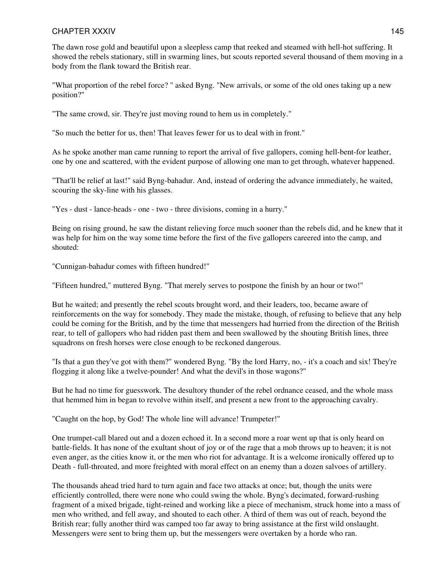#### CHAPTER XXXIV 8 and 20 and 20 and 20 and 20 and 20 and 20 and 20 and 20 and 20 and 20 and 20 and 20 and 20 and

The dawn rose gold and beautiful upon a sleepless camp that reeked and steamed with hell-hot suffering. It showed the rebels stationary, still in swarming lines, but scouts reported several thousand of them moving in a body from the flank toward the British rear.

"What proportion of the rebel force? " asked Byng. "New arrivals, or some of the old ones taking up a new position?"

"The same crowd, sir. They're just moving round to hem us in completely."

"So much the better for us, then! That leaves fewer for us to deal with in front."

As he spoke another man came running to report the arrival of five gallopers, coming hell-bent-for leather, one by one and scattered, with the evident purpose of allowing one man to get through, whatever happened.

"That'll be relief at last!" said Byng-bahadur. And, instead of ordering the advance immediately, he waited, scouring the sky-line with his glasses.

"Yes - dust - lance-heads - one - two - three divisions, coming in a hurry."

Being on rising ground, he saw the distant relieving force much sooner than the rebels did, and he knew that it was help for him on the way some time before the first of the five gallopers careered into the camp, and shouted:

"Cunnigan-bahadur comes with fifteen hundred!"

"Fifteen hundred," muttered Byng. "That merely serves to postpone the finish by an hour or two!"

But he waited; and presently the rebel scouts brought word, and their leaders, too, became aware of reinforcements on the way for somebody. They made the mistake, though, of refusing to believe that any help could be coming for the British, and by the time that messengers had hurried from the direction of the British rear, to tell of gallopers who had ridden past them and been swallowed by the shouting British lines, three squadrons on fresh horses were close enough to be reckoned dangerous.

"Is that a gun they've got with them?" wondered Byng. "By the lord Harry, no, - it's a coach and six! They're flogging it along like a twelve-pounder! And what the devil's in those wagons?"

But he had no time for guesswork. The desultory thunder of the rebel ordnance ceased, and the whole mass that hemmed him in began to revolve within itself, and present a new front to the approaching cavalry.

"Caught on the hop, by God! The whole line will advance! Trumpeter!"

One trumpet-call blared out and a dozen echoed it. In a second more a roar went up that is only heard on battle-fields. It has none of the exultant shout of joy or of the rage that a mob throws up to heaven; it is not even anger, as the cities know it, or the men who riot for advantage. It is a welcome ironically offered up to Death - full-throated, and more freighted with moral effect on an enemy than a dozen salvoes of artillery.

The thousands ahead tried hard to turn again and face two attacks at once; but, though the units were efficiently controlled, there were none who could swing the whole. Byng's decimated, forward-rushing fragment of a mixed brigade, tight-reined and working like a piece of mechanism, struck home into a mass of men who writhed, and fell away, and shouted to each other. A third of them was out of reach, beyond the British rear; fully another third was camped too far away to bring assistance at the first wild onslaught. Messengers were sent to bring them up, but the messengers were overtaken by a horde who ran.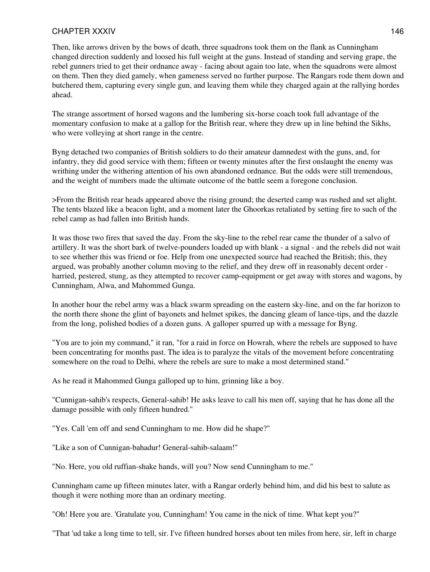#### CHAPTER XXXIV 8 and 20 and 20 and 20 and 20 and 20 and 20 and 20 and 20 and 20 and 20 and 20 and 20 and 20 and

Then, like arrows driven by the bows of death, three squadrons took them on the flank as Cunningham changed direction suddenly and loosed his full weight at the guns. Instead of standing and serving grape, the rebel gunners tried to get their ordnance away - facing about again too late, when the squadrons were almost on them. Then they died gamely, when gameness served no further purpose. The Rangars rode them down and butchered them, capturing every single gun, and leaving them while they charged again at the rallying hordes ahead.

The strange assortment of horsed wagons and the lumbering six-horse coach took full advantage of the momentary confusion to make at a gallop for the British rear, where they drew up in line behind the Sikhs, who were volleying at short range in the centre.

Byng detached two companies of British soldiers to do their amateur damnedest with the guns, and, for infantry, they did good service with them; fifteen or twenty minutes after the first onslaught the enemy was writhing under the withering attention of his own abandoned ordnance. But the odds were still tremendous, and the weight of numbers made the ultimate outcome of the battle seem a foregone conclusion.

>From the British rear heads appeared above the rising ground; the deserted camp was rushed and set alight. The tents blazed like a beacon light, and a moment later the Ghoorkas retaliated by setting fire to such of the rebel camp as had fallen into British hands.

It was those two fires that saved the day. From the sky-line to the rebel rear came the thunder of a salvo of artillery. It was the short bark of twelve-pounders loaded up with blank - a signal - and the rebels did not wait to see whether this was friend or foe. Help from one unexpected source had reached the British; this, they argued, was probably another column moving to the relief, and they drew off in reasonably decent order harried, pestered, stung, as they attempted to recover camp-equipment or get away with stores and wagons, by Cunningham, Alwa, and Mahommed Gunga.

In another hour the rebel army was a black swarm spreading on the eastern sky-line, and on the far horizon to the north there shone the glint of bayonets and helmet spikes, the dancing gleam of lance-tips, and the dazzle from the long, polished bodies of a dozen guns. A galloper spurred up with a message for Byng.

"You are to join my command," it ran, "for a raid in force on Howrah, where the rebels are supposed to have been concentrating for months past. The idea is to paralyze the vitals of the movement before concentrating somewhere on the road to Delhi, where the rebels are sure to make a most determined stand."

As he read it Mahommed Gunga galloped up to him, grinning like a boy.

"Cunnigan-sahib's respects, General-sahib! He asks leave to call his men off, saying that he has done all the damage possible with only fifteen hundred."

"Yes. Call 'em off and send Cunningham to me. How did he shape?"

"Like a son of Cunnigan-bahadur! General-sahib-salaam!"

"No. Here, you old ruffian-shake hands, will you? Now send Cunningham to me."

Cunningham came up fifteen minutes later, with a Rangar orderly behind him, and did his best to salute as though it were nothing more than an ordinary meeting.

"Oh! Here you are. 'Gratulate you, Cunningham! You came in the nick of time. What kept you?"

"That 'ud take a long time to tell, sir. I've fifteen hundred horses about ten miles from here, sir, left in charge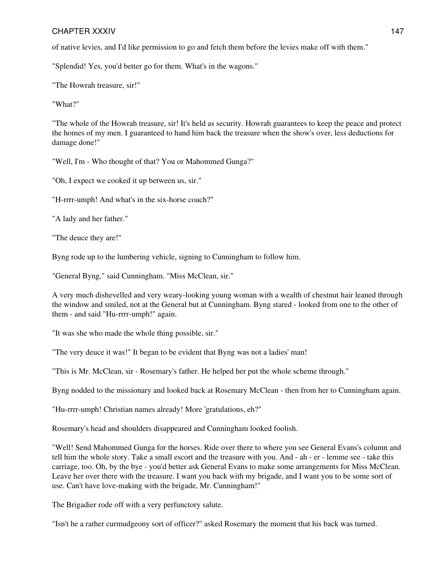#### CHAPTER XXXIV 8 and 20 and 20 and 20 and 20 and 20 and 20 and 20 and 20 and 20 and 20 and 20 and 20 and 20 and

of native levies, and I'd like permission to go and fetch them before the levies make off with them."

"Splendid! Yes, you'd better go for them. What's in the wagons."

"The Howrah treasure, sir!"

"What?"

"The whole of the Howrah treasure, sir! It's held as security. Howrah guarantees to keep the peace and protect the homes of my men. I guaranteed to hand him back the treasure when the show's over, less deductions for damage done!"

"Well, I'm - Who thought of that? You or Mahommed Gunga?"

"Oh, I expect we cooked it up between us, sir."

"H-rrrr-umph! And what's in the six-horse coach?"

"A lady and her father."

"The deuce they are!"

Byng rode up to the lumbering vehicle, signing to Cunningham to follow him.

"General Byng," said Cunningham. "Miss McClean, sir."

A very much dishevelled and very weary-looking young woman with a wealth of chestnut hair leaned through the window and smiled, not at the General but at Cunningham. Byng stared - looked from one to the other of them - and said "Hu-rrrr-umph!" again.

"It was she who made the whole thing possible, sir."

"The very deuce it was!" It began to be evident that Byng was not a ladies' man!

"This is Mr. McClean, sir - Rosemary's father. He helped her put the whole scheme through."

Byng nodded to the missionary and looked back at Rosemary McClean - then from her to Cunningham again.

"Hu-rrrr-umph! Christian names already! More 'gratulations, eh?"

Rosemary's head and shoulders disappeared and Cunningham looked foolish.

"Well! Send Mahommed Gunga for the horses. Ride over there to where you see General Evans's column and tell him the whole story. Take a small escort and the treasure with you. And - ah - er - lemme see - take this carriage, too. Oh, by the bye - you'd better ask General Evans to make some arrangements for Miss McClean. Leave her over there with the treasure. I want you back with my brigade, and I want you to be some sort of use. Can't have love-making with the brigade, Mr. Cunningham!"

The Brigadier rode off with a very perfunctory salute.

"Isn't he a rather curmudgeony sort of officer?" asked Rosemary the moment that his back was turned.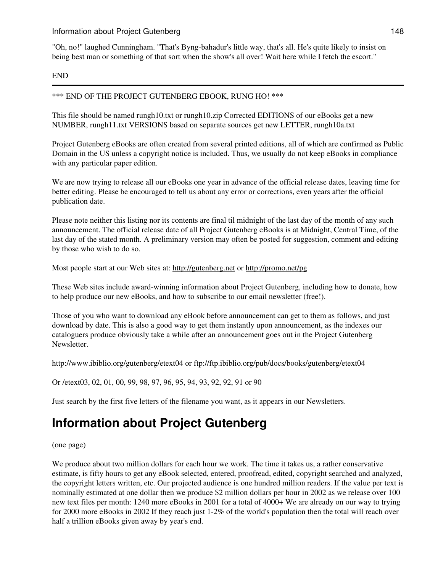"Oh, no!" laughed Cunningham. "That's Byng-bahadur's little way, that's all. He's quite likely to insist on being best man or something of that sort when the show's all over! Wait here while I fetch the escort."

#### END

\*\*\* END OF THE PROJECT GUTENBERG EBOOK, RUNG HO! \*\*\*

This file should be named rungh10.txt or rungh10.zip Corrected EDITIONS of our eBooks get a new NUMBER, rungh11.txt VERSIONS based on separate sources get new LETTER, rungh10a.txt

Project Gutenberg eBooks are often created from several printed editions, all of which are confirmed as Public Domain in the US unless a copyright notice is included. Thus, we usually do not keep eBooks in compliance with any particular paper edition.

We are now trying to release all our eBooks one year in advance of the official release dates, leaving time for better editing. Please be encouraged to tell us about any error or corrections, even years after the official publication date.

Please note neither this listing nor its contents are final til midnight of the last day of the month of any such announcement. The official release date of all Project Gutenberg eBooks is at Midnight, Central Time, of the last day of the stated month. A preliminary version may often be posted for suggestion, comment and editing by those who wish to do so.

Most people start at our Web sites at: <http://gutenberg.net> or <http://promo.net/pg>

These Web sites include award-winning information about Project Gutenberg, including how to donate, how to help produce our new eBooks, and how to subscribe to our email newsletter (free!).

Those of you who want to download any eBook before announcement can get to them as follows, and just download by date. This is also a good way to get them instantly upon announcement, as the indexes our cataloguers produce obviously take a while after an announcement goes out in the Project Gutenberg Newsletter.

http://www.ibiblio.org/gutenberg/etext04 or ftp://ftp.ibiblio.org/pub/docs/books/gutenberg/etext04

Or /etext03, 02, 01, 00, 99, 98, 97, 96, 95, 94, 93, 92, 92, 91 or 90

Just search by the first five letters of the filename you want, as it appears in our Newsletters.

# **Information about Project Gutenberg**

(one page)

We produce about two million dollars for each hour we work. The time it takes us, a rather conservative estimate, is fifty hours to get any eBook selected, entered, proofread, edited, copyright searched and analyzed, the copyright letters written, etc. Our projected audience is one hundred million readers. If the value per text is nominally estimated at one dollar then we produce \$2 million dollars per hour in 2002 as we release over 100 new text files per month: 1240 more eBooks in 2001 for a total of 4000+ We are already on our way to trying for 2000 more eBooks in 2002 If they reach just 1-2% of the world's population then the total will reach over half a trillion eBooks given away by year's end.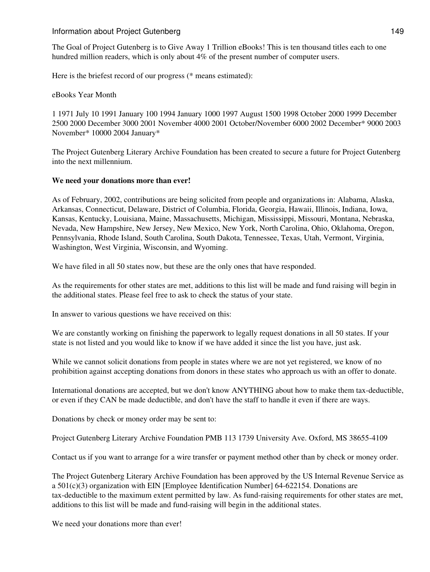#### Information about Project Gutenberg 149

The Goal of Project Gutenberg is to Give Away 1 Trillion eBooks! This is ten thousand titles each to one hundred million readers, which is only about 4% of the present number of computer users.

Here is the briefest record of our progress (\* means estimated):

#### eBooks Year Month

1 1971 July 10 1991 January 100 1994 January 1000 1997 August 1500 1998 October 2000 1999 December 2500 2000 December 3000 2001 November 4000 2001 October/November 6000 2002 December\* 9000 2003 November\* 10000 2004 January\*

The Project Gutenberg Literary Archive Foundation has been created to secure a future for Project Gutenberg into the next millennium.

#### **We need your donations more than ever!**

As of February, 2002, contributions are being solicited from people and organizations in: Alabama, Alaska, Arkansas, Connecticut, Delaware, District of Columbia, Florida, Georgia, Hawaii, Illinois, Indiana, Iowa, Kansas, Kentucky, Louisiana, Maine, Massachusetts, Michigan, Mississippi, Missouri, Montana, Nebraska, Nevada, New Hampshire, New Jersey, New Mexico, New York, North Carolina, Ohio, Oklahoma, Oregon, Pennsylvania, Rhode Island, South Carolina, South Dakota, Tennessee, Texas, Utah, Vermont, Virginia, Washington, West Virginia, Wisconsin, and Wyoming.

We have filed in all 50 states now, but these are the only ones that have responded.

As the requirements for other states are met, additions to this list will be made and fund raising will begin in the additional states. Please feel free to ask to check the status of your state.

In answer to various questions we have received on this:

We are constantly working on finishing the paperwork to legally request donations in all 50 states. If your state is not listed and you would like to know if we have added it since the list you have, just ask.

While we cannot solicit donations from people in states where we are not yet registered, we know of no prohibition against accepting donations from donors in these states who approach us with an offer to donate.

International donations are accepted, but we don't know ANYTHING about how to make them tax-deductible, or even if they CAN be made deductible, and don't have the staff to handle it even if there are ways.

Donations by check or money order may be sent to:

Project Gutenberg Literary Archive Foundation PMB 113 1739 University Ave. Oxford, MS 38655-4109

Contact us if you want to arrange for a wire transfer or payment method other than by check or money order.

The Project Gutenberg Literary Archive Foundation has been approved by the US Internal Revenue Service as a 501(c)(3) organization with EIN [Employee Identification Number] 64-622154. Donations are tax-deductible to the maximum extent permitted by law. As fund-raising requirements for other states are met, additions to this list will be made and fund-raising will begin in the additional states.

We need your donations more than ever!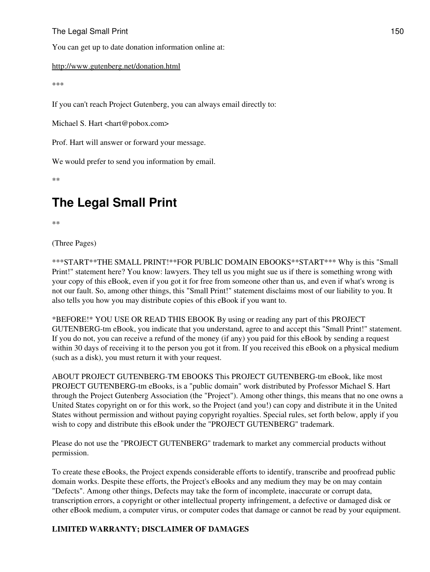### The Legal Small Print 150

You can get up to date donation information online at:

#### <http://www.gutenberg.net/donation.html>

\*\*\*

If you can't reach Project Gutenberg, you can always email directly to:

Michael S. Hart <hart@pobox.com>

Prof. Hart will answer or forward your message.

We would prefer to send you information by email.

\*\*

# **The Legal Small Print**

\*\*

(Three Pages)

\*\*\*START\*\*THE SMALL PRINT!\*\*FOR PUBLIC DOMAIN EBOOKS\*\*START\*\*\* Why is this "Small Print!" statement here? You know: lawyers. They tell us you might sue us if there is something wrong with your copy of this eBook, even if you got it for free from someone other than us, and even if what's wrong is not our fault. So, among other things, this "Small Print!" statement disclaims most of our liability to you. It also tells you how you may distribute copies of this eBook if you want to.

\*BEFORE!\* YOU USE OR READ THIS EBOOK By using or reading any part of this PROJECT GUTENBERG-tm eBook, you indicate that you understand, agree to and accept this "Small Print!" statement. If you do not, you can receive a refund of the money (if any) you paid for this eBook by sending a request within 30 days of receiving it to the person you got it from. If you received this eBook on a physical medium (such as a disk), you must return it with your request.

ABOUT PROJECT GUTENBERG-TM EBOOKS This PROJECT GUTENBERG-tm eBook, like most PROJECT GUTENBERG-tm eBooks, is a "public domain" work distributed by Professor Michael S. Hart through the Project Gutenberg Association (the "Project"). Among other things, this means that no one owns a United States copyright on or for this work, so the Project (and you!) can copy and distribute it in the United States without permission and without paying copyright royalties. Special rules, set forth below, apply if you wish to copy and distribute this eBook under the "PROJECT GUTENBERG" trademark.

Please do not use the "PROJECT GUTENBERG" trademark to market any commercial products without permission.

To create these eBooks, the Project expends considerable efforts to identify, transcribe and proofread public domain works. Despite these efforts, the Project's eBooks and any medium they may be on may contain "Defects". Among other things, Defects may take the form of incomplete, inaccurate or corrupt data, transcription errors, a copyright or other intellectual property infringement, a defective or damaged disk or other eBook medium, a computer virus, or computer codes that damage or cannot be read by your equipment.

# **LIMITED WARRANTY; DISCLAIMER OF DAMAGES**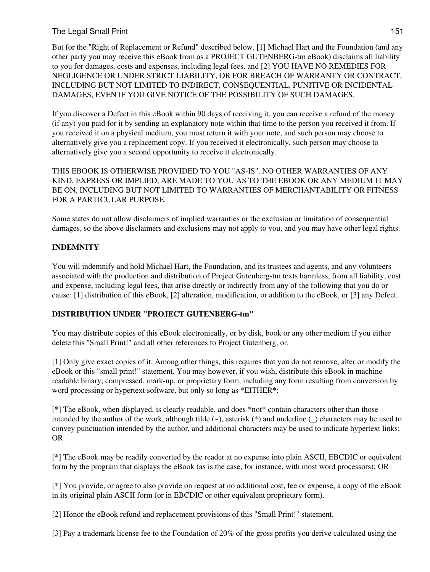### The Legal Small Print 151

But for the "Right of Replacement or Refund" described below, [1] Michael Hart and the Foundation (and any other party you may receive this eBook from as a PROJECT GUTENBERG-tm eBook) disclaims all liability to you for damages, costs and expenses, including legal fees, and [2] YOU HAVE NO REMEDIES FOR NEGLIGENCE OR UNDER STRICT LIABILITY, OR FOR BREACH OF WARRANTY OR CONTRACT, INCLUDING BUT NOT LIMITED TO INDIRECT, CONSEQUENTIAL, PUNITIVE OR INCIDENTAL DAMAGES, EVEN IF YOU GIVE NOTICE OF THE POSSIBILITY OF SUCH DAMAGES.

If you discover a Defect in this eBook within 90 days of receiving it, you can receive a refund of the money (if any) you paid for it by sending an explanatory note within that time to the person you received it from. If you received it on a physical medium, you must return it with your note, and such person may choose to alternatively give you a replacement copy. If you received it electronically, such person may choose to alternatively give you a second opportunity to receive it electronically.

THIS EBOOK IS OTHERWISE PROVIDED TO YOU "AS-IS". NO OTHER WARRANTIES OF ANY KIND, EXPRESS OR IMPLIED, ARE MADE TO YOU AS TO THE EBOOK OR ANY MEDIUM IT MAY BE ON, INCLUDING BUT NOT LIMITED TO WARRANTIES OF MERCHANTABILITY OR FITNESS FOR A PARTICULAR PURPOSE.

Some states do not allow disclaimers of implied warranties or the exclusion or limitation of consequential damages, so the above disclaimers and exclusions may not apply to you, and you may have other legal rights.

### **INDEMNITY**

You will indemnify and hold Michael Hart, the Foundation, and its trustees and agents, and any volunteers associated with the production and distribution of Project Gutenberg-tm texts harmless, from all liability, cost and expense, including legal fees, that arise directly or indirectly from any of the following that you do or cause: [1] distribution of this eBook, [2] alteration, modification, or addition to the eBook, or [3] any Defect.

#### **DISTRIBUTION UNDER "PROJECT GUTENBERG-tm"**

You may distribute copies of this eBook electronically, or by disk, book or any other medium if you either delete this "Small Print!" and all other references to Project Gutenberg, or:

[1] Only give exact copies of it. Among other things, this requires that you do not remove, alter or modify the eBook or this "small print!" statement. You may however, if you wish, distribute this eBook in machine readable binary, compressed, mark-up, or proprietary form, including any form resulting from conversion by word processing or hypertext software, but only so long as \*EITHER\*:

[\*] The eBook, when displayed, is clearly readable, and does \*not\* contain characters other than those intended by the author of the work, although tilde  $(\sim)$ , asterisk  $(*)$  and underline (\_) characters may be used to convey punctuation intended by the author, and additional characters may be used to indicate hypertext links; OR

[\*] The eBook may be readily converted by the reader at no expense into plain ASCII, EBCDIC or equivalent form by the program that displays the eBook (as is the case, for instance, with most word processors); OR

[\*] You provide, or agree to also provide on request at no additional cost, fee or expense, a copy of the eBook in its original plain ASCII form (or in EBCDIC or other equivalent proprietary form).

[2] Honor the eBook refund and replacement provisions of this "Small Print!" statement.

[3] Pay a trademark license fee to the Foundation of 20% of the gross profits you derive calculated using the